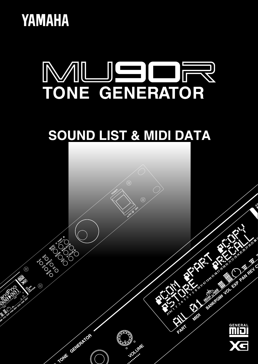



# **SOUND LIST & MIDI DATA**

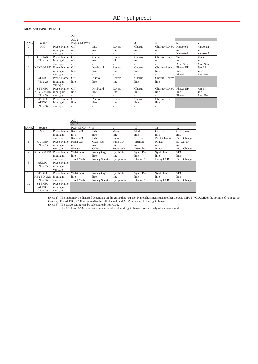## **MU90 A/D INPUT PRESET**

|             |                 |             | A/D1         |          |                |        |               |           |              |
|-------------|-----------------|-------------|--------------|----------|----------------|--------|---------------|-----------|--------------|
|             |                 |             | A/D2         |          |                |        |               |           |              |
| <b>BANK</b> | Source          |             | $PGM CNG#=0$ |          | $\overline{c}$ | 3      |               | 5         | 6            |
| $\Omega$    | <b>MIC</b>      | Preset Name | Off          | Mic      | Reverb         | Chorus | Chorus+Reverb | Karaoke1  | Karaoke2     |
|             |                 | input gain  | mic          | mic      | mic            | mic    | mic           | mic       | mic          |
|             |                 | var type    | ٠            |          |                |        |               | Karaoke1  | Karaoke2     |
|             | <b>GUITAR</b>   | Preset Name | Off          | Guitar   | Reverb         | Chorus | Chorus+Reverb | Tube      | <b>Stack</b> |
|             | (Note 1)        | input gain  | mic          | mic      | mic            | mic    | mic           | mic       | mic          |
|             |                 | var type    |              |          |                |        |               | Amp Sim.  | Amp Sim.     |
| 2           | <b>KEYBOARD</b> | Preset Name | Off          | Keyboard | Reverb         | Chorus | Chorus+Reverb | Phaser EP | Pan EP       |
|             |                 | input gain  | line         | line     | line           | line   | line          | line      | line         |
|             |                 | var type    |              |          |                |        |               | Phaser    | Auto Pan     |
| 3           | <b>AUDIO</b>    | Preset Name | Off          | Audio    | Reverb         | Chorus | Chorus+Reverb |           |              |
|             | (Note 2)        | input gain  | line         | line     | line           | line   | line          |           |              |
|             |                 | var type    |              |          |                |        |               |           |              |
| 18          | <b>STEREO</b>   | Preset Name | Off          | Keyboard | Reverb         | Chorus | Chorus+Reverb | Phaser EP | Pan EP       |
|             | <b>KEYBOARD</b> | input gain  | line         | line     | line           | line   | line          | line      | line         |
|             | (Note 3)        | var type    |              |          |                |        |               | Phaser    | Auto Pan     |
| 19          | <b>STEREO</b>   | Preset Name | Off          | Audio    | Reverb         | Chorus | Chorus+Reverb |           |              |
|             | <b>AUDIO</b>    | input gain  | line         | line     | line           | line   | line          |           |              |
|             | (Note 3)        | var type    |              |          |                |        |               |           |              |

|                |                 |             | A/D1           |                          |                  |                      |              |              |
|----------------|-----------------|-------------|----------------|--------------------------|------------------|----------------------|--------------|--------------|
|                |                 |             | A/D2           |                          |                  |                      |              |              |
| <b>BANK</b>    | Source          |             | $PGM CNG# = 7$ | 8                        | 9                | 10                   | 11           | 12           |
| $\Omega$       | MIC             | Preset Name | Karaoke3       | Echo                     | Vocal            | Studio               | Oct Up       | Oct Down     |
|                |                 | input gain  | mic            | mic                      | mic              | mic                  | mic          | mic          |
|                |                 | var type    | Karaoke3       | Echo                     | Stage1           | Exciter              | Pitch Change | Pitch Change |
| $\mathbf{1}$   | <b>GUITAR</b>   | Preset Name | Flang Gtr      | Clean Gtr                | Funk Gtr         | Tremolo              | Phaser       | 5th Guitar   |
|                | (Note 1)        | input gain  | mic            | mic                      | mic              | mic                  | mic          | mic          |
|                |                 | var type    | Flanger        | Celeste                  | <b>Touch Wah</b> | Tremolo              | Phaser       | Pitch Change |
| $\overline{c}$ | <b>KEYBOARD</b> | Preset Name | Wah Clavi      | Rotary Orgn              | Synth Str        | Synth Pad            | Synth Lead   | <b>SFX</b>   |
|                |                 | input gain  | line           | line                     | line             | line                 | line         | line         |
|                |                 | var type    | Touch Wah      | Rotary Speaker Symphonic |                  | Flanger <sub>2</sub> | Delay LCR    | Pitch Change |
| 3              | <b>AUDIO</b>    | Preset Name |                |                          |                  |                      |              |              |
|                | (Note 2)        | input gain  |                |                          |                  |                      |              |              |
|                |                 | var type    |                |                          |                  |                      |              |              |
| 18             | <b>STEREO</b>   | Preset Name | Wah Clavi      | Rotary Orgn              | Synth Str        | Synth Pad            | Synth Lead   | <b>SFX</b>   |
|                | <b>KEYBOARD</b> | input gain  | line           | line                     | line             | line                 | line         | line         |
|                | (Note 3)        | var type    | Touch Wah      | Rotary Speaker Symphonic |                  | Flanger <sub>2</sub> | Delay LCR    | Pitch Change |
| 19             | <b>STEREO</b>   | Preset Name |                |                          |                  |                      |              |              |
|                | <b>AUDIO</b>    | input gain  |                |                          |                  |                      |              |              |
|                | (Note 3)        | var type    |                |                          |                  |                      |              |              |

(Note 1) The input may be distorted depending on the guitar that you use. Make adjustments using either the A/D INPUT VOLUME or the volume of your guitar.<br>(Note 2) For AUDIO, A/D1 is panned to the left channel, and A/D2 is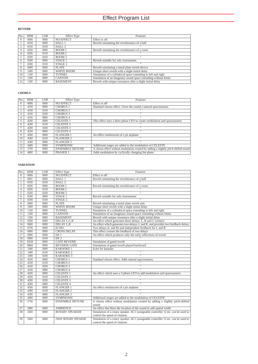## **REVERB**

| N <sub>o</sub> | <b>MSB</b> | LSB | <b>Effect Type</b> | Features                                                        |
|----------------|------------|-----|--------------------|-----------------------------------------------------------------|
| $\Omega$       | 00H        | 00H | <b>NO EFFECT</b>   | Effect is off                                                   |
|                | 01H        | 00H | HALL 1             | Reverb simulating the reverberance of a hall                    |
|                | 01H        | 01H | HALL.2             |                                                                 |
|                | 02H        | 00H | ROOM1              | Reverb simulating the reverberance of a room                    |
| 4              | 02H        | 01H | ROOM 2             |                                                                 |
|                | 02H        | 02H | ROOM 3             | $\mathbf{H}$                                                    |
| 6              | 03H        | 00H | STAGE 1            | Reverb suitable for solo instruments                            |
|                | 03H        | 01H | STAGE 2            | $\overline{\phantom{a}}$                                        |
| 8              | 04H        | 00H | PLATE              | Reverb simulating a metal plate reverb device                   |
| Q              | 10H        | 00H | <b>WHITE ROOM</b>  | Unique short reverb with a slight initial delay                 |
| 10             | 11H        | 00H | <b>TUNNEL</b>      | Simulation of a cylindrical space extending to left and right   |
|                | 12H        | 00H | <b>CANYON</b>      | Simulation of an imaginary sound space extending without limits |
| 12             | 13H        | 00H | <b>BASEMENT</b>    | Reverb with unique resonance after a slight initial delay       |

## **CHORUS**

| N <sub>o</sub> | <b>MSB</b> | <b>LSB</b> | <b>Effect Type</b>     | Features                                                                            |
|----------------|------------|------------|------------------------|-------------------------------------------------------------------------------------|
| $\Omega$       | 00H        | 00H        | <b>NO EFFECT</b>       | Effect is off                                                                       |
|                | 41H        | 00H        | <b>CHORUS 1</b>        | Standard chorus effect. Gives the sound a natural spaciousness.                     |
|                | 41H        | 01H        | <b>CHORUS 2</b>        | $\blacksquare$                                                                      |
| 3              | 41H        | 02H        | <b>CHORUS 3</b>        | $\overline{ }$                                                                      |
| 4              | 41H        | 08H        | <b>CHORUS 4</b>        | $\overline{11}$                                                                     |
| 5              | 42H        | 00H        | <b>CELESTE 1</b>       | This effect uses a three-phase LFO to create modulation and spaciousness            |
| 6              | 42H        | 01H        | <b>CELESTE 2</b>       |                                                                                     |
|                | 42H        | 02H        | <b>CELESTE 3</b>       | $\overline{ }$                                                                      |
| 8              | 42H        | 08H        | <b>CELESTE 4</b>       | $\mathbf{H}$                                                                        |
| 9              | 43H        | 00H        | <b>FLANGER 1</b>       | An effect reminiscent of a jet airplane                                             |
| 10             | 43H        | 01H        | <b>FLANGER 2</b>       | $\overline{1}$                                                                      |
| 11             | 43H        | 08H        | <b>FLANGER 3</b>       | $\mathbf{H}$                                                                        |
| 12             | 44H        | 00H        | <b>SYMPHONIC</b>       | Additional stages are added to the modulation of CELESTE                            |
| 13             | 57H        | 00H        | <b>ENSEMBLE DETUNE</b> | A chorus effect without modulation created by adding a slightly pitch-shifted sound |
| 14             | 48H        | 00H        | PHASER 1               | Adds modulation by cyclically changing the phase                                    |

## **VARIATION**

| No.             | <b>MSB</b>       | <b>LSB</b>       | <b>Effect Type</b>         | Features                                                                          |
|-----------------|------------------|------------------|----------------------------|-----------------------------------------------------------------------------------|
| $\overline{0}$  | 00H              | 00H              | <b>NO EFFECT</b>           | Effect is off                                                                     |
| 1               | $\overline{OH1}$ | 00H              | HALL 1                     | Reverb simulating the reverberance of a hall                                      |
| $\overline{2}$  | 01H              | 01H              | HALL <sub>2</sub>          |                                                                                   |
| $\overline{3}$  | 02H              | 00H              | ROOM1                      | Reverb simulating the reverberance of a room                                      |
| 4               | 02H              | 01H              | ROOM <sub>2</sub>          |                                                                                   |
| $\overline{5}$  | 02H              | 02H              | ROOM3                      | $\overline{1}$                                                                    |
| $\overline{6}$  | 03H              | 00H              | STAGE 1                    | Reverb suitable for solo instruments                                              |
| 7               | 03H              | 01H              | STAGE 2                    |                                                                                   |
| $\overline{8}$  | 04H              | 00H              | <b>PLATE</b>               | Reverb simulating a metal plate reverb unit                                       |
| $\overline{9}$  | 10H              | 00H              | <b>WHITE ROOM</b>          | Unique short reverb with a slight initial delay                                   |
| 10              | 11H              | 00H              | <b>TUNNEL</b>              | Simulation of a cylindrical space extending to left and right                     |
| 11              | 12H              | 00H              | <b>CANYON</b>              | Simulation of an imaginary sound space extending without limits                   |
| 12              | 13H              | 00H              | <b>BASEMENT</b>            | Reverb with unique resonance after a slight initial delay                         |
| 13              | 05H              | 00H              | DELAY L,C,R                | An effect which generates three delays: L, R and C (center)                       |
| 14              | 06H              | $\overline{OOH}$ | <b>DELAY L,R</b>           | An effect which generates two delays, L and R, and provides two feedback delays   |
| 15              | 07H              | 00H              | <b>ECHO</b>                | Two delays (L and R) and independent feedback for L and R                         |
| 16              | 08H              | $\overline{OOH}$ | <b>CROSS DELAY</b>         | This effect crosses the feedback of two delays                                    |
| 17              | 09H              | 00H              | ER <sub>1</sub>            | An effect which produces only the early reflections of reverb                     |
| 18              | 09H              | 01H              | ER <sub>2</sub>            |                                                                                   |
| 19              | 0AH              | 00H              | <b>GATE REVERB</b>         | Simulation of gated reverb                                                        |
| 20              | 0BH              | 00H              | <b>REVERSE GATE</b>        | Simulation of gated reverb played backward                                        |
| 21              | 14H              | 00H              | <b>KARAOKE1</b>            | Echo for karaoke                                                                  |
| 22              | 14H              | 01H              | <b>KARAOKE2</b>            | π                                                                                 |
| $\overline{23}$ | 14H              | 02H              | KARAOKE <sub>3</sub>       | $\overline{11}$                                                                   |
| 24              | 41H              | 00H              | <b>CHORUS 1</b>            | Standard chorus effect. Adds natural spaciousness.                                |
| $\overline{25}$ | 41H              | 01H              | <b>CHORUS 2</b>            |                                                                                   |
| 26              | 41H              | 02H              | <b>CHORUS 3</b>            |                                                                                   |
| 27              | 41H              | 08H              | <b>CHORUS 4</b>            | $\overline{11}$                                                                   |
| 28              | 42H              | 00H              | <b>CELESTE 1</b>           | An effect which uses a 3-phase LFO to add modulation and spaciousness             |
| 29              | 42H              | 01H              | <b>CELESTE 2</b>           | $\overline{1}$                                                                    |
| 30              | 42H              | 02H              | <b>CELESTE 3</b>           |                                                                                   |
| 31              | 42H              | 08H              | <b>CELESTE 4</b>           |                                                                                   |
| $\overline{32}$ | 43H              | $\overline{OOH}$ | <b>FLANGER 1</b>           | An effect reminiscent of a jet airplane                                           |
| 33              | 43H              | 01H              | <b>FLANGER 2</b>           |                                                                                   |
| 34              | 43H              | 08H              | <b>FLANGER 3</b>           |                                                                                   |
| 35              | 44H              | 00H              | <b>SYMPHONIC</b>           | Additional stages are added to the modulation of CELESTE                          |
| 36              | 57H              | 00H              | <b>ENSEMBLE DETUNE</b>     | A chorus effect without modulation created by adding a slightly pitch-shifted     |
|                 |                  |                  |                            | sound                                                                             |
| 37              | 58H              | $\overline{OOH}$ | <b>AMBIENCE</b>            | An effect that blurs the location of the sound to add spatial width               |
| 38              | 45H              | 00H              | <b>ROTARY SPEAKER</b>      | Simulation of a rotary speaker. AC1 (assignable controller 1) etc. can be used to |
|                 |                  |                  |                            | control the speed of rotation.                                                    |
| 39              | 56H              | 00H              | <b>2WAY ROTARY SPEAKER</b> | Simulation of a rotary speaker. AC1 (assignable controller 1) etc. can be used to |
|                 |                  |                  |                            | control the speed of rotation.                                                    |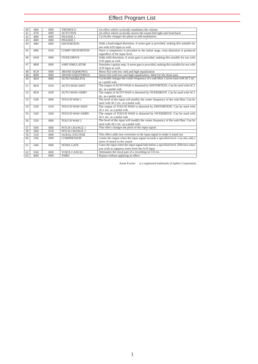## Effect Program List

| 40 | 46H             | 00H | <b>TREMOLO</b>         | An effect which cyclically modulates the volume                                     |
|----|-----------------|-----|------------------------|-------------------------------------------------------------------------------------|
| 41 | 47H             | 00H | <b>AUTO PAN</b>        | An effect which cyclically moves the sound left/right and front/back                |
| 42 | 48H             | 00H | PHASER 1               | Cyclically changes the phase to add modulation                                      |
| 43 | 48H             | 08H | PHASER <sub>2</sub>    |                                                                                     |
| 44 | 49H             | 00H | <b>DISTORTION</b>      | Adds a hard-edged distortion. A noise gate is provided, making this suitable for    |
|    |                 |     |                        | use with A/D input as well.                                                         |
| 45 | 49H             | 01H | <b>COMP+DISTORTION</b> | Since a compressor is provided in the initial stage, even distortion is produced    |
|    |                 |     |                        | regardless of the input level.                                                      |
| 46 | 4AH             | 00H | <b>OVER DRIVE</b>      | Adds mild distortion. A noise gate is provided, making this suitable for use with   |
|    |                 |     |                        | A/D input as well.                                                                  |
| 47 | 4BH             | 00H | <b>AMP SIMULATOR</b>   | Simulates a guitar amp. A noise gate is provided, making this suitable for use with |
|    |                 |     |                        | A/D input as well.                                                                  |
| 48 | 4CH             | 00H | 3BAND EQ(MONO)         | Mono EQ with low, mid and high equalization                                         |
| 49 | 4 <sub>DH</sub> | 00H | 2BAND EQ(STEREO)       | Stereo EQ with low and high equalization. Ideal for the drum part.                  |
| 50 | 4EH             | 00H | AUTO WAH(LFO)          | Cyclically changes the center frequency of a wah filter. Can be used with AC1 etc.  |
|    |                 |     |                        | as a pedal wah.                                                                     |
| 51 | 4EH             | 01H | <b>AUTO WAH+DIST</b>   | The output of AUTO WAH is distorted by DISTORTION. Can be used with AC1             |
|    |                 |     |                        | etc. as a pedal wah.                                                                |
| 52 | 4EH             | 02H | <b>AUTO WAH+ODRV</b>   | The output of AUTO WAH is distorted by OVERDRIVE. Can be used with AC1              |
|    |                 |     |                        | etc. as a pedal wah.                                                                |
| 53 | 52H             | 00H | <b>TOUCH WAH 1</b>     | The level of the input will modify the center frequency of the wah filter. Can be   |
|    |                 |     |                        | used with AC1 etc. as a pedal wah.                                                  |
| 54 | 52H             | 01H | <b>TOUCH WAH+DIST</b>  | The output of TOUCH WAH is distorted by DISTORTION. Can be used with                |
|    |                 |     |                        | AC1 etc. as a pedal wah.                                                            |
| 55 | 52H             | 02H | <b>TOUCH WAH+ODRV</b>  | The output of TOUCH WAH is distorted by OVERDRIVE. Can be used with                 |
|    |                 |     |                        | AC1 etc. as a pedal wah.                                                            |
| 56 | 52H             | 08H | <b>TOUCH WAH 2</b>     | The level of the input will modify the center frequency of the wah filter. Can be   |
|    |                 |     |                        | used with AC1 etc. as a pedal wah.                                                  |
| 57 | 50H             | 00H | PITCH CHANGE 1         | This effect changes the pitch of the input signal.                                  |
| 58 | 50H             | 01H | PITCH CHANGE 2         |                                                                                     |
| 59 | 51H             | 00H | <b>AURAL EXCITER®</b>  | This effect adds new overtones to the input signal to make it stand out.            |
| 60 | 53H             | 00H | <b>COMPRESSOR</b>      | Limits the output when the input signal exceeds a specified level. Can also add a   |
|    |                 |     |                        | sense of attack to the sound.                                                       |
| 61 | 54H             | 00H | <b>NOISE GATE</b>      | Gates the input when the input signal falls below a specified level. Effective when |
|    |                 |     |                        | you wish to suppress noise from the A/D input.                                      |
| 62 | 55H             | 00H | <b>VOICE CANCEL</b>    | Attenuates the vocal part of a recording on CD etc.                                 |
| 63 | 40H             | 00H | <b>THRU</b>            | Bypass without applying an effect                                                   |

Aural Exciter  $\circledast$  is a registered trademark of Aphex Corporation.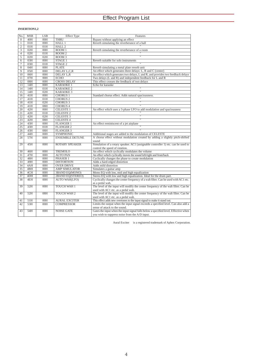## **INSERTION1,2**

| No.             | <b>MSB</b>      | <b>LSB</b>       | <b>Effect Type</b>     | Features                                                                                                            |
|-----------------|-----------------|------------------|------------------------|---------------------------------------------------------------------------------------------------------------------|
| $\overline{0}$  | 40H             | 00H              | <b>THRU</b>            | Bypass without applying an effect                                                                                   |
| $\mathbf{1}$    | 01H             | 00H              | HALL 1                 | Reverb simulating the reverberance of a hall                                                                        |
| $\overline{2}$  | 01H             | 01H              | HALL <sub>2</sub>      |                                                                                                                     |
|                 | 02H             | 00H              | ROOM1                  | Reverb simulating the reverberance of a room                                                                        |
| 4               | 02H             | 01H              | ROOM2                  |                                                                                                                     |
| 5               | 02H             | 02H              | ROOM <sub>3</sub>      |                                                                                                                     |
| $\overline{6}$  | 03H             | 00H              | STAGE 1                | Reverb suitable for solo instruments                                                                                |
| 7               | 03H             | 01H              | STAGE <sub>2</sub>     |                                                                                                                     |
| $\overline{8}$  | 04H             | 00H              | <b>PLATE</b>           | Reverb simulating a metal plate reverb unit                                                                         |
| 9               | 05H             | 00H              | DELAY L,C,R            | An effect which generates three delays: L, R and C (center)                                                         |
| 10              | 06H             | 00H              | DELAY L,R              | An effect which generates two delays, L and R, and provides two feedback delays                                     |
| $\overline{11}$ | 07H             | 00H              | <b>ECHO</b>            | Two delays $(L \text{ and } R)$ and independent feedback for $L$ and $R$                                            |
| 12              | 08H             | 00H              | <b>CROSS DELAY</b>     | This effect crosses the feedback of two delays                                                                      |
| 13              | 14H             | 00H              | <b>KARAOKE1</b>        | Echo for karaoke                                                                                                    |
| 14              | 14H             | 01H              | <b>KARAOKE2</b>        |                                                                                                                     |
| $\overline{15}$ | 14H             | 02H              | <b>KARAOKE 3</b>       |                                                                                                                     |
| 16              | 41H             | 00H              | <b>CHORUS 1</b>        | Standard chorus effect. Adds natural spaciousness.                                                                  |
| 17              | 41H             | $\overline{01H}$ | <b>CHORUS 2</b>        |                                                                                                                     |
| 18              | 41H             | 02H              | <b>CHORUS 3</b>        |                                                                                                                     |
| 19              | 41H             | 08H              | <b>CHORUS 4</b>        |                                                                                                                     |
| $\overline{20}$ | 42H             | 00H              | <b>CELESTE 1</b>       | An effect which uses a 3-phase LFO to add modulation and spaciousness                                               |
| $\overline{21}$ | 42H             | 01H              | <b>CELESTE 2</b>       |                                                                                                                     |
| 22              | 42H             | 02H              | <b>CELESTE 3</b>       |                                                                                                                     |
| $\overline{23}$ | 42H             | 08H              | <b>CELESTE 4</b>       |                                                                                                                     |
| $\overline{24}$ | 43H             | 00H              | <b>FLANGER 1</b>       | An effect reminiscent of a jet airplane                                                                             |
| $\overline{25}$ | 43H             | 01H              | <b>FLANGER 2</b>       |                                                                                                                     |
| 26              | 43H             | 08H              | <b>FLANGER 3</b>       |                                                                                                                     |
| 27              | 44H             | 00H              | <b>SYMPHONIC</b>       | Additional stages are added to the modulation of CELESTE                                                            |
| 28              | 57H             | 00H              | <b>ENSEMBLE DETUNE</b> | A chorus effect without modulation created by adding a slightly pitch-shifted                                       |
|                 |                 |                  |                        | sound                                                                                                               |
| 29              | 45H             | 00H              | <b>ROTARY SPEAKER</b>  | Simulation of a rotary speaker. AC1 (assignable controller 1) etc. can be used to<br>control the speed of rotation. |
| 30              | 46H             | 00H              | <b>TREMOLO</b>         | An effect which cyclically modulates the volume                                                                     |
| 31              | 47H             | 00H              | <b>AUTO PAN</b>        | An effect which cyclically moves the sound left/right and front/back                                                |
| 32              | 48H             | 00H              | PHASER 1               | Cyclically changes the phase to create modulation                                                                   |
| 33              | 49H             | 00H              | <b>DISTORTION</b>      | Adds a hard-edged distortion                                                                                        |
| $\overline{34}$ | 4AH             | 00H              | <b>OVER DRIVE</b>      | Adds mild distortion                                                                                                |
| 35              | 4BH             | 00H              | <b>AMP SIMULATOR</b>   | Simulates a guitar amp                                                                                              |
| 36              | 4CH             | 00H              | 3BAND EQ(MONO)         | Mono EQ with low, mid and high equalization                                                                         |
| 37              | 4 <sub>DH</sub> | 00H              | 2BAND EQ(STEREO)       | Stereo EQ with low and high equalization. Ideal for the drum part.                                                  |
| 38              | 4EH             | 00H              | <b>AUTO WAH(LFO)</b>   | Cyclically changes the center frequency of a wah filter. Can be used with AC1 etc.                                  |
|                 |                 |                  |                        | as a pedal wah.                                                                                                     |
| 39              | 52H             | 00H              | <b>TOUCH WAH 1</b>     | The level of the input will modify the center frequency of the wah filter. Can be                                   |
|                 |                 |                  |                        | used with AC1 etc. as a pedal wah.                                                                                  |
| 40              | 52H             | 08H              | <b>TOUCH WAH 2</b>     | The level of the input will modify the center frequency of the wah filter. Can be                                   |
|                 |                 |                  |                        | used with AC1 etc. as a pedal wah.                                                                                  |
| 41              | 51H             | 00H              | <b>AURAL EXCITER®</b>  | This effect adds new overtones to the input signal to make it stand out.                                            |
| 42              | 53H             | 00H              | <b>COMPRESSOR</b>      | Limits the output when the input signal exceeds a specified level. Can also add a                                   |
|                 |                 |                  |                        | sense of attack to the sound.                                                                                       |
| 43              | 54H             | 00H              | <b>NOISE GATE</b>      | Gates the input when the input signal falls below a specified level. Effective when                                 |
|                 |                 |                  |                        | you wish to suppress noise from the A/D input.                                                                      |
|                 |                 |                  |                        |                                                                                                                     |

Aural Exciter  $\mathcal D$  is a registered trademark of Aphex Corporation.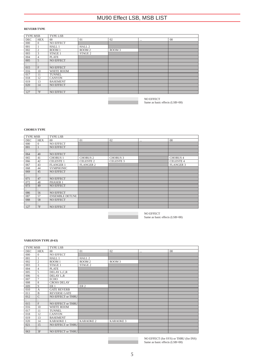## MU90 Effect LSB, MSB LIST

## **REVERB TYPE**

| <b>TYPE MSB</b>      |            | <b>TYPE LSB</b>   |                   |        |          |    |  |  |  |
|----------------------|------------|-------------------|-------------------|--------|----------|----|--|--|--|
| <b>DEC</b>           | <b>HEX</b> | $00\,$            | 01                | 02     | $\cdots$ | 08 |  |  |  |
| 000                  | $\Omega$   | NO EFFECT         |                   |        |          |    |  |  |  |
| 001                  |            | HALL 1            | HALL <sub>2</sub> |        |          |    |  |  |  |
| 002                  | 2          | ROOM <sub>1</sub> | ROOM <sub>2</sub> | ROOM 3 |          |    |  |  |  |
| 003                  | 3          | STAGE 1           | STAGE 2           |        |          |    |  |  |  |
| 004                  |            | <b>PLATE</b>      |                   |        |          |    |  |  |  |
| 005                  | 5          | <b>NO EFFECT</b>  |                   |        |          |    |  |  |  |
| $\ddot{\phantom{a}}$ |            |                   |                   |        |          |    |  |  |  |
| 015                  | F          | <b>NO EFFECT</b>  |                   |        |          |    |  |  |  |
| 016                  | 10         | <b>WHITE ROOM</b> |                   |        |          |    |  |  |  |
| 017                  | 11         | <b>TUNNEL</b>     |                   |        |          |    |  |  |  |
| 018                  | 12         | <b>CANYON</b>     |                   |        |          |    |  |  |  |
| 019                  | 13         | <b>BASEMENT</b>   |                   |        |          |    |  |  |  |
| 020                  | 14         | <b>NO EFFECT</b>  |                   |        |          |    |  |  |  |
| $\ddot{\phantom{a}}$ |            |                   |                   |        |          |    |  |  |  |
| 127                  | 7F         | <b>NO EFFECT</b>  |                   |        |          |    |  |  |  |

NO EFFECT Same as basic effects (LSB=00)

## **CHORUS TYPE**

| <b>TYPE MSB</b>      |            | <b>TYPE LSB</b>        |                  |                  |          |                  |  |  |
|----------------------|------------|------------------------|------------------|------------------|----------|------------------|--|--|
| DEC                  | <b>HEX</b> | $00\,$                 | 01               | 02               | $\cdots$ | 08               |  |  |
| 000                  | $\Omega$   | <b>NO EFFECT</b>       |                  |                  |          |                  |  |  |
| 001                  |            | <b>NO EFFECT</b>       |                  |                  |          |                  |  |  |
| $\ddot{\phantom{a}}$ |            |                        |                  |                  |          |                  |  |  |
| 064                  | 40         | <b>NO EFFECT</b>       |                  |                  |          |                  |  |  |
| 065                  | 41         | <b>CHORUS 1</b>        | <b>CHORUS 2</b>  | <b>CHORUS 3</b>  |          | <b>CHORUS 4</b>  |  |  |
| 066                  | 42         | <b>CELESTE 1</b>       | <b>CELESTE 2</b> | <b>CELESTE 3</b> |          | <b>CELESTE 4</b> |  |  |
| 067                  | 43         | <b>FLANGER 1</b>       | <b>FLANGER 2</b> |                  |          | <b>FLANGER 3</b> |  |  |
| 068                  | 44         | <b>SYMPHONIC</b>       |                  |                  |          |                  |  |  |
| 069                  | 45         | <b>NO EFFECT</b>       |                  |                  |          |                  |  |  |
|                      |            |                        |                  |                  |          |                  |  |  |
| 071                  | 47         | <b>NO EFFECT</b>       |                  |                  |          |                  |  |  |
| 072                  | 48         | PHASER 1               |                  |                  |          |                  |  |  |
| 073                  | 49         | <b>NO EFFECT</b>       |                  |                  |          |                  |  |  |
|                      |            |                        |                  |                  |          |                  |  |  |
| 086                  | 56         | <b>NO EFFECT</b>       |                  |                  |          |                  |  |  |
| 087                  | 57         | <b>ENSEMBLE DETUNE</b> |                  |                  |          |                  |  |  |
| 088                  | 58         | <b>NO EFFECT</b>       |                  |                  |          |                  |  |  |
| $\cdot$<br>$\bullet$ |            |                        |                  |                  |          |                  |  |  |
| 127                  | 7F         | <b>NO EFFECT</b>       |                  |                  |          |                  |  |  |

NO EFFECT Same as basic effects (LSB=00)

### **VARIATION TYPE (0-63)**

| <b>TYPE MSB</b>      |                | <b>TYPE LSB</b>     |                   |                   |  |    |  |  |
|----------------------|----------------|---------------------|-------------------|-------------------|--|----|--|--|
| DEC                  | <b>HEX</b>     | $^{00}$             | 01                | 02                |  | 08 |  |  |
| 000                  | $\mathbf{0}$   | <b>NO EFFECT</b>    |                   |                   |  |    |  |  |
| 001                  |                | HALL 1              | HALL <sub>2</sub> |                   |  |    |  |  |
| 002                  | $\overline{c}$ | ROOM 1              | ROOM <sub>2</sub> | ROOM <sub>3</sub> |  |    |  |  |
| 003                  | 3              | STAGE 1             | STAGE 2           |                   |  |    |  |  |
| 004                  | $\overline{4}$ | <b>PLATE</b>        |                   |                   |  |    |  |  |
| 005                  | 5              | DELAY L,C,R         |                   |                   |  |    |  |  |
| 006                  | 6              | DELAY L,R           |                   |                   |  |    |  |  |
| 007                  | $\overline{7}$ | <b>ECHO</b>         |                   |                   |  |    |  |  |
| 008                  | 8              | <b>CROSS DELAY</b>  |                   |                   |  |    |  |  |
| 009                  | 9              | ER <sub>1</sub>     | ER <sub>2</sub>   |                   |  |    |  |  |
| 010                  | $\mathbf{A}$   | <b>GATE REVERB</b>  |                   |                   |  |    |  |  |
| 011                  | $\mathbf B$    | <b>REVERSE GATE</b> |                   |                   |  |    |  |  |
| 012                  | $\overline{C}$ | NO EFFECT or THRU   |                   |                   |  |    |  |  |
| $\ddot{\phantom{a}}$ |                |                     |                   |                   |  |    |  |  |
| 015                  | F              | NO EFFECT or THRU   |                   |                   |  |    |  |  |
| 016                  | 10             | <b>WHITE ROOM</b>   |                   |                   |  |    |  |  |
| 017                  | 11             | <b>TUNNEL</b>       |                   |                   |  |    |  |  |
| 018                  | 12             | <b>CANYON</b>       |                   |                   |  |    |  |  |
| 019                  | 13             | <b>BASEMENT</b>     |                   |                   |  |    |  |  |
| 020                  | 14             | <b>KARAOKE1</b>     | <b>KARAOKE 2</b>  | <b>KARAOKE 3</b>  |  |    |  |  |
| 021                  | 15             | NO EFFECT or THRU   |                   |                   |  |    |  |  |
| $\bullet$            |                |                     |                   |                   |  |    |  |  |
| 063                  | 3F             | NO EFFECT or THRU   |                   |                   |  |    |  |  |

NO EFFECT (for SYS) or THRU (for INS) Same as basic effects (LSB=00)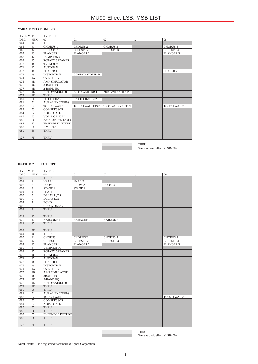## MU90 Effect LSB, MSB LIST

## **VARIATION TYPE (64-127)**

| DEC.<br><b>HEX</b><br>01<br>02<br>08<br>$^{00}$<br>$\cdots$<br><b>THRU</b><br>064<br>40<br>065<br>41<br><b>CHORUS 1</b><br><b>CHORUS 2</b><br><b>CHORUS 4</b><br><b>CHORUS 3</b><br>CELESTE 1<br>CELESTE <sub>2</sub><br><b>CELESTE 3</b><br><b>CELESTE 4</b><br>42<br>066<br>067<br>43<br><b>FLANGER 1</b><br><b>FLANGER 2</b><br><b>FLANGER 3</b><br>068<br>44<br><b>SYMPHONIC</b><br>45<br><b>ROTARY SPEAKER</b><br>069<br>070<br>46<br><b>TREMOLO</b><br>47<br>071<br><b>AUTO PAN</b><br>072<br>48<br>PHASER 1<br>PHASER <sub>2</sub><br>073<br>49<br><b>DISTORTION</b><br>COMP+DISTORTION<br><b>OVER DRIVE</b><br>074<br>4A<br>075<br>4B<br><b>AMP SIMULATOR</b><br>4C<br>076<br>3-BAND EQ<br>077<br>4 <sub>D</sub><br>2-BAND EQ<br>4E<br>078<br><b>AUTO WAH(LFO)</b><br><b>AUTO WAH+DIST</b><br><b>AUTO WAH+OVERDRIVE</b><br>4F<br>079<br><b>THRU</b><br>PITCH CHANGE<br>PITCH CHANGE2<br>080<br>50<br>51<br>AURAL EXCITER®<br>081<br>082<br>52<br><b>TOUCH WAH 1</b><br><b>TOUCH WAH+DIST</b><br>TOUCH WAH+OVERDRIVE<br><b>TOUCH WAH 2</b><br>53<br>083<br><b>COMPRESSOR</b><br>54<br>084<br><b>NOISE GATE</b><br>55<br>085<br>VOICE CANCEL<br>56<br><b>2WAY ROTARY SPEAKER</b><br>086<br>57<br><b>ENSEMBLE DETUNE</b><br>087<br>58<br>088<br><b>AMBIENCE</b><br>59<br><b>THRU</b><br>089<br>7F<br>127<br><b>THRU</b> | <b>TYPE MSB</b> |  | <b>TYPE LSB</b> |  |  |  |  |  |  |
|------------------------------------------------------------------------------------------------------------------------------------------------------------------------------------------------------------------------------------------------------------------------------------------------------------------------------------------------------------------------------------------------------------------------------------------------------------------------------------------------------------------------------------------------------------------------------------------------------------------------------------------------------------------------------------------------------------------------------------------------------------------------------------------------------------------------------------------------------------------------------------------------------------------------------------------------------------------------------------------------------------------------------------------------------------------------------------------------------------------------------------------------------------------------------------------------------------------------------------------------------------------------------------------------------------------------------|-----------------|--|-----------------|--|--|--|--|--|--|
|                                                                                                                                                                                                                                                                                                                                                                                                                                                                                                                                                                                                                                                                                                                                                                                                                                                                                                                                                                                                                                                                                                                                                                                                                                                                                                                              |                 |  |                 |  |  |  |  |  |  |
|                                                                                                                                                                                                                                                                                                                                                                                                                                                                                                                                                                                                                                                                                                                                                                                                                                                                                                                                                                                                                                                                                                                                                                                                                                                                                                                              |                 |  |                 |  |  |  |  |  |  |
|                                                                                                                                                                                                                                                                                                                                                                                                                                                                                                                                                                                                                                                                                                                                                                                                                                                                                                                                                                                                                                                                                                                                                                                                                                                                                                                              |                 |  |                 |  |  |  |  |  |  |
|                                                                                                                                                                                                                                                                                                                                                                                                                                                                                                                                                                                                                                                                                                                                                                                                                                                                                                                                                                                                                                                                                                                                                                                                                                                                                                                              |                 |  |                 |  |  |  |  |  |  |
|                                                                                                                                                                                                                                                                                                                                                                                                                                                                                                                                                                                                                                                                                                                                                                                                                                                                                                                                                                                                                                                                                                                                                                                                                                                                                                                              |                 |  |                 |  |  |  |  |  |  |
|                                                                                                                                                                                                                                                                                                                                                                                                                                                                                                                                                                                                                                                                                                                                                                                                                                                                                                                                                                                                                                                                                                                                                                                                                                                                                                                              |                 |  |                 |  |  |  |  |  |  |
|                                                                                                                                                                                                                                                                                                                                                                                                                                                                                                                                                                                                                                                                                                                                                                                                                                                                                                                                                                                                                                                                                                                                                                                                                                                                                                                              |                 |  |                 |  |  |  |  |  |  |
|                                                                                                                                                                                                                                                                                                                                                                                                                                                                                                                                                                                                                                                                                                                                                                                                                                                                                                                                                                                                                                                                                                                                                                                                                                                                                                                              |                 |  |                 |  |  |  |  |  |  |
|                                                                                                                                                                                                                                                                                                                                                                                                                                                                                                                                                                                                                                                                                                                                                                                                                                                                                                                                                                                                                                                                                                                                                                                                                                                                                                                              |                 |  |                 |  |  |  |  |  |  |
|                                                                                                                                                                                                                                                                                                                                                                                                                                                                                                                                                                                                                                                                                                                                                                                                                                                                                                                                                                                                                                                                                                                                                                                                                                                                                                                              |                 |  |                 |  |  |  |  |  |  |
|                                                                                                                                                                                                                                                                                                                                                                                                                                                                                                                                                                                                                                                                                                                                                                                                                                                                                                                                                                                                                                                                                                                                                                                                                                                                                                                              |                 |  |                 |  |  |  |  |  |  |
|                                                                                                                                                                                                                                                                                                                                                                                                                                                                                                                                                                                                                                                                                                                                                                                                                                                                                                                                                                                                                                                                                                                                                                                                                                                                                                                              |                 |  |                 |  |  |  |  |  |  |
|                                                                                                                                                                                                                                                                                                                                                                                                                                                                                                                                                                                                                                                                                                                                                                                                                                                                                                                                                                                                                                                                                                                                                                                                                                                                                                                              |                 |  |                 |  |  |  |  |  |  |
|                                                                                                                                                                                                                                                                                                                                                                                                                                                                                                                                                                                                                                                                                                                                                                                                                                                                                                                                                                                                                                                                                                                                                                                                                                                                                                                              |                 |  |                 |  |  |  |  |  |  |
|                                                                                                                                                                                                                                                                                                                                                                                                                                                                                                                                                                                                                                                                                                                                                                                                                                                                                                                                                                                                                                                                                                                                                                                                                                                                                                                              |                 |  |                 |  |  |  |  |  |  |
|                                                                                                                                                                                                                                                                                                                                                                                                                                                                                                                                                                                                                                                                                                                                                                                                                                                                                                                                                                                                                                                                                                                                                                                                                                                                                                                              |                 |  |                 |  |  |  |  |  |  |
|                                                                                                                                                                                                                                                                                                                                                                                                                                                                                                                                                                                                                                                                                                                                                                                                                                                                                                                                                                                                                                                                                                                                                                                                                                                                                                                              |                 |  |                 |  |  |  |  |  |  |
|                                                                                                                                                                                                                                                                                                                                                                                                                                                                                                                                                                                                                                                                                                                                                                                                                                                                                                                                                                                                                                                                                                                                                                                                                                                                                                                              |                 |  |                 |  |  |  |  |  |  |
|                                                                                                                                                                                                                                                                                                                                                                                                                                                                                                                                                                                                                                                                                                                                                                                                                                                                                                                                                                                                                                                                                                                                                                                                                                                                                                                              |                 |  |                 |  |  |  |  |  |  |
|                                                                                                                                                                                                                                                                                                                                                                                                                                                                                                                                                                                                                                                                                                                                                                                                                                                                                                                                                                                                                                                                                                                                                                                                                                                                                                                              |                 |  |                 |  |  |  |  |  |  |
|                                                                                                                                                                                                                                                                                                                                                                                                                                                                                                                                                                                                                                                                                                                                                                                                                                                                                                                                                                                                                                                                                                                                                                                                                                                                                                                              |                 |  |                 |  |  |  |  |  |  |
|                                                                                                                                                                                                                                                                                                                                                                                                                                                                                                                                                                                                                                                                                                                                                                                                                                                                                                                                                                                                                                                                                                                                                                                                                                                                                                                              |                 |  |                 |  |  |  |  |  |  |
|                                                                                                                                                                                                                                                                                                                                                                                                                                                                                                                                                                                                                                                                                                                                                                                                                                                                                                                                                                                                                                                                                                                                                                                                                                                                                                                              |                 |  |                 |  |  |  |  |  |  |
|                                                                                                                                                                                                                                                                                                                                                                                                                                                                                                                                                                                                                                                                                                                                                                                                                                                                                                                                                                                                                                                                                                                                                                                                                                                                                                                              |                 |  |                 |  |  |  |  |  |  |
|                                                                                                                                                                                                                                                                                                                                                                                                                                                                                                                                                                                                                                                                                                                                                                                                                                                                                                                                                                                                                                                                                                                                                                                                                                                                                                                              |                 |  |                 |  |  |  |  |  |  |
|                                                                                                                                                                                                                                                                                                                                                                                                                                                                                                                                                                                                                                                                                                                                                                                                                                                                                                                                                                                                                                                                                                                                                                                                                                                                                                                              |                 |  |                 |  |  |  |  |  |  |
|                                                                                                                                                                                                                                                                                                                                                                                                                                                                                                                                                                                                                                                                                                                                                                                                                                                                                                                                                                                                                                                                                                                                                                                                                                                                                                                              |                 |  |                 |  |  |  |  |  |  |
|                                                                                                                                                                                                                                                                                                                                                                                                                                                                                                                                                                                                                                                                                                                                                                                                                                                                                                                                                                                                                                                                                                                                                                                                                                                                                                                              |                 |  |                 |  |  |  |  |  |  |
|                                                                                                                                                                                                                                                                                                                                                                                                                                                                                                                                                                                                                                                                                                                                                                                                                                                                                                                                                                                                                                                                                                                                                                                                                                                                                                                              |                 |  |                 |  |  |  |  |  |  |

THRU Same as basic effects (LSB=00)

### **INSERTION EFFECT TYPE**

| <b>TYPE MSB</b>      |                         | TYPE LSB               |                    |                   |          |                  |  |
|----------------------|-------------------------|------------------------|--------------------|-------------------|----------|------------------|--|
| DEC                  | <b>HEX</b>              | 00 <sup>1</sup>        | 01                 | 02                | $\cdots$ | 08               |  |
| 000                  | $\overline{0}$          | <b>THRU</b>            |                    |                   |          |                  |  |
| 001                  | $\mathbf{1}$            | HALL <sub>1</sub>      | HALL <sub>2</sub>  |                   |          |                  |  |
| 002                  | $\overline{2}$          | ROOM 1                 | ROOM <sub>2</sub>  | ROOM <sub>3</sub> |          |                  |  |
| 003                  | $\overline{\mathbf{3}}$ | STAGE 1                | STAGE <sub>2</sub> |                   |          |                  |  |
| 004                  | $\overline{4}$          | <b>PLATE</b>           |                    |                   |          |                  |  |
| 005                  | 5                       | DELAY L,C,R            |                    |                   |          |                  |  |
| 006                  | $\overline{6}$          | DELAY L,R              |                    |                   |          |                  |  |
| 007                  | $\overline{7}$          | <b>ECHO</b>            |                    |                   |          |                  |  |
| 008                  | 8                       | <b>CROSS DELAY</b>     |                    |                   |          |                  |  |
| 009                  | $\overline{9}$          | <b>THRU</b>            |                    |                   |          |                  |  |
| $\overline{\cdot}$   | $\ddot{\phantom{a}}$    | $\vdots$               |                    |                   |          |                  |  |
| 019                  | 13                      | <b>THRU</b>            |                    |                   |          |                  |  |
| 020                  | 14                      | <b>KARAOKE1</b>        | <b>KARAOKE2</b>    | <b>KARAOKE 3</b>  |          |                  |  |
| 021                  | $\overline{15}$         | <b>THRU</b>            |                    |                   |          |                  |  |
| $\ddot{\phantom{0}}$ | $\mathbf{r}$            | ÷                      |                    |                   |          |                  |  |
| 063                  | 3F                      | <b>THRU</b>            |                    |                   |          |                  |  |
| 064                  | 40                      | <b>THRU</b>            |                    |                   |          |                  |  |
| 065                  | 41                      | <b>CHORUS 1</b>        | <b>CHORUS 2</b>    | <b>CHORUS 3</b>   |          | <b>CHORUS 4</b>  |  |
| 066                  | 42                      | <b>CELESTE 1</b>       | <b>CELESTE 2</b>   | <b>CELESTE 3</b>  |          | <b>CELESTE 4</b> |  |
| 067                  | 43                      | <b>FLANGER 1</b>       | <b>FLANGER 2</b>   |                   |          | <b>FLANGER 3</b> |  |
| 068                  | 44                      | <b>SYMPHONIC</b>       |                    |                   |          |                  |  |
| 069                  | 45                      | ROTARY SPEAKER         |                    |                   |          |                  |  |
| 070                  | 46                      | <b>TREMOLO</b>         |                    |                   |          |                  |  |
| 071                  | 47                      | <b>AUTO PAN</b>        |                    |                   |          |                  |  |
| 072                  | 48                      | PHASER 1               |                    |                   |          |                  |  |
| 073                  | 49                      | <b>DISTORTION</b>      |                    |                   |          |                  |  |
| 074                  | 4A                      | <b>OVER DRIVE</b>      |                    |                   |          |                  |  |
| 075                  | 4B                      | <b>AMP SIMULATOR</b>   |                    |                   |          |                  |  |
| 076                  | 4C                      | <b>3BAND EQ</b>        |                    |                   |          |                  |  |
| 077                  | 4D                      | 2-BAND EQ              |                    |                   |          |                  |  |
| 078                  | 4E                      | <b>AUTO WAH(LFO)</b>   |                    |                   |          |                  |  |
| 079                  | 4F                      | <b>THRU</b>            |                    |                   |          |                  |  |
| 080                  | 50                      | <b>THRU</b>            |                    |                   |          |                  |  |
| 081                  | 51                      | <b>AURAL EXCITER®</b>  |                    |                   |          |                  |  |
| 082                  | 52                      | TOUCH WAH 1            |                    |                   |          | TOUCH WAH 2      |  |
| 083                  | $\overline{53}$         | <b>COMPRESSOR</b>      |                    |                   |          |                  |  |
| 084                  | 54                      | <b>NOISE GATE</b>      |                    |                   |          |                  |  |
| 085                  | 55                      | <b>THRU</b>            |                    |                   |          |                  |  |
| 086                  | 56                      | <b>THRU</b>            |                    |                   |          |                  |  |
| 087                  | $\overline{57}$         | <b>ENSEMBLE DETUNE</b> |                    |                   |          |                  |  |
| 088                  | 58                      | <b>THRU</b>            |                    |                   |          |                  |  |
| $\ddot{\phantom{a}}$ | $\ddot{\phantom{a}}$    | $\ddot{\phantom{a}}$   |                    |                   |          |                  |  |
| 127                  | 7F                      | <b>THRU</b>            |                    |                   |          |                  |  |

THRU Same as basic effects (LSB=00)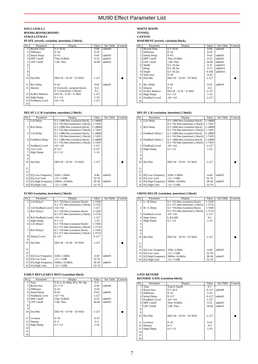#### **HALL1,HALL2 ROOM1,ROOM2,ROOM3 STAGE1,STAGE2 PLATE (reverb, variation, insertion1,2 block)**

| No.            | Parameter            | Display                       | Value     | See Table | Control |
|----------------|----------------------|-------------------------------|-----------|-----------|---------|
|                | <b>Reverb Time</b>   | $0.3 - 30.0s$                 | $0 - 69$  | table#4   |         |
| $\overline{c}$ | Diffusion            | $0 - 10$                      | $0 - 10$  |           |         |
| 3              | <b>Initial Delay</b> | $0 - 63$                      | $0 - 63$  | table#5   |         |
| 4              | <b>HPF</b> Cutoff    | Thru~8.0kHz                   | $0 - 52$  | table#3   |         |
| 5              | <b>LPF</b> Cutoff    | $1.0k - Thru$                 | 34-60     | table#3   |         |
| 6              |                      |                               |           |           |         |
|                |                      |                               |           |           |         |
| 8              |                      |                               |           |           |         |
| 9              |                      |                               |           |           |         |
| 10             | Drv/Wet              | $D63>$ W ~ $D=$ W ~ $D<$ W63  | $1 - 127$ |           |         |
|                |                      |                               |           |           |         |
| 11             | <b>Rev Delay</b>     | $0 - 63$                      | $0 - 63$  | table#5   |         |
| 12             | Density              | 0~4 (reverb, variation block) | $0 - 4$   |           |         |
|                |                      | $0~2$ (insertion 1,2 block)   | $0 - 2$   |           |         |
| 13             | Er/Rev Balance       | $E63>R \sim E=R \sim E < R63$ | $1 - 127$ |           |         |
| 14             | High Damp            | $0.1 - 1.0$                   | $1 - 10$  |           |         |
| 15             | Feedback Level       | $-63-+63$                     | $1 - 127$ |           |         |
| 16             |                      |                               |           |           |         |

## **DELAY L,C,R (variation, insertion1,2 block)**

| No.            | Parameter                | Display                                          | Value       | See Table | Control |
|----------------|--------------------------|--------------------------------------------------|-------------|-----------|---------|
|                | Lch Delay                | $0.1 - 1486.0$ ms (variation block)              | 1-14860     |           |         |
|                |                          | $0.1 \sim 742.9$ ms (insertion 1,2 block)        | 1-7429      |           |         |
| $\overline{2}$ | <b>Rch Delay</b>         | $0.1 - 1486.0$ ms (variation block)              | $1 - 14860$ |           |         |
|                |                          | $0.1 \sim 742.9$ ms (insertion1,2 block)         | 1-7429      |           |         |
| 3              | Cch Delay                | $0.1 \sim 1486.0$ ms (variation block)           | 1-14860     |           |         |
|                |                          | $0.1 \sim 742.9 \text{ms}$ (insertion 1,2 block) | 1-7429      |           |         |
| 4              | Feedback Delay           | $0.1 \sim 1486.0$ ms (variation block)           | 1-14860     |           |         |
|                |                          | $0.1 \sim 742.9$ ms (insertion 1,2 block)        | 1-7429      |           |         |
| 5              | Feedback Level           | $-63$ ~ $+63$                                    | $1 - 127$   |           |         |
| 6              | Cch Level                | $0 - 127$                                        | $0 - 127$   |           |         |
|                | <b>High Damp</b>         | $0.1 - 1.0$                                      | $1 - 10$    |           |         |
| 8              |                          |                                                  |             |           |         |
| 9              |                          |                                                  |             |           |         |
| 10             | Dry/Wet                  | $D63>$ W ~ $D=$ W ~ $D<$ W63                     | $1 - 127$   |           |         |
|                |                          |                                                  |             |           |         |
| 11             |                          |                                                  |             |           |         |
| 12             |                          |                                                  |             |           |         |
| 13             | <b>EQ Low Frequency</b>  | 32Hz~2.0kHz                                      | $4 - 40$    | table#3   |         |
| 14             | EQ Low Gain              | $-12$ ~+12dB                                     | 52-76       |           |         |
| 15             | <b>EQ High Frequency</b> | 500Hz~16.0kHz                                    | 28-58       | table#3   |         |
| 16             | EQ High Gain             | $-12$ ~+12dB                                     | 52-76       |           |         |
|                |                          |                                                  |             |           |         |

## **ECHO (variation, insertion1,2 block)**

| No.            | Parameter                | Display                                          | Value     | See Table | Control |
|----------------|--------------------------|--------------------------------------------------|-----------|-----------|---------|
|                | Lch Delay1               | 0.1~743.0ms (variation block)                    | 1-7430    |           |         |
|                |                          | $0.1 \sim 371.4$ ms (insertion 1,2 block)        | 1-3714    |           |         |
| 2              | Lch Feedback Level       | $-63-+63$                                        | $1 - 127$ |           |         |
| 3              | Rch Delay1               | $0.1 - 743.0$ ms (variation block)               | 1-7430    |           |         |
|                |                          | $0.1 \sim 371.4 \text{ms}$ (insertion 1,2 block) | 1-3714    |           |         |
| 4              | Rch Feedback Level       | $-63$ $-+63$                                     | $1 - 127$ |           |         |
| 5              | <b>High Damp</b>         | $0.1 - 1.0$                                      | $1 - 10$  |           |         |
| 6              | Lch Delay2               | $0.1 - 743.0$ ms (variation block)               | 1-7430    |           |         |
|                |                          | $0.1 \sim 371.4 \text{ms}$ (insertion 1,2 block) | 1-3714    |           |         |
| $\overline{7}$ | Rch Delay2               | $0.1 - 743.0$ ms (variation block)               | 1-7430    |           |         |
|                |                          | $0.1 \sim 371.4$ ms (insertion 1,2 block)        | 1-3714    |           |         |
| 8              | Delay2 Level             | $0 - 127$                                        | $0 - 127$ |           |         |
| 9              |                          |                                                  |           |           |         |
| 10             | Dry/Wet                  | $D63>$ W ~ $D=$ W ~ $D<$ W63                     | $1 - 127$ |           |         |
|                |                          |                                                  |           |           |         |
| 11             |                          |                                                  |           |           |         |
| 12             |                          |                                                  |           |           |         |
| 13             | <b>EQ Low Frequency</b>  | 32Hz~2.0kHz                                      | $4 - 40$  | table#3   |         |
| 14             | <b>EO Low Gain</b>       | $-12$ ~+12dB                                     | 52-76     |           |         |
| 15             | <b>EQ High Frequency</b> | 500Hz~16.0kHz                                    | 28-58     | table#3   |         |
| 16             | EO High Gain             | $-12$ ~+12dB                                     | 52-76     |           |         |

## **EARLY REF1,EARLY REF2 (variation block)**

| No.            | Parameter            | Display                      | Value     | See Table | Control |
|----------------|----------------------|------------------------------|-----------|-----------|---------|
|                | Type                 | S-H, L-H, Rdm, Rvs, Plt, Spr | $0 - 5$   |           |         |
| $\overline{2}$ | Room Size            | $0.1 - 7.0$                  | $0 - 44$  | table#6   |         |
| 3              | Diffusion            | $0 - 10$                     | $0 - 10$  |           |         |
| 4              | <b>Initial Delay</b> | $0 - 63$                     | $0 - 63$  | table#5   |         |
| 5 <sub>1</sub> | Feedback Level       | $-63$ $-+63$                 | $1 - 127$ |           |         |
| 61             | <b>HPF</b> Cutoff    | Thru~8.0kHz                  | $0 - 52$  | table#3   |         |
| 7              | <b>LPF</b> Cutoff    | $1.0k~$ Thru                 | 34-60     | table#3   |         |
| 8              |                      |                              |           |           |         |
| 9              |                      |                              |           |           |         |
| 10             | Dry/Wet              | $D63>$ W ~ $D=$ W ~ $D<$ W63 | $1 - 127$ |           |         |
|                |                      |                              |           |           |         |
| 11             | Liveness             | $0 - 10$                     | $0 - 10$  |           |         |
| 12             | Density              | $0 - 3$                      | $0 - 3$   |           |         |
| 13             | <b>High Damp</b>     | $0.1 - 1.0$                  | $1 - 10$  |           |         |
| 14             |                      |                              |           |           |         |
| 15             |                      |                              |           |           |         |
| 16             |                      |                              |           |           |         |

## **WHITE ROOM**

#### **TUNNEL CANYON**

**BASEMENT (reverb, variation block)** 

| No.            | Parameter            | Display                       | Value     | See Table | Control |
|----------------|----------------------|-------------------------------|-----------|-----------|---------|
|                | <b>Reverb Time</b>   | $0.3 - 30.0s$                 | $0 - 69$  | table#4   |         |
| $\overline{c}$ | Diffusion            | $0 - 10$                      | $0 - 10$  |           |         |
| 3              | <b>Initial Delay</b> | $0 - 63$                      | $0 - 63$  | table#5   |         |
| 4              | <b>HPF</b> Cutoff    | Thru~8.0kHz                   | $0 - 52$  | table#3   |         |
| $\overline{5}$ | LPF Cutoff           | $1.0k2$ Thru                  | $34-60$   | table#3   |         |
| 6              | Width                | $0.5 - 10.2m$                 | $0-37$    | table#11  |         |
| 7              | Heigt                | $0.5 - 20.2m$                 | $0 - 73$  | table#11  |         |
| 8              | Depth                | $0.5 - 30.2m$                 | $0 - 104$ | table#11  |         |
| 9              | Wall Vary            | $0 - 30$                      | $0-30$    |           |         |
| 10             | Drv/Wet              | $D63>$ W ~ $D=$ W ~ $D<$ W63  | 1-127     |           |         |
|                |                      |                               |           |           |         |
| 11             | Rev Delay            | $0 - 63$                      | $0 - 63$  | table#5   |         |
| 12             | Density              | $0 - 4$                       | $0 - 4$   |           |         |
| 13             | Er/Rev Balance       | $E63>R \sim E=R \sim E < R63$ | 1-127     |           |         |
| 14             | <b>High Damp</b>     | $0.1 - 1.0$                   | $1 - 10$  |           |         |
| 15             | Feedback Level       | $-63 - +63$                   | 1-127     |           |         |
| 16             |                      |                               |           |           |         |

### **DELAY L,R (variation, insertion1,2 block)**

| No.            | Parameter                | Display                                          | Value     | See Table | Control |
|----------------|--------------------------|--------------------------------------------------|-----------|-----------|---------|
|                | Lch Delay                | $0.1 - 1486.0$ ms (variation block)              | 1-14860   |           |         |
|                |                          | $0.1 \sim 742.9$ ms (insertion1,2 block)         | 1-7429    |           |         |
| $\overline{c}$ | <b>Rch Delay</b>         | $0.1 - 1486.0$ ms (variation block)              | 1-14860   |           |         |
|                |                          | $0.1 \sim 742.9 \text{ms}$ (insertion 1,2 block) | 1-7429    |           |         |
| 3              | Feedback Delay 1         | $0.1 \sim 1486.0$ ms (variation block)           | 1-14860   |           |         |
|                |                          | $0.1 \sim 742.9$ ms (insertion1,2 block)         | 1-7429    |           |         |
| 4              | Feedback Delay 2         | $0.1 \sim 1486.0$ ms (variation block)           | 1-14860   |           |         |
|                |                          | $0.1 \sim 742.9$ ms (insertion1,2 block)         | 1-7429    |           |         |
| 5.             | Feedback Level           | $-63-+63$                                        | $1 - 127$ |           |         |
| 6              | <b>High Damp</b>         | $0.1 - 1.0$                                      | $1 - 10$  |           |         |
| 7              |                          |                                                  |           |           |         |
| 8              |                          |                                                  |           |           |         |
| 9              |                          |                                                  |           |           |         |
| 10             | Dry/Wet                  | $D63>$ W ~ $D=$ W ~ $D<$ W63                     | $1 - 127$ |           |         |
|                |                          |                                                  |           |           |         |
| 11             |                          |                                                  |           |           |         |
| 12             |                          |                                                  |           |           |         |
| 13             | <b>EQ Low Frequency</b>  | $32Hz - 2.0kHz$                                  | $4 - 40$  | table#3   |         |
| 14             | <b>EQ Low Gain</b>       | $-12 \sim +12 \text{dB}$                         | 52-76     |           |         |
| 15             | <b>EQ High Frequency</b> | 500Hz~16.0kHz                                    | 28-58     | table#3   |         |
| 16             | EQ High Gain             | $-12$ ~+12dB                                     | 52-76     |           |         |

## **CROSS DELAY (variation, insertion1,2 block)**

| No.            | Parameter                | Display                                   | Value     | See Table | Control |
|----------------|--------------------------|-------------------------------------------|-----------|-----------|---------|
|                | L->R Delay               | $0.1 - 743.0$ ms (variation block)        | 1-7430    |           |         |
|                |                          | $0.1 \sim 371.4$ ms (insertion 1,2 block) | 1-3714    |           |         |
| $\overline{c}$ | R->L Delay               | $0.1 - 743.0$ ms (variation block)        | 1-7430    |           |         |
|                |                          | $0.1 \sim 371.4$ ms (insertion 1,2 block) | 1-3714    |           |         |
| 3              | Feedback Level           | $-63$ ~ $+63$                             | $1 - 127$ |           |         |
| 4              | <b>Input Select</b>      | L.R.L&R                                   | $0 - 2$   |           |         |
| 5              | <b>High Damp</b>         | $0.1 - 1.0$                               | $1 - 10$  |           |         |
| 6              |                          |                                           |           |           |         |
| 7              |                          |                                           |           |           |         |
| 8              |                          |                                           |           |           |         |
| 9              |                          |                                           |           |           |         |
| 10             | Dry/Wet                  | $D63>$ W ~ $D=$ W ~ $D<$ W63              | $1 - 127$ |           |         |
|                |                          |                                           |           |           |         |
| 11             |                          |                                           |           |           |         |
| 12             |                          |                                           |           |           |         |
| 13             | EQ Low Frequency         | $32Hz - 2.0kHz$                           | $4 - 40$  | table#3   |         |
| 14             | EQ Low Gain              | $-12 \sim +12 \text{dB}$                  | $52 - 76$ |           |         |
| 15             | <b>EQ High Frequency</b> | 500Hz~16.0kHz                             | 28-58     | table#3   |         |
| 16             | EQ High Gain             | $-12 - +12dB$                             | 52-76     |           |         |

#### **GATE REVERB REVERSE GATE (variation block)**

| No.            | Parameter            | Display                      | Value     | See Table | Control |
|----------------|----------------------|------------------------------|-----------|-----------|---------|
| 1              | Type                 | TypeA,TypeB                  | $0 - 1$   |           |         |
| $\overline{c}$ | Room Size            | $0.1 - 20.0$                 | $0 - 127$ | table#6   |         |
| 3              | Diffusion            | $0 - 10$                     | $0 - 10$  |           |         |
| $\overline{4}$ | <b>Initial Delay</b> | $0 - 127$                    | $0 - 127$ | table#5   |         |
| 5              | Feedback Level       | $-63 - +63$                  | $1 - 127$ |           |         |
| 6              | <b>HPF</b> Cutoff    | Thru~8.0kHz                  | $0 - 52$  | table#3   |         |
| 7              | LPF Cutoff           | $1.0k~T$ hru                 | 34-60     | table#3   |         |
| 8              |                      |                              |           |           |         |
| 9              |                      |                              |           |           |         |
| 10             | Dry/Wet              | $D63>$ W ~ $D=$ W ~ $D<$ W63 | $1 - 127$ |           |         |
|                |                      |                              |           |           |         |
| 11             | Liveness             | $0 - 10$                     | $0 - 10$  |           |         |
| 12             | Density              | $0 - 3$                      | $0 - 3$   |           |         |
| 13             | <b>High Damp</b>     | $0.1 - 1.0$                  | $1 - 10$  |           |         |
| 14             |                      |                              |           |           |         |
| 15             |                      |                              |           |           |         |
| 16             |                      |                              |           |           |         |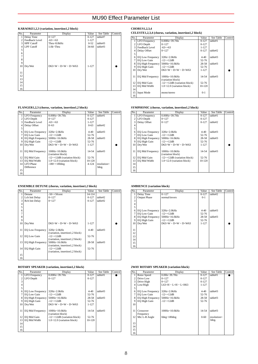### **KARAOKE1,2,3 (variation, insertion1,2 block)**

| No.            | Parameter         | Display                      | Value     | See Table | Control |
|----------------|-------------------|------------------------------|-----------|-----------|---------|
|                | Delay Time        | $0 - 127$                    | $0 - 127$ | table#7   |         |
| $\overline{c}$ | Feedback Level    | $-63$ ~+63                   | $1 - 127$ |           |         |
| 3              | <b>HPF</b> Cutoff | Thru~8.0kHz                  | $0 - 52$  | table#3   |         |
| 4              | <b>LPF</b> Cutoff | $1.0k - Thru$                | 34-60     | table#3   |         |
| 5              |                   |                              |           |           |         |
| 6              |                   |                              |           |           |         |
| $\overline{7}$ |                   |                              |           |           |         |
| 8              |                   |                              |           |           |         |
| 9              |                   |                              |           |           |         |
| 10             | Dry/Wet           | $D63>$ W ~ $D=$ W ~ $D<$ W63 | $1 - 127$ |           |         |
|                |                   |                              |           |           |         |
| 11             |                   |                              |           |           |         |
| 12             |                   |                              |           |           |         |
| 13             |                   |                              |           |           |         |
| 14             |                   |                              |           |           |         |
| 15             |                   |                              |           |           |         |
| 16             |                   |                              |           |           |         |

## **FLANGER1,2,3 (chorus, variation, insertion1,2 block)**

| No.             | Parameter            | Display                                  | Value     | See Table   | Control |
|-----------------|----------------------|------------------------------------------|-----------|-------------|---------|
|                 | <b>LFO</b> Frequency | $0.00Hz - 39.7Hz$                        | $0 - 127$ | table#1     |         |
| $\overline{c}$  | LFO Depth            | $0 - 127$                                | $0 - 127$ |             |         |
| 3               | Feedback Level       | $-63$ $-+63$                             | $1 - 127$ |             |         |
| 4               | Delay Offset         | $0 - 63$                                 | $0 - 63$  | table#2     |         |
| 5               |                      |                                          |           |             |         |
| 6               | EQ Low Frequency     | 32Hz~2.0kHz                              | $4 - 40$  | table#3     |         |
| 7               | EQ Low Gain          | $-12$ ~+12dB                             | 52-76     |             |         |
| 8               | EQ High Frequency    | 500Hz~16.0kHz                            | 28-58     | table#3     |         |
| 9               | EQ High Gain         | $-12 \rightarrow +12$ dB                 | 52-76     |             |         |
| 10 <sup>1</sup> | Drv/Wet              | $D63>$ W ~ $D=$ W ~ $D<$ W63             | $1 - 127$ |             |         |
|                 |                      |                                          |           |             |         |
| 11              | EQ Mid Frequency     | 100Hz~10.0kHz                            | 14-54     | table#3     |         |
|                 |                      | (variation block)                        |           |             |         |
| 12              | EQ Mid Gain          | $-12\rightarrow+12$ dB (variation block) | 52-76     |             |         |
| 13              | EO Mid Width         | 1.0~12.0 (variation block)               | 10-120    |             |         |
|                 | 14 LFO Phase         | $-180 - +180$ deg                        | $4 - 124$ | resolution= |         |
|                 | Difference           |                                          |           | 3deg.       |         |
| 15              |                      |                                          |           |             |         |
| 16              |                      |                                          |           |             |         |

## **ENSEMBLE DETUNE (chorus, variation, insertion1,2 block)**

| No.            | Parameter                | Display                         | Value      | See Table | Control |
|----------------|--------------------------|---------------------------------|------------|-----------|---------|
|                | Detune                   | $-50$ $-+50$ cent               | $14 - 114$ |           |         |
| $\overline{c}$ | Lch Init Delay           | $0 - 127$                       | $0 - 127$  | table#2   |         |
| 3              | Rch Init Delay           | $0 - 127$                       | $0 - 127$  | table#2   |         |
| 4              |                          |                                 |            |           |         |
| 5              |                          |                                 |            |           |         |
| 6              |                          |                                 |            |           |         |
| $\overline{7}$ |                          |                                 |            |           |         |
| 8              |                          |                                 |            |           |         |
| 9              |                          |                                 |            |           |         |
| 10             | Dry/Wet                  | $D63>$ W ~ $D=$ W ~ $D<$ W63    | $1 - 127$  |           |         |
|                |                          |                                 |            |           |         |
| 11             | <b>EQ Low Frequency</b>  | $32Hz - 2.0kHz$                 | $4 - 40$   | table#3   |         |
|                |                          | (variation, insertion1,2 block) |            |           |         |
| 12             | <b>EQ Low Gain</b>       | $-12$ ~+12dB                    | 52-76      |           |         |
|                |                          | (variation, insertion1,2 block) |            |           |         |
| 13             | <b>EQ High Frequency</b> | 500Hz~16.0kHz                   | 28-58      | table#3   |         |
|                |                          | (variation, insertion1,2 block) |            |           |         |
| 14             | EQ High Gain             | $-12 \rightarrow +12$ dB        | 52-76      |           |         |
|                |                          | (variation, insertion1,2 block) |            |           |         |
| 15             |                          |                                 |            |           |         |
| 16             |                          |                                 |            |           |         |

## **ROTARY SPEAKER (variation, insertion1,2 block)**

| No.            | Parameter               | Display                          | Value     | See Table | Control |
|----------------|-------------------------|----------------------------------|-----------|-----------|---------|
|                | <b>LFO</b> Frequency    | $0.00Hz - 39.7Hz$                | $0 - 127$ | table#1   |         |
| $\overline{c}$ | LFO Depth               | $0 - 127$                        | $0 - 127$ |           |         |
| 3              |                         |                                  |           |           |         |
| 4              |                         |                                  |           |           |         |
| 5              |                         |                                  |           |           |         |
| 6              | <b>EQ Low Frequency</b> | $32Hz - 2.0kHz$                  | $4 - 40$  | table#3   |         |
| 7              | EQ Low Gain             | $-12$ ~+12dB                     | 52-76     |           |         |
| 8              | EQ High Frequency       | 500Hz~16.0kHz                    | 28-58     | table#3   |         |
| 9              | EQ High Gain            | $-12 \rightarrow +12$ dB         | 52-76     |           |         |
| 10             | Dry/Wet                 | $D63>$ W ~ $D=$ W ~ $D<$ W63     | $1 - 127$ |           |         |
|                |                         |                                  |           |           |         |
| 11             | <b>EQ Mid Frequency</b> | $100Hz - 10.0kHz$                | 14-54     | table#3   |         |
|                |                         | (variation block)                |           |           |         |
| 12             | EQ Mid Gain             | $-12$ ~ + 12dB (variation block) | 52-76     |           |         |
| 13             | EQ Mid Width            | 1.0~12.0 (variation block)       | 10-120    |           |         |
| 14             |                         |                                  |           |           |         |
| 15             |                         |                                  |           |           |         |
| 16             |                         |                                  |           |           |         |

## **CHORUS1,2,3,4**

**CELESTE1,2,3,4 (chorus, variation, insertion1,2 block)** 

| No.            | Parameter               | Display                        | Value     | See Table | Control |
|----------------|-------------------------|--------------------------------|-----------|-----------|---------|
| 1              | LFO Frequency           | $0.00Hz - 39.7Hz$              | $0 - 127$ | table#1   |         |
| $\overline{2}$ | LFO Depth               | $0 - 127$                      | $0 - 127$ |           |         |
|                | 3 Feedback Level        | $-63$ ~ $+63$                  | $1 - 127$ |           |         |
| 4              | Delay Offset            | $0 - 127$                      | $0 - 127$ | table#2   |         |
| 5              |                         |                                |           |           |         |
| 6              | <b>EQ Low Frequency</b> | 32Hz~2.0kHz                    | $4 - 40$  | table#3   |         |
| 7 I            | EQ Low Gain             | $-12 \sim +12$ dB              | 52-76     |           |         |
| 8              | EQ High Frequency       | 500Hz~16.0kHz                  | 28-58     | table#3   |         |
| 9              | EQ High Gain            | $-12 \sim +12 \text{dB}$       | 52-76     |           |         |
| 10             | Drv/Wet                 | $D63>$ W ~ $D=$ W ~ $D<$ W63   | $1 - 127$ |           |         |
|                |                         |                                |           |           |         |
| 11             | <b>EQ Mid Frequency</b> | 100Hz~10.0kHz                  | 14-54     | table#3   |         |
|                |                         | (variation block)              |           |           |         |
| 12             | EQ Mid Gain             | $-12$ ~+12dB (variation block) | 52-76     |           |         |
| 13             | EQ Mid Width            | $1.0 - 12.0$ (variation block) | 10-120    |           |         |
| 14             |                         |                                |           |           |         |
| 15             | <b>Input Mode</b>       | mono/stereo                    | $0 - 1$   |           |         |
| 16             |                         |                                |           |           |         |

## **SYMPHONIC (chorus, variation, insertion1,2 block)**

| No.            | Parameter               | Display                        | Value      | See Table | Control |
|----------------|-------------------------|--------------------------------|------------|-----------|---------|
|                | <b>LFO</b> Frequency    | $0.00Hz - 39.7Hz$              | $0 - 127$  | table#1   |         |
| $\overline{c}$ | LFO Depth               | $0 - 127$                      | $0 - 127$  |           |         |
| 3              | Delay Offset            | $0 - 127$                      | $0 - 127$  | table#2   |         |
| $\overline{4}$ |                         |                                |            |           |         |
| 5              |                         |                                |            |           |         |
| 6              | <b>EQ Low Frequency</b> | 32Hz~2.0kHz                    | $4 - 40$   | table#3   |         |
| 7              | EQ Low Gain             | $-12 \sim +12 \text{dB}$       | $52 - 76$  |           |         |
| 8              | EQ High Frequency       | $500Hz - 16.0kHz$              | 28-58      | table#3   |         |
| 9              | EQ High Gain            | $-12 - +12$ dB                 | $52 - 76$  |           |         |
| 10             | Drv/Wet                 | $D63>$ W ~ $D=$ W ~ $D<$ W63   | 1-127      |           |         |
|                |                         |                                |            |           |         |
| 11             | <b>EQ Mid Frequency</b> | $100Hz - 10.0kHz$              | $14 - 54$  | table#3   |         |
|                |                         | (variation block)              |            |           |         |
| 12             | EQ Mid Gain             | $-12$ ~+12dB (variation block) | $52 - 76$  |           |         |
| 13             | EQ Mid Width            | $1.0~12.0$ (variation block)   | $10 - 120$ |           |         |
| 14             |                         |                                |            |           |         |
| 15             |                         |                                |            |           |         |
| 16             |                         |                                |            |           |         |

## **AMBIENCE (variation block)**

| No.            | Parameter                | Display                      | Value     | See Table | Control |
|----------------|--------------------------|------------------------------|-----------|-----------|---------|
|                | Delay Time               | $0 - 127$                    | $0 - 127$ | table#2   |         |
| 2              | <b>Output Phase</b>      | normal/invers                | $0 - 1$   |           |         |
| 3              |                          |                              |           |           |         |
| $\overline{4}$ |                          |                              |           |           |         |
| 5              |                          |                              |           |           |         |
| 6              | <b>EQ Low Frequency</b>  | $32Hz - 2.0kHz$              | $4 - 40$  | table#3   |         |
| 7              | EQ Low Gain              | $-12$ ~+12dB                 | 52-76     |           |         |
| 8              | <b>EQ High Frequency</b> | 500Hz~16.0kHz                | 28-58     | table#3   |         |
| 9              | EQ High Gain             | $-12 \sim +12 \text{dB}$     | 52-76     |           |         |
| 10             | Dry/Wet                  | $D63>$ W ~ $D=$ W ~ $D<$ W63 | $1 - 127$ |           |         |
|                |                          |                              |           |           |         |
| 11             |                          |                              |           |           |         |
| 12             |                          |                              |           |           |         |
| 13             |                          |                              |           |           |         |
| 14             |                          |                              |           |           |         |
| 15             |                          |                              |           |           |         |
| 16             |                          |                              |           |           |         |

## **2WAY ROTARY SPEAKER (variation block)**

| No.            | Parameter                | Display                      | Value     | See Table   | Control |
|----------------|--------------------------|------------------------------|-----------|-------------|---------|
| 1              | Rotor Speed              | $0.0Hz - 39.7Hz$             | $0 - 127$ | table#1     |         |
| $\overline{2}$ | Drive Low                | $0 - 127$                    | $0 - 127$ |             |         |
| 3              | Drive High               | $0 - 127$                    | $0 - 127$ |             |         |
| $\overline{4}$ | Low/High                 | $L63>H \sim L=H \sim L<$ H63 | $1 - 127$ |             |         |
| 5              |                          |                              |           |             |         |
| 6              | <b>EQ Low Frequency</b>  | 32Hz~2.0kHz                  | $4 - 40$  | table#3     |         |
| $\overline{7}$ | EQ Low Gain              | $-12$ ~+12dB                 | 52-76     |             |         |
| 8              | <b>EQ High Frequency</b> | 500Hz~16.0kHz                | 28-58     | table#3     |         |
| 9              | EQ High Gain             | $-12$ ~+12dB                 | 52-76     |             |         |
| 10             |                          |                              |           |             |         |
|                |                          |                              |           |             |         |
| 11             | Crossover                | 100Hz~10.0kHz                | 14-54     | table#3     |         |
|                | Frequency                |                              |           |             |         |
| 12             | Mic L-R Angle            | $0$ deg~ $180$ deg           | $0 - 60$  | resolution= |         |
|                |                          |                              |           | 3deg.       |         |
| 13             |                          |                              |           |             |         |
| 14             |                          |                              |           |             |         |
| 15             |                          |                              |           |             |         |
| 16             |                          |                              |           |             |         |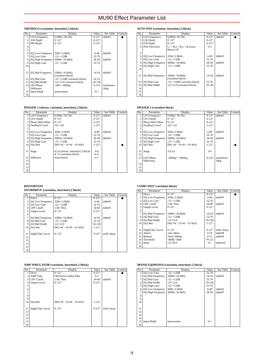### **TREMOLO (variation, insertion1,2 block)**

| No.            | Parameter               | Display                                        | Value     | See Table   | Control |
|----------------|-------------------------|------------------------------------------------|-----------|-------------|---------|
|                | <b>LFO</b> Frequency    | $0.00Hz - 39.7Hz$                              | $0 - 127$ | table#1     |         |
| $\overline{c}$ | AM Depth                | $0 - 127$                                      | $0 - 127$ |             |         |
| 3              | PM Depth                | $0 - 127$                                      | $0 - 127$ |             |         |
| 4              |                         |                                                |           |             |         |
| 5              |                         |                                                |           |             |         |
| 6              | <b>EO Low Frequency</b> | 32Hz~2.0kHz                                    | $4 - 40$  | table#3     |         |
| 7              | <b>EQ Low Gain</b>      | $-12$ ~+12dB                                   | 52-76     |             |         |
| 8              | EQ High Frequency       | 500Hz~16.0kHz                                  | 28-58     | table#3     |         |
| 9              | EO High Gain            | $-12$ ~+12dB                                   | 52-76     |             |         |
| 10             |                         |                                                |           |             |         |
|                |                         |                                                |           |             |         |
| 11             | <b>EQ Mid Frequency</b> | 100Hz~10.0kHz                                  | 14-54     | table#3     |         |
|                |                         | (variation block)                              |           |             |         |
| 12             | EO Mid Gain             | $-12$ $\rightarrow$ $+12$ dB (variation block) | 52-76     |             |         |
| 13             | <b>EO Mid Width</b>     | 1.0~12.0 (variation block)                     | 10-120    |             |         |
| 14             | <b>LFO</b> Phase        | $-180 - +180$ deg                              | $4 - 124$ | resolution= |         |
|                | Difference              |                                                |           | 3deg.       |         |
| 15             | <b>Input Mode</b>       | mono/stereo                                    | $0 - 1$   |             |         |
| 16             |                         |                                                |           |             |         |

## **PHASER 1 (chorus, variation, insertion1,2 block)**

| No.            | Parameter               | Display                            | Value     | See Table | Control |
|----------------|-------------------------|------------------------------------|-----------|-----------|---------|
|                | <b>LFO</b> Frequency    | $0.00Hz - 39.7Hz$                  | $0 - 127$ | table#1   |         |
| $\overline{c}$ | LFO Depth               | $0 - 127$                          | $0 - 127$ |           |         |
| 3              | Phase Shift Offset      | $0 - 127$                          | $0 - 127$ |           |         |
| 4              | Feedback Level          | $-63-+63$                          | $1 - 127$ |           |         |
| 5              |                         |                                    |           |           |         |
| 6              | <b>EQ Low Frequency</b> | $32Hz - 2.0kHz$                    | $4 - 40$  | table#3   |         |
| 7              | EQ Low Gain             | $-12 \rightarrow +12$ dB           | 52-76     |           |         |
| 8              | EQ High Frequency       | 500Hz~16.0kHz                      | 28-58     | table#3   |         |
| 9              | EQ High Gain            | $-12 \rightarrow +12$ dB           | 52-76     |           |         |
| 10             | Drv/Wet                 | $D63>$ W ~ $D=$ W ~ $D<$ W63       | $1 - 127$ |           |         |
|                |                         |                                    |           |           |         |
| 11             | Stage                   | 4,5,6 (chorus, insertion1,2 block) | $4 - 6$   |           |         |
|                |                         | 4~12 (variation block)             | $4 - 12$  |           |         |
| 12             | Diffusion               | mono/stereo                        | $0 - 1$   |           |         |
| 13             |                         |                                    |           |           |         |
| 14             |                         |                                    |           |           |         |
| 15             |                         |                                    |           |           |         |
| 16             |                         |                                    |           |           |         |

## **DISTORTION**

## **OVERDRIVE (variation, insertion1,2 block)**

| No.            | Parameter               | Display                      | Value     | See Table  | Control |
|----------------|-------------------------|------------------------------|-----------|------------|---------|
|                | <b>Drive</b>            | $0 - 127$                    | $0 - 127$ |            |         |
| $\overline{c}$ | <b>EQ Low Frequency</b> | $32Hz - 2.0kHz$              | $4 - 40$  | table#3    |         |
| 3              | EQ Low Gain             | $-12 \sim +12 \text{dB}$     | 52-76     |            |         |
| 4              | LPF Cutoff              | $1.0k~$ Thru                 | $34 - 60$ | table#3    |         |
| 5              | <b>Output Level</b>     | $0 - 127$                    | $0 - 127$ |            |         |
| 6              |                         |                              |           |            |         |
| 7              | <b>EQ Mid Frequency</b> | 100Hz~10.0kHz                | 14-54     | table#3    |         |
| 8              | EQ Mid Gain             | $-12$ ~+12dB                 | 52-76     |            |         |
| 9              | EQ Mid Width            | $1.0 - 12.0$                 | 10-120    |            |         |
| 10             | Drv/Wet                 | $D63>$ W ~ $D=$ W ~ $D<$ W63 | $1 - 127$ |            |         |
|                |                         |                              |           |            |         |
| 11             | Edge(Clip Curve)        | $0 - 127$                    | $0 - 127$ | mild~sharp |         |
| 12             |                         |                              |           |            |         |
| 13             |                         |                              |           |            |         |
| 14             |                         |                              |           |            |         |
| 15             |                         |                              |           |            |         |
| 16             |                         |                              |           |            |         |

## **AMP SIMULATOR (variation, insertion1,2 block)**

| No.            | Parameter           | Display                      | Value     | See Table  | Control |
|----------------|---------------------|------------------------------|-----------|------------|---------|
| 1              | Drive               | $0 - 127$                    | $0 - 127$ |            |         |
| $\overline{2}$ | AMP Type            | Off,Stack,Combo,Tube         | $0 - 3$   |            |         |
| 3              | <b>LPF</b> Cutoff   | $1.0k~$ Thru                 | 34-60     | table#3    |         |
| 4              | <b>Output Level</b> | $0 - 127$                    | $0 - 127$ |            |         |
| 5              |                     |                              |           |            |         |
| 6              |                     |                              |           |            |         |
| 7              |                     |                              |           |            |         |
| 8              |                     |                              |           |            |         |
| 9              |                     |                              |           |            |         |
| 10             | Dry/Wet             | $D63>$ W ~ $D=$ W ~ $D<$ W63 | $1 - 127$ |            |         |
|                |                     |                              |           |            |         |
| 11             | Edge(Clip Curve)    | $0 - 127$                    | $0 - 127$ | mild~sharp |         |
| 12             |                     |                              |           |            |         |
| 13             |                     |                              |           |            |         |
| 14             |                     |                              |           |            |         |
| 15             |                     |                              |           |            |         |
| 16             |                     |                              |           |            |         |

## **AUTO PAN (variation, insertion1,2 block)**

| No.            | Parameter               | Display                        | Value     | See Table | Control |
|----------------|-------------------------|--------------------------------|-----------|-----------|---------|
|                | <b>LFO</b> Frequency    | $0.00Hz - 39.7Hz$              | $0 - 127$ | table#1   |         |
| $\overline{c}$ | L/R Depth               | $0 - 127$                      | $0 - 127$ |           |         |
| 3              | F/R Depth               | $0 - 127$                      | $0 - 127$ |           |         |
| 4              | <b>PAN Direction</b>    | L<->R.L->R.L<-R.Lturn.         | $0 - 5$   |           |         |
|                |                         | Rturn.L/R                      |           |           |         |
| 5              |                         |                                |           |           |         |
| 6              | <b>EQ Low Frequency</b> | $32Hz - 2.0kHz$                | $4 - 40$  | table#3   |         |
| 7              | EQ Low Gain             | $-12$ ~+12dB                   | 52-76     |           |         |
| 8              | EQ High Frequency       | $500Hz - 16.0kHz$              | 28-58     | table#3   |         |
| 9              | EQ High Gain            | $-12 \sim +12 \text{dB}$       | 52-76     |           |         |
| 10             |                         |                                |           |           |         |
|                |                         |                                |           |           |         |
| 11             | <b>EQ Mid Frequency</b> | 100Hz~10.0kHz                  | 14-54     | table#3   |         |
|                |                         | (variation block)              |           |           |         |
| 12             | EQ Mid Gain             | $-12$ ~+12dB (variation block) | 52-76     |           |         |
| 13             | EQ Mid Width            | $1.0 - 12.0$ (variation block) | 10-120    |           |         |
| 14             |                         |                                |           |           |         |
| 15             |                         |                                |           |           |         |
| 16             |                         |                                |           |           |         |

## **PHASER 2 (variation block)**

| No.            | Parameter               | Display                      | Value     | See Table   | Control |
|----------------|-------------------------|------------------------------|-----------|-------------|---------|
|                | <b>LFO</b> Frequency    | $0.00Hz - 39.7Hz$            | $0 - 127$ | table#1     |         |
| $\overline{c}$ | LFO Depth               | $0 - 127$                    | $0 - 127$ |             |         |
| 3              | Phase Shift Offset      | $0 - 127$                    | $0 - 127$ |             |         |
| 4              | Feedback Level          | $-63 - +63$                  | $1 - 127$ |             |         |
| 5              |                         |                              |           |             |         |
| 6              | <b>EQ Low Frequency</b> | 32Hz~2.0kHz                  | $4 - 40$  | table#3     |         |
| 7              | EQ Low Gain             | $-12 \sim +12 \text{dB}$     | $52 - 76$ |             |         |
| 8              | EQ High Frequency       | 500Hz~16.0kHz                | 28-58     | table#3     |         |
| 9              | EQ High Gain            | $-12$ ~+12dB                 | $52 - 76$ |             |         |
| 10             | Dry/Wet                 | $D63>$ W ~ $D=$ W ~ $D<$ W63 | $1 - 127$ |             |         |
|                |                         |                              |           |             |         |
| 11             | Stage                   | 3,4,5,6                      | $3 - 6$   |             |         |
| 12             |                         |                              |           |             |         |
| 13             | LEO Phase               | $-180deg2+180deg$            | $4 - 124$ | resolution= |         |
|                | Difference              |                              |           | 3deg.       |         |
| 14             |                         |                              |           |             |         |
| 15             |                         |                              |           |             |         |
| 16             |                         |                              |           |             |         |

## **COMP+DIST (variation block)**

| No.                     | Parameter               | Display                      | Value     | See Table  | Control |
|-------------------------|-------------------------|------------------------------|-----------|------------|---------|
|                         | <b>Drive</b>            | $0 - 127$                    | $0 - 127$ |            |         |
| $\overline{\mathbf{c}}$ | <b>EQ Low Frequency</b> | 32Hz~2.0kHz                  | $4 - 40$  | table#3    |         |
| 3                       | <b>EQ Low Gain</b>      | $-12$ ~+12dB                 | $52 - 76$ |            |         |
| 4                       | LPF Cutoff              | $1.0k - Thru$                | $34-60$   | table#3    |         |
| 5                       | Output Level            | $0 - 127$                    | $0 - 127$ |            |         |
| 6                       |                         |                              |           |            |         |
|                         | <b>EQ Mid Frequency</b> | 100Hz~10.0kHz                | 14-54     | table#3    |         |
| 8                       | EQ Mid Gain             | $-12 \sim +12 \text{dB}$     | $52 - 76$ |            |         |
| 9                       | EQ Mid Width            | $1.0 - 12.0$                 | 10-120    |            |         |
| 10                      | Dry/Wet                 | $D63>$ W ~ $D=$ W ~ $D<$ W63 | $1 - 127$ |            |         |
|                         |                         |                              |           |            |         |
| 11                      | Edge(Clip Curve)        | $0 - 127$                    | $0 - 127$ | mild~sharp |         |
| 12                      | Attack                  | $1ms-40ms$                   | $0-19$    | table#8    |         |
| 13                      | Release                 | $10ms - 680ms$               | $0 - 15$  | table#9    |         |
| 14                      | Threshold               | -48dB~-6dB                   | 79-121    |            |         |
| 15                      | Ratio                   | $1.0 - 20.0$                 | $0 - 7$   | table#10   |         |
| 16                      |                         |                              |           |            |         |

#### **3BAND EQ(MONO) (variation, insertion1,2 block)**

| No.            | Parameter                | Display                  | Value    | See Table | Control |
|----------------|--------------------------|--------------------------|----------|-----------|---------|
|                | <b>EQ Low Gain</b>       | $-12 \sim +12 \text{dB}$ | 52-76    |           |         |
| 2              | <b>EQ Mid Frequency</b>  | 100Hz~10.0kHz            | 14-54    | table#3   |         |
| 3              | EQ Mid Gain              | $-12 \sim +12 \text{dB}$ | 52-76    |           |         |
| $\overline{4}$ | EQ Mid Width             | $1.0 - 12.0$             | 10-120   |           |         |
| 5              | EQ High Gain             | $-12 - +12dB$            | 52-76    |           |         |
| 6              | <b>EQ Low Frequency</b>  | 50Hz~2.0kHz              | $8 - 40$ | table#3   |         |
|                | <b>EQ High Frequency</b> | 500Hz~16.0kHz            | 28-58    | table#3   |         |
| 8              |                          |                          |          |           |         |
| 9              |                          |                          |          |           |         |
| 10             |                          |                          |          |           |         |
|                |                          |                          |          |           |         |
| 11             |                          |                          |          |           |         |
| 12             |                          |                          |          |           |         |
| 13             |                          |                          |          |           |         |
| 14             |                          |                          |          |           |         |
| 15             | <b>Input Mode</b>        | mono/stereo              | $0 - 1$  |           |         |
| 16             |                          |                          |          |           |         |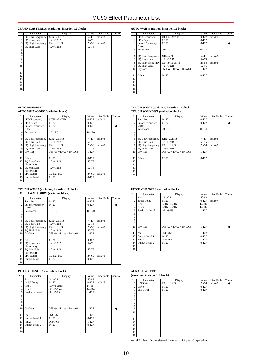### **2BAND EQ(STEREO) (variation, insertion1,2 block)**

| No. | Parameter                | Display       | Value    | See Table | Control |
|-----|--------------------------|---------------|----------|-----------|---------|
|     | <b>EQ Low Frequency</b>  | 32Hz~2.0kHz   | $4 - 40$ | table#3   |         |
| 2   | EQ Low Gain              | $-12$ ~+12dB  | 52-76    |           |         |
| 3   | <b>EQ High Frequency</b> | 500Hz~16.0kHz | 28-58    | table#3   |         |
| 4   | EQ High Gain             | $-12$ ~+12dB  | 52-76    |           |         |
| 5   |                          |               |          |           |         |
| 6   |                          |               |          |           |         |
| 7   |                          |               |          |           |         |
| 8   |                          |               |          |           |         |
| 9   |                          |               |          |           |         |
| 10  |                          |               |          |           |         |
|     |                          |               |          |           |         |
| 11  |                          |               |          |           |         |
| 12  |                          |               |          |           |         |
| 13  |                          |               |          |           |         |
| 14  |                          |               |          |           |         |
| 15  |                          |               |          |           |         |
| 16  |                          |               |          |           |         |

## **AUTO WAH+DIST**

**AUTO WHA+ODRV (variation block)** 

| No.             | Parameter                       | Display                      | Value     | See Table | Control |
|-----------------|---------------------------------|------------------------------|-----------|-----------|---------|
|                 | <b>LFO</b> Frequency            | $0.00Hz - 39.7Hz$            | $0 - 127$ | table#1   |         |
| 2 <sup>1</sup>  | LFO Depth                       | $0 - 127$                    | $0-127$   |           |         |
| 3               | <b>Cutoff Frequency</b>         | $0 - 127$                    | $0 - 127$ |           |         |
|                 | Offset                          |                              |           |           |         |
| 4               | Resonance                       | $1.0 - 12.0$                 | 10-120    |           |         |
| 5               |                                 |                              |           |           |         |
| 6               | <b>EQ Low Frequency</b>         | $32Hz - 2.0kHz$              | $4 - 40$  | table#3   |         |
| 7               | EQ Low Gain                     | $-12$ ~+12dB                 | 52-76     |           |         |
| 8               | EQ High Frequency 500Hz~16.0kHz |                              | 28-58     | table#3   |         |
| 9               | EQ High Gain                    | $-12 \rightarrow +12$ dB     | 52-76     |           |         |
| 10 <sup>1</sup> | Dry/Wet                         | $D63>$ W ~ $D=$ W ~ $D<$ W63 | 1-127     |           |         |
|                 |                                 |                              |           |           |         |
| 11              | <b>Drive</b>                    | $0 - 127$                    | $0 - 127$ |           |         |
| 12              | <b>EO</b> Low Gain              | $-12 \sim +12 \text{dB}$     | 52-76     |           |         |
|                 | (distortion)                    |                              |           |           |         |
| 13              | EQ Mid Gain                     | $-12 \rightarrow +12$ dB     | 52-76     |           |         |
|                 | (distortion)                    |                              |           |           |         |
|                 | 14 LPF Cutoff                   | 1.0kHz~thru                  | 34-60     | table#3   |         |
| 15              | Output Level                    | $0 - 127$                    | $0 - 127$ |           |         |
| 16              |                                 |                              |           |           |         |
|                 |                                 |                              |           |           |         |

#### **TOUCH WAH 2 (variation, insertion1,2 block) TOUCH WAH+ODRV (variation block)**

| No.            | Parameter                         | Display                      | Value     | See Table | Control |
|----------------|-----------------------------------|------------------------------|-----------|-----------|---------|
|                | <b>Sensitive</b>                  | $0 - 127$                    | $0 - 127$ |           |         |
| $\overline{c}$ | <b>Cutoff Frequency</b><br>Offset | $0 - 127$                    | $0 - 127$ |           |         |
| 3              | Resonance                         | $1.0 - 12.0$                 | 10-120    |           |         |
| 4<br>5         |                                   |                              |           |           |         |
| 6              | <b>EQ Low Frequency</b>           | $32Hz - 2.0kHz$              | $4 - 40$  | table#3   |         |
| 7              | EQ Low Gain                       | $-12 \sim +12 \text{dB}$     | 52-76     |           |         |
| 8              | EQ High Frequency 500Hz~16.0kHz   |                              | 28-58     | table#3   |         |
| 9              | EQ High Gain                      | $-12 \sim +12 \text{dB}$     | 52-76     |           |         |
| 10             | Drv/Wet                           | $D63>$ W ~ $D=$ W ~ $D<$ W63 | $1 - 127$ |           |         |
|                |                                   |                              |           |           |         |
| 11             | <b>Drive</b>                      | $0 - 127$                    | $0 - 127$ |           |         |
| 12             | EQ Low Gain                       | $-12 \rightarrow +12$ dB     | 52-76     |           |         |
| 13             | (distortion)<br>EQ Mid Gain       | $-12 \sim +12 \text{dB}$     | 52-76     |           |         |
|                | (distortion)                      |                              |           |           |         |
|                | 14 LPF Cutoff                     | $1.0kHz \sim thru$           | $34-60$   | table#3   |         |
| 15             | <b>Output Level</b>               | $0 - 127$                    | $0 - 127$ |           |         |
| 16             |                                   |                              |           |           |         |

## **PITCH CHANGE 2 (variation block)**

| No.              | Parameter            | Display                      | Value     | See Table | Control |
|------------------|----------------------|------------------------------|-----------|-----------|---------|
|                  | Pitch                | $-24-24$                     | 40-88     |           |         |
| $\overline{c}$   | <b>Initial Delay</b> | $0 - 127$                    | $0 - 127$ | table#7   |         |
| 3                | Fine 1               | $-50$ ~ $+50$ cent           | 14-114    |           |         |
| 4                | Fine 2               | $-50$ $-+50$ cent            | 14-114    |           |         |
| 5 <sub>1</sub>   | Feedback Level       | $-99$ ~ $+99%$               | $1 - 127$ |           |         |
| 6                |                      |                              |           |           |         |
| $\overline{7}$   |                      |                              |           |           |         |
| 8                |                      |                              |           |           |         |
| 9                |                      |                              |           |           |         |
| 10               | Dry/Wet              | $D63>$ W ~ $D=$ W ~ $D<$ W63 | $1 - 127$ |           |         |
|                  |                      |                              |           |           |         |
| 11               | Pan 1                | $L63 - R63$                  | $1 - 127$ |           |         |
| 12 <sup>12</sup> | Output Level 1       | $0 - 127$                    | $0 - 127$ |           |         |
| 13               | Pan 2                | $L63 - R63$                  | $1 - 127$ |           |         |
| 14               | Output Level 2       | $0 - 127$                    | $0 - 127$ |           |         |
| 15               |                      |                              |           |           |         |
| 16               |                      |                              |           |           |         |

## **AUTO WAH (variation, insertion1,2 block)**

| No.            | Parameter                              | Display                      | Value     | See Table | Control |
|----------------|----------------------------------------|------------------------------|-----------|-----------|---------|
|                | <b>LFO</b> Frequency                   | $0.00Hz - 39.7Hz$            | $0 - 127$ | table#1   |         |
| $\overline{c}$ | LFO Depth                              | $0 - 127$                    | $0 - 127$ |           |         |
| 3              | <b>Cutoff Frequency</b>                | $0 - 127$                    | $0 - 127$ |           |         |
|                | Offset                                 |                              |           |           |         |
| Δ              | Resonance                              | $1.0 - 12.0$                 | 10-120    |           |         |
| 5              |                                        |                              |           |           |         |
| 6              | <b>EQ Low Frequency</b>                | $32Hz - 2.0kHz$              | $4 - 40$  | table#3   |         |
| 7              | EQ Low Gain                            | $-12$ ~+12dB                 | 52-76     |           |         |
| 8              | EQ High Frequency $500Hz \sim 16.0kHz$ |                              | 28-58     | table#3   |         |
| 9              | EQ High Gain                           | $-12 - +12$ dB               | 52-76     |           |         |
| 10             | Drv/Wet                                | $D63>$ W ~ $D=$ W ~ $D<$ W63 | 1-127     |           |         |
|                |                                        |                              |           |           |         |
| 11             | Drive                                  | $0 - 127$                    | $0 - 127$ |           |         |
| 12             |                                        |                              |           |           |         |
| 13             |                                        |                              |           |           |         |
| 14             |                                        |                              |           |           |         |
| 15             |                                        |                              |           |           |         |
| 16             |                                        |                              |           |           |         |

## **TOUCH WAH 1 (variation, insertion1,2 block) TOUCH WAH+DIST (variation block)**

| No.            | Parameter                              | Display                      | Value     | See Table | Control |
|----------------|----------------------------------------|------------------------------|-----------|-----------|---------|
|                | Sensitive                              | $0 - 127$                    | $0 - 127$ |           |         |
| $\overline{c}$ | <b>Cutoff Frequency</b>                | $0 - 127$                    | $0 - 127$ |           |         |
|                | Offset                                 |                              |           |           |         |
| 3              | Resonance                              | $1.0 - 12.0$                 | 10-120    |           |         |
| $\overline{4}$ |                                        |                              |           |           |         |
| 5              |                                        |                              |           |           |         |
| 6              | <b>EQ Low Frequency</b>                | $32Hz - 2.0kHz$              | $4 - 40$  | table#3   |         |
| 7              | EQ Low Gain                            | $-12$ ~+12dB                 | 52-76     |           |         |
| 8              | EQ High Frequency $500Hz \sim 16.0kHz$ |                              | 28-58     | table#3   |         |
| 9              | EQ High Gain                           | $-12$ ~+12dB                 | 52-76     |           |         |
| 10             | Dry/Wet                                | $D63>$ W ~ $D=$ W ~ $D<$ W63 | $1 - 127$ |           |         |
|                |                                        |                              |           |           |         |
| 11             | <b>Drive</b>                           | $0 - 127$                    | $0 - 127$ |           |         |
| 12             |                                        |                              |           |           |         |
| 13             |                                        |                              |           |           |         |
| 14             |                                        |                              |           |           |         |
| 15             |                                        |                              |           |           |         |
| 16             |                                        |                              |           |           |         |

## **PITCH CHANGE 1 (variation block)**

| No.                     | Parameter            | Display                      | Value     | See Table | Control |
|-------------------------|----------------------|------------------------------|-----------|-----------|---------|
| 1                       | Pitch                | $-24 - +24$                  | $40 - 88$ |           |         |
| $\overline{\mathbf{c}}$ | <b>Initial Delay</b> | $0 - 127$                    | $0 - 127$ | table#7   |         |
| 3                       | Fine 1               | $-50Hz$ $-+50Hz$             | 14-114    |           |         |
| $\overline{4}$          | Fine 2               | $-50Hz$ $-+50Hz$             | 14-114    |           |         |
| 5                       | Feedback Level       | $-99 - +99%$                 | $1 - 127$ |           |         |
| 6                       |                      |                              |           |           |         |
| $\overline{7}$          |                      |                              |           |           |         |
| 8                       |                      |                              |           |           |         |
| 9                       |                      |                              |           |           |         |
| 10                      | Dry/Wet              | $D63>$ W ~ $D=$ W ~ $D<$ W63 | $1 - 127$ |           |         |
|                         |                      |                              |           |           |         |
| 11                      | Pan 1                | $L63 - R63$                  | $1 - 127$ |           |         |
| 12                      | Output Level 1       | $0 - 127$                    | $0 - 127$ |           |         |
| 13                      | Pan 2                | $L63 - R63$                  | $1 - 127$ |           |         |
| 14                      | Output Level 2       | $0 - 127$                    | $0 - 127$ |           |         |
| 15                      |                      |                              |           |           |         |
| 16                      |                      |                              |           |           |         |

### **AURAL EXCITER (variation, insertion1,2 block)**

| No.            | Parameter         | Display       | Value     | See Table | Control   |
|----------------|-------------------|---------------|-----------|-----------|-----------|
| ī              | <b>HPF</b> Cutoff | 500Hz~16.0kHz | $28 - 58$ | table#3   | $\bullet$ |
| $\overline{c}$ | Drive             | $0 - 127$     | $0 - 127$ |           |           |
| 3              | Mix Level         | $0 - 127$     | $0 - 127$ |           |           |
| $\overline{4}$ |                   |               |           |           |           |
| 5              |                   |               |           |           |           |
| 6              |                   |               |           |           |           |
| 7              |                   |               |           |           |           |
| 8              |                   |               |           |           |           |
| 9              |                   |               |           |           |           |
| 10             |                   |               |           |           |           |
|                |                   |               |           |           |           |
| 11             |                   |               |           |           |           |
| 12             |                   |               |           |           |           |
| 13             |                   |               |           |           |           |
| 14             |                   |               |           |           |           |
| 15             |                   |               |           |           |           |
| 16             |                   |               |           |           |           |

Aural Exciter<sup>®</sup> is a registered trademark of Aphex Corporation.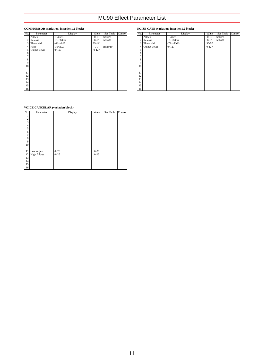## **COMPRESSOR (variation, insertion1,2 block)**

| No.            | Parameter    | Display       | Value     | See Table | Control |
|----------------|--------------|---------------|-----------|-----------|---------|
|                | Attack       | $1-40ms$      | $0-19$    | table#8   |         |
| 2              | Release      | $10 - 680$ ms | $0 - 15$  | table#9   |         |
| 3              | Threshold    | $-48 - -6dB$  | 79-121    |           |         |
| $\overline{4}$ | Ratio        | $1.0 - 20.0$  | $0 - 7$   | table#10  |         |
| 5              | Output Level | $0 - 127$     | $0 - 127$ |           |         |
| 6              |              |               |           |           |         |
| 7              |              |               |           |           |         |
| 8              |              |               |           |           |         |
| 9              |              |               |           |           |         |
| 10             |              |               |           |           |         |
|                |              |               |           |           |         |
| 11             |              |               |           |           |         |
| 12             |              |               |           |           |         |
| 13             |              |               |           |           |         |
| 14             |              |               |           |           |         |
| 15             |              |               |           |           |         |
| 16             |              |               |           |           |         |

## **NOISE GATE (variation, insertion1,2 block)**

| No.            | Parameter    | Display        | Value     | See Table | Control |
|----------------|--------------|----------------|-----------|-----------|---------|
| ı              | Attack       | $1 - 40$ ms    | $0-19$    | table#8   |         |
| 2              | Release      | $10 - 680$ ms  | $0 - 15$  | table#9   |         |
| 3              | Threshold    | $-72 - -30$ dB | 55-97     |           |         |
| $\overline{4}$ | Output Level | $0 - 127$      | $0 - 127$ |           |         |
| 5              |              |                |           |           |         |
| 6              |              |                |           |           |         |
| $\overline{7}$ |              |                |           |           |         |
| 8              |              |                |           |           |         |
| 9              |              |                |           |           |         |
| 10             |              |                |           |           |         |
|                |              |                |           |           |         |
| 11             |              |                |           |           |         |
| 12             |              |                |           |           |         |
| 13             |              |                |           |           |         |
| 14             |              |                |           |           |         |
| 15             |              |                |           |           |         |
| 16             |              |                |           |           |         |

## **VOICE CANCELAR (variation block)**

| No.                     | Parameter          | Display  | Value    | See Table | Control |
|-------------------------|--------------------|----------|----------|-----------|---------|
|                         |                    |          |          |           |         |
| $\overline{\mathbf{c}}$ |                    |          |          |           |         |
| 3                       |                    |          |          |           |         |
| $\overline{4}$          |                    |          |          |           |         |
| 5                       |                    |          |          |           |         |
| 6                       |                    |          |          |           |         |
| 7                       |                    |          |          |           |         |
| 8                       |                    |          |          |           |         |
| 9                       |                    |          |          |           |         |
| 10                      |                    |          |          |           |         |
|                         |                    |          |          |           |         |
| 11                      | Low Adjust         | $0 - 26$ | $0 - 26$ |           |         |
| 12                      | <b>High Adjust</b> | $0 - 26$ | $0 - 26$ |           |         |
| 13                      |                    |          |          |           |         |
| 14                      |                    |          |          |           |         |
| 15                      |                    |          |          |           |         |
| 16                      |                    |          |          |           |         |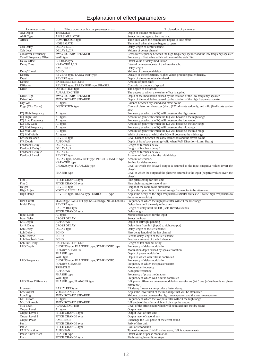## Explanation of effect parameters

| Parameter name                 | Effect types in which the parameter exists                    | Explanation of parameter                                                                                                           |
|--------------------------------|---------------------------------------------------------------|------------------------------------------------------------------------------------------------------------------------------------|
| AM Depth                       | TREMOLO                                                       | Depth of volume modulation                                                                                                         |
| <b>AMP</b> Type                | <b>AMP SIMULATOR</b>                                          | Select the amp type to be simulated                                                                                                |
| Attack                         | <b>COMPRESSOR</b> type                                        | Time until when the compressor begins to take effect                                                                               |
|                                | <b>NOISE GATE</b>                                             | Time until when the gate begins to open                                                                                            |
| Cch Delay                      | DELAY L,C,R                                                   | Delay length of center channel                                                                                                     |
| <b>Cch Level</b>               | DELAY L,C,R                                                   | Volume of center channel                                                                                                           |
| <b>Crossover Frequency</b>     | <b>2WAY ROTARY SPEAKER</b>                                    | Crossover frequency between the high frequency speaker and the low frequency speaker                                               |
| <b>Cutoff Frequency Offset</b> | WAH type                                                      | Frequency offset value which will control the wah filter                                                                           |
| Delay Offset                   | <b>CHORUS</b> type                                            | Offset value of delay modulation                                                                                                   |
| Delay Time                     | KARAOKE 1,2,3                                                 | Interval between repeats of the karaoke echo                                                                                       |
|                                | <b>AMBIENCE</b>                                               | Delay length                                                                                                                       |
| Delay2 Level                   | <b>ECHO</b>                                                   | Volume of the second delay                                                                                                         |
| Density                        | REVERB type, EARLY REF type                                   | Density of the reflections. Higher values produce greater density.                                                                 |
| Depth                          | <b>REVERB</b> type                                            | Depth of the room to be simulated                                                                                                  |
| Detune<br>Diffusion            | <b>ENSEMBLE DETUNE</b><br>REVERB type, EARLY REF type, PHASER | Amount of pitch shift<br>Controls the amount of spread                                                                             |
| Drive                          | <b>DISTORTION</b> type                                        | The degree of distortion                                                                                                           |
|                                | <b>AURAL EXCITER</b>                                          | The degree to which the exciter effect is applied                                                                                  |
| Drive High                     | <b>2WAY ROTARY SPEAKER</b>                                    | Depth of the modulation caused by the rotation of the low frequency speaker                                                        |
| Drive Low                      | <b>2WAY ROTARY SPEAKER</b>                                    | Depth of the modulation caused by the rotation of the high frequency speaker                                                       |
| Dry/Wet                        | All types                                                     | Balance between dry sound and effect sound                                                                                         |
| Edge (Clip Curve)              | <b>DISTORTION</b> type                                        | Curve of distortion character (sharp (127) distorts suddenly, and mild (0) distorts gradu-                                         |
|                                |                                                               | ally)                                                                                                                              |
| EQ High Frequency              | All types                                                     | Frequency at which the EQ will boost/cut the high range                                                                            |
| EQ High Gain                   | All types                                                     | Amount of gain with which the EQ will boost/cut the high range                                                                     |
| <b>EQ Low Frequency</b>        | All types                                                     | Frequency at which the EQ will boost/cut the low range                                                                             |
| <b>EQ Low Gain</b>             | All types                                                     | Amount of gain with which the EQ will boost/cut the low range                                                                      |
| <b>EQ Mid Frequency</b>        | All types                                                     | Frequency at which the EQ will boost/cut the mid range                                                                             |
| EQ Mid Gain                    | All types                                                     | Amount of gain with which the EQ will boost/cut the mid range                                                                      |
| EQ Mid Width<br>Er/Rev Balance | All types<br><b>REVERB</b> type                               | Width of the area at which the EQ will boost/cut the mid range<br>Level balance between the early reflections and the reverb sound |
| F/R Depth                      | <b>AUTO PAN</b>                                               | Depth of front/back panning (valid when PAN Direction=Lturn, Rturn)                                                                |
| Feedback Delay                 | DELAY L.C.R                                                   | Length of feedback delay                                                                                                           |
| Feedback Delay 1               | DELAY L, R                                                    | Length of feedback delay 1                                                                                                         |
| Feedback Delay 2               | DELAY L, R                                                    | Length of feedback delay 2                                                                                                         |
| Feedback Level                 | <b>REVERB</b> type                                            | Amount of feedback for the initial delay                                                                                           |
|                                | DELAY type, EARLY REF type, PITCH CHANGE type                 | Amount of feedback                                                                                                                 |
|                                | <b>KARAOKE</b> type                                           | Setting for delay repeats                                                                                                          |
|                                | CHORUS type, FLANGER type                                     | Level at which the delayed output is returned to the input (negative values invert the                                             |
|                                |                                                               | phase)                                                                                                                             |
|                                | PHASER type                                                   | Level at which the output of the phaser is returned to the input (negative values invert the                                       |
|                                |                                                               | phase)                                                                                                                             |
| Fine 1                         | PITCH CHANGE type                                             | Fine pitch setting for first unit                                                                                                  |
| Fine 2                         | PITCH CHANGE type                                             | Fine pitch setting for second unit                                                                                                 |
| Height                         | <b>REVERB</b> type                                            | Height of the room to be simulated                                                                                                 |
| <b>High Adjust</b>             | <b>VOICE CANCELAR</b>                                         | Adjust the upper limit of the mid-range frequencies to be attenuated                                                               |
| <b>High Damp</b>               | REVERB type, DELAY type, EARLY REF type                       | Adjust the decay of the high frequencies (smaller values will cause high frequencies to<br>decay more rapidly)                     |
| <b>HPF</b> Cutoff              | REVERB type, EARLY REF type, KARAOKE type, AURAL EXCITER      | Frequency at which the high pass filter will cut the low range                                                                     |
| <b>Initial Delay</b>           | <b>REVERB</b> type                                            | Delay time until the early reflections                                                                                             |
|                                | <b>EARLY REF</b> type                                         | Length of delay until the ER (Gate Reverb) sounds                                                                                  |
|                                | PITCH CHANGE type                                             | Delay length                                                                                                                       |
| <b>Input Mode</b>              | All types                                                     | Mono/stereo switch for the input                                                                                                   |
| <b>Input Select</b>            | <b>CROSS DELAY</b>                                            | Select the input                                                                                                                   |
| L/R Depth                      | <b>AUTO PAN</b>                                               | Depth of left/right panning                                                                                                        |
| L->R Delay                     | <b>CROSS DELAY</b>                                            | Delay time from left (input) to right (output)                                                                                     |
| Lch Delay                      | DELAY type                                                    | Delay length of the left channel                                                                                                   |
| Lch Delay 1                    | <b>ECHO</b>                                                   | First delay length of the left channel                                                                                             |
| Lch Delay 2                    | <b>ECHO</b>                                                   | Second delay length of the left channel                                                                                            |
| Lch Feedback Level             | <b>ECHO</b>                                                   | Feedback amount of the left channel                                                                                                |
| Lch Init Delay                 | <b>ENSEMBLE DETUNE</b>                                        | Length of left channel delay                                                                                                       |
| LFO Depth                      | CHORUS type, FLANGER type, SYMPHONIC type                     | Frequency of delay modulation                                                                                                      |
|                                | ROTARY SPEAKER<br>PHASER type                                 | Modulation depth caused by speaker rotation<br>Depth of phase modulation                                                           |
|                                | WAH type                                                      | Depth to which wah filter is controlled                                                                                            |
| <b>LFO</b> Frequency           | CHORUS type, FLANGER type, SYMPHONIC                          | Frequency of delay modulation                                                                                                      |
|                                | ROTARY SPEAKER                                                | Frequency at which the speaker rotates                                                                                             |
|                                | TREMOLO                                                       | Modulation frequency                                                                                                               |
|                                | <b>AUTO PAN</b>                                               | Auto pan frequency                                                                                                                 |
|                                | PHASER type                                                   | Frequency of phase modulation                                                                                                      |
|                                | WAH type                                                      | Frequency at which wah filter is controlled                                                                                        |
| <b>LFO Phase Difference</b>    | PHASER type, FLANGER type                                     | L/R phase difference between modulation waveforms (At $0 \text{ deg } (=64)$ ) there is no phase                                   |
|                                |                                                               | difference.)                                                                                                                       |
| Liveness                       | <b>EARLY REF</b> type                                         | ER decay. Lower values produce faster decay.                                                                                       |
| Low Adjust                     | <b>VOICE CANCELAR</b>                                         | Adjust the lower limit of the mid-range that will be attenuated                                                                    |
| Low/High                       | <b>2WAY ROTARY SPEAKER</b>                                    | Volume balance between the high range speaker and the low range speaker                                                            |
| <b>LPF</b> Cutoff              | All types                                                     | Frequency at which the low pass filter will cut the high range                                                                     |
| Mic L-R Angle                  | <b>2WAY ROTARY SPEAKER</b>                                    | L/R angle of the mics which will pick up the output                                                                                |
| Mix Level                      | <b>AURAL EXCITER</b>                                          | Level of the effect sound which will be mixed into the dry sound<br>Output level                                                   |
| Output Level<br>Output Level 1 | All types<br>PITCH CHANGE type                                | Output level of first unit                                                                                                         |
| Output Level 2                 | PITCH CHANGE type                                             | Output level of second unit                                                                                                        |
| <b>Output Phase</b>            | <b>AMBIENCE</b>                                               | Exchange the L/R phase of the effect sound                                                                                         |
| Pan 1                          | PITCH CHANGE type                                             | PAN of first unit                                                                                                                  |
| Pan 2                          | PITCH CHANGE type                                             | PAN of second unit                                                                                                                 |
| <b>PAN Direction</b>           | <b>AUTO PAN</b>                                               | Type of auto pan $(L < \gt R$ is sine wave, $L/R$ is square wave)                                                                  |
| Phase Shift Offset             | PHASER type                                                   | Offset value of phase modulation                                                                                                   |
| Pitch                          | PITCH CHANGE type                                             | Pitch setting in semitone steps                                                                                                    |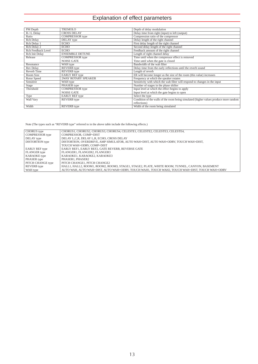## Explanation of effect parameters

| PM Depth           | <b>TREMOLO</b>             | Depth of delay modulation                                                             |
|--------------------|----------------------------|---------------------------------------------------------------------------------------|
| R->L Delay         | <b>CROSS DELAY</b>         | Delay time from right (input) to left (output)                                        |
| Ratio              | <b>COMPRESSOR</b> type     | Compression ratio of the compressor                                                   |
| <b>Rch Delay</b>   | DELAY type                 | Delay length of the right channel                                                     |
| Rch Delay 1        | <b>ECHO</b>                | First delay length of the right channel                                               |
| Rch Delay 2        | <b>ECHO</b>                | Second delay length of the right channel                                              |
| Rch Feedback Level | <b>ECHO</b>                | Feedback amount of the right channel                                                  |
| Rch Init Delay     | <b>ENSEMBLE DETUNE</b>     | Length of right channel delay                                                         |
| Release            | <b>COMPRESSOR</b> type     | Time until when the compressor effect is removed                                      |
|                    | <b>NOISE GATE</b>          | Time until when the gate is closed                                                    |
| Resonance          | WAH type                   | Bandwidth of the wah filter                                                           |
| Rev Delay          | REVERB type                | Delay time from the early reflections until the reverb sound                          |
| Reverb Time        | <b>REVERB</b> type         | Length of reverb                                                                      |
| Room Size          | <b>EARLY REF</b> type      | ER will become longer as the size of the room (this value) increases                  |
| Rotor Speed        | <b>2WAY ROTARY SPEAKER</b> | Frequency at which the speaker rotates                                                |
| Sensitive          | WAH type                   | Sensitivity with which the wah filter will respond to changes in the input            |
| Stage              | PHASER type                | Number of stages in the phase shifter                                                 |
| Threshold          | <b>COMPRESSOR</b> type     | Input level at which the effect begins to apply                                       |
|                    | <b>NOISE GATE</b>          | Input level at which the gate begins to open                                          |
| Type               | <b>EARLY REF</b> type      | Select the type                                                                       |
| Wall Vary          | <b>REVERB</b> type         | Condition of the walls of the room being simulated (higher values produce more random |
|                    |                            | reflections)                                                                          |
| Width              | <b>REVERB</b> type         | Width of the room being simulated                                                     |

Note (The types such as "REVERB type" referred to in the above table include the following effects.)

| CHORUS type           | CHORUS1, CHORUS2, CHORUS3, CHORUS4, CELESTE1, CELESTE2, CELESTE3, CELESTE4,                    |
|-----------------------|------------------------------------------------------------------------------------------------|
| COMPRESSOR type       | COMPRESSOR, COMP+DIST                                                                          |
| DELAY type            | DELAY L.C.R. DELAY L.R. ECHO. CROSS DELAY                                                      |
| DISTORTION type       | DISTORTION, OVERDRIVE, AMP SIMULATOR, AUTO WAH+DIST, AUTO WAH+ODRV, TOUCH WAH+DIST,            |
|                       | TOUCH WAH+ODRV, COMP+DIST                                                                      |
| <b>EARLY REF</b> type | EARLY REF1, EARLY REF2, GATE REVERB, REVERSE GATE                                              |
| FLANGER type          | FLANGER1, FLANGER2, FLANGER3                                                                   |
| KARAOKE type          | KARAOKE1. KARAOKE2. KARAOKE3                                                                   |
| PHASER type           | PHASER1, PHASER2                                                                               |
| PITCH CHANGE type     | PITCH CHANGE1, PITCH CHANGE2                                                                   |
| REVERB type           | HALL1, HALL2, ROOM1, ROOM2, ROOM3, STAGE1, STAGE2, PLATE, WHITE ROOM, TUNNEL, CANYON, BASEMENT |
| WAH type              | AUTO WAH, AUTO WAH+DIST, AUTO WAH+ODRV, TOUCH WAH1, TOUCH WAH2, TOUCH WAH+DIST, TOUCH WAH+ODRV |
|                       |                                                                                                |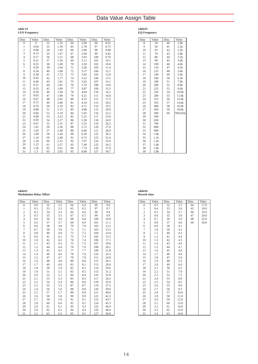## Data Value Assign Table

#### **table #1 LFO Frequency**

| Data                    | Value        | Data | Value | Data | Value | Data | Value |
|-------------------------|--------------|------|-------|------|-------|------|-------|
| $\mathbf{0}$            | $\mathbf{0}$ | 32   | 1.35  | 64   | 2.69  | 96   | 8.41  |
| $\mathbf{1}$            | 0.04         | 33   | 1.39  | 65   | 2.78  | 97   | 8.75  |
| $\overline{\mathbf{c}}$ | 0.08         | 34   | 1.43  | 66   | 2.86  | 98   | 9.08  |
| 3                       | 0.13         | 35   | 1.47  | 67   | 2.94  | 99   | 9.42  |
| $\overline{4}$          | 0.17         | 36   | 1.51  | 68   | 3.03  | 100  | 9.76  |
| 5                       | 0.21         | 37   | 1.56  | 69   | 3.11  | 101  | 10.1  |
| 6                       | 0.25         | 38   | 1.60  | 70   | 3.20  | 102  | 10.8  |
| $\overline{7}$          | 0.29         | 39   | 1.64  | 71   | 3.28  | 103  | 11.4  |
| 8                       | 0.34         | 40   | 1.68  | 72   | 3.37  | 104  | 12.1  |
| 9                       | 0.38         | 41   | 1.72  | 73   | 3.45  | 105  | 12.8  |
| 10                      | 0.42         | 42   | 1.77  | 74   | 3.53  | 106  | 13.5  |
| 11                      | 0.46         | 43   | 1.81  | 75   | 3.62  | 107  | 14.1  |
| 12                      | 0.51         | 44   | 1.85  | 76   | 3.70  | 108  | 14.8  |
| 13                      | 0.55         | 45   | 1.89  | 77   | 3.87  | 109  | 15.5  |
| 14                      | 0.59         | 46   | 1.94  | 78   | 4.04  | 110  | 16.2  |
| 15                      | 0.63         | 47   | 1.98  | 79   | 4.21  | 111  | 16.8  |
| 16                      | 0.67         | 48   | 2.02  | 80   | 4.37  | 112  | 17.5  |
| 17                      | 0.72         | 49   | 2.06  | 81   | 4.54  | 113  | 18.2  |
| 18                      | 0.76         | 50   | 2.10  | 82   | 4.71  | 114  | 19.5  |
| 19                      | 0.80         | 51   | 2.15  | 83   | 4.88  | 115  | 20.9  |
| 20                      | 0.84         | 52   | 2.19  | 84   | 5.05  | 116  | 22.2  |
| 21                      | 0.88         | 53   | 2.23  | 85   | 5.22  | 117  | 23.6  |
| 22                      | 0.93         | 54   | 2.27  | 86   | 5.38  | 118  | 24.9  |
| 23                      | 0.97         | 55   | 2.31  | 87   | 5.55  | 119  | 26.2  |
| 24                      | 1.01         | 56   | 2.36  | 88   | 5.72  | 120  | 27.6  |
| 25                      | 1.05         | 57   | 2.40  | 89   | 6.06  | 121  | 28.9  |
| 26                      | 1.09         | 58   | 2.44  | 90   | 6.39  | 122  | 30.3  |
| 27                      | 1.14         | 59   | 2.48  | 91   | 6.73  | 123  | 31.6  |
| 28                      | 1.18         | 60   | 2.52  | 92   | 7.07  | 124  | 33.0  |
| 29                      | 1.22         | 61   | 2.57  | 93   | 7.40  | 125  | 34.3  |
| 30                      | 1.26         | 62   | 2.61  | 94   | 7.74  | 126  | 37.0  |
| 31                      | 1.3          | 63   | 2.65  | 95   | 8.08  | 127  | 39.7  |

## **table#3 EQ Frequency**

| Data | Value | Data | Value             |
|------|-------|------|-------------------|
| 8    | 50    | 40   | 2.0k              |
| 9    | 56    | 41   | 2.2k              |
| 10   | 63    | 42   | 2.5k              |
| 11   | 70    | 43   | 2.8k              |
| 12   | 80    | 44   | 3.2k              |
| 13   | 90    | 45   | 3.6k              |
| 14   | 100   | 46   | 4.0k              |
| 15   | 110   | 47   | 4.5k              |
| 16   | 125   | 48   | 5.0k              |
| 17   | 140   | 49   | 5.6k              |
| 18   | 160   | 50   | 6.3k              |
| 19   | 180   | 51   | 7.0 <sub>k</sub>  |
| 20   | 200   | 52   | 8.0 <sub>k</sub>  |
| 21   | 225   | 53   | 9.0k              |
| 22   | 250   | 54   | 10.0 <sub>k</sub> |
| 23   | 280   | 55   | 11.0 <sub>k</sub> |
| 24   | 315   | 56   | 12.0k             |
| 25   | 355   | 57   | 14.0k             |
| 26   | 400   | 58   | 16.0k             |
| 27   | 450   | 59   | 18.0k             |
| 28   | 500   | 60   | THRU(20.0k)       |
| 29   | 560   |      |                   |
| 30   | 630   |      |                   |
| 31   | 700   |      |                   |
| 32   | 800   |      |                   |
| 33   | 900   |      |                   |
| 34   | 1.0k  |      |                   |
| 35   | 1.1k  |      |                   |
| 36   | 1.2k  |      |                   |
| 37   | 1.4k  |      |                   |
| 38   | 1.6k  |      |                   |
| 39   | 1.8k  |      |                   |

### **table#2 Modulation Delay Offset**

| Data           | Value | Data | Value | Data | Value | Data | Value |
|----------------|-------|------|-------|------|-------|------|-------|
| $\mathbf{0}$   | 0.0   | 32   | 3.2   | 64   | 6.4   | 96   | 9.6   |
| $\mathbf{1}$   | 0.1   | 33   | 3.3   | 65   | 6.5   | 97   | 9.7   |
| $\frac{2}{3}$  | 0.2   | 34   | 3.4   | 66   | 6.6   | 98   | 9.8   |
|                | 0.3   | 35   | 3.5   | 67   | 6.7   | 99   | 9.9   |
| $\overline{4}$ | 0.4   | 36   | 3.6   | 68   | 6.8   | 100  | 10.0  |
| 5              | 0.5   | 37   | 3.7   | 69   | 6.9   | 101  | 11.1  |
| 6              | 0.6   | 38   | 3.8   | 70   | 7.0   | 102  | 12.2  |
| $\overline{7}$ | 0.7   | 39   | 3.9   | 71   | 7.1   | 103  | 13.3  |
| 8              | 0.8   | 40   | 4.0   | 72   | 7.2   | 104  | 14.4  |
| 9              | 0.9   | 41   | 4.1   | 73   | 7.3   | 105  | 15.5  |
| 10             | 1.0   | 42   | 4.2   | 74   | 7.4   | 106  | 17.1  |
| 11             | 1.1   | 43   | 4.3   | 75   | 7.5   | 107  | 18.6  |
| 12             | 1.2   | 44   | 4.4   | 76   | 7.6   | 108  | 20.2  |
| 13             | 1.3   | 45   | 4.5   | 77   | 7.7   | 109  | 21.8  |
| 14             | 1.4   | 46   | 4.6   | 78   | 7.8   | 110  | 23.3  |
| 15             | 1.5   | 47   | 4.7   | 79   | 7.9   | 111  | 24.9  |
| 16             | 1.6   | 48   | 4.8   | 80   | 8.0   | 112  | 26.5  |
| 17             | 1.7   | 49   | 4.9   | 81   | 8.1   | 113  | 28.0  |
| 18             | 1.8   | 50   | 5.0   | 82   | 8.2   | 114  | 29.6  |
| 19             | 1.9   | 51   | 5.1   | 83   | 8.3   | 115  | 31.2  |
| 20             | 2.0   | 52   | 5.2   | 84   | 8.4   | 116  | 32.8  |
| 21             | 2.1   | 53   | 5.3   | 85   | 8.5   | 117  | 34.3  |
| 22             | 2.2   | 54   | 5.4   | 86   | 8.6   | 118  | 35.9  |
| 23             | 2.3   | 55   | 5.5   | 87   | 8.7   | 119  | 37.5  |
| 24             | 2.4   | 56   | 5.6   | 88   | 8.8   | 120  | 39.0  |
| 25             | 2.5   | 57   | 5.7   | 89   | 8.9   | 121  | 40.6  |
| 26             | 2.6   | 58   | 5.8   | 90   | 9.0   | 122  | 42.2  |
| 27             | 2.7   | 59   | 5.9   | 91   | 9.1   | 123  | 43.7  |
| 28             | 2.8   | 60   | 6.0   | 92   | 9.2   | 124  | 45.3  |
| 29             | 2.9   | 61   | 6.1   | 93   | 9.3   | 125  | 46.9  |
| 30             | 3.0   | 62   | 6.2   | 94   | 9.4   | 126  | 48.4  |
| 31             | 3.1   | 63   | 6.3   | 95   | 9.5   | 127  | 50.0  |

#### **table#4 Reverb time**

| Data           | Value | Data | Value | Data | Value |
|----------------|-------|------|-------|------|-------|
| $\overline{0}$ | 0.3   | 32   | 3.5   | 64   | 17.0  |
| $\mathbf{1}$   | 0.4   | 33   | 3.6   | 65   | 18.0  |
| $\frac{2}{3}$  | 0.5   | 34   | 3.7   | 66   | 19.0  |
|                | 0.6   | 35   | 3.8   | 67   | 20.0  |
| $\overline{4}$ | 0.7   | 36   | 3.9   | 68   | 25.0  |
| 5              | 0.8   | 37   | 4.0   | 69   | 30.0  |
| 6              | 0.9   | 38   | 4.1   |      |       |
| $\overline{7}$ | 1.0   | 39   | 4.2   |      |       |
| 8              | 1.1   | 40   | 4.3   |      |       |
| 9              | 1.2   | 41   | 4.4   |      |       |
| 10             | 1.3   | 42   | 4.5   |      |       |
| 11             | 1.4   | 43   | 4.6   |      |       |
| 12             | 1.5   | 44   | 4.7   |      |       |
| 13             | 1.6   | 45   | 4.8   |      |       |
| 14             | 1.7   | 46   | 4.9   |      |       |
| 15             | 1.8   | 47   | 5.0   |      |       |
| 16             | 1.9   | 48   | 5.5   |      |       |
| 17             | 2.0   | 49   | 6.0   |      |       |
| 18             | 2.1   | 50   | 6.5   |      |       |
| 19             | 2.2   | 51   | 7.0   |      |       |
| 20             | 2.3   | 52   | 7.5   |      |       |
| 21             | 2.4   | 53   | 8.0   |      |       |
| 22             | 2.5   | 54   | 8.5   |      |       |
| 23             | 2.6   | 55   | 9.0   |      |       |
| 24             | 2.7   | 56   | 9.5   |      |       |
| 25             | 2.8   | 57   | 10.0  |      |       |
| 26             | 2.9   | 58   | 11.0  |      |       |
| 27             | 3.0   | 59   | 12.0  |      |       |
| 28             | 3.1   | 60   | 13.0  |      |       |
| 29             | 3.2   | 61   | 14.0  |      |       |
| 30             | 3.3   | 62   | 15.0  |      |       |
| 31             | 3.4   | 63   | 16.0  |      |       |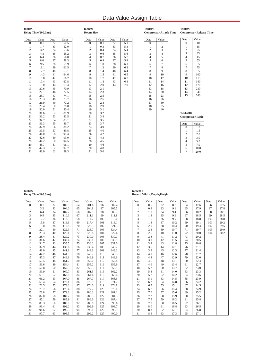## Data Value Assign Table

#### **table#5 Delay Time(200.0ms)**

 $\begin{array}{c|cc}\n5 & 8.0 \\
6 & 9.5 \\
7 & 11.1 \\
8 & 12.7 \\
9 & 14.3\n\end{array}$ 6 9.5  $11.1\,$ 12.7  $\begin{array}{c|c} 9 & 14.3 \\ 10 & 15.8 \end{array}$  $\begin{array}{|c|c|c|c|}\n\hline\n10 & 15.8 \\
\hline\n11 & 17.4\n\end{array}$  $\begin{array}{|c|c|c|c|}\n\hline\n11 & 17.4 \\
\hline\n12 & 19.0\n\end{array}$  $\begin{array}{c|c} 11 & 19.0 \\ 13 & 20.6 \end{array}$  $\begin{array}{c|c} 13 & 20.6 \\ 14 & 22.1 \end{array}$  $\begin{array}{|c|c|c|}\n 14 & 22.1 \\
 \hline\n 15 & 23.7\n \end{array}$  $\begin{array}{c|c}\n 15 & 23.7 \\
 16 & 25.3 \\
 17 & 26.9\n\end{array}$ 16 25.3 17 26.9  $\begin{array}{c|c} 18 & 28.4 \\ 19 & 30.0 \end{array}$  $\begin{array}{c|c} 19 & 30.0 \\ 20 & 31.6 \end{array}$ 

20 31.6 21 33.2 22 34.7 23 36.3 37.9 39.5

 $\begin{array}{c|cc}\n 26 & 41.0 \\
 27 & 42.6 \\
 28 & 44.2 \\
 29 & 45.7 \\
 30 & 47.3\n\end{array}$ 27 42.6 28 44.2 29 45.7  $\begin{array}{|c|c|c|}\n 30 & 47.3 \\
 31 & 48.9\n\end{array}$  $48.9$ 

Data Value Data Value<br>
0 0.1 32 50.5<br>
1 1.7 33 52.0

32 50.5 33 52.0  $\begin{array}{c|c} 33 & 52.0 \\ 34 & 53.6 \\ 35 & 55.2 \end{array}$  $\begin{array}{c|c} 35 & 55.0 \\ 35 & 55.2 \\ 36 & 56.8 \\ 37 & 58.3 \end{array}$ 36 56.8

 $\begin{array}{c|cc}\n 37 & 58.3 \\
 38 & 59.9 \\
 39 & 61.5 \\
 40 & 63.1\n\end{array}$ 38 59.9 61.5  $\begin{array}{c|c} 40 & 63.1 \\ 41 & 64.6 \\ 42 & 66.2 \end{array}$ 41 64.6 42 66.2  $\begin{array}{c|c} 43 & 67.8 \\ 44 & 69.4 \end{array}$  $\begin{array}{c|c} 44 & 69.4 \\ 45 & 70.9 \end{array}$  $\begin{array}{c|c} 45 & 70.9 \\ 46 & 72.5 \end{array}$  $\begin{array}{c|c} 46 & 72.5 \\ 47 & 74.1 \end{array}$  $\begin{array}{c|c} 47 & 74.1 \\ 48 & 75.7 \\ 49 & 77.2 \end{array}$ 48 75.7 49 77.2  $\begin{array}{c|cc}\n 50 & 78.8 \\
 51 & 80.4 \\
 52 & 81.9\n\end{array}$  $80.4$ 

52 81.9<br>53 83.5<br>54 85.1<br>55 86.7 83.5 85.1

55 86.7<br>56 88.2<br>57 89.8<br>58 91.4 88.2 57 89.8 58 91.4  $\begin{array}{c|c} 38 & 91.4 \\ 59 & 93.0 \\ 60 & 94.5 \end{array}$  $\begin{array}{c|c} 60 & 94.5 \\ 61 & 96.1 \end{array}$  $\begin{array}{c|c} 61 & 96.1 \\ 62 & 97.7 \end{array}$  $\begin{array}{|c|c|c|}\n 62 & 97.7 \\
 \hline\n 63 & 99.3\n \end{array}$ 63 99.3

 $0.1$  $\begin{array}{c|c} 1 & 1.7 \\ 2 & 3.2 \end{array}$  $\begin{array}{c|cc}\n2 & 3.2 \\
3 & 4.8 \\
4 & 6.4 \\
5 & 8.0\n\end{array}$ 3 4.8 4 6.4

| table#6          |
|------------------|
| <b>Room Size</b> |
|                  |

| Data             | Value | Data | Value |
|------------------|-------|------|-------|
| $\boldsymbol{0}$ | 0.1   | 32   | 5.1   |
| 1                | 0.3   | 33   | 5.3   |
| $\overline{c}$   | 0.4   | 34   | 5.4   |
| 3                | 0.6   | 35   | 5.6   |
| $\overline{4}$   | 0.7   | 36   | 5.7   |
| 5                | 0.9   | 37   | 5.9   |
| 6                | 1.0   | 38   | 6.1   |
| $\overline{7}$   | 1.2   | 39   | 6.2   |
| 8                | 1.4   | 40   | 6.4   |
| 9                | 1.5   | 41   | 6.5   |
| 10               | 1.7   | 42   | 6.7   |
| 11               | 1.8   | 43   | 6.8   |
| 12               | 2.0   | 44   | 7.0   |
| 13               | 2.1   |      |       |
| 14               | 2.3   |      |       |
| 15               | 2.5   |      |       |
| 16               | 2.6   |      |       |
| 17               | 2.8   |      |       |
| 18               | 2.9   |      |       |
| 19               | 3.1   |      |       |
| 20               | 3.2   |      |       |
| 21               | 3.4   |      |       |
| 22               | 3.5   |      |       |
| 23               | 3.7   |      |       |
| 24               | 3.9   |      |       |
| 25               | 4.0   |      |       |
| 26               | 4.2   |      |       |
| 27               | 4.3   |      |       |
| 28               | 4.5   |      |       |
| 29               | 4.6   |      |       |
| 30               | 4.8   |      |       |
| 31               | 5.0   |      |       |

| Table#8 | <b>Compressor Attack Time</b> |  |
|---------|-------------------------------|--|
| Data    | Value                         |  |

| ıta            | √alue          |
|----------------|----------------|
| $\overline{0}$ | 1              |
| 1              | $\overline{c}$ |
| $\overline{c}$ | 3              |
| 3              | 4              |
| 4              | 5              |
| 5              | 6              |
| 6              | 7              |
| 7              | 8              |
| 8              | 9              |
| 9              | 10             |
| 10             | 12             |
| 11             | 14             |
| 12             | 16             |
| 13             | 18             |
| 14             | 20             |
| 15             | 23             |
| 16             | 26             |
| 17             | 30             |
| 18             | 35             |
| 19             | 40             |

| Data           | Value |  |
|----------------|-------|--|
| $\mathbf{0}$   | 10    |  |
| 1              | 15    |  |
| $\overline{c}$ | 25    |  |
| 3              | 35    |  |
| 4              | 45    |  |
| 5              | 55    |  |
| 6              | 65    |  |
| 7              | 75    |  |
| 8              | 85    |  |
| 9              | 100   |  |
| 10             | 115   |  |
| 11             | 140   |  |
| 12             | 170   |  |
| 13             | 230   |  |
| 14             | 340   |  |
| 15             | 680   |  |

**Compressor Release Time**

**Table#9**

**Table#10 Compressor Ratio**

| Data           | Value |
|----------------|-------|
| $\Omega$       | 1.0   |
| 1              | 1.5   |
| $\overline{c}$ | 2.0   |
| 3              | 3.0   |
| 4              | 5.0   |
| 5              | 7.0   |
| 6              | 10.0  |
|                | 20.0  |

### **table#7 Delay Time(400.0ms)**

| Data           | Value | Data | Value | Data | Value | Data | Value |
|----------------|-------|------|-------|------|-------|------|-------|
| $\theta$       | 0.1   | 32   | 100.9 | 64   | 201.6 | 96   | 302.4 |
| $\mathbf{1}$   | 3.2   | 33   | 104.0 | 65   | 204.8 | 97   | 305.5 |
| $\frac{2}{3}$  | 6.4   | 34   | 107.2 | 66   | 207.9 | 98   | 308.7 |
|                | 9.5   | 35   | 110.3 | 67   | 211.1 | 99   | 311.8 |
| $\overline{4}$ | 12.7  | 36   | 113.5 | 68   | 214.2 | 100  | 315.0 |
| 5              | 15.8  | 37   | 116.6 | 69   | 217.4 | 101  | 318.1 |
| 6              | 19.0  | 38   | 119.8 | 70   | 220.5 | 102  | 321.3 |
| $\overline{7}$ | 22.1  | 39   | 122.9 | 71   | 223.7 | 103  | 324.4 |
| 8              | 25.3  | 40   | 126.1 | 72   | 226.8 | 104  | 327.6 |
| 9              | 28.4  | 41   | 129.2 | 73   | 230.0 | 105  | 330.7 |
| 10             | 31.6  | 42   | 132.4 | 74   | 233.1 | 106  | 333.9 |
| 11             | 34.7  | 43   | 135.5 | 75   | 236.3 | 107  | 337.0 |
| 12             | 37.9  | 44   | 138.6 | 76   | 239.4 | 108  | 340.2 |
| 13             | 41.0  | 45   | 141.8 | 77   | 242.6 | 109  | 343.3 |
| 14             | 44.2  | 46   | 144.9 | 78   | 245.7 | 110  | 346.5 |
| 15             | 47.3  | 47   | 148.1 | 79   | 248.9 | 111  | 349.6 |
| 16             | 50.5  | 48   | 151.2 | 80   | 252.0 | 112  | 352.8 |
| 17             | 53.6  | 49   | 154.4 | 81   | 255.2 | 113  | 355.9 |
| 18             | 56.8  | 50   | 157.5 | 82   | 258.3 | 114  | 359.1 |
| 19             | 59.9  | 51   | 160.7 | 83   | 261.5 | 115  | 362.2 |
| 20             | 63.1  | 52   | 163.8 | 84   | 264.6 | 116  | 365.4 |
| 21             | 66.2  | 53   | 167.0 | 85   | 267.7 | 117  | 368.5 |
| 22             | 69.4  | 54   | 170.1 | 86   | 270.9 | 118  | 371.7 |
| 23             | 72.5  | 55   | 173.3 | 87   | 274.0 | 119  | 374.8 |
| 24             | 75.7  | 56   | 176.4 | 88   | 277.2 | 120  | 378.0 |
| 25             | 78.8  | 57   | 179.6 | 89   | 280.3 | 121  | 381.1 |
| 26             | 82.0  | 58   | 182.7 | 90   | 283.5 | 122  | 384.3 |
| 27             | 85.1  | 59   | 185.9 | 91   | 286.6 | 123  | 387.4 |
| 28             | 88.3  | 60   | 189.0 | 92   | 289.8 | 124  | 390.6 |
| 29             | 91.4  | 61   | 192.2 | 93   | 292.9 | 125  | 393.7 |
| 30             | 94.6  | 62   | 195.3 | 94   | 296.1 | 126  | 396.9 |
| 31             | 97.7  | 63   | 198.5 | 95   | 299.2 | 127  | 400.0 |

### **table#11 Reverb Width;Depth;Height**

| Data           | Value | Data | Value | Data | Value | Data | Value |
|----------------|-------|------|-------|------|-------|------|-------|
| $\mathbf{0}$   | 0.5   | 32   | 8.8   | 64   | 17.6  | 96   | 27.5  |
| $\mathbf{1}$   | 0.8   | 33   | 9.1   | 65   | 17.9  | 97   | 27.8  |
| $\overline{c}$ | 1.0   | 34   | 9.4   | 66   | 18.2  | 98   | 28.1  |
| $\overline{3}$ | 1.3   | 35   | 9.6   | 67   | 18.5  | 99   | 28.5  |
| $\overline{4}$ | 1.5   | 36   | 9.9   | 68   | 18.8  | 100  | 28.8  |
| 5              | 1.8   | 37   | 10.2  | 69   | 19.1  | 101  | 29.2  |
| 6              | 2.0   | 38   | 10.4  | 70   | 19.4  | 102  | 29.5  |
| 7              | 2.3   | 39   | 10.7  | 71   | 19.7  | 103  | 29.9  |
| 8              | 2.6   | 40   | 11.0  | 72   | 20.0  | 104  | 30.2  |
| 9              | 2.8   | 41   | 11.2  | 73   | 20.2  |      |       |
| 10             | 3.1   | 42   | 11.5  | 74   | 20.5  |      |       |
| 11             | 3.3   | 43   | 11.8  | 75   | 20.8  |      |       |
| 12             | 3.6   | 44   | 12.1  | 76   | 21.1  |      |       |
| 13             | 3.9   | 45   | 12.3  | 77   | 21.4  |      |       |
| 14             | 4.1   | 46   | 12.6  | 78   | 21.7  |      |       |
| 15             | 4.4   | 47   | 12.9  | 79   | 22.0  |      |       |
| 16             | 4.6   | 48   | 13.1  | 80   | 22.4  |      |       |
| 17             | 4.9   | 49   | 13.4  | 81   | 22.7  |      |       |
| 18             | 5.2   | 50   | 13.7  | 82   | 23.0  |      |       |
| 19             | 5.4   | 51   | 14.0  | 83   | 23.3  |      |       |
| 20             | 5.7   | 52   | 14.2  | 84   | 23.6  |      |       |
| 21             | 5.9   | 53   | 14.5  | 85   | 23.9  |      |       |
| 22             | 6.2   | 54   | 14.8  | 86   | 24.2  |      |       |
| 23             | 6.5   | 55   | 15.1  | 87   | 24.5  |      |       |
| 24             | 6.7   | 56   | 15.4  | 88   | 24.9  |      |       |
| 25             | 7.0   | 57   | 15.6  | 89   | 25.2  |      |       |
| 26             | 7.2   | 58   | 15.9  | 90   | 25.5  |      |       |
| 27             | 7.5   | 59   | 16.2  | 91   | 25.8  |      |       |
| 28             | 7.8   | 60   | 16.5  | 92   | 26.1  |      |       |
| 29             | 8.0   | 61   | 16.8  | 93   | 26.5  |      |       |
| 30             | 8.3   | 62   | 17.1  | 94   | 26.8  |      |       |
| 31             | 8.6   | 63   | 17.3  | 95   | 27.1  |      |       |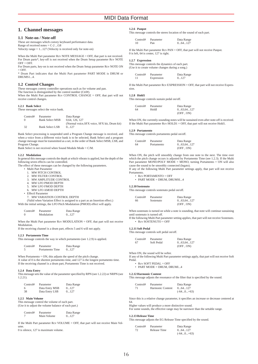## **1. Channel messages**

#### **1.1 Note-on / Note-off**

These are messages which convey keyboard performance data. Range of received notes  $= C-2$  ... G8

Velocity range = 1...127 (Velocity is received only for note-on)

When the Multi Part parameter Rcv NOTE MESSAGE = OFF, that part is not received. For Drum parts\*, key-off is not received when the Drum Setup parameter Rcv NOTE  $OFF = OFF$ For Drum parts, key-on is not received when the Drum Setup parameter Rcv NOTE ON

 $=$  OFF.

\* Drum Part indicates that the Multi Part parameter PART MODE is DRUM or DRUMS1 4

#### **1.2 Control Changes**

These messages convey controller operations such as for volume and pan.

The function is distinguished by the control number (Ctrl#).

When the Multi Part parameter Rcv CONTROL CHANGE = OFF, that part will not receive control changes.

#### **1.2.1 Bank Select**

These messages select the voice bank.

| Control# | Parameter              | Data Range                                   |
|----------|------------------------|----------------------------------------------|
|          | <b>Bank Select MSB</b> | 0.64, 126, 127                               |
|          |                        | (Normal voice, SFX voice, SFX kit, Drum kit) |
| -32      | <b>Bank Select LSB</b> | 0.0127                                       |

Bank Select processing is suspended until a Program Change message is received, and when a voice from a different voice bank is to be selected, Bank Select and a program change message must be transmitted as a set, in the order of Bank Select MSB, LSB, and Program Change.

Bank Select is not received when Sound Module Mode = C/M.

#### **1.2.2 Modulation**

In general this message controls the depth at which vibrato is applied, but the depth of the following seven effects can be controlled.

The effect of these messages can be changed by the following parameters. • Multi Part Parameter

- 1. MW PITCH CONTROL<br>2. MW FILTER CONTROL
- 2. MW FILTER CONTROL<br>3. MW AMPLITUDE CONT
- 3. MW AMPLITUDE CONTROL<br>4. MW I FO PMOD DEPTH
- 4. MW LFO PMOD DEPTH
- 5. MW LFO FMOD DEPTH
- 6. MW LFO AMOD DEPTH
- Effectl Parameter

7. MW VARIATION CONTROL DEPTH

(Valid when Variation Effect is assigned to a part as an Insertion effect.) With the initial settings, the LFO Pitch Modulation (PMOD) effect will apply.

| Control# | Parameter  | Data Range |
|----------|------------|------------|
| - 0      | Modulation | 0127       |

When the Multi Part parameter Rcv MODULATION = OFF, that part will not receive **Modulation** 

If the receiving channel is a drum part, effects 5 and 6 will not apply.

### **1.2.3 Portamento Time**

This message controls the way in which portamento (see 1.2.9) is applied.

| Control# | Parameter       | Data Range |
|----------|-----------------|------------|
|          | Portamento Time | 0127       |

When Portamento = ON, this adjusts the speed of the pitch change. A value of 0 is the shortest portamento time, and 127 is the longest portamento time. If the receiving channel is a drum part, Portamento Time is not received.

#### **1.2.4 Data Entry**

This message sets the value of the parameter specified by RPN (see 1.2.22) or NRPN (see 1.2.21).

| Control# | Parameter      | Data Range |
|----------|----------------|------------|
| 6        | Data Entry MSB | 0127       |
| -38      | Data Entry LSB | 0127       |

#### **1.2.5 Main Volume**

This message control the volume of each part. (Use it to adjust the volume balance of each part.)

| Control# | Parameter   | Data Range |
|----------|-------------|------------|
|          | Main Volume | 0127       |

If the Multi Part parameter Rcv VOLUME = OFF, that part will not receive Main Volume.

0 is silence, 127 is maximum volume.

## **1.2.6 Panpot**

This message controls the stereo location of the sound of each part.

| Control# | Parameter | Data Range |
|----------|-----------|------------|
| 10       | Pan       | 064127     |

If the Multi Part parameter Rcv PAN = OFF, that part will not receive Panpot. 0 is left, 64 is center, 127 is right.

#### **1.2.7 Expression**

This message controls the dynamics of each part. (Use it to create volume changes during a song.)

| Control# | Parameter  | Data Range |
|----------|------------|------------|
|          | Expression | 0127       |

If the Multi Part parameter Rcv EXPRESSION = OFF, that part will not receive Expression.

#### **1.2.8 Hold1**

This message controls sustain pedal on/off.

| Control# | Parameter | Data Range |
|----------|-----------|------------|
| 64       | Holdl     | 063.64127  |
|          |           | (OFF, ON)  |

When ON, the currently-sounding notes will be sustained even after note-off is received. If the Multi Part parameter Rcv HOLD1 = OFF, that part will not receive Hold1.

#### **1.2.9 Portamento**

This message controls portamento pedal on/off.

| Control# | Parameter  | Data Range |
|----------|------------|------------|
| 64       | Portamento | 063,64127  |
|          |            | (OFF. ON)  |

When ON, the pitch will smoothly change from one note to the next. The time over which the pitch change occurs is adjusted by Portamento Time (see 1.2.3). If the Multi Part parameter MONO/POLY MODE = MONO, turning Portamento = ON will also cause the sound to be smoothly connected (legato).

If any of the following Multi Part parameter settings apply, that part will not receive Portamento.

- Rcv PORTAMENTO = OFF
- PART MODE = DRUM, DRUMSI...4

#### **1.2.10 Sostenuto**

This message controls sostenuto pedal on/off.

| Controll# | Parameter | Data Range |
|-----------|-----------|------------|
| 66        | Sostenuto | 063.64127  |
|           |           | (OFF. ON)  |

When sostenuto is turned on while a note is sounding, that note will continue sustaining until sostenuto is turned off.

If the following Multi Part parameter setting applies, that part will not receive Sostenuto. • Rcv SOSTENUTO = OFF

#### **1.2.11 Soft Pedal**

This message controls soft pedal on/off.

Control# Parameter Data Range<br>67 Soft Pedal 0...63,64...1  $0...63,64...127$ (OFF , ON)

When ON, the sound will be softer. If any of the following Multi Part parameter settings apply, that part will not receive Soft Pedal.

- Rcv SOFT PEDAL = OFF
- PART MODE = DRUM, DRUMI...4

#### **1.2.12 Harmonic Content**

This message adjusts the resonance of the filter that is specified by the sound.

| Control# | Parameter        | Data Range  |
|----------|------------------|-------------|
| 71       | Harmonic Content | 064127      |
|          |                  | $(-640+63)$ |

Since this is a relative change parameter, it specifies an increase or decrease centered at 64.

Higher values will produce a more distinctive sound. For some sounds, the effective range may be narrower than the settable range.

#### **1.2.13 Release Time**

Control#<br>72

This message adjusts the EG Release Time specified by the sound.

| Control# | Parameter    | Data Range  |
|----------|--------------|-------------|
| 72       | Release Time | 064127      |
|          |              | $(-640+63)$ |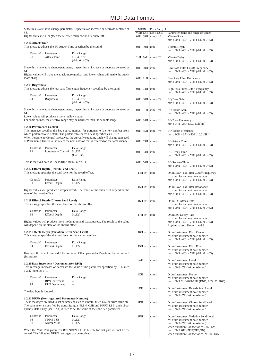| 64.                         |                                                                                                          | Since this is a relative change parameter, it specifies an increase or decrease centered at<br>Higher values will lengthen the release which occurs after note-off.                                                                                                | NR.<br><b>MSB</b><br>01H |
|-----------------------------|----------------------------------------------------------------------------------------------------------|--------------------------------------------------------------------------------------------------------------------------------------------------------------------------------------------------------------------------------------------------------------------|--------------------------|
|                             |                                                                                                          |                                                                                                                                                                                                                                                                    |                          |
| 1.2.14 Attack Time          |                                                                                                          | This message adjusts the EG Attack Time specified by the sound.                                                                                                                                                                                                    | 01H                      |
| Control#<br>73              | Parameter<br><b>Attack Time</b>                                                                          | Data Range<br>064127<br>$(-640+63)$                                                                                                                                                                                                                                | 01H                      |
|                             |                                                                                                          | Since this is a relative change parameter, it specifies an increase or decrease centered at                                                                                                                                                                        | 01H                      |
| 64.<br>more sharp.          |                                                                                                          | Higher values will make the attack more gradual, and lower values will make the attack                                                                                                                                                                             | 01H                      |
| 1.2.15 Brightness           |                                                                                                          | This message adjusts the low pass filter cutoff frequency specified by the sound.                                                                                                                                                                                  | 01H                      |
| Control#<br>74              | Parameter<br><b>Brightness</b>                                                                           | Data Range<br>064127<br>$(-640+63)$                                                                                                                                                                                                                                | 01H                      |
|                             |                                                                                                          | Since this is a relative change parameter, it specifies an increase or decrease centered at                                                                                                                                                                        | 01H                      |
| 64.                         | Lower values will produce a more mellow sound.                                                           | For some sounds, the effective range may be narrower than the settable range.                                                                                                                                                                                      | 01H                      |
| 1.2.16 Portamento Control   |                                                                                                          | This message specifies the key source number for portamento (the key number from<br>which portamento will start). The portamento source key is specified as 0127.                                                                                                  | 01H                      |
|                             |                                                                                                          | When Portamento Control is received, the currently sounding pitch will change at a speed<br>of Portamento Time 0 to the key of the next note-on that is received on the same channel.                                                                              | 01H                      |
| Control#<br>84              | Parameter<br>Portamento Control                                                                          | Data Range<br>0127<br>$(C-2G8)$                                                                                                                                                                                                                                    | 01H                      |
|                             | This is received even if $Rev PORTAMENTO = OFF$ .                                                        |                                                                                                                                                                                                                                                                    | 01H                      |
|                             | 1.2.17 Effect1 Depth (Reverb Send Level)<br>This message specifies the send level for the reverb effect. |                                                                                                                                                                                                                                                                    | 14H                      |
| Control#<br>91              | Parameter<br>Effect1 Depth                                                                               | Data Range<br>0127                                                                                                                                                                                                                                                 |                          |
| state of the reverb effect. |                                                                                                          | Higher values will produce a deeper reverb. The result of the value will depend on the                                                                                                                                                                             | 15H                      |
|                             | 1.2.18 Effect3 Depth (Chorus Send Level)<br>This message specifies the send level for the chorus effect. |                                                                                                                                                                                                                                                                    | 16H                      |
| Control#<br>93              | Parameter<br>Effect <sub>3</sub> Depth                                                                   | Data Range<br>0127                                                                                                                                                                                                                                                 | 17H                      |
|                             | will depend on the state of the chorus effect.                                                           | Higher values will produce more modulation and spaciousness. The result of the value                                                                                                                                                                               |                          |
|                             | 1.2.19 Effect4 Depth (Variation Effect Send Level)                                                       | This message specifies the send level for the variation effect.                                                                                                                                                                                                    | 18H                      |
| Control#<br>94              | Parameter<br>Effect4 Depth                                                                               | Data Range<br>0127                                                                                                                                                                                                                                                 | 19H                      |
| (Insertion).                |                                                                                                          | However, this is not received if the Variation Effect parameter Variation Connection $= 0$                                                                                                                                                                         |                          |
| 1.2.22) in units of 1.      | 1.2.20 Data Increment / Decrement (for RPN)                                                              | This message increases or decreases the value of the parameter specified by RPN (see                                                                                                                                                                               | 1AF                      |
| Control#<br>96<br>97        | Parameter<br>RPN Increment<br><b>RPN</b> Decrement                                                       | Data Range<br>$\overline{\phantom{a}}$                                                                                                                                                                                                                             | 1CH                      |
| The data byte is ignored.   |                                                                                                          |                                                                                                                                                                                                                                                                    | 1DF                      |
|                             | 1.2.21 NRPN (Non-registered Parameter Number)                                                            | These messages are used to set parameters such as vibrato, filter, EG, or drum setup etc.<br>The parameter is specified by transmitting a NRPN MSB and NRPN LSB, and subse-<br>quently Data Entry (see 1.2.4) is used to set the value of the specified parameter. | 1EH                      |
| Control#<br>98<br>99        | Parameter<br>NRPN LSB<br><b>NRPN MSB</b>                                                                 | Data Range<br>0127<br>0127                                                                                                                                                                                                                                         | 1FH                      |
|                             |                                                                                                          |                                                                                                                                                                                                                                                                    |                          |

When the Multi Part parameter Rcv NRPN = OFF, NRPN for that part will not be received. The following NRPN messages can be received.

| <b>NRPN</b>                | Data Entry*1      |                                                                    |
|----------------------------|-------------------|--------------------------------------------------------------------|
|                            | MSB LSB   MSB LSB | Parameter name and range of values                                 |
| $01H$ 08H   mm -- $*2$     |                   | Vibrato Rate                                                       |
|                            |                   | mm: 00H - 40H - 7FH (-640+63)                                      |
|                            |                   |                                                                    |
| $01H$ 09H   mm --          |                   | Vibrato Depth                                                      |
|                            |                   | mm: 00H - 40H - 7FH (-640+63)                                      |
| $01H$ 0AH $\text{mm}$ - *3 |                   |                                                                    |
|                            |                   | Vibrato Delay<br>mm: 00H - 40H - 7FH (-640+63)                     |
|                            |                   |                                                                    |
| $01H$ 20H $\text{mm}$ --   |                   | Low Pass Filter Cutoff Frequency                                   |
|                            |                   | mm: 00H - 40H - 7FH (-640+63)                                      |
|                            |                   |                                                                    |
| $01H$ 21H   mm --          |                   | Low Pass Filter Resonance                                          |
|                            |                   | mm: 00H - 40H - 7FH (-640+63)                                      |
| $01H$ 24H mm --            |                   |                                                                    |
|                            |                   | High Pass Filter Cutoff Frequency<br>mm: 00H - 40H - 7FH (-640+63) |
|                            |                   |                                                                    |
| $01H$ 30H   mm -- $*4$     |                   | EQ Bass Gain                                                       |
|                            |                   | mm: 00H - 40H - 7FH (-640+63)                                      |
|                            |                   |                                                                    |
| $01H$ 31H   mm -- $*4$     |                   | EQ Treble Gain                                                     |
|                            |                   | mm: 00H - 40H - 7FH (-640+63)                                      |
| $01H$ 34H   mm -- $*4$     |                   | EQ Bass Frequency                                                  |
|                            |                   | mm: 04H - 28H (322.0k[Hz])                                         |
|                            |                   |                                                                    |
| $01H$ 35H   mm -- $*4$     |                   | EQ Treble Frequency                                                |
|                            |                   | mm: 1CH - 3AH (50016.0k[Hz])                                       |
|                            |                   |                                                                    |
| $01H$ 63H $mm -$           |                   | <b>EG Attack Time</b>                                              |
|                            |                   | $mm:$ 00H - 40H - 7FH (-640+63)                                    |
| $01H$ 64H   mm --          |                   | EG Decay Time                                                      |
|                            |                   | mm: 00H - 40H - 7FH (-640+63)                                      |
|                            |                   |                                                                    |
| $01H$ 66H   mm --          |                   | <b>EG</b> Release Time                                             |
|                            |                   | mm: 00H - 40H - 7FH (-640+63)                                      |
| 14H rr                     | mm --             | Drum Low Pass Filter Cutoff Frequency                              |
|                            |                   | rr : drum instrument note number                                   |
|                            |                   | mm: 00H - 40H - 7FH (-640+63)                                      |
|                            |                   |                                                                    |
| 15H rr                     | $mm -$            | Drum Low Pass Filter Resonance                                     |
|                            |                   | rr : drum instrument note number                                   |
|                            |                   | mm: 00H - 40H - 7FH (-640+63)                                      |
| 16H rr                     | mm --             | Drum EG Attack Rate                                                |
|                            |                   | rr : drum instrument note number                                   |
|                            |                   | $mm:$ 00H - 40H - 7FH (-640+63)                                    |
|                            |                   |                                                                    |
| 17H rr                     | mm --             | Drum EG Decay Rate<br>rr : drum instrument note number             |
|                            |                   | mm: 00H - 40H - 7FH (-640+63)                                      |
|                            |                   | Applies to both Decay 1 and 2                                      |
|                            |                   |                                                                    |
| 18H rr                     | $mm -$            | Drum Instrument Pitch Coarse                                       |
|                            |                   | rr : drum instrument note number                                   |
|                            |                   | $mm:$ 00H - 40H - 7FH (-640+63)                                    |
| 19H rr                     | mm --             | Drum Instrument Pitch Fine                                         |
|                            |                   | rr : drum instrument note number                                   |
|                            |                   | mm: 00H - 40H - 7FH (-640+63)                                      |
|                            |                   |                                                                    |
| 1AH rr                     | mm --             | Drum Instrument Level                                              |
|                            |                   | rr : drum instrument note number<br>mm: 00H - 7FH (0maximum)       |
|                            |                   |                                                                    |
| $1CH$ $rr$                 | mm --             | Drum Instrument Panpot                                             |
|                            |                   | rr : drum instrument note number                                   |
|                            |                   | mm: 00H,01H-40H-7FH (RND, L63CR63)                                 |
| 1DH rr                     | mm --             | Drum Instrument Reverb Send Level                                  |
|                            |                   | rr : drum instrument note number                                   |
|                            |                   | mm: 00H - 7FH (0maximum)                                           |
|                            |                   |                                                                    |
| 1EH rr                     | mm --             | Drum Instrument Chorus Send Level                                  |
|                            |                   | rr : drum instrument note number<br>mm: 00H - 7FH (0maximum)       |
|                            |                   |                                                                    |
| 1FH rr                     | mm --             | Drum Instrument Variation Send Level                               |
|                            |                   | rr : drum instrument note number                                   |
|                            |                   | $mm:$ 00H - 7FH $(0maximum)$                                       |
|                            |                   | when Variation Connection = SYSTEM                                 |
|                            |                   | mm: 00H, 01H-7FH(OFF,ON)<br>when Variation Connection = INSERTION  |
|                            |                   |                                                                    |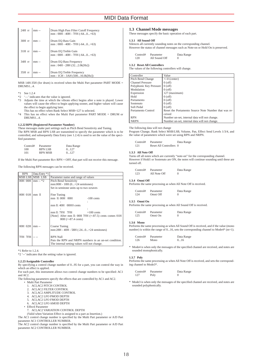| 24H rr   | $mm -$ | Drum High Pass Filter Cutoff Frequency<br>mm: 00H - 40H - 7FH (-640+63) |
|----------|--------|-------------------------------------------------------------------------|
| $30H$ rr | mm --  | Drum EQ Bass Gain<br>mm: 00H - 40H - 7FH (-640+63)                      |
| $31H$ m  | mm     | Drum EQ Treble Gain<br>$mm:$ 00H - 40H - 7FH (-640+63)                  |
| 34H rr   | mm     | Drum EQ Bass Frequency<br>mm: 04H - 28H (322.0k[Hz])                    |
| $35H$ rr | mm     | Drum EQ Treble Frequency<br>mm: 1CH - 3AH (50016.0k[Hz])                |

MSB 14H-35H (for drum) is received when the Multi Part parameter PART MODE = DRUMS1...4.

\*1 See 1.2.4<br>\*2  $\leftarrow$  indic

- \*2  $\leftarrow$  indicates that the value is ignored.<br>\*3 Adjusts the time at which the vibrato
- Adjusts the time at which the vibrato effect begins after a note is played. Lower values will cause the effect to begin applying sooner, and higher values will cause the effect to begin applying later. This has no effect when Bank Select MSB=127 is selected.
- \*4 This has no effect when the Multi Part parameter PART MODE = DRUM or DRUMS1...4.

#### **1.2.22 RPN (Registered Parameter Number)**

These messages make part settings such as Pitch Bend Sensitivity and Tuning. The RPN MSB and RPN LSB are transmitted to specify the parameter which is to be controlled, and subsequently Data Entry (see 1.2.4) is used to set the value of the specified parameter.

| Control# | Parameter      | Data Range |
|----------|----------------|------------|
| 100      | RPN LSB        | 0127       |
| 101      | <b>RPN MSB</b> | 0127       |

If the Multi Part parameter Rcv RPN = OFF, that part will not receive this message.

The following RPN messages can be received.

| <b>RPN</b> | Data Entry *1   |                                                                                                                          |  |
|------------|-----------------|--------------------------------------------------------------------------------------------------------------------------|--|
|            | MSB LSB MSB LSB | Parameter name and range of values                                                                                       |  |
| 00H 00H    | $mm - *2$       | <b>Pitch Bend Sensitivity</b>                                                                                            |  |
|            |                 | $mm:00H - 18H (0+24$ semitones)                                                                                          |  |
|            |                 | Set in semitone units up to two octaves                                                                                  |  |
|            |                 |                                                                                                                          |  |
| 00H 01H    | mm ll           | Fine Tuning                                                                                                              |  |
|            |                 | mm 11:00H 00H<br>$-100$ cents                                                                                            |  |
|            |                 |                                                                                                                          |  |
|            |                 | mm II: 40H 00H0 cents                                                                                                    |  |
|            |                 |                                                                                                                          |  |
|            |                 | mm II: 7FH 7FH<br>$+100$ cents                                                                                           |  |
|            |                 | [Note] After mm II: 00H 7FH $(=87.5)$ cents comes 01H<br>$00H$ (=-87.4 cents)                                            |  |
| 00H 02H    | $mm -$          | Coarse Tuning<br>mm:28H - 40H - 58H (-240+24 semitones)                                                                  |  |
| 7FH 7FH    |                 | <b>RPN Null</b><br>Puts the RPN and NRPN numbers in an un-set condition.<br>The internal setting values will not change. |  |

\*1 Refer to 1.2.4.

\*2 '--' indicates that the setting value is ignored.

#### **1.2.23 Assignable Controller**

By specifying a control change number of 0...95 for a part, you can control the way in which an effect is applied.

For each part, this instrument allows two control change numbers to be specified: AC1 and AC2.

The following parameters specify the effects that are controlled by AC1 and AC2. • Multi Part Parameter

- 1. ACI,AC2 PITCH CONTROL
- 2. ACI, AC2 FILTER CONTROL<br>3. ACI AC2 AMPI ITUDE CONT
- 3. ACI,AC2 AMPLITUDE CONTROL<br>4 ACI AC2 LEO PMOD DEPTH
- 4. ACI, AC2 LFO PMOD DEPTH
- 5. ACI,AC2 LFO FMOD DEPTH
- 6. ACI,AC2 LFO AMOD DEPTH
- Effectl Parameter
	- 7. ACI AC2 VARIATION CONTROL DEPTH

(Valid when Variation Effect is assigned to a part as Insertion.) The AC1 control change number is specified by the Multi Part parameter or A/D Part parameter AC1 CONTROLLER NUMBER.

The AC2 control change number is specified by the Multi Part parameter or A/D Part parameter AC2 CONTROLLER NUMBER.

## **1.3 Channel Mode messages**

These messages specify the basic operation of each part.

#### **1.3.1 All Sound Off**

Silences all currently sounding notes on the corresponding channel.

However the status of channel messages such as Note-on or Hold On is preserved.

| Control# | Parameter     | Data Range |
|----------|---------------|------------|
| 120      | All Sound Off | 0          |

## **1.3.2 Reset All Controllers**

The values of the following controllers will change.

| Controller              | Value                                                |
|-------------------------|------------------------------------------------------|
| Pitch Bend Change       | $+/-0$ (center)                                      |
| <b>Channel Pressure</b> | $0$ (off)                                            |
| Polyphonic Key Pressure | $0$ (off)                                            |
| Modulation              | $0$ (off)                                            |
| Expression              | 127 (maximum)                                        |
| Hold                    | $0$ (off)                                            |
| Portamento              | $0$ (off)                                            |
| Sostenuto               | $0$ (off)                                            |
| Soft Pedal              | $0$ (off)                                            |
| Portamento Control      | Reset the Portamento Source Note Number that was re- |
|                         | ceived                                               |
| <b>RPN</b>              | Number un-set, internal data will not change.        |
| <b>NRPN</b>             | Number un-set, internal data will not change.        |

The following data will not change

Program Change, Bank Select MSB/LSB, Volume, Pan, Effect Send Levels 1/3/4, and the value of parameters which were set using RPN and NRPN.

| Control# | Parameter               | Data Range |
|----------|-------------------------|------------|
| 121      | Reset All Controllers 0 |            |

#### **1.3.3 All Note Off**

Turns off all notes which are currently "note-on" for the corresponding channel. However if Hold1 or Sostenuto are ON, the notes will continue sounding until these are turned off.

| Control# | Parameter    | Data Range |
|----------|--------------|------------|
| 123      | All Note Off | 0          |

#### **1.3.4 Omni Off**

Performs the same processing as when All Note Off is received.

| Control# | Parameter | Data Range |
|----------|-----------|------------|
| 124      | Omni Off  | 0          |

#### **1.3.5 Omni On**

Performs the same processing as when All Sound Off is received.

| Control# | Parameter | Data Range |
|----------|-----------|------------|
| 125      | Omni On   | 0          |

#### **1.3.6 Mono**

Performs the same processing as when All Sound Off is received, and if the value (mono number) is within the range of 0...16, sets the corresponding channel to Mode4\* (m=1).

| Control# | Parameter | Data Range |  |
|----------|-----------|------------|--|
| 126      | Mono      | 016        |  |

\* Mode4 is when only the messages of the specified channel are received, and notes are sounded monophonically.

## **1.3.7 Poly**

Performs the same processing as when All Note Off is received, and sets the corresponding channel to Mode3\*.

| Control# | Parameter | Data Range |  |
|----------|-----------|------------|--|
| 127      | Poly      |            |  |

\* Mode3 is when only the messages of the specified channel are received, and notes are sounded polyphonically.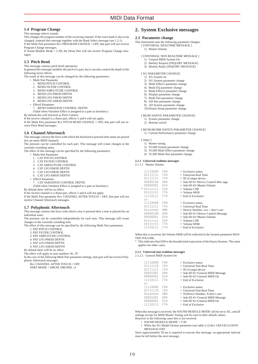## **1.4 Program Change**

#### This message selects sounds.

This changes the program number of the receiving channel. If the voice bank is also to be changed, transmit this message together with the Bank Select message (see 1.2.1). If the Multi Part parameter Rcv PROGRAM CHANGE = OFF, that part will not receive

Program Change messages. If Sound Module Mode = C/M, the Drum Part will not receive Program Change messages.

### **1.5 Pitch Bend**

This message conveys pitch bend operations.

In general this message modifies the pitch of a part, but it can also control the depth of the following seven effects.

The result of this message can be changed by the following parameters.

- Multi Part Parameter
	- 1. BEND PITCH CONTROL<br>2. BEND EILTER CONTROL
	- 2. BEND FILTER CONTROL<br>3. BEND AMPLITUDE CON
	- BEND AMPLITUDE CONTROL
	- 4. BEND LFO PMOD DEPTH
	- 5. BEND LFO FMOD DEPTH 6. BEND LFO AMOD DEPTH
- 
- Effectl Parameter
	- 7. BEND VARIATION CONTROL DEPTH

(Valid when Variation Effect is assigned to a part as Insertion.)

By default this will function as Pitch Control.

If the receive channel is a drum part, effects 5 and 6 will not apply. If the Multi Part parameter Rcv PITCH BEND CHANGE = OFF, that part will not receive Pitch Bend messages.

### **1.6 Channel Aftertouch**

This message conveys the force with which the keyboard is pressed after notes are played (for an entire MIDI channel).

The pressure can be controlled for each part. This message will create changes in the currently-sounding notes.

The effect of this message can be specified by the following parameters.

- Multi Part Parameter
	- 1. CAT PITCH CONTROL
- 2. CAT FILTER CONTROL
- 3. CAT AMOLITUDE CONTROL
- 4. CAT LFO PMOD DEPTH
- 5. CAT LFO FMOD DEPTH 6. CAT LFO AMOD DEPTH
- Effectl Parameter
- 7. CAT VARIATION CONTROL DEPTH
- (Valid when Variation Effect is assigned to a part as Insertion.)

By default there will be no effect.

If the receive channel is a drum part, effects 5 and 6 will not apply. If the Multi Part parameter Rcv CHANNEL AFTER TOUCH = OFF, that part will not receive Channel Aftertouch messages.

### **1.7 Polyphonic Aftertouch**

This message conveys the force with which a key is pressed after a note is played (for an individual note).

The pressure can be controlled independently for each note. This message will create changes in the currently-sounding note.

The effect of this message can be specified by the following Multi Part parameters. 1. PAT PITCH CONTROL

- 2. PAT FILTER CONTROL
- 3. PAT AMPLITUDE CONTROL
- 4. PAT LFO PMOD DEPTH
- 5. PAT LFO FMOD DEPTH
- 

By default there will be no effect.

The effect will apply to note numbers 36...97.

In the case of the following Multi Part parameter settings, that part will not receive Polyphonic Aftertouch messages

## **2. System Exclusive messages**

### **2.1 Parameter change**

- This instrument uses the following parameter changes. [ UNIVERSAL REALTIME MESSAGE ]
	- 1) Master Volume
	- **[ UNIVERSAL NON REALTIME MESSAGE ]** 
		- 1) General MIDI System On 2) Identity Request (INQUIRY MESSAGE)
		- 3) Identity Reply (INQUIRY MESSAGE)

#### **[ XG PARAMETER CHANGE]**

- 1) XG System on
- 2) XG System parameter change
- 3) Multi Effect1 parameter change 4) Multi EQ parameter change
- 5) Multi Effect2 parameter change
- 6) Display parameter change
- 7) Multi Part parameter change
- 8) AD Part parameter change
- 9) AD System parameter change
- 10) Drums Setup parameter change

#### [ MU80 NATIVE PARAMETER CHANGE]

- 1) System parameter change
- 2) Remote switch

[ MU90 MU90R NATIVE PARAMETER CHANGE] 1) Current Performance parameter change

[ Other ]

- 1) Master tuning 2) TG300 System parameter change
- 3) TG300 Multi Effect parameter change
- 4) TG300 Multi Part parameter change

#### **2.1.1 Universal realtime messages**

2.1.1.1 Master Volume

| 11110000    | FOH              | $=$ Exclusive status                  |
|-------------|------------------|---------------------------------------|
| 01111111    | 7FH              | $=$ Universal Real Time               |
| 01111111    | 7FH              | $=$ ID of target device               |
| 00000100    | 04H              | $=$ Sub-ID #1=Device Control Mes sage |
| 00000001    | 01H              | $=$ Sub-ID #2=Master Volume           |
| * Osssssss  | <b>SSH</b>       | $=$ Volume LSB                        |
| Ottttttt    | <b>TTH</b>       | $=$ Volume MSB                        |
| 11110111    | F7H              | $=$ End of Exclusive                  |
| or          |                  |                                       |
| 11110000    | F <sub>0</sub> H | $=$ Exclusive status                  |
| 01111111    | 7FH              | $=$ Universal Real Time               |
| Oxxxnnnn    | <b>XNH</b>       | $=$ Device Number, $xxx =$ don't care |
| 00000100    | 04H              | $=$ Sub-ID #1=Device Control Message  |
| 00000001    | 01H              | $=$ Sub-ID #2=Master Volume           |
| $0$ sssssss | <b>SSH</b>       | $=$ Volume LSB                        |
| Ottttttt    | <b>TTH</b>       | $=$ Volume MSB                        |
| 11110111    | F7H              | $=$ End of Exclusive                  |

When this is received, the Volume MSB will be reflected in the System parameter MAS-TER VOLUME.

\* This indicates that SSH is the hexadecimal expression of the binary 0sssssss. The same applies for other cases.

#### **2.1.2 Universal non-realtime messages**

2.1.2.1 General MIDI System On

| 11110000 | F <sub>0</sub> H | $=$ Exclusive status               |
|----------|------------------|------------------------------------|
| 01111110 | 7FH              | $=$ Universal Non-Real Time        |
| 01111111 | 7FH              | $=$ ID of target device            |
| 00001001 | 09H              | $=$ Sub-ID #1=General MIDI Message |
| 00000001 | 01H              | $=$ Sub-ID #2=General MIDI On      |
| 11110111 | F7H              | $=$ End of Exclusive               |
| or       |                  |                                    |
| 11110000 | F <sub>0</sub> H | $=$ Exclusive status               |
| 01111110 | 7FH              |                                    |
|          |                  | $=$ Universal Non-Real Time        |
| Oxxxnnnn | <b>XNH</b>       | $=$ N:Device Number, X:don't care  |
| 00001001 | 09H              | $=$ Sub-ID #1=General MIDI Message |
| 00000001 | 01H              | $=$ Sub-ID #2=General MIDI On      |
| 11110111 | F7H              | $=$ End of Exclusive               |

When this message is received, the SOUND MODULE MODE will be set to XG, and all settings except for MIDI Master Tuning will be reset to their default values. However in the following cases this is not received.

- $\bullet$  SOUND MODULE MODE C/M
- When the XG Model System parameter (see table 2-2) Rcv GM EXCLUSIVE MESSAGE=OFF.

Since approximately 50 ms is required to execute this message, an appropriate interval must be left before the next message.

6. PAT LFO AMOD DEPTH

Rcv CHANNEL AFTER TOUCH = OFF

PART MODE = DRUM, DRUMSI...4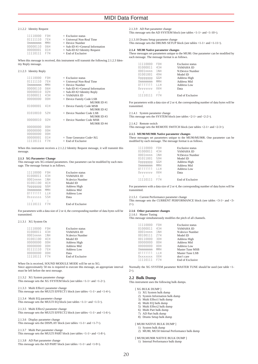2.1.2.2 Identity Request

| 11110000 | F <sub>0</sub> H | $=$ Exclusive status              |
|----------|------------------|-----------------------------------|
| 01111110 | 7 F H            | $=$ Universal Non-Real Time       |
| Ommmmmm  | MMH              | $=$ Device Number                 |
| 00000110 | 06H              | $=$ Sub-ID #1=General Information |
| 00000001 | 01H              | $=$ Sub-ID #2=Identity Request    |
| 11110111 | F7H              | $=$ End of Exclusive              |

When this message is received, this instrument will transmit the following 2.1.2.3 Identity Reply message

#### 2.1.2.3 Identity Reply

| 11110000 | F <sub>0</sub> H | $=$ Exclusive status              |
|----------|------------------|-----------------------------------|
| 01111110 | 7 F H            | $=$ Universal Non-Real Time       |
| Ommmmmm  | MMH              | $=$ Device Number                 |
| 00000110 | 06H              | $=$ Sub-ID #1=General Information |
| 00000010 | 02H              | $=$ Sub-ID #2=Identity Reply      |
| 01000011 | 43H              | $=$ YAMAHA ID                     |
| 00000000 | 00H              | $=$ Device Family Code LSB        |
|          |                  | <b>MU90RID#1</b>                  |
| 01000001 | 41H              | $=$ Device Family Code MSB        |
|          |                  | <b>MU90RID#2</b>                  |
| 01010010 | 52H              | $=$ Device Number Code LSB        |
|          |                  | MU90R ID#3                        |
| 00000010 | 02H              | $=$ Device Number Code MSB        |
|          |                  | <b>MU90RID#4</b>                  |
| 00000000 | 00H              |                                   |
| 00000000 | 00H              |                                   |
| 00000000 | 00H              |                                   |
| 00000001 | 01 H             | $=$ Tone Generator Code $= XG$    |
| 11110111 | F7H              | $=$ End of Exclusive              |
|          |                  |                                   |

When this instrument receives a 2.1.2.2 Identity Request message, it will transmit this message.

#### **2.1.3 XG Parameter Change**

This message sets XG-related parameters. One parameter can be modified by each message. The message format is as follows.

| 11110000 | F <sub>0</sub> H | <b>Exclusive status</b> |
|----------|------------------|-------------------------|
| 01000011 | 43H              | YAMAHA ID               |
| 0001nnnn | 1 <sub>NH</sub>  | N: device Number        |
| 01001100 | 4 C.H            | Model ID                |
| pppppp0  | GGH              | Address High            |
| Ommmmmm  | MMH              | <b>Address Mid</b>      |
| 01111111 | I I H            | <b>Address Low</b>      |
| Osssssss | <b>SSH</b>       | Data                    |
|          | ÷                |                         |
| 11110111 | F7H              | End of Exclusive        |

For parameters with a data size of 2 or 4, the corresponding number of data bytes will be transmitted.

#### 2.1.3.1 XG System On

| 11110000 | F <sub>0</sub> H | <b>Exclusive</b> status |
|----------|------------------|-------------------------|
| 01000011 | 43H              | YAMAHA ID               |
| 0001nnnn | 1 <sub>NH</sub>  | N: device Number        |
| 01001100 | 4 C.H            | Model ID                |
| 00000000 | 00H              | Address High            |
| 00000000 | 00H              | <b>Address Mid</b>      |
| 01111110 | 7FH              | <b>Address Low</b>      |
| 00000000 | 00H              | Data                    |
| 11110111 | F7H              | <b>End of Exclusive</b> |
|          |                  |                         |

When On is received, SOUND MODULE MODE will be set to XG. Since approximately 50 ms is required to execute this message, an appropriate interval must be left before the next message.

2.1.3.2 XG System parameter change This message sets the XG SYSTEM block (see tables <1-1> and <1-2>).

2.1.3.3 Multi Effect1 parameter change This message sets the MULTI EFFECT1 block (see tables <1-1> and <1-4>).

2.1.3.4 Multi EQ parameter change This message sets the MULTI EQ block (see tables  $\langle 1-1 \rangle$  and  $\langle 1-5 \rangle$ ).

2.1.3.5 Multi Effect2 parameter change This message sets the MULTI EFFECT2 block (see tables <1-1> and <1-6>).

2.1.3.6 Display parameter change This message sets the DISPLAY block (see tables <1-1> and <1-7>).

2.1.3.7 Multi Part parameter change This message sets the MULTI PART block (see tables <1-1> and <1-8>).

2.1.3.8 AD Part parameter change This message sets the AD PART block (see tables <1-1> and <1-9>). 2.1.3.9 AD Part parameter change

This message sets the AD SYSTEM block (see tables <1-1> and <1-10>).

2.1.3.10 Drums Setup parameter change This message sets the DRUMS SETUP block (see tables <1-1> and <1-11>).

#### **2.1.4 MU80 Native parameter changes**

These messages set parameters unique to the MU80. One parameter can be modified by each message. The message format is as follows.

| 11110000 | F <sub>0</sub> H | <b>Exclusive status</b> |
|----------|------------------|-------------------------|
| 01000011 | 43H              | YAMAHA ID               |
| 0001nnnn | 1 <sub>NH</sub>  | N:Device Number         |
| 01001001 | 49H              | Model ID                |
| pppppp0  | GGH              | Address High            |
| Ommmmmm  | MMH              | <b>Address Mid</b>      |
| 01111111 | ПH               | <b>Address Low</b>      |
| Ovvvvvvv | <b>VVH</b>       | Data                    |
|          |                  |                         |
| 11110111 | F7H              | <b>End of Exclusive</b> |

For parameters with a data size of 2 or 4, the corresponding number of data bytes will be transmitted.

2.1.4.1 System parameter change

This message sets the SYSTEM block (see tables <2-1> and <2-2>).

#### 2.1.4.2 Remote switch

This message sets the REMOTE SWITCH block (see tables <2-1> and <2-3>).

### **2.1.5 MU90/MU90R Native parameter changes**

These messages set parameters unique to the MU90/MU90R. One parameter can be modified by each message. The message format is as follows.

| 11110000    | F <sub>0</sub> H | <b>Exclusive status</b> |
|-------------|------------------|-------------------------|
| 01000011    | 43H              | YAMAHA ID               |
| $0001$ nnnn | 1 <sub>NH</sub>  | N:Device Number         |
| 01011001    | 59H              | Model ID                |
| pppppp0     | GGH              | Address High            |
| Ommmmmm     | MMH              | Address Mid             |
| 01111111    | T L H            | <b>Address Low</b>      |
| Ovvvvvvv    | <b>VVH</b>       | Data                    |
|             |                  |                         |
| 11110111    | F7H              | <b>End of Exclusive</b> |

For parameters with a data size of 2 or 4, the corresponding number of data bytes will be transmitted.

2.1.5.1 Current Performance parameter change

This message sets the CURRENT PERFORMANCE block (see tables <3-1> and <3- $2\rightarrow$ 

#### **2.1.6 Other parameter changes**

#### 2.1.6.1 Master Tuning

This message simultaneously modifies the pitch of all channels.

| 11110000 | F <sub>0</sub> H | <b>Exclusive status</b> |
|----------|------------------|-------------------------|
| 01000011 | 43H              | YAMAHA ID               |
| 0001nnnn | 1 <sub>NH</sub>  | N: device Number        |
| 00100111 | 27H              | Model ID                |
| 00110000 | 30H              | Address High            |
| 00000000 | 00H              | Address Mid             |
| 00000000 | 00H              | <b>Address Low</b>      |
| Ommmmmm  | MMH              | Master Tune MSB         |
| 01111111 | LLH              | Master Tune LSB         |
| 0xxxxxxx | XXH              | don't care              |
| 11110111 | F7H              | End of Exclusive        |

Normally the XG SYSTEM parameter MASTER TUNE should be used (see table <1-  $2 > 0$ .

#### **2.2 Bulk Dump**

This instrument uses the following bulk dumps.

[ XG BULK DUMP ]

- 1) XG System bulk dump
- 2) System Information bulk dump
- 3) Multi Effect1 bulk dump
- 4) Multi EQ bulk dump
- 5) Multi Effect2 bulk dump
- 6) Multi Part bulk dump
- 7) AD Part bulk dump
- 8) Drums Setup bulk dump

#### [ MU80 NATIVE BULK DUMP ]

- 1) System bulk dump
- 2) MU80, MU50 Internal Performance bulk dump

[ MU90,MU90R NATIVE BULK DUMP ]

1) Internal Performance bulk dump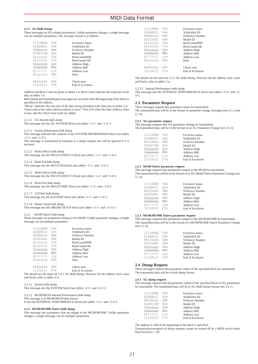### **2.2.1 XG Bulk Dump**

These messages set XG-related parameters. Unlike parameter changes, a single message can set multiple parameters. The message format is as follows.

| 11110000    | <b>FOH</b> | Exclusive status    |
|-------------|------------|---------------------|
| 01000011    | 43H        | YAMAHA ID           |
| $0000$ nnnn | ONH        | N:Device Number     |
| 01001100    | 4CH        | Model ID            |
| 0ssssssss   | <b>SSH</b> | <b>ByteCountMSB</b> |
| Ottttttt    | <b>TTH</b> | <b>ByteCountLSB</b> |
| pppppp0     | GGH        | Address High        |
| Ommmmmm     | MMH        | <b>Address Mid</b>  |
| 01111111    | TН         | Address Low         |
| Ovvvvvvv    | <b>VVH</b> | Data                |
|             | ÷          |                     |
| Okkkkkkk    | KKH        | Check-sum           |
| 11110111    | F7H        | End of Exclusive    |
|             |            |                     |

Address and Byte Count are given in tables 1-n. Byte Count indicates the total size of the data in tables 1-n.

Bulk Dump and Dump Request messages are received when the beginning of the block is specified as the address.

"Block" indicates the unit size of the data string included in the total size in tables 1-n. Check sum is the value which produces a lower 7 bits of 0 when the Start Address, Byte Count, and the Check Sum itself are added.

2.2.1.1 XG System bulk dump

This message sets the XG SYSTEM block (see tables <1-1> and <1-2>).

2.2.1.2 System Information bulk dump This message indicates the contents of the SYSTEM INFORMATION block (see tables  $<1-1>$  and  $<1-3>$ ).

This message is transmitted in response to a dump request, but will be ignored if it is received.

2.2.1.3 Multi Effect1 bulk dump

This message sets the MULTI EFFECT1 block (see tables <1-1> and <1-4>).

2.2.1.4 Multi EQ bulk dump This message sets the MULTI EQ block (see tables <1-1> and <1-5>).

2.2.1.5 Multi Effect2 bulk dump This message sets the MULTI EFFECT2 block (see tables <1-1> and <1-6>).

2.2.1.6 Multi Part bulk dump This message sets the MULTI PART block (see tables <1-1> and <1-8>).

2.2.1.7 A/D Part bulk dump

This message sets the A/D PART block (see tables <1-1> and <1-9>).

2.2.1.8 Drums Setup bulk dump

This message sets the DRUMS SETUP block (see tables <1-1> and <1-11>).

2.2.2 MU80 Native bulk dump

These messages set parameters unique to the MU80. Unlike parameter changes, a single message can set multiple parameters.

| 11110000    | F <sub>0</sub> H | <b>Exclusive status</b> |
|-------------|------------------|-------------------------|
| 01000011    | 43H              | YAMAHA ID               |
| $0000$ nnnn | ONH              | N:Device Number         |
| 01001001    | 49H              | Model ID                |
| 0ssssssss   | <b>SSH</b>       | <b>ByteCountMSB</b>     |
| Ottttttt    | <b>TTH</b>       | <b>ByteCountLSB</b>     |
| pppppp0     | GGH              | Address High            |
| Ommmmmm     | MMH              | Address Mid             |
| 01111111    | T L H            | <b>Address Low</b>      |
| Ovvvvvvv    | <b>VVH</b>       | Data                    |
|             | $\ddot{ }$       |                         |
| Okkkkkkk    | KKH              | Check-sum               |
| 11110111    | F7H              | <b>End of Exclusive</b> |

The details are the same for 2.2.1 XG Bulk Dump. However for the address, byte count and block, refer to tables 2-n.

2.2.2.1 System bulk dump This message sets the SYSTEM block (see tables <2-1> and <2-2>).

### 2.2.2.2 MU80/MU50 Internal Performance bulk dump

This message is in MU80/MU50 data format. It sets the INTERNAL PERFORMANCE block (see tables <2-1> and <2-4>).

#### **2.2.3 MU90/MU90R Native bulk dump**

This message sets parameters that are unique to the MU90/MU90R. Unlike parameter changes, a single message can set multiple parameters.

| 11110000  | F <sub>0</sub> H | Exclusive status    |
|-----------|------------------|---------------------|
| 01000011  | 43H              | YAMAHA ID           |
| 0000nnnn  | ONH              | N:Device Number     |
| 01011001  | 59H              | Model ID            |
| 0ssssssss | <b>SSH</b>       | <b>ByteCountMSB</b> |
| Ottttttt  | <b>TTH</b>       | <b>ByteCountLSB</b> |
| pppppp0   | GGH              | Address High        |
| Ommmmmm   | MMH              | <b>Address Mid</b>  |
| 0111111   | TЕH              | Address Low         |
| Ovvvvvvv  | <b>VVH</b>       | Data                |
|           | ÷                |                     |
| Okkkkkkk  | KKH              | Check-sum           |
| 11110111  | F7H              | End of Exclusive    |

The details are the same for 2.2.1 XG Bulk Dump. However for the address, byte count and block, refer to tables 3-n.

2.2.3.1 Internal Performance bulk dump

This message sets the INTERNAL PERFORMANCE block (see tables <3-1> and <3- 3>).

#### **2.3 Parameter Request**

These messages request that parameter values be transmitted. The transmitted data will be in the format of parameter change messages (see 2.1.3 and 2.1.4).

#### **2.3.1 XG parameter request**

This message requests that XG parameter settings be transmitted. The transmitted data will be in the format of an XG Parameter Change (see 2.1.3).

| 11110000 | F <sub>0</sub> H | <b>Exclusive status</b> |
|----------|------------------|-------------------------|
| 01000011 | 43H              | YAMAHA ID               |
| 0011nnnn | 3NH              | N: device Number        |
| 01001100 | 4CH              | Model ID                |
| pppppp0  | GGH              | Address High            |
| Ommmmmm  | MMH              | <b>Address Mid</b>      |
| 01111111 | ПH               | <b>Address Low</b>      |
| 11110111 | F7H              | End of Exclusive        |

#### **2.3.2 MU80 Native parameter request**

This message requests that parameters unique to the MU80 be transmitted. The transmitted data will be in the format of an XG Model Native Parameter Change (see  $2.1.4$ 

| 11110000    | F0H | <b>Exclusive status</b> |
|-------------|-----|-------------------------|
| 01000011    | 43H | YAMAHA ID               |
| $0011$ nnnn | 3NH | N:Device Number         |
| 01001001    | 49H | Model ID                |
| pppppp0     | GGH | Address High            |
| Ommmmmm     | MMH | <b>Address Mid</b>      |
| 01111111    | ПH  | <b>Address Low</b>      |
| 11110111    | F7H | End of Exclusive        |

#### **2.3.3 MU90/MU90R Native parameter request**

This message requests that parameters unique to the MU90/MU90R be transmitted. The transmitted data will be in the format of a MU90/MU90R Native Parameter Change (see 2.1.4).

| 11110000    | F <sub>0</sub> H | <b>Exclusive status</b> |
|-------------|------------------|-------------------------|
| 01000011    | 43H              | YAMAHA ID               |
| $0011$ nnnn | 3NH              | N:Device Number         |
| 01011001    | 59H              | Model ID                |
| pppppp0     | GGH              | Address High            |
| Ommmmmm     | MMH              | <b>Address Mid</b>      |
| 01111111    | T L H            | <b>Address Low</b>      |
| 11110111    | F7H              | End of Exclusive        |

#### **2.4 Dump Request**

These messages request that parameter values of the specified block be transmitted. The transmitted data will be in bulk dump format.

#### **2.4.1 XG dump request**

This message requests that all parameter values of the specified block of XG parameters be transmitted. The transmitted data will be in XG Bulk Dump format (see 2.2.1).

| 11110000<br>01000011 | F <sub>0</sub> H<br>43H | <b>Exclusive status</b><br>YAMAHA ID |
|----------------------|-------------------------|--------------------------------------|
| 0010nnnn             | 2NH                     | N: device Number                     |
| 01001100             | 4CH                     | Model ID                             |
| pppppp0              | GGH                     | Address High                         |
| Ommmmmm              | MMH                     | <b>Address Mid</b>                   |
| 0111111              | ПH                      | <b>Address Low</b>                   |
| 11110111             | F7H                     | End of Exclusive                     |

The address is valid if the beginning of the block is specified.

Transmission/reception of dump requests cannot be turned off by a MIDI switch other than Exclusive  $=$  off.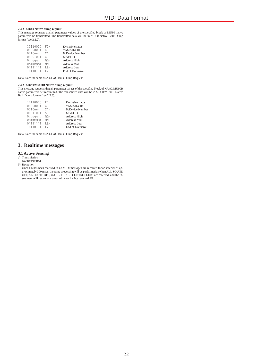### **2.4.2 MU80 Native dump request**

This message requests that all parameter values of the specified block of MU80 native parameters be transmitted. The transmitted data will be in MU80 Native Bulk Dump format (see 2.2.2).

| 11110000 | F <sub>0</sub> H | <b>Exclusive status</b> |
|----------|------------------|-------------------------|
| 01000011 | 43H              | YAMAHA ID               |
| 0010nnnn | 2NH              | N:Device Number         |
| 01001001 | 49H              | Model ID                |
| pppppp0  | GGH              | Address High            |
| Ommmmmm  | MMH              | <b>Address Mid</b>      |
| 01111111 | T L H            | <b>Address Low</b>      |
| 11110111 | F7H              | <b>End of Exclusive</b> |
|          |                  |                         |

Details are the same as 2.4.1 XG Bulk Dump Request.

**2.4.2 MU90/MU90R Native dump request** This message requests that all parameter values of the specified block of MU90/MU90R native parameters be transmitted. The transmitted data will be in MU90/MU90R Native Bulk Dump format (see 2.2.3).

| 11110000 | F0H | <b>Exclusive status</b> |
|----------|-----|-------------------------|
| 01000011 | 43H | YAMAHA ID               |
| 0010nnnn | 2NH | N:Device Number         |
| 01011001 | 59H | Model ID                |
| pppppp0  | GGH | Address High            |
| Ommmmmm  | MMH | <b>Address Mid</b>      |
| 01111111 | TН  | <b>Address Low</b>      |
| 11110111 | F7H | End of Exclusive        |
|          |     |                         |

Details are the same as 2.4.1 XG Bulk Dump Request.

## **3. Realtime messages**

### **3.1 Active Sensing**

- a) Transmission
- Not transmitted.

b) Reception<br>Once FE has been received, if no MIDI messages are received for an interval of ap-<br>proximately 300 msec, the same processing will be performed as when ALL SOUND<br>OFF, ALL NOTE OFF, and RESET ALL CONTROLLERS are strument will return to a status of never having received FE.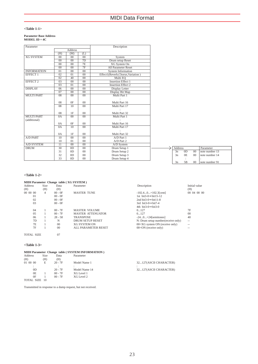## **<Table 1-1>**

## **Parameter Base Address MODEL ID = 4C**

| Parameter          |                 |                 |                 | Description                      |
|--------------------|-----------------|-----------------|-----------------|----------------------------------|
|                    |                 | <b>Address</b>  |                 |                                  |
|                    | (H)             | (M)             | (L)             |                                  |
| <b>XG SYSTEM</b>   | $00\,$          | 00              | 00              | System                           |
|                    | $00\,$          | 00              | 7D              | Drum setup Reset                 |
|                    | 00              | 00              | 7E              | <b>XG</b> System On              |
|                    | 00              | 00              | 7F              | All Parameter Reset              |
| <b>INFORMATION</b> | 01              | 00              | $\overline{00}$ | <b>System Information</b>        |
| <b>EFFECT 1</b>    | 02              | 01              | 00              | Effect1(Reverb,Chorus,Variation) |
|                    | 02              | 40              | 0 <sup>0</sup>  | Multi EQ                         |
| <b>EFFECT 2</b>    | 03              | 00              | $00\,$          | <b>Insertion Effect 1</b>        |
|                    | 0 <sup>3</sup>  | $\overline{01}$ | 0 <sup>0</sup>  | <b>Insertion Effect 2</b>        |
| <b>DISPLAY</b>     | 06              | 00              | 00              | Display Letter                   |
|                    | 07              | 00<br>00        |                 | Display Bit Map                  |
| <b>MULTI PART</b>  | 08              | 0 <sup>0</sup>  | $\overline{00}$ | Multi Part 1                     |
|                    |                 |                 |                 |                                  |
|                    | 08              | 0F              | $00\,$          | Multi Part 16                    |
|                    | 08              | 10              | $\overline{00}$ | Multi Part 17                    |
|                    |                 |                 |                 |                                  |
|                    | 08              | 1F              | $00\,$          | Multi Part 32                    |
| <b>MULTI PART</b>  | 0A              | $\overline{00}$ | $\overline{00}$ | Multi Part 1                     |
| (additional)       |                 |                 |                 |                                  |
|                    | 0A              | 0F              | 00              | Multi Part 16                    |
|                    | 0A              | 10              | 0 <sup>0</sup>  | Multi Part 17                    |
|                    |                 |                 |                 |                                  |
|                    | 0A              | 1F              | $00\,$          | Multi Part 32                    |
| <b>A/D PART</b>    | 10              | 00              | 00              | A/D Part 1                       |
|                    | 10              | 01              | 00              | A/D Part 2                       |
| A/D SYSTEM         | $\overline{11}$ | 00              | 00              | A/D System                       |
| <b>DRUM</b>        | $\overline{30}$ | 0D              | 00              | Drum Setup 1                     |
|                    | 31              | 0 <sub>D</sub>  | $00\,$          | Drum Setup 2                     |
|                    | 32              | 0 <sub>D</sub>  | 00              | Drum Setup 3                     |
|                    | 33              | 0 <sub>D</sub>  | 00              | Drum Setup 4                     |

### **<Table 1-2>**

## **MIDI Parameter Change table ( XG SYSTEM )**

| <b>Address</b> | Size | Data           | Parameter                | Description                        | Initial value     |
|----------------|------|----------------|--------------------------|------------------------------------|-------------------|
| (H)            | (H)  | (H)            |                          |                                    | (H)               |
| 00 00 00       | 4    | $00 - 0F$      | <b>MASTER TUNE</b>       | $-102.40+102.3$ [cent]             | 00 04 00 00       |
| 01             |      | $00 - 0F$      |                          | 1st bit3-0 $\rightarrow$ bit15-12  |                   |
| 02             |      | $00 - 0F$      |                          | 2nd bit3-0 $\rightarrow$ bit11-8   |                   |
| 03             |      | $00 - 0F$      |                          | 3rd bit3-0 $\rightarrow$ bit7-4    |                   |
|                |      |                |                          | 4th bit3-0 $\rightarrow$ bit3-0    |                   |
| 04             |      | $00 - 7F$      | MASTER VOLUME            | 0.127                              | 7F                |
| 0.5            |      | $00 - 7F$      | <b>MASTER ATTENUATOR</b> | 0127                               | 00                |
| 06             |      | $28 - 58$      | <b>TRANSPOSE</b>         | $-240+24$ [semitones]              | 40                |
| 7D             |      | N              | <b>DRUM SETUP RESET</b>  | N: Drum setup number(receive only) | $\qquad \qquad -$ |
| 7E             |      | $^{00}$        | <b>XG SYSTEM ON</b>      | $00 = XG$ system ON (receive only) | $\qquad \qquad -$ |
| 7Ε             |      | 0 <sup>0</sup> | ALL PARAMETER RESET      | $00 = ON$ (receive only)           | $-1$              |
|                |      |                |                          |                                    |                   |

## TOTAL SIZE 07

### **<Table 1-3>**

## **MIDI Parameter Change table (SYSTEM INFORMATION)**<br>Address Size Data Parameter

| Audicas       | <b>DILC</b> | vaia      | т аганісісі   |     |
|---------------|-------------|-----------|---------------|-----|
| (H)           | (H)         | (H)       |               |     |
| 01 00 00      | E           | $20 - 7F$ | Model Name 1  | 321 |
| ٠<br>٠        |             |           |               |     |
| OD            |             | $20 - 7F$ | Model Name 14 | 321 |
| 0E            |             | $00 - 7F$ | XG Level 1    |     |
| 0F            |             | $00 - 7F$ | XG Level 2    |     |
| TOTAL SIZE 10 |             |           |               |     |
|               |             |           |               |     |

Transmitted in response to a dump request, but not received.

| Description                        | <b>Initial</b><br>(H) |
|------------------------------------|-----------------------|
| $-102.40+102.3$ [cent]             | 00 04                 |
| 1st $bit3-0 \rightarrow bit15-12$  |                       |
| 2nd bit3-0 $\rightarrow$ bit11-8   |                       |
| 3rd bit3-0 $\rightarrow$ bit7-4    |                       |
| 4th bit3-0 $\rightarrow$ bit3-0    |                       |
| 0127                               | 7F                    |
| 0127                               | $^{00}$               |
| $-240+24$ [semitones]              | 40                    |
| N: Drum setup number(receive only) | --                    |
| $00 = XG$ system ON (receive only) |                       |
| $00 = ON$ (receive only)           |                       |

Address Parameter<br>
3n 0D 00 note number 13 3n 0E 00 note number 14 : : 3n 5B 00 note number 91

## 127(ASCII CHARACTER) 27(ASCII CHARACTER)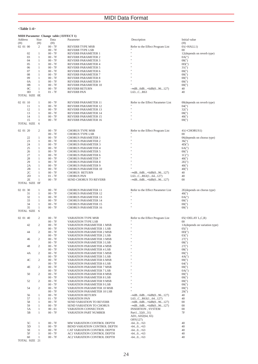## **<Table 1-4>**

|                |                   | MIDI Parameter Change table (EFFECT 1) |                                                          |                                                   |                               |
|----------------|-------------------|----------------------------------------|----------------------------------------------------------|---------------------------------------------------|-------------------------------|
| Address<br>(H) | Size<br>(H)       | Data<br>(H)                            | Parameter                                                | Description                                       | Initial value<br>(H)          |
| 02 01 00       | 2                 | $00 - 7F$                              | <b>REVERB TYPE MSB</b>                                   | Refer to the Effect Program List                  | $01(=\text{HALL1})$           |
|                |                   | $00 - 7F$                              | REVERB TYPE LSB                                          |                                                   | 00                            |
| 02             | 1                 | $00 - 7F$                              | REVERB PARAMETER 1                                       | n                                                 | 12(depends on reverb type)    |
| 03             | 1                 | $00 - 7F$                              | REVERB PARAMETER 2                                       | Ħ<br>Ħ                                            | 0A(")                         |
| 04             | 1                 | $00 - 7F$                              | REVERB PARAMETER 3                                       | Ħ                                                 | 08(")                         |
| 05<br>06       | 1<br>1            | $00 - 7F$<br>$00 - 7F$                 | REVERB PARAMETER 4<br><b>REVERB PARAMETER 5</b>          | n                                                 | OD(")                         |
| 07             | 1                 | $00 - 7F$                              | REVERB PARAMETER 6                                       | Ħ                                                 | 31(")<br>00(")                |
| 08             | 1                 | $00 - 7F$                              | REVERB PARAMETER 7                                       | Ħ                                                 | 00(")                         |
| 09             | 1                 | $00 - 7F$                              | <b>REVERB PARAMETER 8</b>                                | n                                                 | 00(")                         |
| 0A             | 1                 | $00 - 7F$                              | REVERB PARAMETER 9                                       | Ħ                                                 | 00(")                         |
| 0 <sub>B</sub> | 1                 | $00 - 7F$                              | REVERB PARAMETER 10                                      | Ħ                                                 | 00(")                         |
| 0C             | 1                 | $00 - 7F$                              | <b>REVERB RETURN</b>                                     | $-\infty$ dB0dB+6dB $(096127)$                    | 40                            |
| $_{\rm 0D}$    | 1                 | $01 - 7F$                              | <b>REVERB PAN</b>                                        | L63CR63                                           | 40                            |
| TOTAL SIZE OE  |                   |                                        |                                                          |                                                   |                               |
| 02 01 10       | 1                 | $00 - 7F$                              | <b>REVERB PARAMETER 11</b>                               | Refer to the Effect Parameter List                | 00(depends on reverb type)    |
| 11             | 1                 | $00 - 7F$                              | REVERB PARAMETER 12                                      |                                                   | $04$ (")                      |
| 12             | 1                 | $00 - 7F$                              | REVERB PARAMETER 13                                      | 11                                                | 32(")                         |
| 13             | 1                 | $00 - 7F$                              | REVERB PARAMETER 14                                      | Ħ                                                 | 08(")                         |
| 14             | 1                 | $00 - 7F$                              | REVERB PARAMETER 15                                      | n                                                 | 40(")                         |
| 15             | $\mathbf{1}$      | $00 - 7F$                              | REVERB PARAMETER 16                                      | n                                                 | 00(")                         |
| TOTAL SIZE     | - 6               |                                        |                                                          |                                                   |                               |
|                |                   |                                        |                                                          |                                                   |                               |
| 02 01 20       | $\overline{c}$    | $00 - 7F$                              | <b>CHORUS TYPE MSB</b>                                   | Refer to the Effect Program List                  | $41(=CHORUS1)$                |
|                |                   | $00 - 7F$                              | <b>CHORUS TYPE LSB</b>                                   | n                                                 | 00                            |
| 22             | 1                 | $00 - 7F$                              | <b>CHORUS PARAMETER 1</b>                                | n                                                 | 06(depends on chorus type)    |
| 23<br>24       | 1                 | $00 - 7F$                              | <b>CHORUS PARAMETER 2</b><br><b>CHORUS PARAMETER 3</b>   | Ħ                                                 | 36(")                         |
| 25             | 1<br>1            | $00 - 7F$<br>$00 - 7F$                 | <b>CHORUS PARAMETER 4</b>                                | Ħ                                                 | 4D(")<br>6A(")                |
| 26             | 1                 | $00 - 7F$                              | <b>CHORUS PARAMETER 5</b>                                | n                                                 | 00(")                         |
| 27             | 1                 | $00 - 7F$                              | <b>CHORUS PARAMETER 6</b>                                | n                                                 | 1C(")                         |
| 28             | 1                 | $00 - 7F$                              | <b>CHORUS PARAMETER 7</b>                                | Ħ                                                 | 40(")                         |
| 29             | 1                 | $00 - 7F$                              | <b>CHORUS PARAMETER 8</b>                                | n                                                 | 2E(")                         |
| 2A             | 1                 | $00 - 7F$                              | <b>CHORUS PARAMETER 9</b>                                | Ħ                                                 | 40(")                         |
| 2B             | 1                 | $00 - 7F$                              | <b>CHORUS PARAMETER 10</b>                               | Ħ                                                 | 40(")                         |
| 2C             | 1                 | $00 - 7F$                              | CHORUS RETURN                                            | $-\infty$ dB0dB+6dB $(096127)$                    | 40                            |
| 2D             | 1                 | $01 - 7F$                              | <b>CHORUS PAN</b>                                        | L63CR63(164127)                                   | 40                            |
| 2E             | 1                 | $00 - 7F$                              | SEND CHORUS TO REVERB                                    | $-\infty$ dB0dB+6dB $(096127)$                    | 00                            |
| TOTAL SIZE OF  |                   |                                        |                                                          |                                                   |                               |
|                |                   |                                        |                                                          |                                                   |                               |
| 02 01 30       | $\mathbf{1}$      | $00 - 7F$                              | <b>CHORUS PARAMETER 11</b>                               | Refer to the Effect Parameter List                | 2E(depends on chorus type)    |
| 31             | 1                 | $00 - 7F$                              | <b>CHORUS PARAMETER 12</b>                               | Ħ                                                 | 40(")                         |
| 32<br>33       | 1<br>1            | $00 - 7F$<br>$00 - 7F$                 | <b>CHORUS PARAMETER 13</b><br><b>CHORUS PARAMETER 14</b> | Ħ                                                 | 0A(")<br>00(")                |
| 34             | 1                 | $00 - 7F$                              | <b>CHORUS PARAMETER 15</b>                               | n                                                 | 00(")                         |
| 35             | 1                 | $00 - 7F$                              | <b>CHORUS PARAMETER 16</b>                               | Ħ                                                 | 00(")                         |
| TOTAL SIZE     | - 6               |                                        |                                                          |                                                   |                               |
|                |                   |                                        |                                                          |                                                   |                               |
| 02 01 40       | 2                 | $00 - 7F$                              | <b>VARIATION TYPE MSB</b>                                | Refer to the Effect Program List                  | $05(=\text{DELAY L}, C, R)$   |
|                |                   | $00 - 7F$                              | <b>VARIATION TYPE LSB</b>                                |                                                   | 00                            |
| 42             | 2                 | $00 - 7F$                              | VARIATION PARAMETER 1 MSB                                | n                                                 | 1A(depends on variation type) |
|                |                   | $00 - 7F$                              | VARIATION PARAMETER 1 LSB                                | Ħ                                                 | 05(")                         |
| 44             | $\overline{c}$    | $00 - 7F$                              | VARIATION PARAMETER 2 MSB                                | Ħ                                                 | OD(")                         |
|                |                   | $00 - 7F$                              | VARIATION PARAMETER 2 LSB                                | Ħ                                                 | 03(")                         |
| 46             | 2                 | $00 - 7F$                              | <b>VARIATION PARAMETER 3 MSB</b>                         | $\mathbf{a}$                                      | 27(")                         |
|                |                   | $00 - 7F$<br>$00 - 7F$                 | VARIATION PARAMETER 3 LSB                                |                                                   | 08(")                         |
| 48             | 2                 | $00 - 7F$                              | VARIATION PARAMETER 4 MSB<br>VARIATION PARAMETER 4 LSB   | Ħ                                                 | 27(")                         |
| 4Α             | 2                 | $00 - 7F$                              | VARIATION PARAMETER 5 MSB                                | Ħ                                                 | 08(")<br>00(")                |
|                |                   | $00 - 7F$                              | VARIATION PARAMETER 5 LSB                                | Ħ                                                 | 4A(")                         |
| 4C             |                   | $00 - 7F$                              | VARIATION PARAMETER 6 MSB                                |                                                   | 00(")                         |
|                |                   | $00 - 7F$                              | VARIATION PARAMETER 6 LSB                                | Ħ                                                 | $64$ (")                      |
| 4E             | 2                 | $00 - 7F$                              | VARIATION PARAMETER 7 MSB                                |                                                   | 00(")                         |
|                |                   | $00 - 7F$                              | VARIATION PARAMETER 7 LSB                                |                                                   | 0A(")                         |
| 50             | 2                 | $00 - 7F$                              | VARIATION PARAMETER 8 MSB                                |                                                   | 00(")                         |
|                |                   | $00 - 7F$                              | VARIATION PARAMETER 8 LSB                                |                                                   | 00(")                         |
| 52             | 2                 | $00 - 7F$                              | <b>VARIATION PARAMETER 9 MSB</b>                         |                                                   | 00(")                         |
|                |                   | $00 - 7F$                              | VARIATION PARAMETER 9 LSB                                |                                                   | 00(")                         |
| 54             | 2                 | $00 - 7F$                              | VARIATION PARAMETER 10 MSB                               |                                                   | 00(")                         |
|                |                   | $00 - 7F$                              | <b>VARIATION PARAMETER 10 LSB</b>                        |                                                   | 20(")                         |
| 56<br>57       | $\mathbf{1}$<br>1 | $00 - 7F$<br>$01 - 7F$                 | <b>VARIATION RETURN</b><br><b>VARIATION PAN</b>          | $-\infty$ dB0dB+6dB $(096127)$<br>L63CR63(164127) | 40<br>40                      |
| 58             | 1                 | $00 - 7F$                              | <b>SEND VARIATION TO REVERB</b>                          | $-\infty$ dB0dB+6dB $(096127)$                    | $00\,$                        |
| 59             | $\mathbf{1}$      | $00 - 7F$                              | SEND VARIATION TO CHORUS                                 | $-\infty$ dB0dB+6dB $(096127)$                    | $00\,$                        |
| 5A             | $\mathbf{1}$      | $00 - 01$                              | VARIATION CONNECTION                                     | <b>INSERTION, SYSTEM</b>                          | $00\,$                        |
| 5B             | $\mathbf{1}$      | $00 - 7F$                              | VARIATION PART NUMBER                                    | Part132(031)                                      | 7F                            |
|                |                   |                                        |                                                          | AD1, AD2(64, 65)                                  |                               |
|                |                   |                                        |                                                          | OFF(127)                                          |                               |
| 5C             | 1                 | $00 - 7F$                              | MW VARIATION CONTROL DEPTH                               | $-640+63$                                         | 40                            |
| 5D             | 1                 | $00 - 7F$                              | BEND VARIATION CONTROL DEPTH                             | $-640+63$                                         | 40                            |
| 5E             | $\mathbf{1}$      | $00 - 7F$                              | CAT VARIATION CONTROL DEPTH                              | $-640+63$                                         | 40                            |
| 5F             | $\mathbf{1}$      | $00 - 7F$                              | AC1 VARIATION CONTROL DEPTH                              | $-640+63$                                         | 40                            |
| 60             | $\mathbf{1}$      | $00 - 7F$                              | AC2 VARIATION CONTROL DEPTH                              | $-640+63$                                         | 40                            |
| TOTAL SIZE 21  |                   |                                        |                                                          |                                                   |                               |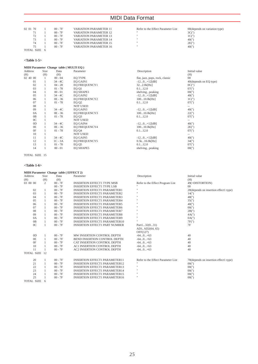| 02 01 70          | $00 - 7F$ | <b>VARIATION PARAMETER 11</b> | Refer to the Effect Parameter List | 00 (depends on variation type) |
|-------------------|-----------|-------------------------------|------------------------------------|--------------------------------|
| 71                | $00 - 7F$ | <b>VARIATION PARAMETER 12</b> | $\mathbf{H}$                       | 3C(")                          |
| 72                | $00 - 7F$ | <b>VARIATION PARAMETER 13</b> | $\mathbf{H}$                       | 1C(")                          |
| 73                | $00 - 7F$ | <b>VARIATION PARAMETER 14</b> | $\mathbf{H}$                       | $40($ ")                       |
| 74                | $00 - 7F$ | <b>VARIATION PARAMETER 15</b> | $\mathbf{H}$                       | 2E(")                          |
| 75                | $00 - 7F$ | <b>VARIATION PARAMETER 16</b> | $\mathbf{H}$                       | $40($ ")                       |
| <b>TOTAL SIZE</b> |           |                               |                                    |                                |

## **<Table 1-5>**

|                | MIDI Parameter Change table (MULTI EQ) |           |                      |                                 |                         |  |  |  |  |  |  |
|----------------|----------------------------------------|-----------|----------------------|---------------------------------|-------------------------|--|--|--|--|--|--|
| Address        | Size                                   | Data      | Parameter            | Description                     | Initial value           |  |  |  |  |  |  |
| (H)            | (H)                                    | (H)       |                      |                                 | (H)                     |  |  |  |  |  |  |
| 02 40 00       |                                        | $00 - 04$ | <b>EO TYPE</b>       | flat, jazz, pops, rock, classic | 00                      |  |  |  |  |  |  |
| 01             |                                        | $34 - 4C$ | EQ GAIN1             | $-120+12[dB]$                   | 40 (depends on EQ type) |  |  |  |  |  |  |
| 02             |                                        | $04 - 28$ | <b>EO FREQUENCY1</b> | 322.0k[Hz]                      | OC(")                   |  |  |  |  |  |  |
| 03             |                                        | $01 - 78$ | EQ Q1                | 0.112.0                         | 07(")                   |  |  |  |  |  |  |
| 04             |                                        | $00 - 01$ | <b>EO SHAPE1</b>     | shelving, peaking               | 00(")                   |  |  |  |  |  |  |
| 05             |                                        | $34 - 4C$ | EQ GAIN2             | $-120+12[dB]$                   | $40($ ")                |  |  |  |  |  |  |
| 06             |                                        | 0E - 36   | <b>EO FREQUENCY2</b> | 10010.0k[Hz]                    | 1C(")                   |  |  |  |  |  |  |
| 07             |                                        | $01 - 78$ | EQ Q <sub>2</sub>    | 0.112.0                         | 07(")                   |  |  |  |  |  |  |
| 08             |                                        |           | <b>NOT USED</b>      |                                 | $\frac{1}{2}$           |  |  |  |  |  |  |
| 09             |                                        | $34 - 4C$ | EQ GAIN3             | $-120+12[dB]$                   | $40($ ")                |  |  |  |  |  |  |
| 0A             |                                        | $OE - 36$ | EQ FREQUENCY3        | 10010.0k[Hz]                    | 22(")                   |  |  |  |  |  |  |
| 0B             |                                        | $01 - 78$ | EQ Q3                | 0.112.0                         | 07(")                   |  |  |  |  |  |  |
| 0 <sup>C</sup> |                                        |           | <b>NOT USED</b>      |                                 | $- -$                   |  |  |  |  |  |  |
| OD             |                                        | $34 - 4C$ | EQ GAIN4             | $-120+12[dB]$                   | 40(")                   |  |  |  |  |  |  |
| 0E             |                                        | 0E - 36   | <b>EQ FREQUENCY4</b> | 10010.0k[Hz]                    | 2E(")                   |  |  |  |  |  |  |
| 0F             |                                        | $01 - 78$ | EQ Q4                | 0.112.0                         | 07(")                   |  |  |  |  |  |  |
| 10             |                                        |           | <b>NOT USED</b>      |                                 | $- -$                   |  |  |  |  |  |  |
| 11             |                                        | $34 - 4C$ | EQ GAIN5             | $-120+12[dB]$                   | 40(")                   |  |  |  |  |  |  |
| 12             |                                        | $1C - 3A$ | <b>EO FREQUENCY5</b> | 0.5k16.0k[Hz]                   | 34(")                   |  |  |  |  |  |  |
| 13             |                                        | $01 - 78$ | EQ 05                | 0.112.0                         | 07(")                   |  |  |  |  |  |  |
| 14             |                                        | $00 - 01$ | <b>EO SHAPE5</b>     | shelving, peaking               | 00(")                   |  |  |  |  |  |  |
|                |                                        |           |                      |                                 |                         |  |  |  |  |  |  |

TOTAL SIZE 15

## **<Table 1-6>**

| MIDI Parameter Change table (EFFECT 2) |              |           |                                      |                                    |                                       |
|----------------------------------------|--------------|-----------|--------------------------------------|------------------------------------|---------------------------------------|
| Address                                | Size         | Data      | Parameter                            | Description                        | Initial value                         |
| (H)                                    | (H)          | (H)       |                                      |                                    | (H)                                   |
| 03 00 00                               | 2            | $00 - 7F$ | <b>INSERTION EFFECT1 TYPE MSB</b>    | Refer to the Effect Program List   | 49(=DISTORTION)                       |
|                                        |              | $00 - 7F$ | <b>INSERTION EFFECT1 TYPE LSB</b>    |                                    | 0 <sup>0</sup>                        |
| 02                                     | 1            | $00 - 7F$ | <b>INSERTION EFFECT1 PARAMETER1</b>  | $\mathbf{u}$                       | 28(depends on insertion effect1 type) |
| 03                                     | $\mathbf{1}$ | $00 - 7F$ | <b>INSERTION EFFECT1 PARAMETER2</b>  |                                    | 14(")                                 |
| 04                                     | $\mathbf{1}$ | $00 - 7F$ | <b>INSERTION EFFECT1 PARAMETER3</b>  |                                    | 48(")                                 |
| 05                                     | $\mathbf{1}$ | $00 - 7F$ | <b>INSERTION EFFECT1 PARAMETER4</b>  |                                    | 35(")                                 |
| 06                                     | 1            | $00 - 7F$ | <b>INSERTION EFFECT1 PARAMETER5</b>  |                                    | $40($ ")                              |
| 07                                     | $\mathbf{1}$ | $00 - 7F$ | <b>INSERTION EFFECT1 PARAMETER6</b>  |                                    | 00(")                                 |
| 08                                     | $\mathbf{1}$ | $00 - 7F$ | <b>INSERTION EFFECT1 PARAMETER7</b>  | $\mathbf{H}$                       | 2B(")                                 |
| 09                                     | 1            | $00 - 7F$ | <b>INSERTION EFFECT1 PARAMETER8</b>  | $\mathbf{H}$                       | 4A(")                                 |
| 0A                                     | $\mathbf{1}$ | $00 - 7F$ | <b>INSERTION EFFECT1 PARAMETER9</b>  | $\mathbf{H}$                       | 0A(")                                 |
| 0B                                     | $\mathbf{1}$ | $00 - 7F$ | <b>INSERTION EFFECT1 PARAMETER10</b> | $\mathbf{u}$                       | 7F(")                                 |
| 0 <sup>C</sup>                         | $\mathbf{1}$ | $00 - 7F$ | <b>INSERTION EFFECT1 PART NUMBER</b> | Part132(031)                       | 7F                                    |
|                                        |              |           |                                      | AD1, AD2(64, 65)                   |                                       |
|                                        |              |           |                                      | OFF(127)                           |                                       |
| 0 <sub>D</sub>                         |              | $00 - 7F$ | MW INSERTION CONTROL DEPTH           | $-640+63$                          | 40                                    |
| 0E                                     | 1            | $00 - 7F$ | BEND INSERTION CONTROL DEPTH         | $-640+63$                          | 40                                    |
| 0F                                     | $\mathbf{1}$ | $00 - 7F$ | CAT INSERTION CONTROL DEPTH          | $-640+63$                          | 40                                    |
| 10                                     | 1            | $00 - 7F$ | AC1 INSERTION CONTROL DEPTH          | $-640+63$                          | 40                                    |
| 11                                     | 1.           | $00 - 7F$ | AC2 INSERTION CONTROL DEPTH          | $-640+63$                          | 40                                    |
| TOTAL SIZE 12                          |              |           |                                      |                                    |                                       |
| 20                                     |              | $00 - 7F$ | <b>INSERTION EFFECT1 PARAMETER11</b> | Refer to the Effect Parameter List | 78(depends on insertion effect1 type) |
| 21                                     |              | $00 - 7F$ | <b>INSERTION EFFECT1 PARAMETER12</b> |                                    | 00(")                                 |
| 22                                     | $\mathbf{1}$ | $00 - 7F$ | <b>INSERTION EFFECT1 PARAMETER13</b> |                                    | 00(")                                 |
| 23                                     | $\mathbf{1}$ | $00 - 7F$ | <b>INSERTION EFFECT1 PARAMETER14</b> | $\mathbf{H}$                       | 00(")                                 |
| 24                                     | 1            | $00 - 7F$ | <b>INSERTION EFFECT1 PARAMETER15</b> | $\cdots$                           | 00(")                                 |
| 25                                     |              | $00 - 7F$ | <b>INSERTION EFFECT1 PARAMETER16</b> | $\mathbf{u}$                       | 00(")                                 |
| TOTAL SIZE                             | -6           |           |                                      |                                    |                                       |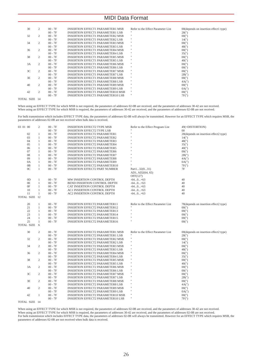| 30 | 2              | $00 - 7F$ | <b>INSERTION EFFECT1 PARAMETER1 MSB</b>  | Refer to the Effect Parameter List | 00 (depends on insertion effect1 type) |
|----|----------------|-----------|------------------------------------------|------------------------------------|----------------------------------------|
|    |                | $00 - 7F$ | <b>INSERTION EFFECT1 PARAMETER1 LSB</b>  | $\cdots$                           | 28(")                                  |
| 32 | 2              | $00 - 7F$ | <b>INSERTION EFFECT1 PARAMETER2 MSB</b>  | $\mathbf{H}$                       | 00(")                                  |
|    |                | $00 - 7F$ | <b>INSERTION EFFECT1 PARAMETER2 LSB</b>  | $\mathbf{H}$                       | 14(")                                  |
| 34 | 2              | $00 - 7F$ | <b>INSERTION EFFECT1 PARAMETER3 MSB</b>  | $\mathbf{H}$                       | 00(")                                  |
|    |                | $00 - 7F$ | <b>INSERTION EFFECT1 PARAMETER3 LSB</b>  | $\mathbf{H}$                       | 48(")                                  |
| 36 | 2              | $00 - 7F$ | <b>INSERTION EFFECT1 PARAMETER4 MSB</b>  | $\mathbf{H}$                       | 00(")                                  |
|    |                | $00 - 7F$ | <b>INSERTION EFFECT1 PARAMETER4 LSB</b>  | $\mathbf{H}$                       | 35(")                                  |
| 38 | 2              | $00 - 7F$ | <b>INSERTION EFFECT1 PARAMETER5 MSB</b>  | $\mathbf{H}$                       | 00(")                                  |
|    |                | $00 - 7F$ | <b>INSERTION EFFECT1 PARAMETER5 LSB</b>  | $\mathbf{H}$                       | 40(")                                  |
| 3A | 2              | $00 - 7F$ | <b>INSERTION EFFECT1 PARAMETER6 MSB</b>  | $\mathbf{H}$                       | 00(")                                  |
|    |                | $00 - 7F$ | <b>INSERTION EFFECT1 PARAMETER6 LSB</b>  | $\mathbf{H}$                       | 00(")                                  |
| 3C | 2              | $00 - 7F$ | <b>INSERTION EFFECT1 PARAMETER7 MSB</b>  | $\mathbf{H}$                       | 00(")                                  |
|    |                | $00 - 7F$ | <b>INSERTION EFFECT1 PARAMETER7 LSB</b>  | $\mathbf{H}$                       | 2B(")                                  |
| 3E | $\overline{c}$ | $00 - 7F$ | <b>INSERTION EFFECT1 PARAMETER8 MSB</b>  | $\mathbf{H}$                       | 00(")                                  |
|    |                | $00 - 7F$ | <b>INSERTION EFFECT1 PARAMETER8 LSB</b>  | $\mathbf{H}$                       | 4A(")                                  |
| 40 | 2              | $00 - 7F$ | <b>INSERTION EFFECT1 PARAMETER9 MSB</b>  | $\mathbf{H}$                       | 00(")                                  |
|    |                | $00 - 7F$ | <b>INSERTION EFFECT1 PARAMETER9 LSB</b>  | $\mathbf{H}$                       | 0A(")                                  |
| 42 | 2              | $00 - 7F$ | <b>INSERTION EFFECT1 PARAMETER10 MSB</b> | $\mathbf{H}$                       | 00(")                                  |
|    |                | $00 - 7F$ | <b>INSERTION EFFECT1 PARAMETER10 LSB</b> | $^{\prime}$                        | 7F(")                                  |
|    |                |           |                                          |                                    |                                        |

TOTAL SIZE 14

When using an EFFECT TYPE for which MSB is not required, the parameters of addresses 02-0B are received, and the parameters of addresses 30-42 are not received.<br>When using an EFFECT TYPE for which MSB is required, the para

For bulk transmission which includes EFFECT TYPE data, the parameters of addresses 02-0B will always be transmitted. However for an EFFECT TYPE which requires MSB, the parameters of addresses 02-0B are not received when bulk data is received.

| 03 01 00 |                | $\mathfrak{2}$ | $00 - 7F$ | <b>INSERTION EFFECT2 TYPE MSB</b>        | Refer to the Effect Program List   | 49(=DISTORTION)                       |
|----------|----------------|----------------|-----------|------------------------------------------|------------------------------------|---------------------------------------|
|          |                |                | $00 - 7F$ | <b>INSERTION EFFECT2 TYPE LSB</b>        |                                    | $00 \,$                               |
|          | 02             | $\mathbf{1}$   | $00 - 7F$ | <b>INSERTION EFFECT2 PARAMETER1</b>      |                                    | 28(depends on insertion effect2 type) |
|          | 03             | $1\,$          | $00 - 7F$ | <b>INSERTION EFFECT2 PARAMETER2</b>      |                                    | 14(")                                 |
|          | 04             | $1\,$          | $00 - 7F$ | <b>INSERTION EFFECT2 PARAMETER3</b>      |                                    | 48(")                                 |
|          | 05             | $\mathbf{1}$   | $00 - 7F$ | <b>INSERTION EFFECT2 PARAMETER4</b>      |                                    | 35(")                                 |
|          | 06             | $\mathbf{1}$   | $00 - 7F$ | <b>INSERTION EFFECT2 PARAMETER5</b>      |                                    | 40(")                                 |
|          | 07             | $1\,$          | $00 - 7F$ | <b>INSERTION EFFECT2 PARAMETER6</b>      |                                    | 00(")                                 |
|          | 08             | $\mathbf{1}$   | $00 - 7F$ | <b>INSERTION EFFECT2 PARAMETER7</b>      |                                    | 2B(")                                 |
|          | 09             | $1\,$          | $00 - 7F$ | <b>INSERTION EFFECT2 PARAMETER8</b>      |                                    | 4A(")                                 |
|          | 0A             | $1\,$          | $00 - 7F$ | <b>INSERTION EFFECT2 PARAMETER9</b>      | Ħ                                  | 0A(")                                 |
|          | $0\mathrm{B}$  | $\mathbf{1}$   | $00 - 7F$ | <b>INSERTION EFFECT2 PARAMETER10</b>     |                                    | 7F(")                                 |
|          | 0 <sup>C</sup> | $\mathbf{1}$   | $00 - 7F$ | <b>INSERTION EFFECT2 PART NUMBER</b>     | Part132(031)                       | 7F                                    |
|          |                |                |           |                                          | AD1, AD2(64, 65)                   |                                       |
|          |                |                |           |                                          | OFF(127)                           |                                       |
|          | $_{\rm OD}$    | $\mathbf{1}$   | $00 - 7F$ | MW INSERTION CONTROL DEPTH               | $-640+63$                          | 40                                    |
|          | 0E             | $1\,$          | $00 - 7F$ | BEND INSERTION CONTROL DEPTH             | $-640+63$                          | 40                                    |
|          | 0F             | $\mathbf{1}$   | $00 - 7F$ | CAT INSERTION CONTROL DEPTH              | $-640+63$                          | 40                                    |
|          | 10             | $\mathbf{1}$   | $00 - 7F$ | AC1 INSERTION CONTROL DEPTH              | $-640+63$                          | 40                                    |
|          | 11             | $1\,$          | $00 - 7F$ | AC2 INSERTION CONTROL DEPTH              | $-640+63$                          | 40                                    |
|          | TOTAL SIZE 12  |                |           |                                          |                                    |                                       |
|          |                |                |           |                                          |                                    |                                       |
|          | 20             | $\mathbf{1}$   | $00 - 7F$ | <b>INSERTION EFFECT2 PARAMETER11</b>     | Refer to the Effect Parameter List | 78(depends on insertion effect2 type) |
|          | 21             | $\mathbf{1}$   | $00 - 7F$ | <b>INSERTION EFFECT2 PARAMETER12</b>     |                                    | 00(")                                 |
|          | 22             | 1              | $00 - 7F$ | <b>INSERTION EFFECT2 PARAMETER13</b>     | Ħ                                  | 00(")                                 |
|          | 23             | $1\,$          | $00 - 7F$ | <b>INSERTION EFFECT2 PARAMETER14</b>     | Ħ                                  | 00(")                                 |
|          | 24             | $\mathbf{1}$   | $00 - 7F$ | <b>INSERTION EFFECT2 PARAMETER15</b>     | Ħ                                  | 00(")                                 |
|          | 25             | $\mathbf{1}$   | $00 - 7F$ | <b>INSERTION EFFECT2 PARAMETER16</b>     |                                    | 00(")                                 |
|          | TOTAL SIZE     | 6              |           |                                          |                                    |                                       |
|          | 30             | $\mathfrak{2}$ | $00 - 7F$ | <b>INSERTION EFFECT2 PARAMETER1 MSB</b>  | Refer to the Effect Parameter List | 00(depends on insertion effect2 type) |
|          |                |                | $00 - 7F$ | <b>INSERTION EFFECT2 PARAMETER1 LSB</b>  |                                    | 28(")                                 |
|          | 32             | 2              | $00 - 7F$ | <b>INSERTION EFFECT2 PARAMETER2 MSB</b>  | $\mathbf{H}$                       | 00(")                                 |
|          |                |                | $00 - 7F$ | <b>INSERTION EFFECT2 PARAMETER2 LSB</b>  | Ħ                                  | 14(")                                 |
|          | 34             | $\overline{c}$ | $00 - 7F$ | <b>INSERTION EFFECT2 PARAMETER3 MSB</b>  | Ħ                                  | 00(")                                 |
|          |                |                | $00 - 7F$ | <b>INSERTION EFFECT2 PARAMETER3 LSB</b>  | Ħ                                  | 48(")                                 |
|          | 36             | 2              | $00 - 7F$ | <b>INSERTION EFFECT2 PARAMETER4 MSB</b>  | $\mathbf{H}$                       | 00(")                                 |
|          |                |                | $00 - 7F$ | <b>INSERTION EFFECT2 PARAMETER4 LSB</b>  | Ħ                                  | 35(")                                 |
|          | 38             | 2              | $00 - 7F$ | <b>INSERTION EFFECT2 PARAMETER5 MSB</b>  | $\mathbf{H}$                       | 00(")                                 |
|          |                |                | $00 - 7F$ | <b>INSERTION EFFECT2 PARAMETER5 LSB</b>  | Ħ                                  | 40(")                                 |
|          | 3A             | $\mathfrak{2}$ | $00 - 7F$ | <b>INSERTION EFFECT2 PARAMETER6 MSB</b>  | Ħ                                  | 00(")                                 |
|          |                |                | $00 - 7F$ | <b>INSERTION EFFECT2 PARAMETER6 LSB</b>  | Ħ                                  | 00(")                                 |
|          | 3 <sup>C</sup> | $\mathfrak{2}$ | $00 - 7F$ | <b>INSERTION EFFECT2 PARAMETER7 MSB</b>  | Ħ                                  | 00(")                                 |
|          |                |                | $00 - 7F$ | <b>INSERTION EFFECT2 PARAMETER7 LSB</b>  | Ħ                                  | 2B(")                                 |
|          | 3E             | 2              | $00 - 7F$ | <b>INSERTION EFFECT2 PARAMETER8 MSB</b>  | Ħ                                  | 00(")                                 |
|          |                |                | $00 - 7F$ | <b>INSERTION EFFECT2 PARAMETER8 LSB</b>  | Ħ                                  | 4A(")                                 |
|          | 40             | $\overline{c}$ | $00 - 7F$ | <b>INSERTION EFFECT2 PARAMETER9 MSB</b>  | Ħ                                  | 00(")                                 |
|          |                |                | $00 - 7F$ | <b>INSERTION EFFECT2 PARAMETER9 LSB</b>  | Ħ                                  | 0A(")                                 |
|          | 42             | $\mathbf{1}$   | $00 - 7F$ | <b>INSERTION EFFECT2 PARAMETER10 MSB</b> | Ħ                                  | 00(")                                 |
|          |                |                | $00 - 7F$ | <b>INSERTION EFFECT2 PARAMETER10 LSB</b> | Ħ                                  | 7F(")                                 |
|          |                |                |           |                                          |                                    |                                       |

TOTAL SIZE 14

When using an EFFECT TYPE for which MSB is not required, the parameters of addresses 02-0B are received, and the parameters of addresses 30-42 are not received.<br>When using an EFFECT TYPE for which MSB is required, the para

For bulk transmission which includes EFFECT TYPE data, the parameters of addresses 02-0B will always be transmitted. However for an EFFECT TYPE which requires MSB, the<br>parameters of addresses 02-0B are not received when bu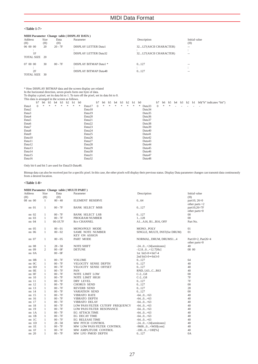### **<Table 1-7>**

|               |      |           | MIDI Parameter Change table (DISPLAY DATA) |                        |               |
|---------------|------|-----------|--------------------------------------------|------------------------|---------------|
| Address       | Size | Data      | Parameter                                  | Description            | Initial value |
| (H)           | (H)  | (H)       |                                            |                        | (H)           |
| 06 00 00      | 20   | $20 - 7F$ | <b>DISPLAY LETTER Data1</b>                | 32127(ASCII CHARACTER) | --            |
|               |      |           |                                            |                        |               |
| 1F            |      |           | <b>DISPLAY LETTER Data32</b>               | 32127(ASCII CHARACTER) | $-1$          |
| TOTAL SIZE 20 |      |           |                                            |                        |               |
| 07 00 00      | 30   | $00 - 7F$ | DISPLAY BITMAP Data1 *                     | 0127                   | --            |
|               |      |           |                                            |                        |               |
| 2F            |      |           | <b>DISPLAY BITMAP Data48</b>               | 0127                   |               |
| TOTAL SIZE 30 |      |           |                                            |                        |               |

\* How DISPLAY BITMAP data and the screen display are related<br>In the horizontal direction, seven pixels form one byte of data.<br>To display a pixel, set its data bit to 1. To turn off the pixel, set its data bit to 0.<br>This da

|        | This data to arranged in the serveri as ronows: |    |    |    |                |    |           |                |        |              |    |                |    |    |    |           |                |        |          |    |    |                          |           |       |                         |
|--------|-------------------------------------------------|----|----|----|----------------|----|-----------|----------------|--------|--------------|----|----------------|----|----|----|-----------|----------------|--------|----------|----|----|--------------------------|-----------|-------|-------------------------|
|        | b7                                              | b6 | b5 | b4 | b <sub>3</sub> | b2 | b1        | b <sub>0</sub> |        | b7           | b6 | b <sub>5</sub> | b4 | b3 | b2 | bl        | b <sub>0</sub> |        | b7       | b6 | b5 |                          | $b4$ $b3$ | b2 b1 | b0("b" indicates "bit") |
| Data1  | $\mathbf{0}$                                    | *  | *  | *  | *              | *  | $\approx$ | $\approx$      | Data17 | $\mathbf{0}$ | *  | *              | *  | *  | *  | $\approx$ | *              | Data33 | $\theta$ | *  | *  | $\overline{\phantom{a}}$ |           |       |                         |
| Data2  |                                                 |    |    |    |                |    |           |                | Data18 |              |    |                |    |    |    |           |                | Data34 |          |    |    |                          |           |       |                         |
| Data3  |                                                 |    |    |    |                |    |           |                | Data19 |              |    |                |    |    |    |           |                | Data35 |          |    |    |                          |           |       |                         |
| Data4  |                                                 |    |    |    |                |    |           |                | Data20 |              |    |                |    |    |    |           |                | Data36 |          |    |    |                          |           |       |                         |
| Data5  |                                                 |    |    |    |                |    |           |                | Data21 |              |    |                |    |    |    |           |                | Data37 |          |    |    |                          |           |       |                         |
| Data6  |                                                 |    |    |    |                |    |           |                | Data22 |              |    |                |    |    |    |           |                | Data38 |          |    |    |                          |           |       |                         |
| Data7  |                                                 |    |    |    |                |    |           |                | Data23 |              |    |                |    |    |    |           |                | Data39 |          |    |    |                          |           |       |                         |
| Data8  |                                                 |    |    |    |                |    |           |                | Data24 |              |    |                |    |    |    |           |                | Data40 |          |    |    |                          |           |       |                         |
| Data9  |                                                 |    |    |    |                |    |           |                | Data25 |              |    |                |    |    |    |           |                | Data41 |          |    |    |                          |           |       |                         |
| Data10 |                                                 |    |    |    |                |    |           |                | Data26 |              |    |                |    |    |    |           |                | Data42 |          |    |    |                          |           |       |                         |
| Data11 |                                                 |    |    |    |                |    |           |                | Data27 |              |    |                |    |    |    |           |                | Data43 |          |    |    |                          |           |       |                         |
| Data12 |                                                 |    |    |    |                |    |           |                | Data28 |              |    |                |    |    |    |           |                | Data44 |          |    |    |                          |           |       |                         |
| Data13 |                                                 |    |    |    |                |    |           |                | Data29 |              |    |                |    |    |    |           |                | Data45 |          |    |    |                          |           |       |                         |
| Data14 |                                                 |    |    |    |                |    |           |                | Data30 |              |    |                |    |    |    |           |                | Data46 |          |    |    |                          |           |       |                         |
| Data15 |                                                 |    |    |    |                |    |           |                | Data31 |              |    |                |    |    |    |           |                | Data47 |          |    |    |                          |           |       |                         |
| Data16 |                                                 |    |    |    |                |    |           |                | Data32 |              |    |                |    |    |    |           |                | Data48 |          |    |    |                          |           |       |                         |
|        |                                                 |    |    |    |                |    |           |                |        |              |    |                |    |    |    |           |                |        |          |    |    |                          |           |       |                         |

Only bit 6 and bit 5 are used for Data33-Data48.

Bitmap data can also be received just for a specific pixel. In this case, the other pixels will display their previous status. Display Data parameter changes can transmit data continuously from a desired location.

#### **<Table 1-8>**

|           |                |           | MIDI Parameter Change table (MULTI PART) |                                 |                    |
|-----------|----------------|-----------|------------------------------------------|---------------------------------|--------------------|
| Address   | Size           | Data      | Parameter                                | Description                     | Initial value      |
| (H)       | (H)            | (H)       |                                          |                                 | (H)                |
| 08 nn 00  | 1              | $00 - 40$ | <b>ELEMENT RESERVE</b>                   | 064                             | part10, 26=0       |
|           |                |           |                                          |                                 | other parts $=2$   |
| nn 01     | 1              | $00 - 7F$ | <b>BANK SELECT MSB</b>                   | 0127                            | part10,26=7F       |
|           |                |           |                                          |                                 | other parts=0      |
| $nn$ 02   | 1              | $00 - 7F$ | <b>BANK SELECT LSB</b>                   | 0127                            | $00\,$             |
| nn 03     | $\mathbf{1}$   | $00 - 7F$ | PROGRAM NUMBER                           | 1128                            | 0 <sup>0</sup>     |
| nn 04     | $\mathbf{1}$   | 00-1F,7F  | Rcv CHANNEL                              | A1A16, B1B16, OFF               | Part No.           |
| nn 05     | $\mathbf{1}$   | $00 - 01$ | MONO/POLY MODE                           | MONO, POLY                      | 01                 |
| nn 06     | $\mathbf{1}$   | $00 - 02$ | <b>SAME NOTE NUMBER</b>                  | SINGLE, MULTI, INST(for DRUM)   | 01                 |
|           |                |           | <b>KEY ON ASSIGN</b>                     |                                 |                    |
| $nn$ 07   | 1              | $00 - 05$ | PART MODE                                | NORMAL, DRUM, DRUMS14           | Part10=2, Part26=4 |
|           |                |           |                                          |                                 | other parts=0      |
| nn 08     | 1              | $28 - 58$ | <b>NOTE SHIFT</b>                        | $-240+24$ [semitones]           | 40                 |
| nn 09     | $\overline{c}$ | $00 - 0F$ | <b>DETUNE</b>                            | $-12.80+12.7$ [Hz]              | 08 00              |
| nn 0A     |                | $00 - 0F$ |                                          | 1st bit3-0 $\rightarrow$ bit7-4 |                    |
|           |                |           |                                          | 2nd bit3-0 $\rightarrow$ bit3-0 |                    |
| $nn$ $0B$ | $\mathbf{1}$   | $00 - 7F$ | <b>VOLUME</b>                            | 0127                            | 64                 |
| $nn$ $0C$ | $\mathbf{1}$   | $00 - 7F$ | VELOCITY SENSE DEPTH                     | 0127                            | 40                 |
| nn OD     | $\mathbf{1}$   | $00 - 7F$ | VELOCITY SENSE OFFSET                    | 0127                            | 40                 |
| nn OE     | $\mathbf{1}$   | $00 - 7F$ | PAN                                      | RND, L63CR63                    | 40                 |
| nn OF     | $\mathbf{1}$   | $00 - 7F$ | NOTE LIMIT LOW                           | $C-2G8$                         | $00\,$             |
| $nn$ 10   | $\mathbf{1}$   | $00 - 7F$ | <b>NOTE LIMIT HIGH</b>                   | $C-2G8$                         | 7F                 |
| nn 11     | 1              | $00 - 7F$ | <b>DRY LEVEL</b>                         | 0127                            | 7F                 |
| nn 12     | $\mathbf{1}$   | $00 - 7F$ | <b>CHORUS SEND</b>                       | 0127                            | $00\,$             |
| nn 13     | $\mathbf{1}$   | $00 - 7F$ | <b>REVERB SEND</b>                       | 0127                            | 28                 |
| nn 14     | $\mathbf{1}$   | $00 - 7F$ | <b>VARIATION SEND</b>                    | 0127                            | 00                 |
| nn 15     | $\mathbf{1}$   | $00 - 7F$ | <b>VIBRATO RATE</b>                      | $-640+63$                       | 40                 |
| nn 16     | $\mathbf{1}$   | $00 - 7F$ | VIBRATO DEPTH                            | $-640+63$                       | 40                 |
| nn 17     | $\mathbf{1}$   | $00 - 7F$ | VIBRATO DELAY                            | $-640+63$                       | 40                 |
| nn 18     | $\mathbf{1}$   | $00 - 7F$ | LOW PASS FILTER CUTOFF FREQUENCY         | $-640+63$                       | 40                 |
| nn 19     | $\mathbf{1}$   | $00 - 7F$ | LOW PASS FILTER RESONANCE                | $-640+63$                       | 40                 |
| nn 1A     | $\mathbf{1}$   | $00 - 7F$ | <b>EG ATTACK TIME</b>                    | $-640+63$                       | 40                 |
| nn 1B     | $\mathbf{1}$   | $00 - 7F$ | <b>EG DECAY TIME</b>                     | $-640+63$                       | 40                 |
| $nn$ 1C   | $\mathbf{1}$   | $00 - 7F$ | <b>EG RELEASE TIME</b>                   | $-640+63$                       | 40                 |
| $nn$ 1D   | $\mathbf{1}$   | $28 - 58$ | MW PITCH CONTROL                         | $-240+24$ [semitones]           | 40                 |
| nn 1E     | $\mathbf{1}$   | $00 - 7F$ | MW LOW PASS FILTER CONTROL               | $-96000+9450[cent]$             | 40                 |
| $nn$ $1F$ | $\mathbf{1}$   | $00 - 7F$ | MW AMPLITUDE CONTROL                     | $-1000+100$ [%]                 | 40                 |
| nn 20     | $\mathbf{1}$   | $00 - 7F$ | MW LFO PMOD DEPTH                        | 0127                            | 0A                 |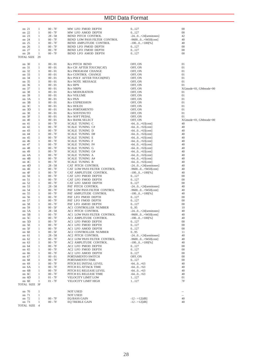| nn 21             | 1            | $00 - 7F$ | MW LFO FMOD DEPTH            | 0127                  | $\overline{00}$            |
|-------------------|--------------|-----------|------------------------------|-----------------------|----------------------------|
| nn 22             | 1            | $00 - 7F$ | MW LFO AMOD DEPTH            | 0127                  | 00                         |
|                   |              |           |                              |                       |                            |
| nn 23             | 1            | $28 - 58$ | BEND PITCH CONTROL           | $-240+24$ [semitones] | 42                         |
| nn 24             | -1           | $00 - 7F$ | BEND LOW PASS FILTER CONTROL | $-96000+9450[cent]$   | 40                         |
| nn 25             | 1            | $00 - 7F$ | BEND AMPLITUDE CONTROL       | $-1000+100$ [%]       | 40                         |
| nn 26             | 1            | $00 - 7F$ | BEND LFO PMOD DEPTH          | 0127                  | 00                         |
| nn 27             | -1           | $00 - 7F$ | BEND LFO FMOD DEPTH          | 0127                  | $00\,$                     |
| nn 28             | 1            | $00 - 7F$ | BEND LFO AMOD DEPTH          | 0127                  | 00                         |
| <b>TOTAL SIZE</b> | 29           |           |                              |                       |                            |
|                   |              |           |                              |                       |                            |
| nn 30             | 1            | $00 - 01$ | <b>Rcv PITCH BEND</b>        | OFF, ON               | 01                         |
|                   |              |           |                              |                       |                            |
| nn 31             | 1            | $00 - 01$ | Rcv CH AFTER TOUCH(CAT)      | OFF, ON               | 01                         |
| nn 32             | 1            | $00 - 01$ | Rcv PROGRAM CHANGE           | OFF, ON               | 01                         |
| nn 33             | 1            | $00 - 01$ | Rcv CONTROL CHANGE           | OFF, ON               | 01                         |
| nn 34             | 1            | $00 - 01$ | Rcv POLY AFTER TOUCH(PAT)    | OFF, ON               | 01                         |
| nn 35             | 1            | $00 - 01$ | Rcv NOTE MESSAGE             | OFF, ON               | 01                         |
| nn 36             | 1            | $00 - 01$ | <b>Rcv RPN</b>               | OFF, ON               | 01                         |
| nn 37             | 1            | $00 - 01$ | <b>Rcv NRPN</b>              | OFF, ON               | $XG$ mode=01, $G$ Mmode=00 |
| nn 38             | 1            | $00 - 01$ |                              | OFF, ON               | 01                         |
|                   |              |           | <b>Rev MODURATION</b>        |                       |                            |
| nn 39             | 1            | $00 - 01$ | <b>Rcv VOLUME</b>            | OFF, ON               | 01                         |
| nn <sub>3A</sub>  | 1            | $00 - 01$ | Rcv PAN                      | OFF, ON               | 01                         |
| nn 3B             | 1            | $00 - 01$ | <b>Rcv EXPRESSION</b>        | OFF, ON               | 01                         |
| $nn \n3C$         | 1            | $00 - 01$ | Rcv HOLD1                    | OFF, ON               | 01                         |
| $nn$ 3D           | 1            | $00 - 01$ | <b>Rcv PORTAMENTO</b>        | OFF, ON               | 01                         |
| nn 3E             | 1            | $00 - 01$ | Rcv SOSTENUTO                | OFF, ON               | 01                         |
| nn 3F             | 1            | $00 - 01$ | <b>Rcv SOFT PEDAL</b>        | OFF, ON               | 01                         |
|                   |              |           |                              |                       |                            |
| nn 40             | 1            | $00 - 01$ | <b>Rcv BANK SELECT</b>       | OFF, ON               | $XG$ mode=01, $G$ Mmode=00 |
| nn 41             | 1            | $00 - 7F$ | <b>SCALE TUNING C</b>        | $-640+63[cent]$       | 40                         |
| nn 42             | 1            | $00 - 7F$ | <b>SCALE TUNING C#</b>       | $-640+63[cent]$       | 40                         |
| nn 43             | 1            | $00 - 7F$ | SCALE TUNING D               | $-640+63$ [cent]      | 40                         |
| nn 44             | 1            | $00 - 7F$ | SCALE TUNING D#              | $-640+63$ [cent]      | 40                         |
| nn 45             | 1            | $00 - 7F$ | <b>SCALE TUNING E</b>        | $-640+63[cent]$       | 40                         |
| nn 46             | 1            | $00 - 7F$ | SCALE TUNING F               | $-640+63$ [cent]      | 40                         |
|                   |              |           |                              |                       |                            |
| nn 47             | 1            | $00 - 7F$ | <b>SCALE TUNING F#</b>       | $-640+63[cent]$       | 40                         |
| nn 48             | 1            | $00 - 7F$ | <b>SCALE TUNING G</b>        | $-640+63[cent]$       | 40                         |
| nn 49             | 1            | $00 - 7F$ | <b>SCALE TUNING G#</b>       | $-640+63[cent]$       | 40                         |
| $nn$ $4A$         | 1            | $00 - 7F$ | SCALE TUNING A               | $-640+63[cent]$       | 40                         |
| $nn$ $4B$         | 1            | $00 - 7F$ | <b>SCALE TUNING A#</b>       | $-640+63[cent]$       | 40                         |
| $nn$ $4C$         | 1            | $00 - 7F$ | SCALE TUNING B               | $-640+63$ [cent]      | 40                         |
| nn 4D             | 1            | $28 - 58$ | CAT PITCH CONTROL            | $-240+24$ [semitones] | 40                         |
| nn 4E             |              | $00 - 7F$ |                              |                       | 40                         |
|                   | 1            |           | CAT LOW PASS FILTER CONTROL  | $-96000+9450[cent]$   |                            |
| nn 4F             | 1            | $00 - 7F$ | CAT AMPLITUDE CONTROL        | $-1000+100$ [%]       | 40                         |
| nn 50             | 1            | $00 - 7F$ | CAT LFO PMOD DEPTH           | 0127                  | 00                         |
| nn 51             | 1            | $00 - 7F$ | CAT LFO FMOD DEPTH           | 0127                  | 00                         |
| nn 52             | 1            | $00 - 7F$ | CAT LFO AMOD DEPTH           | 0127                  | 00                         |
| nn 53             | 1            | $28 - 58$ | PAT PITCH CONTROL            | $-240+24$ [semitones] | 40                         |
| nn 54             | 1            | $00 - 7F$ | PAT LOW PASS FILTER CONTROL  | $-96000+9450[cent]$   | 40                         |
| nn 55             | 1            | $00 - 7F$ | PAT AMPLITUDE CONTROL        | $-1000+100$ [%]       | 40                         |
|                   |              |           |                              |                       |                            |
| nn 56             | 1            | $00 - 7F$ | PAT LFO PMOD DEPTH           | 0127                  | 00                         |
| nn 57             | 1            | $00 - 7F$ | PAT LFO FMOD DEPTH           | 0127                  | 00                         |
| nn 58             | 1            | $00 - 7F$ | PAT LFO AMOD DEPTH           | 0127                  | 00                         |
| nn 59             | 1            | $00 - 5F$ | AC1 CONTROLLER NUMBER        | 095                   | 10                         |
| nn 5A             | 1            | $28 - 58$ | AC1 PITCH CONTROL            | $-240+24$ [semitones] | 40                         |
| $nn$ 5B           | 1            | $00 - 7F$ | AC1 LOW PASS FILTER CONTROL  | $-96000+9450[cent]$   | 40                         |
| $nn$ 5 $C$        | 1            | $00 - 7F$ | AC1 AMPLITUDE CONTROL        | $-1000+100$ [%]       | 40                         |
| nn 5D             | 1            | $00 - 7F$ | AC1 LFO PMOD DEPTH           | 0127                  | 00                         |
| nn 5E             |              | $00 - 7F$ |                              | 0127                  |                            |
|                   | 1            |           | AC1 LFO FMOD DEPTH           |                       | 00                         |
| nn 5F             | 1            | $00 - 7F$ | AC1 LFO AMOD DEPTH           | 0127                  | $\overline{00}$            |
| nn 60             | 1            | $00 - 5F$ | AC2 CONTROLLER NUMBER        | 095                   | 11                         |
| nn 61             | 1            | $28 - 58$ | AC2 PITCH CONTROL            | $-240+24$ [semitones] | 40                         |
| nn <sub>62</sub>  | 1            | $00 - 7F$ | AC2 LOW PASS FILTER CONTROL  | $-96000+9450[cent]$   | 40                         |
| nn 63             | -1           | $00 - 7F$ | AC2 AMPLITUDE CONTROL        | $-1000+100$ [%]       | 40                         |
| nn 64             | 1            | $00 - 7F$ | AC2 LFO PMOD DEPTH           | 0127                  | 00                         |
| nn 65             | 1            | $00 - 7F$ | AC2 LFO FMOD DEPTH           | 0127                  | 00                         |
|                   | $\mathbf{1}$ |           | AC2 LFO AMOD DEPTH           |                       |                            |
| nn 66             |              | $00 - 7F$ |                              | 0127                  | $00\,$                     |
| nn 67             | 1            | $00 - 01$ | PORTAMENTO SWITCH            | OFF, ON               | $00\,$                     |
| nn 68             | $\mathbf{1}$ | $00 - 7F$ | PORTAMENTO TIME              | 0127                  | $00\,$                     |
| nn 69             | 1            | $00 - 7F$ | PITCH EG INITIAL LEVEL       | $-640+63$             | 40                         |
| nn 6A             | 1            | $00 - 7F$ | PITCH EG ATTACK TIME         | $-640+63$             | 40                         |
| nn 6B             | 1            | $00 - 7F$ | PITCH EG RELEASE LEVEL       | $-640+63$             | 40                         |
| nn 6C             | 1            | $00 - 7F$ | PITCH EG RELEASE TIME        | $-640+63$             | 40                         |
| nn 6D             | $\mathbf{1}$ | $01 - 7F$ | VELOCITY LIMIT LOW           | 1127                  | 01                         |
|                   |              |           |                              | 1127                  | 7F                         |
| nn 6E             | 1            | $01 - 7F$ | VELOCITY LIMIT HIGH          |                       |                            |
| TOTAL SIZE 3F     |              |           |                              |                       |                            |
|                   |              |           |                              |                       |                            |
| nn 70             | $\mathbf{1}$ |           | <b>NOT USED</b>              |                       | $\overline{\phantom{a}}$   |
| nn 71             | 1            |           | NOT USED                     |                       | $\overline{\phantom{a}}$   |
| nn 72             | $\mathbf{1}$ | $00 - 7F$ | <b>EO BASS GAIN</b>          | $-12 - +12[dB]$       | 40                         |
| nn 73             | $\mathbf{1}$ | $00 - 7F$ | <b>EQ TREBLE GAIN</b>        | $-12 - +12[dB]$       | 40                         |
| TOTAL SIZE 4      |              |           |                              |                       |                            |
|                   |              |           |                              |                       |                            |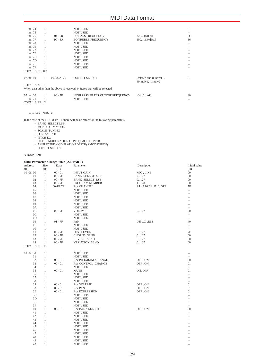|          | nn 74         |    |                | <b>NOT USED</b>                                                            |                                                                   |                |
|----------|---------------|----|----------------|----------------------------------------------------------------------------|-------------------------------------------------------------------|----------------|
|          | nn 75         |    |                | <b>NOT USED</b>                                                            |                                                                   |                |
| nn 76    |               |    | $04 - 28$      | <b>EO BASS FREQUENCY</b>                                                   | 322.0k[Hz]                                                        | 0 <sup>C</sup> |
| nn 77    |               |    | $1C - 3A$      | <b>EO TREBLE FREQUENCY</b>                                                 | 50016.0k[Hz]                                                      | 36             |
|          | nn 78         |    |                | <b>NOT USED</b>                                                            |                                                                   |                |
|          | nn 79         |    |                | <b>NOT USED</b>                                                            |                                                                   |                |
|          | nn 7A         |    |                | <b>NOT USED</b>                                                            |                                                                   |                |
|          | $nn$ $7B$     |    |                | <b>NOT USED</b>                                                            |                                                                   |                |
|          | nn 7C         |    |                | <b>NOT USED</b>                                                            |                                                                   |                |
|          | $nn$ $7D$     |    |                | <b>NOT USED</b>                                                            |                                                                   |                |
|          | nn 7E         |    |                | <b>NOT USED</b>                                                            |                                                                   |                |
|          | $nn$ $7F$     |    |                | <b>NOT USED</b>                                                            |                                                                   |                |
|          | TOTAL SIZE OC |    |                |                                                                            |                                                                   |                |
|          |               |    |                |                                                                            |                                                                   |                |
| 0A nn 10 |               | 1  | 00, 08, 28, 29 | <b>OUTPUT SELECT</b>                                                       | 0: stereo out, $8$ : indiv $1+2$<br>$40$ :indiv $1,41$ :indiv $2$ | $\Omega$       |
|          | TOTAL SIZE 1  |    |                |                                                                            |                                                                   |                |
|          |               |    |                | When data other than the above is received, 0:Stereo Out will be selected. |                                                                   |                |
|          |               |    |                |                                                                            |                                                                   |                |
| 0A nn 20 |               | 1. | $00 - 7F$      | HIGH PASS FILTER CUTOFF FREQUENCY                                          | $-640+63$                                                         | 40             |
| nn 21    |               |    |                | <b>NOT USED</b>                                                            |                                                                   |                |

nn 21<br>TOTAL SIZE 2

nn = PART NUMBER

In the case of the DRUM PART, there will be no effect for the following parameters. • BANK SELECT LSB

- 
- MONO/POLY MODE SCALE TUNING PORTAMENTO
- 
- 
- PITCH EG<br>• FILTER MODURATION DEPTH(FMOD DEPTH)<br>• AMPLITUDE MODURATION DEPTH(AMOD DEPTH)<br>• OUTPUT SELECT
- 
- 
- **<Table 1-9>**

## **MIDI Parameter Change table ( A/D PART )**

| Address<br>(H) | Size<br>(H)  | Data<br>(H) | Parameter              | Description      | Initial value<br>(H)     |
|----------------|--------------|-------------|------------------------|------------------|--------------------------|
| 10 On 00       | $\mathbf{1}$ | $00 - 01$   | <b>INPUT GAIN</b>      | MIC, LINE        | $00\,$                   |
| 01             | $\mathbf{1}$ | $00 - 7F$   | <b>BANK SELECT MSB</b> | 0127             | $00\,$                   |
| 02             | $\mathbf{1}$ | $00 - 7F$   | <b>BANK SELECT LSB</b> | 0127             | $00\,$                   |
| 03             | $\mathbf{1}$ | $00 - 7F$   | PROGRAM NUMBER         | 1128             | $00\,$                   |
| 04             | $\mathbf{1}$ | 00-1F, 7F   | <b>Rcv CHANNEL</b>     | A1A16,B1B16, OFF | 7F                       |
| 05             | $\mathbf{1}$ |             | <b>NOT USED</b>        |                  | ٠.                       |
| 06             | $\mathbf{1}$ |             | NOT USED               |                  | $-$                      |
| 07             | $\mathbf{1}$ |             | <b>NOT USED</b>        |                  | $\overline{a}$           |
| 08             | $\mathbf{1}$ |             | NOT USED               |                  | $\overline{a}$           |
| 09             | 1            |             | <b>NOT USED</b>        |                  | $\overline{\phantom{a}}$ |
| 0A             | $\mathbf{1}$ |             | <b>NOT USED</b>        |                  | $\overline{\phantom{a}}$ |
| 0B             | $\mathbf{1}$ | $00 - 7F$   | VOLUME                 | 0127             | 00                       |
| 0 <sup>C</sup> | $\mathbf{1}$ |             | <b>NOT USED</b>        |                  | --                       |
| OD             | $\mathbf{1}$ |             | <b>NOT USED</b>        |                  | $\qquad \qquad -$        |
| 0E             | $\mathbf{1}$ | $01 - 7F$   | PAN                    | L63CR63          | 40                       |
| 0F             | $\mathbf{1}$ |             | <b>NOT USED</b>        |                  | $\overline{a}$           |
| 10             | $\mathbf{1}$ |             | <b>NOT USED</b>        |                  | $\overline{a}$           |
| 11             | $\mathbf{1}$ | $00 - 7F$   | DRY LEVEL              | 0127             | 7F                       |
| 12             | $\mathbf{1}$ | $00 - 7F$   | <b>CHORUS SEND</b>     | 0127             | $00\,$                   |
| 13             | $\mathbf{1}$ | $00 - 7F$   | <b>REVERB SEND</b>     | 0127             | $00\,$                   |
| 14             | $\mathbf{1}$ | $00 - 7F$   | VARIATION SEND         | 0127             | $00\,$                   |
| TOTAL SIZE 15  |              |             |                        |                  |                          |
| 10 On 30       | $\mathbf{1}$ |             | <b>NOT USED</b>        |                  | $\overline{\phantom{a}}$ |
| 31             | $\mathbf{1}$ |             | <b>NOT USED</b>        |                  | $\overline{\phantom{a}}$ |
| 32             | $\mathbf{1}$ | $00 - 01$   | Rcv PROGRAM CHANGE     | OFF, ON          | $00\,$                   |
| 33             | $\mathbf{1}$ | $00 - 01$   | Rcv CONTROL CHANGE     | OFF, ON          | 01                       |
| 34             | $\mathbf{1}$ |             | <b>NOT USED</b>        |                  | $\overline{\phantom{a}}$ |
| 35             | $\mathbf{1}$ | $00 - 01$   | <b>MUTE</b>            | ON, OFF          | 01                       |
| 36             | $\mathbf{1}$ |             | <b>NOT USED</b>        |                  | --                       |
| 37             | $\mathbf{1}$ |             | <b>NOT USED</b>        |                  | $\qquad \qquad -$        |
| 38             | 1            |             | <b>NOT USED</b>        |                  | $\overline{a}$           |
| 39             | $\mathbf{1}$ | $00 - 01$   | <b>Rcv VOLUME</b>      | OFF, ON          | 01                       |
| 3A             | $\mathbf{1}$ | $00 - 01$   | <b>Rcv PAN</b>         | OFF, ON          | 01                       |
| 3B             | $\mathbf{1}$ | $00 - 01$   | <b>Rcv EXPRESSION</b>  | OFF, ON          | 01                       |
| 3C             | $\mathbf{1}$ |             | <b>NOT USED</b>        |                  | $\qquad \qquad -$        |
| 3D             | $\mathbf{1}$ |             | NOT USED               |                  | $\overline{\phantom{a}}$ |
| 3E             | $\mathbf{1}$ |             | <b>NOT USED</b>        |                  | --                       |
| 3F             | $\mathbf{1}$ |             | <b>NOT USED</b>        |                  | $\overline{a}$           |
| 40             | 1            | $00 - 01$   | <b>Rcv BANK SELECT</b> | OFF, ON          | 00                       |
| 41             | $\mathbf{1}$ |             | <b>NOT USED</b>        |                  | ш,                       |
| 42             | $\mathbf{1}$ |             | <b>NOT USED</b>        |                  | $\overline{a}$           |
| 43             | 1            |             | <b>NOT USED</b>        |                  | $\overline{a}$           |
| 44             | $\mathbf{1}$ |             | <b>NOT USED</b>        |                  | $-$                      |
| 45             | $\mathbf{1}$ |             | <b>NOT USED</b>        |                  | $\overline{a}$           |
| 46             | $\mathbf{1}$ |             | NOT USED               |                  | $\overline{a}$           |
| 47             | $\mathbf{1}$ |             | <b>NOT USED</b>        |                  | --                       |
| 48             | $\mathbf{1}$ |             | NOT USED               |                  | --                       |
| 49             | $\mathbf{1}$ |             | NOT USED               |                  | $\overline{a}$           |
| 4A             | $\mathbf{1}$ |             | <b>NOT USED</b>        |                  | $\overline{a}$           |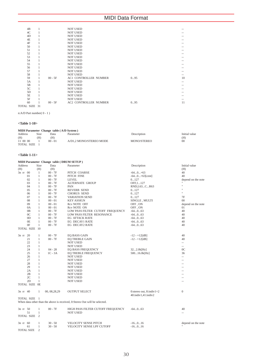| 4B |           | <b>NOT USED</b>              |     |    |
|----|-----------|------------------------------|-----|----|
| 4C |           | <b>NOT USED</b>              |     |    |
| 4D |           | <b>NOT USED</b>              |     |    |
| 4E |           | <b>NOT USED</b>              |     |    |
| 4F |           | <b>NOT USED</b>              |     |    |
| 50 |           | <b>NOT USED</b>              |     |    |
| 51 |           | <b>NOT USED</b>              |     |    |
| 52 |           | <b>NOT USED</b>              |     |    |
| 53 |           | <b>NOT USED</b>              |     |    |
| 54 |           | <b>NOT USED</b>              |     |    |
| 55 |           | <b>NOT USED</b>              |     |    |
| 56 |           | <b>NOT USED</b>              |     |    |
| 57 |           | <b>NOT USED</b>              |     |    |
| 58 |           | <b>NOT USED</b>              |     |    |
| 59 | $00 - 5F$ | <b>AC1 CONTROLLER NUMBER</b> | 095 | 10 |
| 5A |           | <b>NOT USED</b>              |     |    |
| 5B |           | <b>NOT USED</b>              |     |    |
| 5C |           | <b>NOT USED</b>              |     |    |
| 5D |           | <b>NOT USED</b>              |     |    |
| 5E |           | <b>NOT USED</b>              |     |    |
| 5F |           | <b>NOT USED</b>              |     |    |
| 60 | $00 - 5F$ | <b>AC2 CONTROLLER NUMBER</b> | 095 | 11 |

TOTAL SIZE 31

n:A/D Part number( 0 - 1 )

## **<Table 1-10>**

| MIDI Parameter Change table (A/D System) |      |           |                         |             |               |  |  |
|------------------------------------------|------|-----------|-------------------------|-------------|---------------|--|--|
| Address                                  | Size | Data      | Parameter               | Description | Initial value |  |  |
| (H)                                      | (H)  | (H)       |                         |             | (H)           |  |  |
| 11 00 00                                 |      | $00 - 01$ | A/D1.2 MONO/STEREO MODE | MONO/STEREO | 00            |  |  |
| <b>TOTAL SIZE</b>                        |      |           |                         |             |               |  |  |

## **<Table 1-11>**

|                |                   |                | MIDI Parameter Change table (DRUM SETUP) |                                                                            |                                                         |                    |
|----------------|-------------------|----------------|------------------------------------------|----------------------------------------------------------------------------|---------------------------------------------------------|--------------------|
| <b>Address</b> |                   | Size           | Data                                     | Parameter                                                                  | Description                                             | Initial value      |
| (H)            |                   | (H)            | (H)                                      |                                                                            |                                                         | (H)                |
| 3n rr 00       |                   | $\mathbf{1}$   | $00 - 7F$                                | PITCH COARSE                                                               | $-640+63$                                               | 40                 |
|                | 01                | $\mathbf{1}$   | $00 - 7F$                                | PITCH FINE                                                                 | $-640+63[cent]$                                         | 40                 |
|                | 02                | $\mathbf{1}$   | $00 - 7F$                                | <b>LEVEL</b>                                                               | 0127                                                    | depend on the note |
|                | 03                | $\mathbf{1}$   | $00 - 7F$                                | ALTERNATE GROUP                                                            | OFF, 1 127                                              |                    |
|                | 04                | $\mathbf{1}$   | $00 - 7F$                                | PAN                                                                        | RND, L63CR63                                            | $\mathbf{H}$       |
|                | 05                | $\mathbf{1}$   | $00 - 7F$                                | <b>REVERB SEND</b>                                                         | 0127                                                    | $\mathbf{a}$       |
|                | 06                | $\mathbf{1}$   | $00 - 7F$                                | <b>CHORUS SEND</b>                                                         | 0127                                                    | H.                 |
|                | 07                | $\mathbf{1}$   | $00 - 7F$                                | <b>VARIATION SEND</b>                                                      | 0127                                                    | 7F                 |
|                | 08                | $\mathbf{1}$   | $00 - 01$                                | <b>KEY ASSIGN</b>                                                          | SINGLE , MULTI                                          | 00                 |
|                | 09                | $\mathbf{1}$   | $00 - 01$                                | Rcv NOTE OFF                                                               | OFF, ON                                                 | depend on the note |
|                | 0A                | $\mathbf{1}$   | $00 - 01$                                | Rcv NOTE ON                                                                | OFF, ON                                                 | 01                 |
|                | 0 <sub>B</sub>    | $\mathbf{1}$   | $00 - 7F$                                | LOW PASS FILTER CUTOFF FREQUENCY                                           | $-64063$                                                | 40                 |
|                | 0 <sup>C</sup>    | $\mathbf{1}$   | $00 - 7F$                                | LOW PASS FILTER RESONANCE                                                  | $-64063$                                                | 40                 |
|                | 0 <sub>D</sub>    | $\mathbf{1}$   | $00 - 7F$                                | <b>EG ATTACK RATE</b>                                                      | $-640(63)$                                              | 40                 |
|                | 0E                | $\mathbf{1}$   | $00 - 7F$                                | EG DECAY1 RATE                                                             | $-64063$                                                | 40                 |
|                | 0F                | $\mathbf{1}$   | $00 - 7F$                                | <b>EG DECAY2 RATE</b>                                                      | $-64063$                                                | 40                 |
|                | TOTAL SIZE 10     |                |                                          |                                                                            |                                                         |                    |
|                |                   |                |                                          |                                                                            |                                                         |                    |
| 3n rr 20       |                   | 1              | $00 - 7F$                                | EQ BASS GAIN                                                               | $-12 - +12[dB]$                                         | 40                 |
|                | 21                | $\mathbf{1}$   | $00 - 7F$                                | <b>EO TREBLE GAIN</b>                                                      | $-12 - +12[dB]$                                         | 40                 |
|                | 22                | $\mathbf{1}$   |                                          | <b>NOT USED</b>                                                            |                                                         | $\overline{a}$     |
|                | 23                | $\mathbf{1}$   |                                          | <b>NOT USED</b>                                                            |                                                         | $\sim$             |
|                | 24                | $\mathbf{1}$   | $04 - 28$                                | <b>EO BASS FREQUENCY</b>                                                   | 322.0k[Hz]                                              | 0 <sup>C</sup>     |
|                | 25                | $\mathbf{1}$   | $1C - 3A$                                | EQ TREBLE FREQUENCY                                                        | 50016.0k[Hz]                                            | 36                 |
|                | 26                | $\mathbf{1}$   |                                          | <b>NOT USED</b>                                                            |                                                         | ш,                 |
|                | 27                | $\mathbf{1}$   |                                          | <b>NOT USED</b>                                                            |                                                         |                    |
|                | 28                | 1              |                                          | <b>NOT USED</b>                                                            |                                                         | $\overline{a}$     |
|                | 29                | $\mathbf{1}$   |                                          | <b>NOT USED</b>                                                            |                                                         |                    |
|                | 2A                | 1              |                                          | NOT USED                                                                   |                                                         | --                 |
|                | 2B                | $\mathbf{1}$   |                                          | <b>NOT USED</b>                                                            |                                                         |                    |
|                | 2C                | 1              |                                          | <b>NOT USED</b>                                                            |                                                         | $\overline{a}$     |
|                | 2D                | $\mathbf{1}$   |                                          | NOT USED                                                                   |                                                         | $\overline{a}$     |
|                | TOTAL SIZE OE     |                |                                          |                                                                            |                                                         |                    |
|                |                   |                |                                          |                                                                            |                                                         |                    |
| 3n rr 40       |                   | $\mathbf{1}$   | 00, 08, 28, 29                           | <b>OUTPUT SELECT</b>                                                       | 0: stereo out, $8$ : indiv $1+2$<br>40:indiv1,41:indiv2 | $\overline{0}$     |
|                | TOTAL SIZE 1      |                |                                          |                                                                            |                                                         |                    |
|                |                   |                |                                          | When data other than the above is received, 0:Stereo Out will be selected. |                                                         |                    |
|                |                   |                |                                          |                                                                            |                                                         |                    |
| 3n rr 50       |                   | 1              | $00 - 7F$                                | HIGH PASS FILTER CUTOFF FREQUENCY                                          | $-640(63)$                                              | 40                 |
|                | 51                | $\mathbf{1}$   |                                          | <b>NOT USED</b>                                                            |                                                         | ш,                 |
|                | TOTAL SIZE 2      |                |                                          |                                                                            |                                                         |                    |
| 3n rr 60       |                   | 1              | $30 - 50$                                | VELOCITY SENSE PITCH                                                       | $-16016$                                                | depend on the note |
|                | 61                | $\mathbf{1}$   | $30 - 50$                                | VELOCITY SENSE LPF CUTOFF                                                  | $-16016$                                                |                    |
|                | <b>TOTAL SIZE</b> | $\overline{c}$ |                                          |                                                                            |                                                         |                    |
|                |                   |                |                                          |                                                                            |                                                         |                    |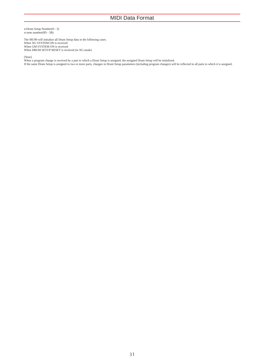n:Drum Setup Number(0 - 3) rr:note number(0D - 5B)

The MU90 will initialize all Drum Setup data in the following cases. When XG SYSTEM ON is received When GM SYSTEM ON is received When DRUM SETUP RESET is received (in XG mode)

[Note]<br>When a program change is received by a part to which a Drum Setup is assigned, the assigned Drum Setup will be initialized.<br>If the same Drum Setup is assigned to two or more parts, changes in Drum Setup parameters (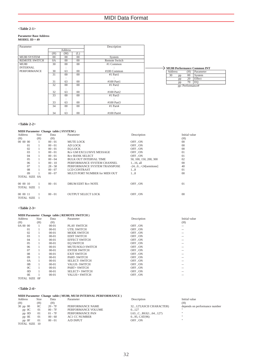## **<Table 2-1>**

## **Parameter Base Address MODEL ID = 49**

| Parameter            |                 |         | Description |                      |
|----------------------|-----------------|---------|-------------|----------------------|
|                      |                 | Address |             |                      |
|                      | (H)             | (M)     | (L)         |                      |
| MU80 SYSTEM          | $^{00}$         | $00\,$  | $00\,$      | System               |
| <b>REMOTE SWITCH</b> | 0A              | $00\,$  | $00\,$      | <b>Remote Switch</b> |
| MU80                 | 30              | $00\,$  | $00\,$      | #1 Common            |
| <b>INTERNAL</b>      |                 |         |             |                      |
| <b>PERFORMANCE</b>   | 30              | 63      | $^{00}$     | #100 Common          |
|                      | 31              | $00\,$  | $00\,$      | #1 Part1             |
|                      |                 |         |             |                      |
|                      | 31              | 63      | $00\,$      | #100 Part1           |
|                      | 32              | $00\,$  | $00\,$      | #1 Part2             |
|                      |                 |         |             |                      |
|                      | 32              | 63      | $00\,$      | #100 Part2           |
|                      | $\overline{33}$ | $00\,$  | $00\,$      | #1 Part $3$          |
|                      |                 |         |             | $\ddot{\phantom{a}}$ |
|                      | 33              | 63      | $00\,$      | #100 Part3           |
|                      | 34              | $00\,$  | $00\,$      | #1 Part $4$          |
|                      |                 |         |             |                      |
|                      | 34              | 63      | $00\,$      | #100 Part4           |

## **MU80 Performance Common INT** Address (H) Parameter

| Address |    | (H)              | Parameter |
|---------|----|------------------|-----------|
| 30      | pp | $^{00}$          | System    |
|         | pp | 20               | Effect    |
|         | pp | 70               | EΩ        |
|         |    | pp: Performance# |           |

## **<Table 2-2>**

|  |  | <b>MIDI Parameter Change table (SYSTEM)</b> |
|--|--|---------------------------------------------|
|  |  |                                             |

| Address              | Size | Data      | Parameter                       | Description            | Initial value |
|----------------------|------|-----------|---------------------------------|------------------------|---------------|
| (H)                  | (H)  | (H)       |                                 |                        | (H)           |
| 00 00 00             |      | $00 - 01$ | MUTE LOCK                       | OFF, ON                | $00\,$        |
| 01                   |      | $00 - 01$ | AD LOCK                         | OFF, ON                | $^{00}$       |
| 02                   |      | $00 - 01$ | EO LOCK                         | OFF, ON                | $00\,$        |
| 03                   |      | $00 - 01$ | <b>Rcv GM EXCLUSIVE MESSAGE</b> | OFF, ON                | 01            |
| $^{04}$              |      | $00 - 01$ | <b>Rev BANK SELECT</b>          | OFF.ON                 | 01            |
| 05                   |      | $00 - 04$ | <b>BULK OUT INTERVAL TIME</b>   | 50, 100, 150, 200, 300 | 02            |
| 06                   |      | $00 - 10$ | PERFORMANCE SYSTEM CHANNEL      | $116$ , all            | $00\,$        |
| 07                   |      | $28 - 58$ | PERFORMANCE SYSTEM TRANSPOSE    | $-240+24$ [semitone]   | 40            |
| 08                   |      | $00 - 07$ | <b>LCD CONTRAST</b>             | 18                     | 01            |
| 09                   |      | $00 - 07$ | MULTI PORT NUMBER for MIDI OUT  | 18                     | $^{00}$       |
| TOTAL SIZE 0A        |      |           |                                 |                        |               |
| 000010               |      | $00 - 01$ | <b>DRUM EDIT Rcv NOTE</b>       | OFF, ON                | 01            |
| TOTAL SIZE 1         |      |           |                                 |                        |               |
| 000011<br>TOTAL SIZE |      | $00 - 01$ | <b>OUTPUT SELECT LOCK</b>       | OFF.ON                 | $00\,$        |
|                      |      |           |                                 |                        |               |

## **<Table 2-3>**

| MIDI Parameter Change table (REMOTE SWITCH) |      |           |                         |             |               |  |  |
|---------------------------------------------|------|-----------|-------------------------|-------------|---------------|--|--|
| Address                                     | Size | Data      | Parameter               | Description | Initial value |  |  |
| (H)                                         | (H)  | (H)       |                         |             | (H)           |  |  |
| 0A 00 00                                    |      | $00 - 01$ | <b>PLAY SWITCH</b>      | OFF, ON     | --            |  |  |
| 01                                          |      | $00-01$   | UTIL SWITCH             | OFF, ON     | --            |  |  |
| 02                                          |      | $00 - 01$ | <b>MODE SWITCH</b>      | OFF, ON     | --            |  |  |
| 03                                          |      | $00 - 01$ | <b>EDIT SWITCH</b>      | OFF, ON     | --            |  |  |
| 04                                          |      | $00 - 01$ | <b>EFFECT SWITCH</b>    | OFF, ON     | --            |  |  |
| 05                                          |      | $00 - 01$ | <b>EO SWITCH</b>        | OFF, ON     | --            |  |  |
| 06                                          |      | $00 - 01$ | <b>MUTE/SOLO SWITCH</b> | OFF, ON     | --            |  |  |
| 07                                          |      | $00 - 01$ | <b>ENTER SWITCH</b>     | OFF, ON     | --            |  |  |
| 08                                          |      | $00-01$   | <b>EXIT SWITCH</b>      | OFF, ON     | --            |  |  |
| 09                                          |      | $00 - 01$ | PART-SWITCH             | OFF, ON     | --            |  |  |
| 0A                                          |      | $00 - 01$ | <b>SELECT-SWITCH</b>    | OFF, ON     | --            |  |  |
| 0 <sub>B</sub>                              |      | $00 - 01$ | <b>VALUE- SWITCH</b>    | OFF, ON     | --            |  |  |
| $_{0C}$                                     |      | $00 - 01$ | PART+ SWITCH            | OFF, ON     | --            |  |  |
| OD                                          |      | $00 - 01$ | <b>SELECT+ SWITCH</b>   | OFF, ON     | --            |  |  |
| 0E                                          |      | $00 - 01$ | <b>VALUE+ SWITCH</b>    | OFF, ON     | --            |  |  |
| TOTAL SIZE OF                               |      |           |                         |             |               |  |  |

## **<Table 2-4>**

|         |      |      |           | MIDI Parameter Change table (MU80, MU50 INTERNAL PERFORMANCE) |               |
|---------|------|------|-----------|---------------------------------------------------------------|---------------|
| Address | Size | Data | Parameter | Description                                                   | Initial value |

| (H)           | (H)     | (H)       |                      |                        | (H)                           |
|---------------|---------|-----------|----------------------|------------------------|-------------------------------|
| $30$ pp $00$  | $_{0C}$ | $20 - 7F$ | PERFORMANCE NAME     | 32127(ASCII CHARACTER) | depends on performance number |
| $pp$ OC       | 01      | $00 - 7F$ | PERFORMANCE VOLUME   | 0127                   |                               |
| pp 0D         | 01      | $01 - 7F$ | PERFORMANCE PAN      | L63CR63(164127)        | $\mathbf{H}$                  |
| pp 0E         | 01      | $00 - 60$ | <b>AC1 CC NUMBER</b> | $095$ , CAT $(96)$     | $\mathbf{H}$                  |
| pp OF         | 01      | $00 - 01$ | A/D INPUT            | OFF, ON                | $\mathbf{H}$                  |
| TOTAL SIZE 10 |         |           |                      |                        |                               |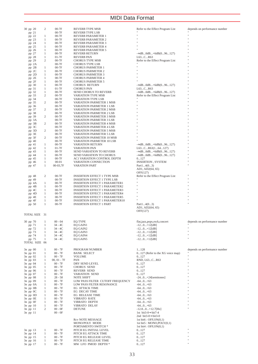| 30 pp 20      | 2            | $00-7F$                | <b>REVERB TYPE MSB</b>                       | Refer to the Effect Program List | depends on performance number |
|---------------|--------------|------------------------|----------------------------------------------|----------------------------------|-------------------------------|
| pp 21         |              | $00-7F$                | <b>REVERB TYPE LSB</b>                       |                                  |                               |
| pp 22         | 1            | $00-7F$                | REVERB PARAMETER 1                           | Ħ                                |                               |
| pp 23         | 1            | $00-7F$                | REVERB PARAMETER 2                           |                                  |                               |
| pp 24         | 1            | $00-7F$                | REVERB PARAMETER 3                           |                                  |                               |
|               | 1            | $00-7F$                |                                              |                                  |                               |
| pp 25         |              |                        | REVERB PARAMETER 4                           |                                  |                               |
| pp 26         | 1            | $00-7F$                | <b>REVERB PARAMETER 5</b>                    |                                  |                               |
| pp 27         | 1            | $00-7F$                | REVERB RETURN                                | $-$ ∞dB0dB+6dB $(096127)$        |                               |
| pp 28         | 1            | $01-7F$                | <b>REVERB PAN</b>                            | L63CR63                          |                               |
| pp 29         | 2            | $00-7F$                | <b>CHORUS TYPE MSB</b>                       | Refer to the Effect Program List |                               |
| pp 2A         |              | $00-7F$                | CHORUS TYPE LSB                              |                                  |                               |
| pp 2B         | 1            | $00-7F$                | <b>CHORUS PARMETER 1</b>                     | Ħ                                |                               |
| pp 2C         | 1            | $00-7F$                | <b>CHORUS PARMETER 2</b>                     |                                  |                               |
|               |              |                        |                                              |                                  |                               |
| pp 2D         | 1            | $00-7F$                | <b>CHORUS PARMETER 3</b>                     |                                  |                               |
| pp 2E         | 1            | $00-7F$                | <b>CHORUS PARMETER 4</b>                     |                                  |                               |
| pp 2F         | 1            | $00-7F$                | <b>CHORUS PARMETER 5</b>                     |                                  |                               |
| pp 30         | 1            | $00-7F$                | <b>CHORUS RETURN</b>                         | $ \approx$ dB0dB+6dB $(096127)$  |                               |
| pp 31         | 1            | $01-7F$                | <b>CHORUS PAN</b>                            | L63CR63                          |                               |
| pp 32         | $\mathbf{1}$ | $00-7F$                | SEND CHORUS TO REVERB                        | $-$ ∞dB0dB+6dB $(096127)$        |                               |
| pp 33         | 2            | $00-7F$                | VARIATION TYPE MSB                           | Refer to the Effect Program List |                               |
|               |              |                        |                                              |                                  |                               |
| pp 34         |              | $00-7F$                | VARIATION TYPE LSB                           |                                  |                               |
| pp 35         | 2            | $00-7F$                | VARIATION PARMETER 1 MSB                     |                                  |                               |
| pp 36         |              | $00-7F$                | VARIATION PARMETER 1 LSB                     |                                  |                               |
| pp 37         | 2            | $00-7F$                | VARIATION PARMETER 2 MSB                     |                                  |                               |
| pp 38         |              | $00-7F$                | VARIATION PARMETER 2 LSB                     |                                  |                               |
| pp 39         | 2            | $00-7F$                | VARIATION PARMETER 3 MSB                     |                                  |                               |
| pp 3A         |              | $00-7F$                | VARIATION PARMETER 3 LSB                     |                                  |                               |
| pp 3B         | 2            | $00-7F$                | VARIATION PARMETER 4 MSB                     |                                  |                               |
|               |              |                        |                                              |                                  |                               |
| pp 3C         |              | $00-7F$                | VARIATION PARMETER 4 LSB                     |                                  |                               |
| pp 3D         | 2            | $00-7F$                | VARIATION PARMETER 5 MSB                     |                                  |                               |
| pp 3E         |              | $00-7F$                | VARIATION PARMETER 5 LSB                     |                                  |                               |
| pp 3F         | 2            | $00-7F$                | VARIATION PARMETER 10 MSB                    |                                  |                               |
| pp 40         |              | $00-7F$                | VARIATION PARMETER 10 LSB                    |                                  |                               |
| pp 41         | 1            | $00-7F$                | <b>VARIATION RETURN</b>                      | $-$ ∞dB0dB+6dB $(096127)$        |                               |
|               | 1            | $01-7F$                | VARIATION PAN                                |                                  |                               |
| pp 42         |              |                        |                                              | L63CR63(164127)                  |                               |
| pp 43         | 1            | $00-7F$                | SEND VARIATION TO REVERB                     | $-\infty$ dB0dB+6dB $(096127)$   |                               |
| pp 44         | 1            | $00-7F$                | <b>SEND VARIATION TO CHORUS</b>              | $-$ ∞dB0dB+6dB $(096127)$        |                               |
| pp 45         | 1            | 00-7F                  | AC1 VARIATION CONTROL DEPTH                  | 0127                             |                               |
| pp 46         | 1            | $00 - 01$              | VARIATION CONNECTION                         | INSERTION, SYSTEM                | Ħ                             |
| pp 47         | 1            | 00-03,7F               | <b>VARATION PART</b>                         | Part $14(03)$                    |                               |
|               |              |                        |                                              | AD1, AD2(64, 65)                 |                               |
|               |              |                        |                                              | OFF(127)                         |                               |
|               |              |                        |                                              |                                  |                               |
| pp 48         | 2            | $00-7F$                | <b>INSERTION EFFECT 1 TYPE MSB</b>           | Refer to the Effect Program List |                               |
| pp 49         |              | $00-7F$                | <b>INSERTION EFFECT 1 TYPE LSB</b>           |                                  |                               |
| pp 4A         | 1            | $00-7F$                | <b>INSERTION EFFECT 1 PARAMETER1</b>         | Ħ                                |                               |
| pp 4B         | 1            | $00-7F$                | <b>INSERTION EFFECT 1 PARAMETER2</b>         |                                  |                               |
| pp 4C         | 1            | 00-7F                  | <b>INSERTION EFFECT 1 PARAMETER3</b>         |                                  |                               |
| pp 4D         | 1            | $00-7F$                | <b>INSERTION EFFECT 1 PARAMETER4</b>         |                                  |                               |
| pp 4E         | 1            | $00-7F$                | <b>INSERTION EFFECT 1 PARAMETER5</b>         |                                  |                               |
|               | 1            |                        |                                              |                                  |                               |
| pp 4F         |              | $00-7F$                | <b>INSERTION EFFECT 1 PARAMETER10</b>        |                                  |                               |
| pp 50         | 1            | $00-7F$                | <b>INSERTION EFFECT 1 PART</b>               | Part14(03)                       |                               |
|               |              |                        |                                              | AD1, AD2(64, 65)                 |                               |
|               |              |                        |                                              | OFF(127)                         |                               |
| TOTAL SIZE 31 |              |                        |                                              |                                  |                               |
|               |              |                        |                                              |                                  |                               |
| 30 pp 70      | 1            | $00 - 04$              | EQ TYPE                                      | flat,jazz,pops,rock,concert      | depends on performance number |
| pp 71         | 1            | 34 - 4C                | EQ GAIN1                                     | $-120+12[dB]$                    |                               |
|               |              | $34 - 4C$              |                                              |                                  |                               |
| pp 72         | 1            |                        | EQ GAIN2                                     | $-120+12[dB]$                    |                               |
| pp 73         | 1            | 34 - 4C                | EQ GAIN3                                     | $-120+12[dB]$                    |                               |
| pp 74         | 1            | 34 - 4C                | EQ GAIN4                                     | $-120+12[dB]$                    |                               |
| pp 75         | 1            | $34 - 4C$              | EQ GAIN5                                     | $-120+12[dB]$                    |                               |
| TOTAL SIZE 06 |              |                        |                                              |                                  |                               |
|               |              |                        |                                              |                                  |                               |
| 3n pp 00      | 1            | $00 - 7F$              | PROGRAM NUMBER                               | 1128                             | depends on performance number |
| 3n pp 01      | 1            | $00 - 7F$              | <b>BANK SELECT</b>                           | 0127 (Refer to the XG voice map) |                               |
|               | 1            | $00 - 7F$              | <b>VOLUME</b>                                | 0127                             |                               |
| 3n pp 02      |              |                        |                                              |                                  |                               |
| 3n pp 03      | 1            | $00, 01 - 7F$          | PAN                                          | RND, L63CR63                     |                               |
| 3n pp 04      | 1            | $00 - 7F$              | DRY SEND LEVEL                               | 0127                             |                               |
| 3n pp 05      | 1            | $00 - 7F$              | <b>CHORUS SEND</b>                           | 0127                             |                               |
| 3n pp 06      | 1            | $00 - 7F$              | REVERB SEND                                  | 0127                             |                               |
| 3n pp 07      | 1            | $00 - 7F$              | VARIATION SEND                               | 0127                             |                               |
| 3n pp 08      | 1            | $28 - 58$              | NOTE SHIFT                                   | $-240+24$ [semitones]            |                               |
| 3n pp 09      | 1            | $00 - 7F$              | LOW PASS FILTER CUTOFF FREQUENCY             | $-640+63$                        |                               |
|               | 1            | $00 - 7F$              |                                              | $-640+63$                        |                               |
| $3n$ pp $0A$  |              |                        | LOW PASS FILTER RESONANCE                    |                                  |                               |
| $3n$ pp $0B$  | 1            | $00 - 7F$              | EG ATTACK TIME                               | $-640+63$                        |                               |
| $3n$ pp $0C$  | 1            | $00 - 7F$              | EG DECAY TIME                                | $-640+63$                        |                               |
| 3n pp OD      | 1            | $00 - 7F$              | EG RELEASE TIME                              | $-640+63$                        |                               |
| $3n$ pp $0E$  | 1            | $00 - 7F$              | VIBRATO RATE                                 | $-640+63$                        |                               |
| $3n$ pp $0F$  | $\mathbf{1}$ | $00 - 7F$              | VIBRATO DEPTH                                | $-640+63$                        |                               |
| 3n pp 10      | $\mathbf{1}$ | $00 - 7F$              | VIBRATO DELAY                                | $-640+63$                        |                               |
| 3n pp 11      | 2            | $00 - 0F$              | <b>DETUNE</b>                                | $-12.80+12.7$ [Hz]               |                               |
| 3n pp 11      |              |                        |                                              |                                  |                               |
|               |              | $00 - 0F$              |                                              | 1st bit3-0 $\rightarrow$ bit7-4  |                               |
|               |              |                        |                                              | 2nd bit3-0 $\rightarrow$ bit3-0  |                               |
|               |              |                        | Rcv NOTE MESSAGE                             | 1st bit6 : $OFF,ON(0,1)$         |                               |
|               |              |                        | MONO/POLY MODE                               | 1st bit5 : $MONO, POLY(0,1)$     |                               |
|               |              |                        | PORTAMENTO SWITCH *                          | 1st bit4 : $OFF,ON(0,1)$         |                               |
| 3n pp 13      | 1            | $00 - 7F$              | PITCH EG INITIAL LEVEL                       | 0127                             | Ħ                             |
| 3n pp 14      | 1            | $00 - 7F$              | PITCH EG ATTACK TIME                         | 0127                             |                               |
| 3n pp 15      | $\mathbf{1}$ | $00 - 7F$              | PITCH EG RELEASE LEVEL                       | 0127                             |                               |
|               | $\mathbf{1}$ |                        |                                              |                                  |                               |
| 3n pp 16      | 1            | $00 - 7F$<br>$00 - 7F$ | PITCH EG RELEASE TIME<br>MW LFO PMOD DEPTH * | 0127<br>0127                     |                               |
| 3n pp 17      |              |                        |                                              |                                  |                               |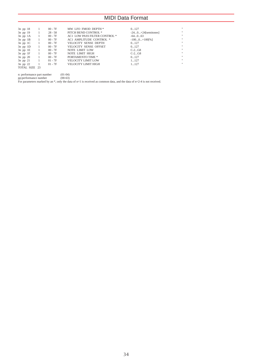| 1              | $00 - 7F$   | MW LFO FMOD DEPTH *           | 0127                  | × |
|----------------|-------------|-------------------------------|-----------------------|---|
| $\sim$ 1       | $28 - 58$   | PITCH BEND CONTROL *          | $-240+24$ [semitones] | × |
| $\blacksquare$ | $00 - 7F$   | AC1 LOW PASS FILTER CONTROL * | $-64063$              | × |
| $\frac{1}{2}$  | $00 - 7F$   | AC1 AMPLITUDE CONTROL *       | $-1000+100$ [%]       | × |
| $\blacksquare$ | $00 - 7F$   | <b>VELOCITY SENSE DEPTH</b>   | 0127                  | × |
| $\blacksquare$ | $00 - 7F$   | <b>VELOCITY SENSE OFFSET</b>  | 0127                  | × |
| $\overline{1}$ | $00 - 7F$   | NOTE LIMIT LOW                | $C-2G8$               | × |
| $\sim$ 1       | $00$ - $7F$ | NOTE LIMIT HIGH               | $C-2G8$               | × |
| $\overline{1}$ | $00 - 7F$   | PORTAMENTO TIME *             | 0127                  | × |
| $\sim$ 1       | $01 - 7F$   | <b>VELOCITY LIMIT LOW</b>     | 1127                  | × |
|                | $01 - 7F$   | <b>VELOCITY LIMIT HIGH</b>    | 1127                  | × |
| TOTAL SIZE 23  |             |                               |                       |   |
|                |             |                               |                       |   |

n: performance part number (01-04) pp:performance number (00-63) For parameters marked by an \*, only the data of n=1 is received as common data, and the data of n=2-4 is not received.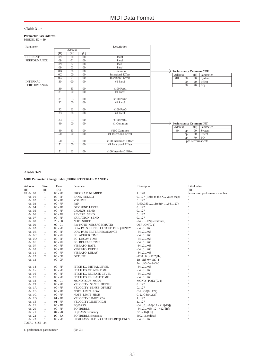## **<Table 3-1>**

## **Parameter Base Address MODEL ID = 59**

| Parameter          |                 |                |                 | Description              |                               |
|--------------------|-----------------|----------------|-----------------|--------------------------|-------------------------------|
| <b>Address</b>     |                 |                |                 |                          |                               |
|                    | (H)             | (M)            | (L)             |                          |                               |
| <b>CURRENT</b>     | 09              | $00\,$         | 00              | Part1                    |                               |
| <b>PERFORMANCE</b> | 09              | 01             | 00              | Part <sub>2</sub>        |                               |
|                    | 09              | 02             | 00              | Part <sub>3</sub>        |                               |
|                    | 09              | 0 <sub>3</sub> | 00              | Part4                    |                               |
|                    | 0B              | 00             | 00              | Common                   | <b>Performance Common CUR</b> |
|                    | 0 <sup>C</sup>  | 00             | $\overline{00}$ | <b>Insertion1 Effect</b> | Parameter<br>Address<br>(H)   |
|                    | 0 <sup>C</sup>  | 01             | 00              | <b>Insertion2</b> Effect | 0B<br>00<br>$00\,$<br>System  |
| <b>INTERNAL</b>    | 30              | 00             | 00              | #1 Part1                 | 20<br>$00\,$<br>Effect        |
| <b>PERFORMANCE</b> |                 |                |                 | $\mathbb{R}^2$           | 70<br>EQ<br>$00\,$            |
|                    | 30              | 63             | $00\,$          | #100 Part1               |                               |
|                    | $\overline{31}$ | 00             | 00              | #1 Part2                 |                               |
|                    |                 | ÷              |                 | $\sim$ 10                |                               |
|                    | 31              | 63             | $00\,$          | #100 Part2               |                               |
|                    | 32              | 00             | $00\,$          | #1 Part3                 |                               |
|                    |                 |                |                 | $\sim$ 100               |                               |
|                    | 32              | 63             | $00\,$          | #100 Part3               |                               |
|                    | 33              | $00\,$         | 00              | #1 Part4                 |                               |
|                    |                 |                |                 |                          |                               |
|                    | 33              | 63             | $00\,$          | #100 Part4               |                               |
|                    | 40              | 00             | 00              | #1 Common                | <b>Performance Common INT</b> |
|                    |                 |                |                 |                          | Address<br>Parameter<br>(H)   |
|                    | 40              | 63             | $00\,$          | #100 Common              | 40<br>$00\,$<br>System<br>pp  |
|                    | 50              | 00             | 00              | #1 Insertion1 Effect     | 20<br>Effect<br>pp            |
|                    |                 |                |                 |                          | $70^{-}$<br>EQ<br>pp          |
|                    | 50              | 63             | $00\,$          | #100 Insertion1 Effect   | pp: Performance#              |
|                    | 51              | $00\,$         | $00\,$          | #1 Insertion2 Effect     |                               |
|                    |                 |                |                 |                          |                               |
|                    | 51              | 63             | $00\,$          | #100 Insertion2 Effect   |                               |

### **<Table 3-2>**

## **MIDI Parameter Change table (CURRENT PERFORMANCE )**

| <b>Address</b><br>(H)         | Size<br>(H)    | Data<br>(H) | Parameter                         | Description                      | Initial value<br>(H)          |
|-------------------------------|----------------|-------------|-----------------------------------|----------------------------------|-------------------------------|
| 09 On 00                      | $\mathbf{1}$   | $00 - 7F$   | PROGRAM NUMBER                    | 1128                             | depends on performance number |
| On 01                         | $\mathbf{1}$   | $00 - 7F$   | <b>BANK SELECT</b>                | 0127 (Refer to the XG voice map) |                               |
| On 02                         | $\mathbf{1}$   | $00 - 7F$   | <b>VOLUME</b>                     | 0127                             |                               |
| 0n 03                         | $\mathbf{1}$   | $00 - 7F$   | PAN                               | RND, L63CR63(0, 164127)          |                               |
| 0n 04                         | $\mathbf{1}$   | $00 - 7F$   | DRY SEND LEVEL                    | 0127                             | $\mathbf{u}$                  |
| $0n$ 05                       | $\mathbf{1}$   | $00 - 7F$   | <b>CHORUS SEND</b>                | 0127                             | $\mathbf{u}$                  |
| 0 <sub>n</sub> 0 <sub>6</sub> | $\mathbf{1}$   | $00 - 7F$   | <b>REVERB SEND</b>                | 0127                             |                               |
| 0n 07                         | $\mathbf{1}$   | $00 - 7F$   | VARIATION SEND                    | 0127                             |                               |
| On 08                         | $\mathbf{1}$   | $28 - 58$   | <b>NOTE SHIFT</b>                 | $-240+24$ [semitones]            | $\mathbf{H}$                  |
| On 09                         | $\mathbf{1}$   | $00 - 01$   | Rcv NOTE MESSAGE(MUTE)            | $OFF$ , $ON(0, 1)$               |                               |
| On OA                         | $\mathbf{1}$   | $00 - 7F$   | LOW PASS FILTER CUTOFF FREQUENCY  | $-640+63$                        |                               |
| $0n$ $0B$                     | $\mathbf{1}$   | $00 - 7F$   | LOW PASS FILTER RESONANCE         | $-640+63$                        |                               |
| $0n$ OC                       | $\mathbf{1}$   | $00 - 7F$   | EG ATTACK TIME                    | $-640+63$                        |                               |
| $0n$ $0D$                     | 1              | $00 - 7F$   | EG DECAY TIME                     | $-640+63$                        |                               |
| On OE                         | $\mathbf{1}$   | $00 - 7F$   | <b>EG RELEASE TIME</b>            | $-640+63$                        |                               |
| On OF                         | $\mathbf{1}$   | $00 - 7F$   | <b>VIBRATO RATE</b>               | $-640+63$                        |                               |
| 0n 10                         | $\mathbf{1}$   | $00 - 7F$   | VIBRATO DEPTH                     | $-640+63$                        |                               |
| $0n$ 11                       | $\mathbf{1}$   | $00 - 7F$   | VIBRATO DELAY                     | $-640+63$                        |                               |
| 0 <sub>n</sub> 12             | $\overline{c}$ | $00 - 0F$   | <b>DETUNE</b>                     | $-12.80+12.7$ [Hz]               | $\mathbf{u}$                  |
| On 13                         |                | $00 - 0F$   |                                   | 1st bit3-0 $\rightarrow$ bit7-4  |                               |
|                               |                |             |                                   | 2nd bit3-0 $\rightarrow$ bit3-0  |                               |
| 0n 14                         | 1              | $00 - 7F$   | PITCH EG INITIAL LEVEL            | $-640+63$                        | $\mathbf{u}$                  |
| 0n 15                         | $\mathbf{1}$   | $00 - 7F$   | PITCH EG ATTACK TIME              | $-640+63$                        | $\mathbf{u}$                  |
| On 16                         | $\mathbf{1}$   | $00 - 7F$   | PITCH EG RELEASE LEVEL            | $-640+63$                        | $\mathbf{u}$                  |
| 0 <sub>n</sub> 17             | $\mathbf{1}$   | $00 - 7F$   | PITCH EG RELEASE TIME             | $-640+63$                        |                               |
| On 18                         | $\mathbf{1}$   | $00 - 01$   | MONO/POLY MODE                    | MONO, POLY(0, 1)                 |                               |
| On 19                         | $\mathbf{1}$   | $00 - 7F$   | VELOCITY SENSE DEPTH              | 0127                             |                               |
| $0n$ 1A                       | $\mathbf{1}$   | $00 - 7F$   | <b>VELOCITY SENSE OFFSET</b>      | 0127                             |                               |
| $0n$ 1B                       | 1              | $00 - 7F$   | NOTE LIMIT LOW                    | $C-2G8(0127)$                    | $\ddot{\phantom{0}}$          |
| $0n$ 1C                       | 1              | $00 - 7F$   | NOTE LIMIT HIGH                   | $C-2G8(0127)$                    | $\mathbf{u}$                  |
| $0n$ 1D                       | $\mathbf{1}$   | $01 - 7F$   | VELOCITY LIMIT LOW                | 1127                             |                               |
| $0n$ 1E                       | $\mathbf{1}$   | $01 - 7F$   | VELOCITY LIMIT HIGH               | 1127                             |                               |
| $0n$ 1F                       | 1              | $00 - 7F$   | <b>EO BASS</b>                    | $-64$ $0+63(-12 - 12[dB])$       |                               |
| 0n 20                         | $\mathbf{1}$   | $00 - 7F$   | <b>EO TREBLE</b>                  | $-640+63(-12 - 12[dB])$          |                               |
| 0n 21                         | 1              | $04 - 28$   | EQ BASS frequency                 | 322.0k[Hz]                       |                               |
| 0n 22                         | 1              | $1C - 3A$   | EQ TREBLE frequency               | 50016.0k[Hz]                     | $\mathbf{H}$                  |
| 0n 23                         | $\mathbf{1}$   | $00 - 7F$   | HIGH PASS FILTER CUTOFF FREQUENCY | $-640+63$                        | $\mathbf{u}$                  |
| TOTAL SIZE 24                 |                |             |                                   |                                  |                               |
|                               |                |             |                                   |                                  |                               |

n: performance part number (00-03)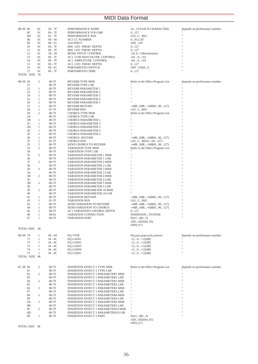## MIDI Data Format

| 0B 00 00       | $_{0<}$          | $20 - 7F$ | PERFORMANCE NAME                          | 32127(ASCII CHARACTER)           | depends on performance number |
|----------------|------------------|-----------|-------------------------------------------|----------------------------------|-------------------------------|
| 0 <sup>C</sup> | 01               | $00 - 7F$ | PERFORMANCE VOLUME                        | 0127                             |                               |
| OD             | 01               | $01 - 7F$ | PERFORMANCE PAN                           | L63CR63                          |                               |
| 0E             | 01               | $00 - 60$ | AC1 CC NUMBER                             | 095,CAT                          |                               |
|                |                  |           |                                           |                                  |                               |
| 0F             | 01               | $00 - 01$ | A/D INPUT                                 | OFF, ON                          |                               |
| 10             | 01               | $00 - 7F$ | MW LFO PMOD DEPTH                         | 0127                             |                               |
| 11             | 01               | $00 - 7F$ | MW LFO FMOD DEPTH                         | 0127                             |                               |
| 12             | 01               | $28 - 58$ | <b>BEND PITCH CONTROL</b>                 | $-24.0.+24$ [semitones]          |                               |
| 13             | 01               | $00 - 7F$ | AC1 LOW PASS FILTER CONTROL               | $-640+63$                        |                               |
| 14             | 01               | $00 - 7F$ | AC1 AMPLITUDE CONTROL                     | $-640+63$                        |                               |
| 15             | 01               | $00 - 7F$ | AC1 LFO FMOD DEPTH                        | 0127                             |                               |
| 16             | 01               | $00 - 01$ | PORTAMENTO SWITCH                         | $OFF$ , $ON(0, 1)$               |                               |
| 17             | 01               | $00 - 7F$ |                                           |                                  |                               |
|                |                  |           | PORTAMENTO TIME                           | 0127                             |                               |
| TOTAL SIZE 18  |                  |           |                                           |                                  |                               |
|                |                  |           |                                           |                                  |                               |
| 0B 00 20       | 2                | $00-7F$   | <b>REVERB TYPE MSB</b>                    | Refer to the Effect Program List | depends on performance number |
| 21             |                  | $00-7F$   | <b>REVERB TYPE LSB</b>                    |                                  |                               |
| 22             | $\mathbf{1}$     | $00-7F$   | REVERB PARAMETER 1                        | Ħ                                | 'n,                           |
| 23             | $\mathbf{1}$     | $00-7F$   | <b>REVERB PARAMETER 2</b>                 | Ħ                                |                               |
| 24             | $\mathbf{1}$     | $00-7F$   | <b>REVERB PARAMETER 3</b>                 | Ħ                                |                               |
| 25             | $\mathbf{1}$     | $00-7F$   | REVERB PARAMETER 4                        |                                  |                               |
|                |                  |           |                                           |                                  |                               |
| 26             | $\mathbf{1}$     | $00-7F$   | <b>REVERB PARAMETER 5</b>                 |                                  |                               |
| 27             | $\mathbf{1}$     | $00-7F$   | <b>REVERB RETURN</b>                      | $-\infty$ dB0dB+6dB $(096127)$   |                               |
| 28             | $\mathbf{1}$     | $01-7F$   | <b>REVERB PAN</b>                         | L63CR63                          |                               |
| 29             | 2                | $00-7F$   | <b>CHORUS TYPE MSB</b>                    | Refer to the Effect Program List |                               |
| 2A             |                  | $00-7F$   | <b>CHORUS TYPE LSB</b>                    |                                  |                               |
| 2B             | $\mathbf{1}$     | $00-7F$   | <b>CHORUS PARAMETER 1</b>                 |                                  |                               |
| 2C             | $\mathbf{1}$     | $00-7F$   | <b>CHORUS PARAMETER 2</b>                 | Ħ                                |                               |
| 2D             | $\mathbf{1}$     | $00-7F$   | <b>CHORUS PARAMETER 3</b>                 |                                  |                               |
| 2E             | $\mathbf{1}$     | $00-7F$   | <b>CHORUS PARAMETER 4</b>                 |                                  |                               |
|                |                  |           |                                           |                                  |                               |
| 2F             | $\mathbf{1}$     | $00-7F$   | <b>CHORUS PARAMETER 5</b>                 |                                  |                               |
| 30             | $\mathbf{1}$     | $00-7F$   | <b>CHORUS RETURN</b>                      | $-\infty$ dB0dB+6dB $(096127)$   |                               |
| 31             | $\mathbf{1}$     | $01-7F$   | <b>CHORUS PAN</b>                         | L63CR63(164127)                  |                               |
| 32             | $\mathbf{1}$     | $00-7F$   | <b>SEND CHORUS TO REVERB</b>              | $-\infty$ dB0dB+6dB $(096127)$   |                               |
| 33             | 2                | $00-7F$   | VARIATION TYPE MSB                        | Refer to the Effect Program List |                               |
| 34             |                  | $00-7F$   | VARIATION TYPE LSB                        | Ħ                                |                               |
| 35             | 2                | $00-7F$   | VARIATION PARAMETER 1 MSB                 | Ħ                                |                               |
| 36             |                  | $00-7F$   | VARIATION PARAMETER 1 LSB                 | Ħ                                |                               |
| 37             | 2                | $00-7F$   |                                           |                                  |                               |
|                |                  |           | VARIATION PARAMETER 2 MSB                 |                                  |                               |
| 38             |                  | $00-7F$   | <b>VARIATION PARAMETER 2 LSB</b>          |                                  |                               |
| 39             | 2                | $00-7F$   | VARIATION PARAMETER 3 MSB                 |                                  |                               |
| 3A             |                  | $00-7F$   | VARIATION PARAMETER 3 LSB                 |                                  |                               |
| 3B             | 2                | $00-7F$   | VARIATION PARAMETER 4 MSB                 |                                  |                               |
| 3C             |                  | $00-7F$   | VARIATION PARAMETER 4 LSB                 |                                  |                               |
| 3D             | 2                | $00-7F$   | VARIATION PARAMETER 5 MSB                 |                                  |                               |
| 3E             |                  | $00-7F$   | <b>VARIATION PARAMETER 5 LSB</b>          |                                  |                               |
| 3F             | 2                | $00-7F$   | VARIATION PARAMETER 10 MSB                |                                  |                               |
|                |                  |           |                                           |                                  |                               |
| 40             |                  | $00-7F$   | VARIATION PARAMETER 10 LSB                |                                  |                               |
| 41             | $\mathbf{1}$     | $00-7F$   | VARIATION RETURN                          | $-\infty$ dB0dB+6dB $(096127)$   |                               |
| 42             | $\mathbf{1}$     | $01-7F$   | VARIATION PAN                             | L63CR63                          |                               |
| 43             | $\mathbf{1}$     | $00-7F$   | SEND VARIATION TO REVERB                  | $-\infty$ dB0dB+6dB $(096127)$   |                               |
| 44             | $\mathbf{1}$     | $00-7F$   | <b>SEND VARIATION TO CHORUS</b>           | $-\infty$ dB0dB+6dB $(096127)$   |                               |
| 45             | $\mathbf{1}$     | $00-7F$   | AC1 VARIATION CONTROL DEPTH               | 0127                             |                               |
| 46             | $\mathbf{1}$     | $00 - 01$ | VARIATION CONNECTION                      | INSERTION, SYSTEM                |                               |
| 47             | $\mathbf{1}$     | $00-7F$   | VARIATION PART                            | Part $14(03)$                    |                               |
|                |                  |           |                                           | AD1, AD2(64, 65)                 |                               |
|                |                  |           |                                           |                                  |                               |
|                |                  |           |                                           | OFF(127)                         |                               |
| TOTAL SIZE 28  |                  |           |                                           |                                  |                               |
|                |                  |           |                                           |                                  |                               |
| 0B 00 70       | $\mathbf{1}$     | $00 - 04$ | <b>EQ TYPE</b>                            | flat,jazz,pops,rock,concert      | depends on performance number |
| 71             | $\mathbf{1}$     | $34 - 4C$ | EQ GAIN1                                  | $-120+12[dB]$                    |                               |
| 72             | $\mathbf{1}$     | $34 - 4C$ | EQ GAIN2                                  | $-120+12[dB]$                    | ×                             |
| 73             | 1                | $34 - 4C$ | EQ GAIN3                                  | $-120+12[dB]$                    | H,                            |
| 74             | 1                | 34 - 4C   | EQ GAIN4                                  | -12…0…+12[dB]                    |                               |
| 75             | -1               | $34 - 4C$ | EQ GAIN5                                  | $-120+12[dB]$                    | ×                             |
| TOTAL SIZE 06  |                  |           |                                           |                                  |                               |
|                |                  |           |                                           |                                  |                               |
|                |                  |           |                                           |                                  |                               |
|                |                  |           |                                           |                                  |                               |
| OC 00 00       | 2                | $00-7F$   | <b>INSERTION EFFECT 1 TYPE MSB</b>        | Refer to the Effect Program List | depends on performance number |
| 01             |                  | $00-7F$   | <b>INSERTION EFFECT 1 TYPE LSB</b>        |                                  |                               |
| 02             | $\sqrt{2}$       | $00-7F$   | <b>INSERTION EFFECT 1 PARAMETER1 MSB</b>  | Ħ                                |                               |
| 03             |                  | $00-7F$   | INSERTION EFFECT 1 PARAMETER1 LSB         | Ħ                                |                               |
| 04             | $\overline{c}$   | $00-7F$   | <b>INSERTION EFFECT 1 PARAMETER2 MSB</b>  | Ħ                                |                               |
| 05             |                  | $00-7F$   | <b>INSERTION EFFECT 1 PARAMETER2 LSB</b>  | Ħ                                |                               |
| 06             | $\boldsymbol{2}$ | $00-7F$   | <b>INSERTION EFFECT 1 PARAMETER3 MSB</b>  | Ħ                                |                               |
|                |                  |           |                                           | Ħ                                |                               |
| 07             |                  | $00-7F$   | <b>INSERTION EFFECT 1 PARAMETER3 LSB</b>  | Ħ                                |                               |
| 08             | $\boldsymbol{2}$ | $00-7F$   | <b>INSERTION EFFECT 1 PARAMETER4 MSB</b>  | Ħ                                |                               |
| 09             |                  | $00-7F$   | <b>INSERTION EFFECT 1 PARAMETER4 LSB</b>  |                                  |                               |
| 0A             | 2                | $00-7F$   | <b>INSERTION EFFECT 1 PARAMETER5 MSB</b>  | Ħ                                |                               |
| 0B             |                  | $00-7F$   | <b>INSERTION EFFECT 1 PARAMETER5 LSB</b>  | Ħ                                |                               |
| 0 <sup>C</sup> | $\boldsymbol{2}$ | $00-7F$   | INSERTION EFFECT 1 PARAMETER10 MSB        | Ħ                                |                               |
| 0D             |                  | $00-7F$   | <b>INSERTION EFFECT 1 PARAMETER10 LSB</b> |                                  |                               |
| 0E             | $\mathbf{1}$     | $00-7F$   | <b>INSERTION EFFECT 1 PART</b>            | Part $14(03)$                    |                               |
|                |                  |           |                                           |                                  |                               |
|                |                  |           |                                           |                                  |                               |
|                |                  |           |                                           | AD1, AD2(64, 65)<br>OFF(127)     |                               |

TOTAL SIZE 0F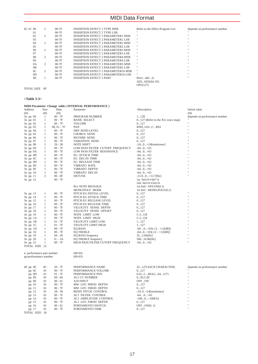## MIDI Data Format

| OC 01 00       | 2              | $00-7F$ | <b>INSERTION EFFECT 2 TYPE MSB</b>        | Refer to the Effect Program List | depends on performance number |
|----------------|----------------|---------|-------------------------------------------|----------------------------------|-------------------------------|
| 01             |                | $00-7F$ | <b>INSERTION EFFECT 2 TYPE LSB</b>        |                                  |                               |
| 02             | 2              | $00-7F$ | <b>INSERTION EFFECT 2 PARAMETER1 MSB</b>  | $\mathbf{H}$                     | $\mathbf{H}$                  |
| 03             |                | $00-7F$ | <b>INSERTION EFFECT 2 PARAMETER1 LSB</b>  | $\mathbf{H}$                     | $\mathbf{H}$                  |
| 04             | 2              | $00-7F$ | <b>INSERTION EFFECT 2 PARAMETER2 MSB</b>  | $\mathbf{H}$                     | $\mathbf{H}$                  |
| 05             |                | $00-7F$ | <b>INSERTION EFFECT 2 PARAMETER2 LSB</b>  | $\mathbf{H}$                     | $\mathbf{H}$                  |
| 06             | 2              | $00-7F$ | <b>INSERTION EFFECT 2 PARAMETER3 MSB</b>  | $\mathbf{H}$                     | $\mathbf{H}$                  |
| 07             |                | $00-7F$ | <b>INSERTION EFFECT 2 PARAMETER3 LSB</b>  | $\mathbf{H}$                     | $\mathbf{H}$                  |
| 08             | $\overline{c}$ | $00-7F$ | <b>INSERTION EFFECT 2 PARAMETER4 MSB</b>  | $\mathbf{H}$                     | $\mathbf{H}$                  |
| $^{09}$        |                | $00-7F$ | <b>INSERTION EFFECT 2 PARAMETER4 LSB</b>  | $\mathbf{H}$                     | $\mathbf{H}$                  |
| 0A             | $\overline{c}$ | $00-7F$ | <b>INSERTION EFFECT 2 PARAMETER5 MSB</b>  | $\mathbf{H}$                     | $\mathbf{H}$                  |
| 0 <sub>B</sub> |                | $00-7F$ | <b>INSERTION EFFECT 2 PARAMETER5 LSB</b>  | $\mathbf{H}$                     | $\mathbf{H}$                  |
| 0 <sup>C</sup> | $\overline{c}$ | $00-7F$ | <b>INSERTION EFFECT 2 PARAMETER10 MSB</b> | $\mathbf{H}$                     | $\mathbf{H}$                  |
| 0 <sub>D</sub> |                | $00-7F$ | <b>INSERTION EFFECT 2 PARAMETER10 LSB</b> | $\mathbf{H}$                     | $\mathbf{H}$                  |
| 0 <sub>E</sub> |                | $00-7F$ | <b>INSERTION EFFECT 2 PART</b>            | Part $14(03)$                    | $\mathbf{H}$                  |
|                |                |         |                                           | AD1, AD2(64, 65)                 |                               |
|                |                |         |                                           | OFF(127)                         |                               |

TOTAL SIZE 0F

### **<Table 3-3>**

| MIDI Parameter Change table (INTERNAL PERFORMANCE)                                                                                |                                       |
|-----------------------------------------------------------------------------------------------------------------------------------|---------------------------------------|
| Address<br>Data<br>Description<br>Size<br>Parameter                                                                               | Initial value                         |
| (H)<br>(H)<br>(H)                                                                                                                 | (H)                                   |
| $00 - 7F$<br>3n pp 00<br>$\mathbf{1}$<br>PROGRAM NUMBER<br>1128                                                                   | depends on performance number         |
| $3n$ pp 01<br>$00 - 7F$<br>$\mathbf{1}$<br><b>BANK SELECT</b>                                                                     | Ħ<br>0127 (Refer to the XG voice map) |
| $00 - 7F$<br>$3n$ pp 02<br>$\mathbf{1}$<br><b>VOLUME</b><br>0127                                                                  | H.<br>H.                              |
| $3n$ pp 03<br>$\mathbf{1}$<br>$00, 01 - 7F$<br>PAN<br>RND, L63CR63                                                                | H.                                    |
| $00 - 7F$<br>0127<br>$3n$ pp 04<br>$\mathbf{1}$<br>DRY SEND LEVEL                                                                 |                                       |
| $00 - 7F$<br>0127<br>$3n$ pp 05<br>1<br><b>CHORUS SEND</b>                                                                        |                                       |
| 3n pp 06<br>$00 - 7F$<br>REVERB SEND<br>0127<br>1                                                                                 |                                       |
| 3n pp 07<br>$\mathbf{1}$<br>$00 - 7F$<br>VARIATION SEND<br>0127                                                                   | H.                                    |
| 3n pp 08<br>$28 - 58$<br><b>NOTE SHIFT</b><br>$\mathbf{1}$<br>$-240+24$ [semitones]                                               |                                       |
| 3n pp 09<br>$00 - 7F$<br>LOW PASS FILTER CUTOFF FREQUENCY<br>$-640+63$<br>$\mathbf{1}$                                            |                                       |
| $00 - 7F$<br>$-640+63$<br>$3n$ pp $0A$<br>1<br>LOW PASS FILTER RESONANCE                                                          |                                       |
| $00 - 7F$<br><b>EG ATTACK TIME</b><br>$-640+63$<br>$3n$ pp $0B$<br>$\mathbf{1}$<br>$\mathbf{1}$                                   |                                       |
| $3n$ pp $0C$<br>$00 - 7F$<br>EG DECAY TIME<br>$-640+63$<br>$\mathbf{1}$                                                           |                                       |
| $3n$ pp $0D$<br>$00 - 7F$<br><b>EG RELEASE TIME</b><br>$-640+63$<br>$\mathbf{1}$<br>$00 - 7F$<br><b>VIBRATO RATE</b><br>$-640+63$ |                                       |
| $3n$ pp $0E$<br>$3n$ pp $0F$<br>$00 - 7F$<br>1<br>VIBRATO DEPTH<br>$-640+63$                                                      | $\ddot{\phantom{a}}$                  |
| $00 - 7F$<br>3n pp 10<br>$\mathbf{1}$<br>VIBRATO DELAY<br>$-640+63$                                                               | Ħ                                     |
| 2<br>$00 - 0F$<br>$3n$ pp $11$<br><b>DETUNE</b><br>$-12.80+12.7$ [Hz]                                                             | H.                                    |
| $00 - 7F$<br>3n pp 12<br>1st bit3-0 $\rightarrow$ bit7-4                                                                          |                                       |
| 2nd bit3-0 $\rightarrow$ bit3-0                                                                                                   |                                       |
| <b>Rcv NOTE MESSAGE</b><br>1st bit6 : $OFF,ON(0,1)$                                                                               |                                       |
| MONO/POLY MODE<br>1st bit5 : $MONO, POLY(0,1)$                                                                                    |                                       |
| 3n pp 13<br>$00 - 7F$<br>1<br>PITCH EG INITIAL LEVEL<br>0127                                                                      |                                       |
| 0127<br>3n pp 14<br>1<br>$00 - 7F$<br>PITCH EG ATTACK TIME                                                                        | $\mathbf{u}$                          |
| 3n pp 15<br>$00 - 7F$<br>0127<br>$\mathbf{1}$<br>PITCH EG RELEASE LEVEL                                                           | H.                                    |
| 3n pp 16<br>$00 - 7F$<br>PITCH EG RELEASE TIME<br>0127<br>$\mathbf{1}$                                                            | H.                                    |
| 3n pp 17<br>$00 - 7F$<br>VELOCITY SENSE DEPTH<br>0127<br>$\mathbf{1}$                                                             |                                       |
| $00 - 7F$<br>VELOCITY SENSE OFFSET<br>0127<br>3n pp 18<br>$\mathbf{1}$                                                            |                                       |
| $00 - 7F$<br>$C-2G8$<br>3n pp 19<br>$\mathbf{1}$<br>NOTE LIMIT LOW                                                                |                                       |
| $00 - 7F$<br>$C-2G8$<br>$3n$ pp $1A$<br>$\mathbf{1}$<br>NOTE LIMIT HIGH                                                           |                                       |
| $3n$ pp $1B$<br>$01 - 7F$<br>VELOCITY LIMIT LOW<br>1127<br>1                                                                      |                                       |
| $3n$ pp $1C$<br>1<br>$01 - 7F$<br>VELOCITY LIMIT HIGH<br>1127                                                                     |                                       |
| 3n pp 1D<br>$00 - 7F$<br><b>EQ BASS</b><br>$\mathbf{1}$<br>$-64$ 0+63(-12 - +12[dB])                                              |                                       |
| 3n pp 1E<br>$\mathbf{1}$<br>$00 - 7F$<br><b>EQ TREBLE</b><br>$-640+63(-12 - +12[dB])$                                             |                                       |
| $3n$ pp $1F$<br>$\mathbf{1}$<br>$04 - 28$<br>EQ BASS frequency<br>322.0k[Hz]                                                      |                                       |
| 3n pp 20<br>1<br>$1C - 3A$<br>EQ TREBLE frequency<br>50016.0k[Hz]                                                                 |                                       |
| $3n$ pp $21$<br>1<br>$00 - 7F$<br>HIGH PASS FILTER CUTOFF FREQUENCY<br>$-640+63$                                                  |                                       |
| TOTAL SIZE 22                                                                                                                     |                                       |
| $(00-03)$<br>n: performance part number                                                                                           |                                       |
| pp:performance number<br>$(00-63)$                                                                                                |                                       |
|                                                                                                                                   |                                       |
|                                                                                                                                   |                                       |
| 0 <sup>C</sup><br>$20 - 7F$<br>$40$ pp $00$<br>PERFORMANCE NAME<br>32127(ASCII CHARACTER)                                         | depends on performance number         |
| 01<br>$00 - 7F$<br>PERFORMANCE VOLUME<br>pp 0C<br>0127                                                                            | Ħ                                     |
| $01 - 7F$<br>pp 0D<br>01<br>PERFORMANCE PAN<br>L63CR63(164127)                                                                    | Ħ                                     |
| pp OE<br>01<br>$00 - 60$<br><b>AC1 CC NUMBER</b><br>095,CAT                                                                       |                                       |
| pp OF<br>01<br>$00 - 01$<br><b>A/D INPUT</b><br>OFF, ON                                                                           |                                       |
| 01<br>$00 - 7F$<br>MW LFO PMOD DEPTH<br>0127<br>pp 10<br>$00 - 7F$<br>MW LFO FMOD DEPTH<br>01                                     |                                       |
| pp 11<br>0127<br>01<br>$28 - 58$<br>BEND PITCH CONTROL                                                                            |                                       |
| pp 12<br>$-24.0.+24$ [semitones]<br>$00 - 7F$<br>AC1 FILTER CONTROL<br>01<br>$-640+63$                                            |                                       |
| pp 13<br>pp 14<br>01<br>$00 - 7F$<br>AC1 AMPLITUDE CONTROL<br>$-1000+100[\%]$                                                     |                                       |
| $00 - 7F$<br>01<br>AC1 LFO FMOD DEPTH<br>0127<br>pp 15                                                                            |                                       |
| 01<br>$00 - 01$<br>PORTAMENTO SWITCH<br>$OFF$ , $ON(0, 1)$<br>pp 16                                                               | Ħ                                     |
| 01<br>$00 - 7F$<br>pp 17<br>PORTAMENTO TIME<br>0127                                                                               | $\mathbf{a}$                          |
| TOTAL SIZE 18                                                                                                                     |                                       |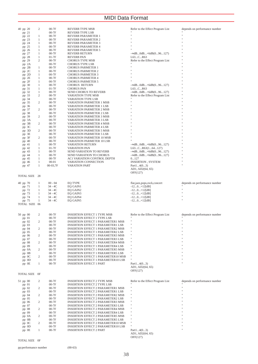### MIDI Data Format

| 40 pp 20<br>pp 21 |              |           |                                           |                                  |                               |
|-------------------|--------------|-----------|-------------------------------------------|----------------------------------|-------------------------------|
|                   | 2            | $00-7F$   | REVERB TYPE MSB                           | Refer to the Effect Program List | depends on performance number |
|                   |              | $00-7F$   | REVERB TYPE LSB                           |                                  |                               |
| pp 22             | 1            | $00-7F$   | REVERB PARAMETER 1                        | Ħ                                |                               |
|                   |              |           | <b>REVERB PARAMETER 2</b>                 |                                  |                               |
| pp 23             | 1            | $00-7F$   |                                           |                                  |                               |
| pp 24             | 1            | $00-7F$   | <b>REVERB PARAMETER 3</b>                 |                                  |                               |
| pp 25             | 1            | $00-7F$   | REVERB PARAMETER 4                        |                                  |                               |
| pp 26             | 1            | $00-7F$   | <b>REVERB PARAMETER 5</b>                 |                                  |                               |
| pp 27             | 1            | $00-7F$   | REVERB RETURN                             | $-$ ∞dB0dB+6dB $(096127)$        |                               |
|                   |              |           |                                           |                                  |                               |
| pp 28             | 1            | $01-7F$   | <b>REVERB PAN</b>                         | L63CR63                          |                               |
| pp 29             | 2            | $00-7F$   | <b>CHORUS TYPE MSB</b>                    | Refer to the Effect Program List |                               |
| pp 2A             |              | $00-7F$   | CHORUS TYPE LSB                           |                                  |                               |
| pp 2B             | 1            | $00-7F$   | <b>CHORUS PARMETER 1</b>                  | Ħ                                |                               |
|                   | 1            | $00-7F$   | <b>CHORUS PARMETER 2</b>                  | Ħ                                |                               |
| pp 2C             |              |           |                                           |                                  |                               |
| pp 2D             | 1            | $00-7F$   | <b>CHORUS PARMETER 3</b>                  |                                  |                               |
| pp 2E             | 1            | $00-7F$   | <b>CHORUS PARMETER 4</b>                  |                                  |                               |
| pp 2F             | 1            | $00-7F$   | <b>CHORUS PARMETER 5</b>                  |                                  |                               |
| pp 30             | 1            | $00-7F$   | <b>CHORUS RETURN</b>                      | $-\infty$ dB0dB+6dB $(096127)$   |                               |
|                   |              |           |                                           |                                  |                               |
| pp 31             | 1            | $01-7F$   | <b>CHORUS PAN</b>                         | L63CR63                          |                               |
| pp 32             | 1            | $00-7F$   | SEND CHORUS TO REVERB                     | $ \infty$ dB0dB+6dB $(096127)$   |                               |
| pp 33             | 2            | $00-7F$   | VARIATION TYPE MSB                        | Refer to the Effect Program List |                               |
| pp 34             |              | $00-7F$   | VARIATION TYPE LSB                        |                                  |                               |
|                   |              |           |                                           |                                  |                               |
| pp 35             | 2            | $00-7F$   | VARIATION PARMETER 1 MSB                  |                                  |                               |
| pp 36             |              | $00-7F$   | VARIATION PARMETER 1 LSB                  |                                  |                               |
| pp 37             | 2            | $00-7F$   | VARIATION PARMETER 2 MSB                  |                                  |                               |
| pp 38             |              | $00-7F$   | VARIATION PARMETER 2 LSB                  |                                  |                               |
|                   |              |           |                                           |                                  |                               |
| pp 39             | 2            | $00-7F$   | VARIATION PARMETER 3 MSB                  |                                  |                               |
| pp 3A             |              | $00-7F$   | VARIATION PARMETER 3 LSB                  |                                  |                               |
| pp 3B             | 2            | $00-7F$   | <b>VARIATION PARMETER 4 MSB</b>           |                                  |                               |
| pp 3C             |              | $00-7F$   | VARIATION PARMETER 4 LSB                  |                                  |                               |
|                   |              |           |                                           |                                  |                               |
| pp 3D             | 2            | $00-7F$   | VARIATION PARMETER 5 MSB                  |                                  |                               |
| pp 3E             |              | $00-7F$   | VARIATION PARMETER 5 LSB                  |                                  |                               |
| pp 3F             | 2            | $00-7F$   | VARIATION PARMETER 10 MSB                 |                                  |                               |
| pp 40             |              | $00-7F$   | VARIATION PARMETER 10 LSB                 |                                  |                               |
|                   |              |           |                                           |                                  |                               |
| pp 41             | 1            | $00-7F$   | VARIATION RETURN                          | $-\infty$ dB0dB+6dB $(096127)$   |                               |
| pp 42             | 1            | 01-7F     | VARIATION PAN                             | L63CR63(164127)                  |                               |
| pp 43             | 1            | $00-7F$   | <b>SEND VARIATION TO REVERB</b>           | $-$ ∞dB0dB+6dB $(096127)$        |                               |
| pp 44             | 1            | $00-7F$   | SEND VARIATION TO CHORUS                  | $-$ ∞dB0dB+6dB $(096127)$        |                               |
|                   |              |           |                                           |                                  |                               |
| pp 45             | 1            | $00-7F$   | AC1 VARIATION CONTROL DEPTH               | 0127                             | Ħ                             |
| pp 46             | $\mathbf{1}$ | $00 - 01$ | VARIATION CONNECTION                      | <b>INSERTION, SYSTEM</b>         |                               |
| pp 47             | $\mathbf{1}$ | 00-03,7F  | <b>VARATION PART</b>                      | Part $14(03)$                    |                               |
|                   |              |           |                                           | AD1, AD2(64, 65)                 |                               |
|                   |              |           |                                           |                                  |                               |
|                   |              |           |                                           | OFF(127)                         |                               |
| TOTAL SIZE 28     |              |           |                                           |                                  |                               |
|                   |              |           |                                           |                                  |                               |
| 40 pp 70          | 1            | $00 - 04$ | <b>EQ TYPE</b>                            | flat,jazz,pops,rock,concert      | depends on performance number |
|                   |              | 34 - 4C   | EQ GAIN1                                  |                                  |                               |
| pp 71             | $\mathbf{1}$ |           |                                           | $-120+12[dB]$                    | Ħ                             |
| pp 72             | 1            | 34 - 4C   | EQ GAIN2                                  | $-120+12[dB]$                    |                               |
| pp 73             | $\mathbf{1}$ | 34 - 4C   | EQ GAIN3                                  | $-120+12[dB]$                    | Ŧ.                            |
| pp 74             | 1            | 34 - 4C   | EQ GAIN4                                  | $-120+12[dB]$                    |                               |
|                   | 1            | 34 - 4C   |                                           |                                  |                               |
| pp 75             |              |           | EQ GAIN5                                  | $-120+12[dB]$                    |                               |
|                   |              |           |                                           |                                  |                               |
| TOTAL SIZE 06     |              |           |                                           |                                  |                               |
|                   |              |           |                                           |                                  |                               |
|                   |              |           |                                           |                                  |                               |
|                   |              |           |                                           |                                  |                               |
| 50 pp 00          | 2            | $00-7F$   | <b>INSERTION EFFECT 1 TYPE MSB</b>        | Refer to the Effect Program List | depends on performance number |
| pp 01             |              | $00-7F$   | <b>INSERTION EFFECT 1 TYPE LSB</b>        | $\blacksquare$                   |                               |
| pp 02             | 2            | $00-7F$   | <b>INSERTION EFFECT 1 PARAMETER1 MSB</b>  | Ħ                                |                               |
|                   |              |           |                                           | Ħ                                |                               |
| pp 03             |              | $00-7F$   | <b>INSERTION EFFECT 1 PARAMETER1 LSB</b>  |                                  |                               |
| pp 04             | 2            | $00-7F$   | <b>INSERTION EFFECT 1 PARAMETER2 MSB</b>  |                                  |                               |
| pp 05             |              | $00-7F$   | <b>INSERTION EFFECT 1 PARAMETER2 LSB</b>  |                                  |                               |
| pp 06             | 2            | $00-7F$   | <b>INSERTION EFFECT 1 PARAMETER3 MSB</b>  |                                  |                               |
|                   |              | $00-7F$   | <b>INSERTION EFFECT 1 PARAMETER3 LSB</b>  |                                  |                               |
| pp 07             |              |           |                                           |                                  |                               |
| pp 08             | 2            | $00-7F$   | <b>INSERTION EFFECT 1 PARAMETER4 MSB</b>  | Ħ                                |                               |
| pp 09             |              | $00-7F$   | <b>INSERTION EFFECT 1 PARAMETER4 LSB</b>  |                                  |                               |
| pp 0A             |              | $00-7F$   | <b>INSERTION EFFECT 1 PARAMETER5 MSB</b>  |                                  |                               |
| pp 0B             |              | $00-7F$   | <b>INSERTION EFFECT 1 PARAMETER5 LSB</b>  |                                  |                               |
|                   |              |           |                                           | Ħ                                |                               |
| $pp$ OC           | 2            | $00-7F$   | INSERTION EFFECT 1 PARAMETER10 MSB        |                                  |                               |
| pp 0D             |              | $00-7F$   | INSERTION EFFECT 1 PARAMETER10 LSB        |                                  |                               |
| pp 0E             | $\mathbf{1}$ | $00-7F$   | <b>INSERTION EFFECT 1 PART</b>            | Part $14(03)$                    |                               |
|                   |              |           |                                           | AD1, AD2(64, 65)                 |                               |
|                   |              |           |                                           |                                  |                               |
|                   |              |           |                                           | OFF(127)                         |                               |
| TOTAL SIZE OF     |              |           |                                           |                                  |                               |
|                   |              |           |                                           |                                  |                               |
| 51 pp 00          | 2            | $00-7F$   | <b>INSERTION EFFECT 2 TYPE MSB</b>        | Refer to the Effect Program List | depends on performance number |
|                   |              | $00-7F$   | <b>INSERTION EFFECT 2 TYPE LSB</b>        |                                  |                               |
| pp 01             |              |           |                                           | $\mathbf{H}$                     |                               |
| pp 02             | 2            | $00-7F$   | <b>INSERTION EFFECT 2 PARAMETER1 MSB</b>  | Ħ                                |                               |
| pp 03             |              | $00-7F$   | <b>INSERTION EFFECT 2 PARAMETER1 LSB</b>  |                                  |                               |
| pp 04             | 2            | $00-7F$   | <b>INSERTION EFFECT 2 PARAMETER2 MSB</b>  |                                  |                               |
|                   |              | $00-7F$   |                                           |                                  |                               |
| pp 05             |              |           | <b>INSERTION EFFECT 2 PARAMETER2 LSB</b>  |                                  |                               |
| pp 06             | 2            | $00-7F$   | <b>INSERTION EFFECT 2 PARAMETER3 MSB</b>  |                                  |                               |
| pp 07             |              | $00-7F$   | <b>INSERTION EFFECT 2 PARAMETER3 LSB</b>  |                                  |                               |
| pp 08             | 2            | $00-7F$   | <b>INSERTION EFFECT 2 PARAMETER4 MSB</b>  |                                  |                               |
|                   |              |           |                                           |                                  |                               |
| pp 09             |              | $00-7F$   | <b>INSERTION EFFECT 2 PARAMETER4 LSB</b>  |                                  |                               |
| pp 0A             | 2            | $00-7F$   | <b>INSERTION EFFECT 2 PARAMETER5 MSB</b>  |                                  |                               |
| pp 0B             |              | $00-7F$   | <b>INSERTION EFFECT 2 PARAMETER5 LSB</b>  |                                  |                               |
| pp 0C             | 2            | $00-7F$   | INSERTION EFFECT 2 PARAMETER10 MSB        |                                  |                               |
|                   |              |           |                                           |                                  |                               |
| pp 0D             |              | $00-7F$   | <b>INSERTION EFFECT 2 PARAMETER10 LSB</b> |                                  |                               |
| pp OE             | $\mathbf{1}$ | $00-7F$   | <b>INSERTION EFFECT 2 PART</b>            | Part $14(03)$                    |                               |
|                   |              |           |                                           | AD1, AD2(64, 65)                 |                               |
| TOTAL SIZE OF     |              |           |                                           | OFF(127)                         |                               |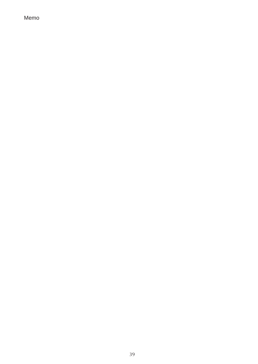Memo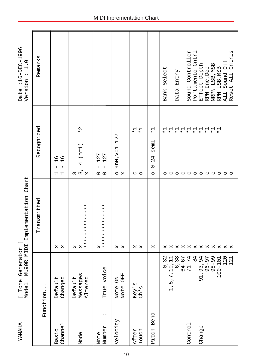| <b><i>AHAMAY</i></b>            | Generato<br>NU90R MI<br>[Tone<br>Mode1                                               | r ]<br>DI Implementation Chart    |                                                                                                                                   | :16-DEC-1996<br>$\frac{0}{1}$<br>$\ddot{\cdot}$<br>Version<br>Date                             |
|---------------------------------|--------------------------------------------------------------------------------------|-----------------------------------|-----------------------------------------------------------------------------------------------------------------------------------|------------------------------------------------------------------------------------------------|
| Function.                       |                                                                                      | Transmitted                       | Recognized                                                                                                                        | Remarks                                                                                        |
| Channel<br>Basic                | Changed<br>Default                                                                   | $\mathsf{x}$<br>X                 | 9 A<br>1 A<br>J.<br>1<br>ᆸ 급                                                                                                      |                                                                                                |
| Mode                            | Messages<br>Altered<br>Default                                                       | ***************<br>$\bowtie$<br>× | $*$ $\mathcal{Q}$<br>$4 (m=1)$<br>$m \nightharpoonup n$                                                                           |                                                                                                |
| $\cdot \cdot$<br>Number<br>Note | voice<br>True                                                                        | **************<br>X               | 127<br>127<br>$\mathbf{I}$<br>-1<br>$\circ$ $\circ$                                                                               |                                                                                                |
| Velocity                        | OFF<br>ă<br>Note<br>Note                                                             | X<br>$\mathsf{X}$                 | $-127$<br>$9nH, v=1$<br>$\boldsymbol{\mathsf{x}}$<br>$\circ$                                                                      |                                                                                                |
| Touch<br>After                  | w<br>Key';<br>CD <sup>1</sup> S                                                      | ×<br>$\mathsf{X}$                 | $\begin{array}{c} \n\uparrow \uparrow \uparrow \uparrow \uparrow \uparrow \uparrow \uparrow \uparrow \end{array}$<br>O<br>$\circ$ |                                                                                                |
| Bend<br>Pitch                   |                                                                                      | X                                 | $\overline{\phantom{0}}$<br>$\star$<br>semi<br>$-24$<br>$\circ$<br>O                                                              |                                                                                                |
|                                 |                                                                                      | X<br>X<br>×<br>×                  | ⊣<br>$\vec{r}$<br>$\blacksquare$<br>$\star$<br>×<br>O<br>$\circ$<br>O                                                             | Bank Select<br>Data Entry                                                                      |
| Control<br>Change               |                                                                                      | ×<br>×<br>×<br>×                  | ㅋ ㅋ ㅋ<br>$\blacksquare$<br>$\ast$<br>$\ast$<br>$^\star$<br>$^\star$                                                               | Sound Controller<br>Portamento Cntrl<br>Effect Depth<br>RPN Inc, Dec                           |
|                                 | 0,32<br>6,38<br>64-67<br>64-67<br>93,93,94<br>98-99<br>98-001<br>121<br>1221<br>1221 | ×<br>×<br>×<br>×                  | $\overline{\phantom{0}}$<br>$\vec{\star}$<br>×<br>$00000000000$                                                                   | Cntrls<br>Sound Off<br>NRPN LSB, MSB<br>LSB, MSB<br>Reset All<br><b>RPN</b><br>A <sub>11</sub> |

### MIDI Inprementation Chart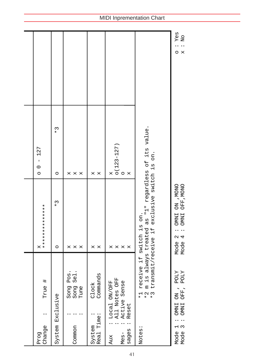| True #<br>Change<br>Prog                                                          | **************<br>×                                                                                     | 127<br>$\mathbf{I}$<br>$\circ$<br>$\circ$       |                                        |
|-----------------------------------------------------------------------------------|---------------------------------------------------------------------------------------------------------|-------------------------------------------------|----------------------------------------|
| System Exclusive                                                                  | $\begin{array}{c} * \rightarrow \end{array}$<br>$\circ$                                                 | $\begin{array}{c} * \ 3 \end{array}$<br>$\circ$ |                                        |
| Song Pos.<br>Song Sel<br>Tune<br>Common                                           | X<br>X<br>X                                                                                             | X<br>$\mathsf{x}$<br>X                          |                                        |
| Commands<br>Clock<br>Real Time:<br>System                                         | $\mathsf{X}$<br>×                                                                                       | $\mathsf{X}$<br>X                               |                                        |
| All Notes OFF<br>Local ON/OFF<br>Active Sense<br>Reset<br>sages<br>$MeS -$<br>Aux | X<br>X<br>×<br>X                                                                                        | $0(123 - 127)$<br>$\circ$<br>$\mathsf{X}$<br>X  |                                        |
| *2 m is always<br>receive if<br>$+$<br>$+$<br>$\vec{t}$<br>Notes:                 | treated as "1" regardless of its value.<br>transmit/receive if exclusive switch is on.<br>switch is on. |                                                 |                                        |
| Mode 1 : OMNI ON , POLY<br>Mode 3 : OMNI OFF, POLY                                | OMNI ON , WONO<br>OMNI OFF, MONO<br>Mode 2:<br>Mode 4:                                                  |                                                 | : Yes<br>x : N <sub>O</sub><br>$\circ$ |

### MIDI Inprementation Chart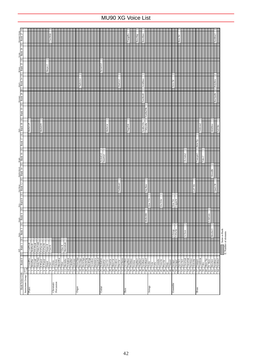|                                                                                                                                                                                                                                                                                                                                                                                                                                                                                    |                         |                                                                                                                                                                                                                                                                |                                                                                                                                                                                                                                                                                                                                                                                                                                            |   |         |                                  | <b>JaviWal</b> |                         |           |                                                                                              |  |  |       |              |               |        |          |          |          |  |                          |      | FlangeBa           |                                                                                                                                                                                                                                                                                                                                                                                                                                                        | ResoSlap | ResoBass |                      |          |  |          |  |                                | Reso Str |                    |                                                                                                                                                                                                                                                                                                                                                                                                                                                            |                                                  |        |                    | SynBrss3                   |                    |                                |
|------------------------------------------------------------------------------------------------------------------------------------------------------------------------------------------------------------------------------------------------------------------------------------------------------------------------------------------------------------------------------------------------------------------------------------------------------------------------------------|-------------------------|----------------------------------------------------------------------------------------------------------------------------------------------------------------------------------------------------------------------------------------------------------------|--------------------------------------------------------------------------------------------------------------------------------------------------------------------------------------------------------------------------------------------------------------------------------------------------------------------------------------------------------------------------------------------------------------------------------------------|---|---------|----------------------------------|----------------|-------------------------|-----------|----------------------------------------------------------------------------------------------|--|--|-------|--------------|---------------|--------|----------|----------|----------|--|--------------------------|------|--------------------|--------------------------------------------------------------------------------------------------------------------------------------------------------------------------------------------------------------------------------------------------------------------------------------------------------------------------------------------------------------------------------------------------------------------------------------------------------|----------|----------|----------------------|----------|--|----------|--|--------------------------------|----------|--------------------|------------------------------------------------------------------------------------------------------------------------------------------------------------------------------------------------------------------------------------------------------------------------------------------------------------------------------------------------------------------------------------------------------------------------------------------------------------|--------------------------------------------------|--------|--------------------|----------------------------|--------------------|--------------------------------|
| Sweep<br> E  Bank 26  E  Bank 27                                                                                                                                                                                                                                                                                                                                                                                                                                                   |                         |                                                                                                                                                                                                                                                                |                                                                                                                                                                                                                                                                                                                                                                                                                                            |   |         | $\sim$                           |                |                         |           |                                                                                              |  |  |       |              |               |        |          |          |          |  |                          |      |                    |                                                                                                                                                                                                                                                                                                                                                                                                                                                        |          |          |                      |          |  |          |  |                                |          |                    |                                                                                                                                                                                                                                                                                                                                                                                                                                                            |                                                  |        |                    |                            |                    |                                |
|                                                                                                                                                                                                                                                                                                                                                                                                                                                                                    |                         |                                                                                                                                                                                                                                                                |                                                                                                                                                                                                                                                                                                                                                                                                                                            |   |         | Harpsi.2                         |                |                         |           |                                                                                              |  |  |       | $\mathbf{c}$ |               |        | NylonGt3 |          |          |  | $\overline{\mathcal{C}}$ |      |                    |                                                                                                                                                                                                                                                                                                                                                                                                                                                        |          |          |                      |          |  |          |  |                                |          |                    |                                                                                                                                                                                                                                                                                                                                                                                                                                                            |                                                  |        |                    |                            |                    |                                |
| $\begin{tabular}{ c c c c c c } \hline & Ressman & & \hline & Ress & & \hline & Ress & \hline & & Ress & \hline & & & \hline & & & \hline & & & \hline & & & \hline & & & \hline & & & \hline & & & \hline & & & \hline & & & \hline & & & \hline & & & \hline & & & \hline & & & \hline & & & \hline & & & \hline & & & \hline & & & & \hline & & & & \hline & & & & \hline & & & & \hline & & & & \hline & & & & \hline & & & & \hline & & & & \hline & & & & \hline & & & & \h$ |                         |                                                                                                                                                                                                                                                                |                                                                                                                                                                                                                                                                                                                                                                                                                                            |   |         |                                  |                |                         |           |                                                                                              |  |  |       | 70sPcOr1     |               |        |          |          |          |  | DistGtr2                 |      |                    |                                                                                                                                                                                                                                                                                                                                                                                                                                                        |          | AcidBass |                      |          |  |          |  | Arco Str                       |          |                    |                                                                                                                                                                                                                                                                                                                                                                                                                                                            |                                                  |        |                    | PolyBrss                   |                    |                                |
|                                                                                                                                                                                                                                                                                                                                                                                                                                                                                    |                         |                                                                                                                                                                                                                                                                |                                                                                                                                                                                                                                                                                                                                                                                                                                            |   |         |                                  |                |                         |           |                                                                                              |  |  |       |              |               |        |          |          |          |  |                          |      |                    |                                                                                                                                                                                                                                                                                                                                                                                                                                                        |          | FastResB |                      |          |  |          |  |                                |          |                    |                                                                                                                                                                                                                                                                                                                                                                                                                                                            |                                                  |        |                    | $\overline{c}$<br>RezSynBr |                    |                                |
|                                                                                                                                                                                                                                                                                                                                                                                                                                                                                    |                         |                                                                                                                                                                                                                                                                |                                                                                                                                                                                                                                                                                                                                                                                                                                            |   |         |                                  |                |                         |           |                                                                                              |  |  |       |              |               |        |          |          |          |  |                          |      |                    |                                                                                                                                                                                                                                                                                                                                                                                                                                                        |          |          | SynBa2Dk             |          |  |          |  |                                |          |                    |                                                                                                                                                                                                                                                                                                                                                                                                                                                            |                                                  |        |                    |                            |                    |                                |
| $\equiv$<br>$\frac{\text{Dark}}{\left \text{E}\right }$ Bank 18                                                                                                                                                                                                                                                                                                                                                                                                                    |                         | MelloGri                                                                                                                                                                                                                                                       |                                                                                                                                                                                                                                                                                                                                                                                                                                            |   | MelloEP |                                  |                |                         |           |                                                                                              |  |  |       |              |               |        |          |          | MelloGtr |  |                          |      | $\sim$<br>FingrDrk |                                                                                                                                                                                                                                                                                                                                                                                                                                                        |          | SynBalDk | -∣∾<br>CIkSynBa      |          |  |          |  |                                |          |                    |                                                                                                                                                                                                                                                                                                                                                                                                                                                            | $\overline{\mathcal{C}}$<br>Trmbone <sub>2</sub> |        |                    | $\sim$<br>MildBrss         | $\sim$<br>Soft Brs |                                |
| Bank 17                                                                                                                                                                                                                                                                                                                                                                                                                                                                            |                         |                                                                                                                                                                                                                                                                |                                                                                                                                                                                                                                                                                                                                                                                                                                            |   |         |                                  |                |                         |           |                                                                                              |  |  |       |              |               |        |          |          |          |  |                          |      |                    |                                                                                                                                                                                                                                                                                                                                                                                                                                                        |          |          |                      |          |  |          |  |                                |          |                    |                                                                                                                                                                                                                                                                                                                                                                                                                                                            | $\sim$<br><b>BriteTrp</b>                        |        |                    |                            |                    |                                |
| Double Attack<br> E  Bank 14  E  Bank 16  E                                                                                                                                                                                                                                                                                                                                                                                                                                        |                         |                                                                                                                                                                                                                                                                |                                                                                                                                                                                                                                                                                                                                                                                                                                            |   |         |                                  |                |                         |           |                                                                                              |  |  |       |              |               |        | NylonGt2 | SteelGt2 |          |  |                          |      |                    |                                                                                                                                                                                                                                                                                                                                                                                                                                                        |          |          |                      |          |  |          |  |                                |          | $\sim$<br>Ch.Aahs2 |                                                                                                                                                                                                                                                                                                                                                                                                                                                            | Trumpet2                                         | Tuba 2 |                    |                            |                    |                                |
|                                                                                                                                                                                                                                                                                                                                                                                                                                                                                    |                         |                                                                                                                                                                                                                                                                |                                                                                                                                                                                                                                                                                                                                                                                                                                            |   |         |                                  |                |                         |           |                                                                                              |  |  |       |              |               |        |          |          |          |  |                          |      |                    |                                                                                                                                                                                                                                                                                                                                                                                                                                                        |          |          |                      |          |  |          |  |                                |          |                    |                                                                                                                                                                                                                                                                                                                                                                                                                                                            |                                                  |        |                    | lм<br>SfrzndBr             |                    |                                |
| Fast Decay<br>$E$ Bank 12                                                                                                                                                                                                                                                                                                                                                                                                                                                          |                         |                                                                                                                                                                                                                                                                |                                                                                                                                                                                                                                                                                                                                                                                                                                            |   |         |                                  |                |                         |           |                                                                                              |  |  |       |              |               |        |          |          |          |  | $\sim$<br>DstRthmG       |      |                    |                                                                                                                                                                                                                                                                                                                                                                                                                                                        |          |          | $\sim$<br>Seq Bass   |          |  |          |  |                                |          |                    | $\sim$<br>LoFi Hit                                                                                                                                                                                                                                                                                                                                                                                                                                         |                                                  |        |                    | lا<br>Quack Br             |                    |                                |
| $\begin{tabular}{ c c } \hline & \multicolumn{1}{ c }{\multicolumn{1}{ c }{\multicolumn{1}{ c }{\multicolumn{1}{ c }{\multicolumn{1}{ c }{\multicolumn{1}{ c }{\multicolumn{1}{ c }{\multicolumn{1}{c}}}}}} \\\hline \hline \hline & E & Ban & \multicolumn{1}{ c }{\multicolumn{1}{ c }{\multicolumn{1}{ c }{\multicolumn{1}{ c }{\multicolumn{1}{ c }{\multicolumn{1}{ c }{\multicolumn{1}{ c }{\multicolumn{1}{ c }{\multicolumn{1}{ c }{\mult$                                 |                         |                                                                                                                                                                                                                                                                |                                                                                                                                                                                                                                                                                                                                                                                                                                            |   |         |                                  |                |                         |           |                                                                                              |  |  |       |              |               |        |          |          |          |  |                          |      |                    |                                                                                                                                                                                                                                                                                                                                                                                                                                                        |          |          |                      | Slow Vin |  | SlwTrStr |  | $\sim$<br>LegatoSt<br>Slow Str |          |                    |                                                                                                                                                                                                                                                                                                                                                                                                                                                            |                                                  |        |                    |                            |                    |                                |
| Single<br>Bank 6                                                                                                                                                                                                                                                                                                                                                                                                                                                                   |                         |                                                                                                                                                                                                                                                                |                                                                                                                                                                                                                                                                                                                                                                                                                                            |   |         |                                  |                |                         |           |                                                                                              |  |  |       |              |               |        |          |          |          |  |                          |      |                    |                                                                                                                                                                                                                                                                                                                                                                                                                                                        |          |          | MelloSB <sub>1</sub> |          |  |          |  |                                |          |                    |                                                                                                                                                                                                                                                                                                                                                                                                                                                            |                                                  |        | $\sim$<br>FrHrSolo |                            |                    |                                |
| 凹<br>Stereo<br>Bank                                                                                                                                                                                                                                                                                                                                                                                                                                                                |                         |                                                                                                                                                                                                                                                                |                                                                                                                                                                                                                                                                                                                                                                                                                                            |   |         |                                  |                |                         |           |                                                                                              |  |  |       |              |               |        |          |          |          |  |                          |      |                    |                                                                                                                                                                                                                                                                                                                                                                                                                                                        |          |          |                      |          |  |          |  | $\sim$<br>S.Strags<br>S.SlwStr |          | $\sim$<br>S.Choir  |                                                                                                                                                                                                                                                                                                                                                                                                                                                            |                                                  |        |                    | <b>BrsSec3</b>             |                    | :Same as $\operatorname{Bank}$ |
| 回<br>Bank 1<br>KS                                                                                                                                                                                                                                                                                                                                                                                                                                                                  |                         | $\begin{tabular}{ c c } \hline 1 & Gmap \& \\ \hline 1 & BritProb & \\ 2 & EIGP-1 & \\ \hline 2 & EIGP-1 & \\ \hline 3 & E1 & P-1 & \\ \hline 4 & E1 & P-1 & \\ \hline 5 & E1 & P-1 & \\ \hline 6 & Gav & K & \\ \hline 7 & Gav & K & \\ \hline \end{tabular}$ |                                                                                                                                                                                                                                                                                                                                                                                                                                            | a |         |                                  |                |                         |           | $\begin{array}{c c}\n\hline\n1 & \text{Vibes K} \\ \hline\n1 & \text{Marimbak}\n\end{array}$ |  |  |       |              |               |        |          |          |          |  |                          |      |                    |                                                                                                                                                                                                                                                                                                                                                                                                                                                        |          |          |                      |          |  |          |  |                                |          |                    |                                                                                                                                                                                                                                                                                                                                                                                                                                                            |                                                  |        |                    |                            |                    | er of elements                 |
| $\Box$<br>Bank <sub>0</sub>                                                                                                                                                                                                                                                                                                                                                                                                                                                        |                         | GrandPno                                                                                                                                                                                                                                                       | $\begin{tabular}{ c c c c } \hline & \textbf{b} & \textbf{b} & \textbf{c} & \textbf{c} \\ \hline \hline \textbf{B} & \textbf{B} & \textbf{c} & \textbf{c} \\ \hline \textbf{b} & \textbf{b} & \textbf{b} & \textbf{c} \\ \hline \textbf{c} & \textbf{c} & \textbf{c} & \textbf{b} \\ \hline \textbf{d} & \textbf{c} & \textbf{c} & \textbf{b} \\ \hline \textbf{e} & \textbf{d} & \textbf{c} & \textbf{d} \\ \hline \textbf{f} & \textbf{$ |   |         | 7 Harpsi<br>8 Clavi<br>9 Celesta |                |                         | $\approx$ |                                                                                              |  |  |       |              | $\sim$ $\sim$ | $\sim$ |          |          |          |  |                          |      |                    | $\frac{1}{12} = \frac{1}{12} \times \frac{1}{12} \times \frac{1}{12} \times \frac{1}{12} \times \frac{1}{12} \times \frac{1}{12} \times \frac{1}{12} \times \frac{1}{12} \times \frac{1}{12} \times \frac{1}{12} \times \frac{1}{12} \times \frac{1}{12} \times \frac{1}{12} \times \frac{1}{12} \times \frac{1}{12} \times \frac{1}{12} \times \frac{1}{12} \times \frac{1}{12} \times \frac{1}{12} \times \frac{1}{12} \times \frac{1}{12} \times \$ |          |          | 2                    |          |  |          |  |                                | $\sim$   |                    | $\mathbf{c}$<br>$\frac{45}{40}\frac{\text{m}}{\text{cm}}\frac{3\text{m}}{\text{cm}}\frac{3\text{m}}{\text{cm}}\frac{3\text{m}}{\text{cm}}\frac{3\text{m}}{\text{cm}}\frac{3\text{m}}{\text{cm}}\frac{3\text{m}}{\text{cm}}\frac{3\text{m}}{\text{cm}}\frac{3\text{m}}{\text{cm}}\frac{3\text{m}}{\text{cm}}\frac{3\text{m}}{\text{cm}}\frac{3\text{m}}{\text{cm}}\frac{3\text{m}}{\text{cm}}\frac{3\text{m}}{\text{cm}}\frac{3\text{m}}{\text{cm}}\frac{3$ |                                                  |        |                    | U                          |                    | LE<br>∟                        |
|                                                                                                                                                                                                                                                                                                                                                                                                                                                                                    |                         |                                                                                                                                                                                                                                                                |                                                                                                                                                                                                                                                                                                                                                                                                                                            |   |         |                                  |                |                         |           |                                                                                              |  |  |       |              |               |        |          |          |          |  |                          |      |                    |                                                                                                                                                                                                                                                                                                                                                                                                                                                        |          |          |                      |          |  |          |  |                                |          |                    |                                                                                                                                                                                                                                                                                                                                                                                                                                                            |                                                  |        |                    |                            |                    |                                |
| <b>Bank Select LSB</b>                                                                                                                                                                                                                                                                                                                                                                                                                                                             | Instrument Group   pgm# | Piano                                                                                                                                                                                                                                                          |                                                                                                                                                                                                                                                                                                                                                                                                                                            |   |         |                                  |                | Chromatic<br>Percussion |           |                                                                                              |  |  | Organ |              |               |        | Guitar   |          |          |  |                          | Bass |                    |                                                                                                                                                                                                                                                                                                                                                                                                                                                        |          |          |                      | Strings  |  |          |  | Ensemble                       |          |                    |                                                                                                                                                                                                                                                                                                                                                                                                                                                            | Brass                                            |        |                    |                            |                    |                                |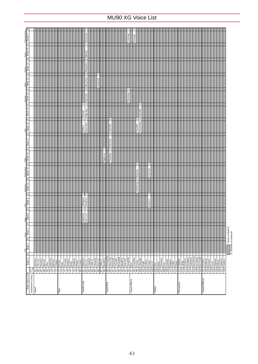| <b>Bank Select LSB</b>                                                                           | Bank 0                                                                                                                                                                                                                                                                                                                                                                                                                                                     | Bank 1<br>S)<br>Ξ        | Sereo<br>Bank<br>Ξ                   | Single<br>Bank 6<br>$\Box$ | $\begin{tabular}{ c c } \hline E & Bank & 8 \\ \hline \end{tabular}$ | $\boxed{\mathrm{E}}$ Bank 12 | $\boxed{\mathrm{E} \parallel \text{Bank 14}}$ | $\Box$<br>$\begin{array}{c c}\n\text{Bright} & \text{Bank 16}\n\end{array}$ | Bank 17            | $\Box$<br>$\frac{\text{Dark}}{\left \text{E}\right }$ Bank 18 | Bank 19                   | $\mathbb{E}$ Bank 20      | $\frac{\text{Mink} \cdot \text{Mink}}{\text{Bank } 24}$ | $\frac{25}{25}$<br>$\frac{\text{Redence}}{\left \mathbf{E}\right  \left \mathbf{Bank}\right }$ | $\frac{Swep}{ E  \cdot$ Bank 26 | $\begin{array}{c c}\n\hline\n\text{Resonant Swe} \\ \hline\n\end{array}$ |
|--------------------------------------------------------------------------------------------------|------------------------------------------------------------------------------------------------------------------------------------------------------------------------------------------------------------------------------------------------------------------------------------------------------------------------------------------------------------------------------------------------------------------------------------------------------------|--------------------------|--------------------------------------|----------------------------|----------------------------------------------------------------------|------------------------------|-----------------------------------------------|-----------------------------------------------------------------------------|--------------------|---------------------------------------------------------------|---------------------------|---------------------------|---------------------------------------------------------|------------------------------------------------------------------------------------------------|---------------------------------|--------------------------------------------------------------------------|
| Instrument Group $\left \begin{smallmatrix} \text{perm} \\ \text{quad} \end{smallmatrix}\right $ |                                                                                                                                                                                                                                                                                                                                                                                                                                                            |                          |                                      |                            |                                                                      |                              |                                               |                                                                             |                    |                                                               |                           |                           |                                                         |                                                                                                |                                 |                                                                          |
|                                                                                                  |                                                                                                                                                                                                                                                                                                                                                                                                                                                            |                          |                                      |                            |                                                                      |                              |                                               |                                                                             |                    |                                                               |                           |                           |                                                         |                                                                                                |                                 |                                                                          |
|                                                                                                  |                                                                                                                                                                                                                                                                                                                                                                                                                                                            |                          |                                      |                            |                                                                      |                              |                                               |                                                                             |                    |                                                               |                           |                           |                                                         |                                                                                                |                                 |                                                                          |
|                                                                                                  |                                                                                                                                                                                                                                                                                                                                                                                                                                                            |                          |                                      |                            |                                                                      |                              |                                               |                                                                             |                    |                                                               |                           |                           |                                                         |                                                                                                |                                 |                                                                          |
|                                                                                                  |                                                                                                                                                                                                                                                                                                                                                                                                                                                            | $\sim$                   |                                      |                            |                                                                      |                              |                                               |                                                                             |                    |                                                               |                           |                           |                                                         |                                                                                                |                                 |                                                                          |
|                                                                                                  | $\frac{63}{60}\frac{\frac{\text{Symodian}}{\text{Symodian}}}{\frac{\text{Re}{100}}\frac{\text{Symodian}}{\text{Symodian}}}}{\frac{\text{Re}{100}}\frac{\text{Re}{100}}{\frac{\text{Re}{100}}\frac{\text{Symodron}}{\text{Symodron}}}}{\frac{\text{Re}{100}}\frac{\text{Re}{100}}{\frac{\text{Re}{100}}\frac{\text{Symodron}}{\text{Symodron}}}}{\frac{\text{Re}{100}}\frac{\text{Re}{100}}{\frac{\text{Re}{100}}\frac{\text{Symodron}}{\text{Symodron}}}}$ |                          |                                      |                            |                                                                      |                              |                                               |                                                                             |                    |                                                               |                           |                           |                                                         |                                                                                                |                                 |                                                                          |
|                                                                                                  |                                                                                                                                                                                                                                                                                                                                                                                                                                                            |                          |                                      |                            |                                                                      |                              |                                               |                                                                             |                    |                                                               |                           |                           |                                                         |                                                                                                |                                 |                                                                          |
|                                                                                                  |                                                                                                                                                                                                                                                                                                                                                                                                                                                            | $\overline{a}$           |                                      |                            |                                                                      |                              |                                               |                                                                             |                    |                                                               |                           |                           |                                                         |                                                                                                |                                 |                                                                          |
|                                                                                                  |                                                                                                                                                                                                                                                                                                                                                                                                                                                            |                          |                                      |                            |                                                                      |                              |                                               |                                                                             |                    |                                                               |                           |                           |                                                         |                                                                                                |                                 |                                                                          |
|                                                                                                  |                                                                                                                                                                                                                                                                                                                                                                                                                                                            |                          |                                      |                            |                                                                      |                              |                                               |                                                                             |                    |                                                               |                           |                           |                                                         |                                                                                                |                                 |                                                                          |
|                                                                                                  |                                                                                                                                                                                                                                                                                                                                                                                                                                                            |                          |                                      |                            |                                                                      |                              |                                               |                                                                             |                    |                                                               |                           |                           |                                                         |                                                                                                |                                 |                                                                          |
|                                                                                                  |                                                                                                                                                                                                                                                                                                                                                                                                                                                            | 2<br>2                   |                                      |                            |                                                                      |                              |                                               |                                                                             |                    |                                                               |                           |                           |                                                         |                                                                                                |                                 |                                                                          |
|                                                                                                  |                                                                                                                                                                                                                                                                                                                                                                                                                                                            |                          |                                      |                            |                                                                      |                              |                                               |                                                                             |                    |                                                               |                           |                           |                                                         |                                                                                                |                                 |                                                                          |
|                                                                                                  |                                                                                                                                                                                                                                                                                                                                                                                                                                                            | $\vdash$                 |                                      |                            |                                                                      |                              |                                               |                                                                             |                    |                                                               |                           |                           |                                                         |                                                                                                |                                 |                                                                          |
| Synth Lead                                                                                       |                                                                                                                                                                                                                                                                                                                                                                                                                                                            |                          |                                      | SquarLd2<br>Saw Ld 2       | ∾∣∾<br>LMSquare<br>ThickSaw                                          |                              |                                               |                                                                             |                    | Hollow                                                        | $\sim$<br><b>Shroud</b>   |                           |                                                         |                                                                                                |                                 |                                                                          |
|                                                                                                  |                                                                                                                                                                                                                                                                                                                                                                                                                                                            |                          |                                      |                            |                                                                      |                              |                                               |                                                                             |                    | Dyna Saw                                                      | Digi Saw                  | $\sim$<br><b>Big Lead</b> | $\sim$<br>HeavySyn                                      | $\sim$<br>WaspySyn                                                                             | Mondo                           | RezzySaw                                                                 |
|                                                                                                  |                                                                                                                                                                                                                                                                                                                                                                                                                                                            | 2<br>2                   |                                      |                            |                                                                      |                              |                                               |                                                                             |                    |                                                               |                           |                           |                                                         |                                                                                                |                                 |                                                                          |
|                                                                                                  |                                                                                                                                                                                                                                                                                                                                                                                                                                                            |                          |                                      |                            |                                                                      |                              |                                               |                                                                             |                    |                                                               |                           |                           |                                                         |                                                                                                |                                 |                                                                          |
|                                                                                                  |                                                                                                                                                                                                                                                                                                                                                                                                                                                            | $\sim$ $\sim$            |                                      |                            |                                                                      |                              |                                               |                                                                             |                    |                                                               |                           |                           | $\sim$<br>SynthAah                                      |                                                                                                |                                 |                                                                          |
|                                                                                                  |                                                                                                                                                                                                                                                                                                                                                                                                                                                            | $\sim$                   |                                      |                            |                                                                      |                              |                                               |                                                                             |                    |                                                               |                           |                           |                                                         |                                                                                                |                                 |                                                                          |
|                                                                                                  |                                                                                                                                                                                                                                                                                                                                                                                                                                                            | $\overline{c}$           |                                      |                            |                                                                      |                              |                                               | <b>Big&amp;Low</b>                                                          |                    |                                                               |                           |                           |                                                         |                                                                                                |                                 |                                                                          |
| Synth Pad                                                                                        |                                                                                                                                                                                                                                                                                                                                                                                                                                                            |                          |                                      |                            |                                                                      |                              |                                               | ThickPad                                                                    |                    | ⊩∾<br>Sine Pad                                                |                           |                           |                                                         |                                                                                                |                                 |                                                                          |
|                                                                                                  |                                                                                                                                                                                                                                                                                                                                                                                                                                                            | $\sim$                   |                                      |                            |                                                                      |                              |                                               | ∣∾                                                                          | $\sim$<br>Soft Pad |                                                               |                           |                           |                                                         |                                                                                                |                                 |                                                                          |
|                                                                                                  |                                                                                                                                                                                                                                                                                                                                                                                                                                                            |                          |                                      |                            |                                                                      |                              |                                               |                                                                             |                    |                                                               |                           |                           |                                                         |                                                                                                |                                 |                                                                          |
|                                                                                                  |                                                                                                                                                                                                                                                                                                                                                                                                                                                            | 2                        |                                      |                            |                                                                      |                              |                                               |                                                                             |                    |                                                               |                           |                           |                                                         |                                                                                                |                                 |                                                                          |
|                                                                                                  |                                                                                                                                                                                                                                                                                                                                                                                                                                                            |                          |                                      |                            |                                                                      |                              |                                               |                                                                             |                    |                                                               |                           |                           |                                                         |                                                                                                |                                 |                                                                          |
|                                                                                                  |                                                                                                                                                                                                                                                                                                                                                                                                                                                            | $\sim$ $\sim$            |                                      |                            |                                                                      |                              |                                               |                                                                             |                    |                                                               |                           |                           |                                                         |                                                                                                |                                 |                                                                          |
|                                                                                                  |                                                                                                                                                                                                                                                                                                                                                                                                                                                            |                          |                                      |                            |                                                                      |                              |                                               |                                                                             |                    |                                                               |                           | Shwimmer                  |                                                         |                                                                                                |                                 | Converge                                                                 |
| Synth Effects                                                                                    |                                                                                                                                                                                                                                                                                                                                                                                                                                                            | M                        |                                      |                            |                                                                      |                              |                                               |                                                                             |                    |                                                               |                           |                           |                                                         |                                                                                                |                                 |                                                                          |
|                                                                                                  | SoundTrk<br>$98$                                                                                                                                                                                                                                                                                                                                                                                                                                           | $\sim$                   |                                      |                            |                                                                      | $\sim$<br>mDrCmp             | Popoorn                                       |                                                                             |                    | TinyBel                                                       |                           |                           |                                                         |                                                                                                |                                 | Prologue                                                                 |
|                                                                                                  |                                                                                                                                                                                                                                                                                                                                                                                                                                                            | 222                      |                                      |                            |                                                                      |                              |                                               |                                                                             |                    | $\frac{2}{2}$<br>WarmAtms                                     | $\sim$<br><b>HollwRls</b> |                           |                                                         |                                                                                                |                                 |                                                                          |
|                                                                                                  |                                                                                                                                                                                                                                                                                                                                                                                                                                                            |                          |                                      |                            |                                                                      |                              |                                               |                                                                             |                    |                                                               |                           |                           |                                                         |                                                                                                |                                 |                                                                          |
|                                                                                                  |                                                                                                                                                                                                                                                                                                                                                                                                                                                            | $\sim$                   |                                      |                            |                                                                      |                              |                                               |                                                                             |                    |                                                               |                           |                           |                                                         |                                                                                                |                                 |                                                                          |
|                                                                                                  |                                                                                                                                                                                                                                                                                                                                                                                                                                                            | 2                        |                                      |                            | N<br>Echoes <sub>2</sub>                                             |                              | 2<br>Echo Pan                                 |                                                                             |                    |                                                               |                           |                           |                                                         |                                                                                                |                                 |                                                                          |
|                                                                                                  |                                                                                                                                                                                                                                                                                                                                                                                                                                                            | $\sim$                   |                                      |                            |                                                                      |                              |                                               |                                                                             |                    |                                                               |                           |                           |                                                         |                                                                                                |                                 |                                                                          |
|                                                                                                  |                                                                                                                                                                                                                                                                                                                                                                                                                                                            |                          |                                      |                            |                                                                      |                              |                                               |                                                                             |                    |                                                               |                           |                           |                                                         |                                                                                                |                                 |                                                                          |
|                                                                                                  |                                                                                                                                                                                                                                                                                                                                                                                                                                                            |                          |                                      |                            |                                                                      |                              |                                               |                                                                             |                    |                                                               |                           |                           |                                                         |                                                                                                |                                 |                                                                          |
|                                                                                                  |                                                                                                                                                                                                                                                                                                                                                                                                                                                            |                          |                                      |                            |                                                                      |                              |                                               |                                                                             |                    |                                                               |                           |                           |                                                         |                                                                                                |                                 |                                                                          |
|                                                                                                  |                                                                                                                                                                                                                                                                                                                                                                                                                                                            |                          |                                      |                            |                                                                      |                              |                                               |                                                                             |                    |                                                               |                           |                           |                                                         |                                                                                                |                                 |                                                                          |
|                                                                                                  |                                                                                                                                                                                                                                                                                                                                                                                                                                                            | $\sim$                   |                                      |                            |                                                                      |                              |                                               |                                                                             |                    |                                                               |                           |                           |                                                         |                                                                                                |                                 |                                                                          |
|                                                                                                  |                                                                                                                                                                                                                                                                                                                                                                                                                                                            |                          |                                      |                            |                                                                      |                              |                                               |                                                                             |                    |                                                               |                           |                           |                                                         |                                                                                                |                                 |                                                                          |
|                                                                                                  | 112 Shanai<br>113 TnklBell                                                                                                                                                                                                                                                                                                                                                                                                                                 |                          |                                      |                            |                                                                      |                              |                                               |                                                                             |                    |                                                               |                           |                           |                                                         |                                                                                                |                                 |                                                                          |
| Percussive                                                                                       |                                                                                                                                                                                                                                                                                                                                                                                                                                                            | $\overline{c}$<br>$\sim$ |                                      |                            |                                                                      |                              |                                               |                                                                             |                    |                                                               |                           |                           |                                                         |                                                                                                |                                 |                                                                          |
|                                                                                                  |                                                                                                                                                                                                                                                                                                                                                                                                                                                            | $\sim$                   |                                      |                            |                                                                      |                              |                                               |                                                                             |                    |                                                               |                           |                           |                                                         |                                                                                                |                                 |                                                                          |
|                                                                                                  |                                                                                                                                                                                                                                                                                                                                                                                                                                                            |                          |                                      |                            |                                                                      |                              |                                               |                                                                             |                    |                                                               |                           |                           |                                                         |                                                                                                |                                 |                                                                          |
|                                                                                                  |                                                                                                                                                                                                                                                                                                                                                                                                                                                            |                          |                                      |                            |                                                                      |                              |                                               |                                                                             |                    |                                                               |                           |                           |                                                         |                                                                                                |                                 |                                                                          |
|                                                                                                  |                                                                                                                                                                                                                                                                                                                                                                                                                                                            |                          |                                      |                            |                                                                      |                              |                                               |                                                                             |                    |                                                               |                           |                           |                                                         |                                                                                                |                                 |                                                                          |
|                                                                                                  |                                                                                                                                                                                                                                                                                                                                                                                                                                                            |                          |                                      |                            |                                                                      |                              |                                               |                                                                             |                    |                                                               |                           |                           |                                                         |                                                                                                |                                 |                                                                          |
| Sound Effects                                                                                    |                                                                                                                                                                                                                                                                                                                                                                                                                                                            |                          |                                      |                            |                                                                      |                              |                                               |                                                                             |                    |                                                               |                           |                           |                                                         |                                                                                                |                                 |                                                                          |
|                                                                                                  |                                                                                                                                                                                                                                                                                                                                                                                                                                                            |                          |                                      |                            |                                                                      |                              |                                               |                                                                             |                    |                                                               |                           |                           |                                                         |                                                                                                |                                 |                                                                          |
|                                                                                                  |                                                                                                                                                                                                                                                                                                                                                                                                                                                            | $\sim$                   |                                      |                            |                                                                      |                              |                                               |                                                                             |                    |                                                               |                           |                           |                                                         |                                                                                                |                                 |                                                                          |
|                                                                                                  | 124 Tweet                                                                                                                                                                                                                                                                                                                                                                                                                                                  | $\sim$                   |                                      |                            |                                                                      |                              |                                               |                                                                             |                    |                                                               |                           |                           |                                                         |                                                                                                |                                 |                                                                          |
|                                                                                                  |                                                                                                                                                                                                                                                                                                                                                                                                                                                            |                          |                                      |                            |                                                                      |                              |                                               |                                                                             |                    |                                                               |                           |                           |                                                         |                                                                                                |                                 |                                                                          |
|                                                                                                  | $\begin{tabular}{c c} 125 \quad {\rm Tehbone} \\ \hline 126 \quad {\rm Helier} \\ \hline 127 \quad {\rm Applause} \\ \hline 128 \quad {\rm Gumshot} \\ \end{tabular}$                                                                                                                                                                                                                                                                                      |                          |                                      |                            |                                                                      |                              |                                               |                                                                             |                    |                                                               |                           |                           |                                                         |                                                                                                |                                 |                                                                          |
|                                                                                                  |                                                                                                                                                                                                                                                                                                                                                                                                                                                            |                          |                                      |                            |                                                                      |                              |                                               |                                                                             |                    |                                                               |                           |                           |                                                         |                                                                                                |                                 |                                                                          |
|                                                                                                  |                                                                                                                                                                                                                                                                                                                                                                                                                                                            |                          |                                      |                            |                                                                      |                              |                                               |                                                                             |                    |                                                               |                           |                           |                                                         |                                                                                                |                                 |                                                                          |
|                                                                                                  |                                                                                                                                                                                                                                                                                                                                                                                                                                                            | L                        | Same as Bank 0:<br>imber of elements |                            |                                                                      |                              |                                               |                                                                             |                    |                                                               |                           |                           |                                                         |                                                                                                |                                 |                                                                          |
|                                                                                                  |                                                                                                                                                                                                                                                                                                                                                                                                                                                            |                          |                                      |                            |                                                                      |                              |                                               |                                                                             |                    |                                                               |                           |                           |                                                         |                                                                                                |                                 |                                                                          |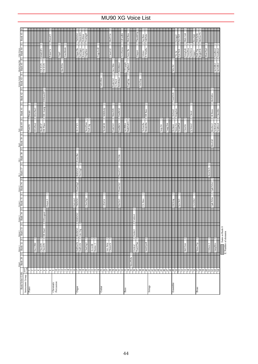| $\sim$<br>$\sim$<br>$\sim$<br>–  പ<br>÷<br>$\sim$<br>2<br>AcoHarmo<br>TngoAcd2<br>SineMrmb<br>$2$   AnaBrss2<br>$\frac{\text{Organ Ba}}{\text{J} \text{a}\text{Organ}}$<br>VoiceDoo<br>AnaVoice<br>Mute Trp2<br>AnaBrss <sub>1</sub><br>Clean G <sub>C</sub><br>X WireBa<br>StrngAah<br>Impact<br>Dark Trp<br>RotaryOr<br>OrgFlute<br>Jazzy Ba<br>BrghtTrb<br>60sEl.PI<br>PulseClv<br>Syn Str4<br>Slapper<br>$70s$ Str<br>Orbiter<br>Orgel<br>2<br> a <br>$\sim$<br>∣ন∣ন<br>$\sim$<br>AnVelBr2<br>RckRthm <sub>1</sub><br>AnVelBr1<br>HardVibe<br>VXUprght<br>FngBass2<br>VXEPI<br>VXEP2<br>lazz Man<br>Velo.Str<br>$\frac{2}{2}$ ম<br>⊩∾<br>$\sim$<br>$\overline{c}$<br>RckRthm2<br>/elGtHrm<br>FunkGtr2<br>FngrSlap<br>VeloSlap<br>Gt.Pinch<br>$\sim$<br>⊩∾<br><b>DXKotoEP</b><br>TremOrch<br>MelloBrs<br>$\sim$<br>⊩∾<br>$\sim$<br>2<br>∣∾<br>$\sim$<br>2<br>$\sim$<br>Z<br>$\mathbf{c}$<br>$DX+Analg$<br>EIGrPno3<br>FeedbGt2<br>Stl &Body<br>MuteStIG<br>ChoirBrs<br>DX Bass<br>Kingdom<br>Orchstr2<br>Hi Brass<br>Dream<br>Choral<br>$\overline{2}$<br>$\overline{\mathcal{L}}$<br>222<br>$\overline{\mathbb{R}}$<br>$\overline{c}$<br>$\sim$ $\sim$<br>$\sim$<br>l٣<br>2<br>$\sim$ $\sim$<br>$\sim$ $\sim$<br>$\sim$<br>lا<br>$\sim$<br>$\sim$<br>$\sim$<br>JazzRthm<br>Ba&DstEG<br>Notre Dam<br>Puff Org<br>SynBrss4<br>EIGrPno2<br>HardELP<br>DX Phase<br>FeedbkGt<br>TechnoBa<br>ModulrBa<br>YangChin<br>SyBrsSub<br>Warm Str<br>GrandPad<br>Nyln&Stl<br>BrssSec2<br>SyVoice2<br>$16 + 2^{10}$<br>Orchestr<br>FunkGtr1<br>Susp.Str<br>ChoirStr<br>PianoStr<br><b>BrssFall</b><br>$\sim$<br>$\sim$<br>Even Bar<br>Dst.5ths<br>$\frac{2}{2}$<br>$\overline{c}$<br>$\sim$<br>PowerGtI<br>60sDrOr3<br>HornOrch<br>PercOrg2 | NNNN<br>Thum&Slp<br>70sDrOr2<br>WarnJzOr<br>MellowTb<br>Mod.Bass<br>MidT.Gtr<br>GtFeedbk<br>SloRotar<br>TrmOrgFl<br>Male Aah<br>DrkTpSft<br>$2$ BrssStab<br>Sqr.Bass<br>AtkPulse<br>PierceCl<br>Strings3<br>Syn Str5 |
|----------------------------------------------------------------------------------------------------------------------------------------------------------------------------------------------------------------------------------------------------------------------------------------------------------------------------------------------------------------------------------------------------------------------------------------------------------------------------------------------------------------------------------------------------------------------------------------------------------------------------------------------------------------------------------------------------------------------------------------------------------------------------------------------------------------------------------------------------------------------------------------------------------------------------------------------------------------------------------------------------------------------------------------------------------------------------------------------------------------------------------------------------------------------------------------------------------------------------------------------------------------------------------------------------------------------------------------------------------------------------------------------------------------------------------------------------------------------------------------------------------------------------------------------------------------------------------------------------------------------------------------------------------------------------------------------------------------------------------|----------------------------------------------------------------------------------------------------------------------------------------------------------------------------------------------------------------------|
|                                                                                                                                                                                                                                                                                                                                                                                                                                                                                                                                                                                                                                                                                                                                                                                                                                                                                                                                                                                                                                                                                                                                                                                                                                                                                                                                                                                                                                                                                                                                                                                                                                                                                                                                  |                                                                                                                                                                                                                      |
|                                                                                                                                                                                                                                                                                                                                                                                                                                                                                                                                                                                                                                                                                                                                                                                                                                                                                                                                                                                                                                                                                                                                                                                                                                                                                                                                                                                                                                                                                                                                                                                                                                                                                                                                  |                                                                                                                                                                                                                      |
|                                                                                                                                                                                                                                                                                                                                                                                                                                                                                                                                                                                                                                                                                                                                                                                                                                                                                                                                                                                                                                                                                                                                                                                                                                                                                                                                                                                                                                                                                                                                                                                                                                                                                                                                  |                                                                                                                                                                                                                      |
|                                                                                                                                                                                                                                                                                                                                                                                                                                                                                                                                                                                                                                                                                                                                                                                                                                                                                                                                                                                                                                                                                                                                                                                                                                                                                                                                                                                                                                                                                                                                                                                                                                                                                                                                  |                                                                                                                                                                                                                      |
|                                                                                                                                                                                                                                                                                                                                                                                                                                                                                                                                                                                                                                                                                                                                                                                                                                                                                                                                                                                                                                                                                                                                                                                                                                                                                                                                                                                                                                                                                                                                                                                                                                                                                                                                  |                                                                                                                                                                                                                      |
|                                                                                                                                                                                                                                                                                                                                                                                                                                                                                                                                                                                                                                                                                                                                                                                                                                                                                                                                                                                                                                                                                                                                                                                                                                                                                                                                                                                                                                                                                                                                                                                                                                                                                                                                  |                                                                                                                                                                                                                      |
|                                                                                                                                                                                                                                                                                                                                                                                                                                                                                                                                                                                                                                                                                                                                                                                                                                                                                                                                                                                                                                                                                                                                                                                                                                                                                                                                                                                                                                                                                                                                                                                                                                                                                                                                  |                                                                                                                                                                                                                      |
|                                                                                                                                                                                                                                                                                                                                                                                                                                                                                                                                                                                                                                                                                                                                                                                                                                                                                                                                                                                                                                                                                                                                                                                                                                                                                                                                                                                                                                                                                                                                                                                                                                                                                                                                  |                                                                                                                                                                                                                      |
|                                                                                                                                                                                                                                                                                                                                                                                                                                                                                                                                                                                                                                                                                                                                                                                                                                                                                                                                                                                                                                                                                                                                                                                                                                                                                                                                                                                                                                                                                                                                                                                                                                                                                                                                  |                                                                                                                                                                                                                      |
|                                                                                                                                                                                                                                                                                                                                                                                                                                                                                                                                                                                                                                                                                                                                                                                                                                                                                                                                                                                                                                                                                                                                                                                                                                                                                                                                                                                                                                                                                                                                                                                                                                                                                                                                  |                                                                                                                                                                                                                      |
|                                                                                                                                                                                                                                                                                                                                                                                                                                                                                                                                                                                                                                                                                                                                                                                                                                                                                                                                                                                                                                                                                                                                                                                                                                                                                                                                                                                                                                                                                                                                                                                                                                                                                                                                  |                                                                                                                                                                                                                      |
|                                                                                                                                                                                                                                                                                                                                                                                                                                                                                                                                                                                                                                                                                                                                                                                                                                                                                                                                                                                                                                                                                                                                                                                                                                                                                                                                                                                                                                                                                                                                                                                                                                                                                                                                  |                                                                                                                                                                                                                      |
|                                                                                                                                                                                                                                                                                                                                                                                                                                                                                                                                                                                                                                                                                                                                                                                                                                                                                                                                                                                                                                                                                                                                                                                                                                                                                                                                                                                                                                                                                                                                                                                                                                                                                                                                  |                                                                                                                                                                                                                      |
|                                                                                                                                                                                                                                                                                                                                                                                                                                                                                                                                                                                                                                                                                                                                                                                                                                                                                                                                                                                                                                                                                                                                                                                                                                                                                                                                                                                                                                                                                                                                                                                                                                                                                                                                  |                                                                                                                                                                                                                      |
|                                                                                                                                                                                                                                                                                                                                                                                                                                                                                                                                                                                                                                                                                                                                                                                                                                                                                                                                                                                                                                                                                                                                                                                                                                                                                                                                                                                                                                                                                                                                                                                                                                                                                                                                  |                                                                                                                                                                                                                      |
|                                                                                                                                                                                                                                                                                                                                                                                                                                                                                                                                                                                                                                                                                                                                                                                                                                                                                                                                                                                                                                                                                                                                                                                                                                                                                                                                                                                                                                                                                                                                                                                                                                                                                                                                  |                                                                                                                                                                                                                      |
|                                                                                                                                                                                                                                                                                                                                                                                                                                                                                                                                                                                                                                                                                                                                                                                                                                                                                                                                                                                                                                                                                                                                                                                                                                                                                                                                                                                                                                                                                                                                                                                                                                                                                                                                  |                                                                                                                                                                                                                      |
|                                                                                                                                                                                                                                                                                                                                                                                                                                                                                                                                                                                                                                                                                                                                                                                                                                                                                                                                                                                                                                                                                                                                                                                                                                                                                                                                                                                                                                                                                                                                                                                                                                                                                                                                  |                                                                                                                                                                                                                      |
|                                                                                                                                                                                                                                                                                                                                                                                                                                                                                                                                                                                                                                                                                                                                                                                                                                                                                                                                                                                                                                                                                                                                                                                                                                                                                                                                                                                                                                                                                                                                                                                                                                                                                                                                  |                                                                                                                                                                                                                      |
|                                                                                                                                                                                                                                                                                                                                                                                                                                                                                                                                                                                                                                                                                                                                                                                                                                                                                                                                                                                                                                                                                                                                                                                                                                                                                                                                                                                                                                                                                                                                                                                                                                                                                                                                  |                                                                                                                                                                                                                      |
|                                                                                                                                                                                                                                                                                                                                                                                                                                                                                                                                                                                                                                                                                                                                                                                                                                                                                                                                                                                                                                                                                                                                                                                                                                                                                                                                                                                                                                                                                                                                                                                                                                                                                                                                  |                                                                                                                                                                                                                      |
|                                                                                                                                                                                                                                                                                                                                                                                                                                                                                                                                                                                                                                                                                                                                                                                                                                                                                                                                                                                                                                                                                                                                                                                                                                                                                                                                                                                                                                                                                                                                                                                                                                                                                                                                  |                                                                                                                                                                                                                      |
|                                                                                                                                                                                                                                                                                                                                                                                                                                                                                                                                                                                                                                                                                                                                                                                                                                                                                                                                                                                                                                                                                                                                                                                                                                                                                                                                                                                                                                                                                                                                                                                                                                                                                                                                  |                                                                                                                                                                                                                      |
|                                                                                                                                                                                                                                                                                                                                                                                                                                                                                                                                                                                                                                                                                                                                                                                                                                                                                                                                                                                                                                                                                                                                                                                                                                                                                                                                                                                                                                                                                                                                                                                                                                                                                                                                  |                                                                                                                                                                                                                      |
|                                                                                                                                                                                                                                                                                                                                                                                                                                                                                                                                                                                                                                                                                                                                                                                                                                                                                                                                                                                                                                                                                                                                                                                                                                                                                                                                                                                                                                                                                                                                                                                                                                                                                                                                  |                                                                                                                                                                                                                      |
|                                                                                                                                                                                                                                                                                                                                                                                                                                                                                                                                                                                                                                                                                                                                                                                                                                                                                                                                                                                                                                                                                                                                                                                                                                                                                                                                                                                                                                                                                                                                                                                                                                                                                                                                  |                                                                                                                                                                                                                      |
|                                                                                                                                                                                                                                                                                                                                                                                                                                                                                                                                                                                                                                                                                                                                                                                                                                                                                                                                                                                                                                                                                                                                                                                                                                                                                                                                                                                                                                                                                                                                                                                                                                                                                                                                  |                                                                                                                                                                                                                      |
|                                                                                                                                                                                                                                                                                                                                                                                                                                                                                                                                                                                                                                                                                                                                                                                                                                                                                                                                                                                                                                                                                                                                                                                                                                                                                                                                                                                                                                                                                                                                                                                                                                                                                                                                  |                                                                                                                                                                                                                      |
|                                                                                                                                                                                                                                                                                                                                                                                                                                                                                                                                                                                                                                                                                                                                                                                                                                                                                                                                                                                                                                                                                                                                                                                                                                                                                                                                                                                                                                                                                                                                                                                                                                                                                                                                  |                                                                                                                                                                                                                      |
|                                                                                                                                                                                                                                                                                                                                                                                                                                                                                                                                                                                                                                                                                                                                                                                                                                                                                                                                                                                                                                                                                                                                                                                                                                                                                                                                                                                                                                                                                                                                                                                                                                                                                                                                  |                                                                                                                                                                                                                      |
|                                                                                                                                                                                                                                                                                                                                                                                                                                                                                                                                                                                                                                                                                                                                                                                                                                                                                                                                                                                                                                                                                                                                                                                                                                                                                                                                                                                                                                                                                                                                                                                                                                                                                                                                  |                                                                                                                                                                                                                      |
|                                                                                                                                                                                                                                                                                                                                                                                                                                                                                                                                                                                                                                                                                                                                                                                                                                                                                                                                                                                                                                                                                                                                                                                                                                                                                                                                                                                                                                                                                                                                                                                                                                                                                                                                  |                                                                                                                                                                                                                      |
|                                                                                                                                                                                                                                                                                                                                                                                                                                                                                                                                                                                                                                                                                                                                                                                                                                                                                                                                                                                                                                                                                                                                                                                                                                                                                                                                                                                                                                                                                                                                                                                                                                                                                                                                  |                                                                                                                                                                                                                      |
|                                                                                                                                                                                                                                                                                                                                                                                                                                                                                                                                                                                                                                                                                                                                                                                                                                                                                                                                                                                                                                                                                                                                                                                                                                                                                                                                                                                                                                                                                                                                                                                                                                                                                                                                  |                                                                                                                                                                                                                      |
|                                                                                                                                                                                                                                                                                                                                                                                                                                                                                                                                                                                                                                                                                                                                                                                                                                                                                                                                                                                                                                                                                                                                                                                                                                                                                                                                                                                                                                                                                                                                                                                                                                                                                                                                  |                                                                                                                                                                                                                      |
|                                                                                                                                                                                                                                                                                                                                                                                                                                                                                                                                                                                                                                                                                                                                                                                                                                                                                                                                                                                                                                                                                                                                                                                                                                                                                                                                                                                                                                                                                                                                                                                                                                                                                                                                  |                                                                                                                                                                                                                      |
|                                                                                                                                                                                                                                                                                                                                                                                                                                                                                                                                                                                                                                                                                                                                                                                                                                                                                                                                                                                                                                                                                                                                                                                                                                                                                                                                                                                                                                                                                                                                                                                                                                                                                                                                  |                                                                                                                                                                                                                      |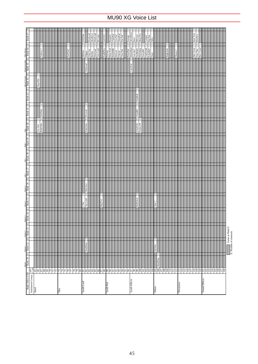| <b>Bank Select LSB</b>                                                             |                                                                                                                                                                                                                                                                       | $\begin{array}{ c c c }\n\hline\n\text{Mused} & \text{Determine 1} \\ \hline\n\text{Bank 28} & \text{E} & \text{Bank 32}\n\end{array}$ | $E$ Bank 33                         | nomma 3 (america Camera) (america) en 1890, america de la Roma de la Roma de la Roma de Roma de Manacha Comence<br> E  Bank 34  E  Bank 35  E  Bank 37  E  Bank 38  E  Bank 39  E  Bank 40  E  Bank 42  E  Bank 42  E  Bank 45 |                                      |                   |  |                                       |                    |                    |               |                    |                                                                        | 띄                                                       |
|------------------------------------------------------------------------------------|-----------------------------------------------------------------------------------------------------------------------------------------------------------------------------------------------------------------------------------------------------------------------|----------------------------------------------------------------------------------------------------------------------------------------|-------------------------------------|--------------------------------------------------------------------------------------------------------------------------------------------------------------------------------------------------------------------------------|--------------------------------------|-------------------|--|---------------------------------------|--------------------|--------------------|---------------|--------------------|------------------------------------------------------------------------|---------------------------------------------------------|
|                                                                                    |                                                                                                                                                                                                                                                                       |                                                                                                                                        |                                     |                                                                                                                                                                                                                                |                                      |                   |  |                                       |                    |                    |               |                    |                                                                        |                                                         |
| Instrument Group $\begin{vmatrix} \text{perm} \\ \text{0.128} \\ 65 \end{vmatrix}$ |                                                                                                                                                                                                                                                                       |                                                                                                                                        |                                     |                                                                                                                                                                                                                                |                                      |                   |  |                                       |                    |                    |               |                    |                                                                        |                                                         |
|                                                                                    |                                                                                                                                                                                                                                                                       |                                                                                                                                        |                                     |                                                                                                                                                                                                                                |                                      |                   |  |                                       |                    |                    | N<br>HyprAlto |                    |                                                                        |                                                         |
|                                                                                    | 의디워잉히이잉의                                                                                                                                                                                                                                                              |                                                                                                                                        |                                     |                                                                                                                                                                                                                                |                                      |                   |  | $\sim$ $\sim$<br>Sax Sect<br>BrthTnSx | N<br>oftTenr       |                    |               |                    | TnrSax 2                                                               |                                                         |
|                                                                                    |                                                                                                                                                                                                                                                                       |                                                                                                                                        |                                     |                                                                                                                                                                                                                                |                                      |                   |  |                                       |                    |                    |               |                    |                                                                        |                                                         |
|                                                                                    |                                                                                                                                                                                                                                                                       |                                                                                                                                        |                                     |                                                                                                                                                                                                                                |                                      |                   |  |                                       |                    |                    |               |                    |                                                                        |                                                         |
|                                                                                    |                                                                                                                                                                                                                                                                       |                                                                                                                                        |                                     |                                                                                                                                                                                                                                |                                      |                   |  |                                       |                    |                    |               |                    |                                                                        |                                                         |
|                                                                                    |                                                                                                                                                                                                                                                                       |                                                                                                                                        |                                     |                                                                                                                                                                                                                                |                                      |                   |  |                                       |                    |                    |               |                    |                                                                        |                                                         |
| Pipe                                                                               | 73                                                                                                                                                                                                                                                                    |                                                                                                                                        |                                     |                                                                                                                                                                                                                                |                                      |                   |  |                                       |                    |                    |               |                    |                                                                        |                                                         |
|                                                                                    | $\overline{7}$                                                                                                                                                                                                                                                        |                                                                                                                                        |                                     |                                                                                                                                                                                                                                |                                      |                   |  |                                       |                    |                    |               |                    |                                                                        |                                                         |
|                                                                                    | <b>KKKKKR</b> E                                                                                                                                                                                                                                                       |                                                                                                                                        |                                     |                                                                                                                                                                                                                                |                                      |                   |  |                                       |                    |                    |               |                    | PanFlut2                                                               |                                                         |
|                                                                                    |                                                                                                                                                                                                                                                                       |                                                                                                                                        |                                     |                                                                                                                                                                                                                                |                                      |                   |  |                                       |                    |                    |               |                    |                                                                        |                                                         |
|                                                                                    |                                                                                                                                                                                                                                                                       |                                                                                                                                        |                                     |                                                                                                                                                                                                                                |                                      |                   |  |                                       |                    |                    |               |                    |                                                                        |                                                         |
|                                                                                    |                                                                                                                                                                                                                                                                       |                                                                                                                                        |                                     |                                                                                                                                                                                                                                |                                      |                   |  |                                       |                    |                    |               |                    |                                                                        |                                                         |
|                                                                                    |                                                                                                                                                                                                                                                                       |                                                                                                                                        |                                     |                                                                                                                                                                                                                                |                                      |                   |  |                                       |                    |                    |               |                    |                                                                        |                                                         |
| Synth Lead                                                                         |                                                                                                                                                                                                                                                                       | DoublSaw                                                                                                                               | $\sim$                              |                                                                                                                                                                                                                                | 22<br>Toy Lead<br>20x                | $\sim$<br>Dim Saw |  | $\sim$<br>PulseSaw                    | $\sim$<br>Dr.Lead  |                    |               | $\sim$<br>VeloLead | $\frac{1}{2}$<br>Mellow                                                | SoloSine                                                |
|                                                                                    |                                                                                                                                                                                                                                                                       |                                                                                                                                        |                                     |                                                                                                                                                                                                                                |                                      |                   |  |                                       |                    |                    |               |                    |                                                                        |                                                         |
|                                                                                    |                                                                                                                                                                                                                                                                       |                                                                                                                                        |                                     |                                                                                                                                                                                                                                |                                      |                   |  |                                       |                    |                    |               |                    |                                                                        |                                                         |
|                                                                                    |                                                                                                                                                                                                                                                                       |                                                                                                                                        |                                     |                                                                                                                                                                                                                                |                                      |                   |  |                                       |                    |                    |               |                    | $\frac{2}{2}$ $\frac{2}{2}$<br>Digger<br>Vent Syn<br>Rubby<br>DistLead | PureLead<br>HardSync<br>WireLead                        |
|                                                                                    |                                                                                                                                                                                                                                                                       |                                                                                                                                        |                                     |                                                                                                                                                                                                                                |                                      |                   |  |                                       |                    |                    |               |                    | Vox Lead                                                               | BrLayer                                                 |
|                                                                                    |                                                                                                                                                                                                                                                                       |                                                                                                                                        |                                     |                                                                                                                                                                                                                                | $\sim$<br><b>Big Five</b>            |                   |  |                                       |                    |                    |               |                    |                                                                        |                                                         |
|                                                                                    |                                                                                                                                                                                                                                                                       |                                                                                                                                        |                                     |                                                                                                                                                                                                                                |                                      |                   |  |                                       |                    |                    |               |                    | Fat&Prky<br>Fantasy                                                    | Soft Wrl                                                |
| Synth Pad                                                                          |                                                                                                                                                                                                                                                                       |                                                                                                                                        |                                     |                                                                                                                                                                                                                                |                                      |                   |  |                                       |                    |                    |               |                    |                                                                        |                                                         |
|                                                                                    |                                                                                                                                                                                                                                                                       |                                                                                                                                        |                                     |                                                                                                                                                                                                                                |                                      |                   |  |                                       |                    |                    |               |                    | 2222222<br>Horn Pad<br>PolyPd80<br>Heaven                              | RotarStr<br>ClickPad<br>Lite Pad<br>GlassPad<br>Pan Pad |
|                                                                                    |                                                                                                                                                                                                                                                                       |                                                                                                                                        |                                     |                                                                                                                                                                                                                                |                                      |                   |  |                                       |                    |                    |               |                    |                                                                        |                                                         |
|                                                                                    | 883885                                                                                                                                                                                                                                                                |                                                                                                                                        |                                     |                                                                                                                                                                                                                                |                                      |                   |  |                                       |                    |                    |               |                    |                                                                        |                                                         |
|                                                                                    |                                                                                                                                                                                                                                                                       |                                                                                                                                        |                                     |                                                                                                                                                                                                                                |                                      |                   |  |                                       |                    |                    |               |                    | Glacier<br>Tine Pad                                                    |                                                         |
|                                                                                    |                                                                                                                                                                                                                                                                       |                                                                                                                                        |                                     |                                                                                                                                                                                                                                |                                      |                   |  |                                       |                    |                    |               |                    |                                                                        |                                                         |
|                                                                                    |                                                                                                                                                                                                                                                                       |                                                                                                                                        |                                     |                                                                                                                                                                                                                                |                                      |                   |  |                                       |                    |                    |               |                    |                                                                        |                                                         |
| Synth Effects                                                                      |                                                                                                                                                                                                                                                                       |                                                                                                                                        |                                     |                                                                                                                                                                                                                                |                                      |                   |  |                                       |                    |                    |               | U<br>ClaviPad      | $\frac{2}{2}$ $\frac{2}{2}$<br>PolarPad<br>HrmoRain                    | Sweepy<br>AfrenWnd                                      |
|                                                                                    | 98                                                                                                                                                                                                                                                                    |                                                                                                                                        |                                     |                                                                                                                                                                                                                                |                                      |                   |  |                                       |                    |                    |               |                    | Ancestrl<br>SynMalet                                                   | Rave                                                    |
|                                                                                    | $s$ g $s$ g $s$ g                                                                                                                                                                                                                                                     |                                                                                                                                        |                                     |                                                                                                                                                                                                                                | $\overline{\mathcal{C}}$<br>RndGlock |                   |  | $\frac{2}{3}$<br>GlockChi             | $\sim$<br>ClearBel | $\sim$<br>ChorBell |               |                    |                                                                        | $\frac{1}{2}$ SfiCryst<br>$\frac{1}{2}$ Harp Vox        |
|                                                                                    |                                                                                                                                                                                                                                                                       |                                                                                                                                        |                                     |                                                                                                                                                                                                                                |                                      |                   |  | Nylon EP                              |                    |                    |               |                    | NylnHarp                                                               |                                                         |
|                                                                                    |                                                                                                                                                                                                                                                                       |                                                                                                                                        |                                     |                                                                                                                                                                                                                                |                                      |                   |  |                                       |                    |                    |               |                    | ন <mark>নন</mark> ন<br>FantaBel<br>GobSynth<br>EchoBell                |                                                         |
|                                                                                    |                                                                                                                                                                                                                                                                       |                                                                                                                                        |                                     |                                                                                                                                                                                                                                |                                      |                   |  |                                       |                    |                    |               |                    |                                                                        |                                                         |
|                                                                                    |                                                                                                                                                                                                                                                                       |                                                                                                                                        |                                     |                                                                                                                                                                                                                                |                                      |                   |  |                                       |                    |                    |               |                    | Starz                                                                  | Creeper<br>Big Pan                                      |
| Ethnic                                                                             |                                                                                                                                                                                                                                                                       | Sitar<br>Ā                                                                                                                             | Ν                                   |                                                                                                                                                                                                                                | N<br>Sitar <sub>2</sub>              |                   |  |                                       |                    |                    |               |                    |                                                                        |                                                         |
|                                                                                    |                                                                                                                                                                                                                                                                       |                                                                                                                                        |                                     |                                                                                                                                                                                                                                |                                      |                   |  |                                       |                    |                    |               |                    |                                                                        |                                                         |
|                                                                                    |                                                                                                                                                                                                                                                                       |                                                                                                                                        |                                     |                                                                                                                                                                                                                                |                                      |                   |  |                                       |                    |                    |               |                    |                                                                        |                                                         |
|                                                                                    |                                                                                                                                                                                                                                                                       |                                                                                                                                        |                                     |                                                                                                                                                                                                                                |                                      |                   |  |                                       |                    |                    |               |                    |                                                                        |                                                         |
|                                                                                    |                                                                                                                                                                                                                                                                       |                                                                                                                                        |                                     |                                                                                                                                                                                                                                |                                      |                   |  |                                       |                    |                    |               |                    | N<br>BigKalim                                                          |                                                         |
|                                                                                    | $\begin{tabular}{ c c } \hline & 105 &\multicolumn{1}{ c }{\text{Muclein}_0} \\ \hline \hline 106 & \multicolumn{1}{ c }{\text{Muclein}_0} \\ \hline 107 & \multicolumn{1}{ c }{\text{MUC}} \\ \hline 108 & \multicolumn{1}{ c }{\text{MUC}} \\ \hline \end{tabular}$ |                                                                                                                                        |                                     |                                                                                                                                                                                                                                |                                      |                   |  |                                       |                    |                    |               |                    |                                                                        |                                                         |
|                                                                                    |                                                                                                                                                                                                                                                                       |                                                                                                                                        |                                     |                                                                                                                                                                                                                                |                                      |                   |  |                                       |                    |                    |               |                    |                                                                        |                                                         |
| Percussive                                                                         |                                                                                                                                                                                                                                                                       |                                                                                                                                        |                                     |                                                                                                                                                                                                                                |                                      |                   |  |                                       |                    |                    |               |                    | Shanai 2                                                               |                                                         |
|                                                                                    | 2                                                                                                                                                                                                                                                                     |                                                                                                                                        |                                     |                                                                                                                                                                                                                                |                                      |                   |  |                                       |                    |                    |               |                    |                                                                        |                                                         |
|                                                                                    |                                                                                                                                                                                                                                                                       |                                                                                                                                        |                                     |                                                                                                                                                                                                                                |                                      |                   |  |                                       |                    |                    |               |                    |                                                                        |                                                         |
|                                                                                    |                                                                                                                                                                                                                                                                       |                                                                                                                                        |                                     |                                                                                                                                                                                                                                |                                      |                   |  |                                       |                    |                    |               |                    |                                                                        |                                                         |
|                                                                                    |                                                                                                                                                                                                                                                                       |                                                                                                                                        |                                     |                                                                                                                                                                                                                                |                                      |                   |  |                                       |                    |                    |               |                    | Mel Tom <sub>2</sub>                                                   | Real Tom                                                |
|                                                                                    |                                                                                                                                                                                                                                                                       |                                                                                                                                        |                                     |                                                                                                                                                                                                                                |                                      |                   |  |                                       |                    |                    |               |                    | Ana Tom                                                                | $\sim$ $\sim$<br>I ElecPerc                             |
|                                                                                    |                                                                                                                                                                                                                                                                       |                                                                                                                                        |                                     |                                                                                                                                                                                                                                |                                      |                   |  |                                       |                    |                    |               |                    | Rev Cym2                                                               |                                                         |
| Sound Effects                                                                      |                                                                                                                                                                                                                                                                       |                                                                                                                                        |                                     |                                                                                                                                                                                                                                |                                      |                   |  |                                       |                    |                    |               |                    |                                                                        |                                                         |
|                                                                                    |                                                                                                                                                                                                                                                                       |                                                                                                                                        |                                     |                                                                                                                                                                                                                                |                                      |                   |  |                                       |                    |                    |               |                    |                                                                        |                                                         |
|                                                                                    |                                                                                                                                                                                                                                                                       |                                                                                                                                        |                                     |                                                                                                                                                                                                                                |                                      |                   |  |                                       |                    |                    |               |                    |                                                                        |                                                         |
|                                                                                    |                                                                                                                                                                                                                                                                       |                                                                                                                                        |                                     |                                                                                                                                                                                                                                |                                      |                   |  |                                       |                    |                    |               |                    |                                                                        |                                                         |
|                                                                                    | = = = = = = = = = = =                                                                                                                                                                                                                                                 |                                                                                                                                        |                                     |                                                                                                                                                                                                                                |                                      |                   |  |                                       |                    |                    |               |                    |                                                                        |                                                         |
|                                                                                    |                                                                                                                                                                                                                                                                       |                                                                                                                                        |                                     |                                                                                                                                                                                                                                |                                      |                   |  |                                       |                    |                    |               |                    |                                                                        |                                                         |
|                                                                                    |                                                                                                                                                                                                                                                                       |                                                                                                                                        |                                     |                                                                                                                                                                                                                                |                                      |                   |  |                                       |                    |                    |               |                    |                                                                        |                                                         |
|                                                                                    |                                                                                                                                                                                                                                                                       |                                                                                                                                        |                                     |                                                                                                                                                                                                                                |                                      |                   |  |                                       |                    |                    |               |                    |                                                                        |                                                         |
|                                                                                    |                                                                                                                                                                                                                                                                       | e<br>E                                                                                                                                 | Same as Bank 0<br>imber of elements |                                                                                                                                                                                                                                |                                      |                   |  |                                       |                    |                    |               |                    |                                                                        |                                                         |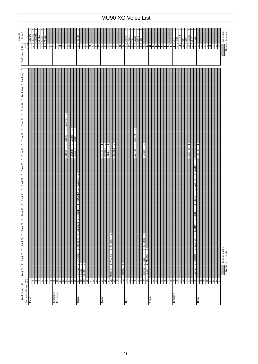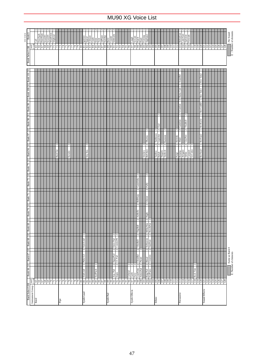| Bank <sub>0</sub><br>SFX VOICE<br>pgm# | $-128$           | Call | DoorSqek<br>DoorSlam<br>ScratchC | ScratchS | WindChim | Telphon2<br>88688RFRRF                     |      | 51           | 76     | 78 |  | Ignition<br> ଛ ଛ ଛ   | Squeal<br>Exhaust<br>33 | Crash<br>¥ | Siren    | Train<br>JetPlane | 8882 | Starship<br>Burst | Coaster | Submarin<br>$\overline{5}$                  | $\mathfrak{B}$   |  | 8 3 8 8 2 |               | Laugh<br>Scream<br>Punch<br>$\frac{8}{36}$                                                                                                                                                                                                                            | 100 Heart<br>99                                                 | 101 Footstep       | Applaus2<br>$\frac{102}{103}$                               |                      | $\frac{104}{105}$ | 106                                                       | 501                      | $\frac{80}{2}$     | 109                        | $\begin{tabular}{ c c c c } \hline \color{red}{\textbf{10}} & \color{red}{\textbf{11}} \\ \hline \color{red}{\textbf{111}} & \color{red}{\textbf{112}} & \color{red}{\textbf{Method}} \\ \hline \color{red}{\textbf{112}} & \color{red}{\textbf{113}} & \color{red}{\textbf{Method}} \\ \hline \color{red}{\textbf{113}} & \color{red}{\textbf{114}} & \color{red}{\textbf{F}} \\ \hline \color{red}{\textbf{114}} & \color{red}{\textbf{115}} & \color{red}{\textbf{Y}} \\ \hline$ |                                       |                                                     |                                                      | $\sim$ |          |                         |          |                              | $^{122}$<br>$\overline{21}$ |  | $\frac{25}{2}$ | 128 |                                        |
|----------------------------------------|------------------|------|----------------------------------|----------|----------|--------------------------------------------|------|--------------|--------|----|--|----------------------|-------------------------|------------|----------|-------------------|------|-------------------|---------|---------------------------------------------|------------------|--|-----------|---------------|-----------------------------------------------------------------------------------------------------------------------------------------------------------------------------------------------------------------------------------------------------------------------|-----------------------------------------------------------------|--------------------|-------------------------------------------------------------|----------------------|-------------------|-----------------------------------------------------------|--------------------------|--------------------|----------------------------|-------------------------------------------------------------------------------------------------------------------------------------------------------------------------------------------------------------------------------------------------------------------------------------------------------------------------------------------------------------------------------------------------------------------------------------------------------------------------------------|---------------------------------------|-----------------------------------------------------|------------------------------------------------------|--------|----------|-------------------------|----------|------------------------------|-----------------------------|--|----------------|-----|----------------------------------------|
| <b>Bank Select LSB</b><br>$\mathbf{m}$ |                  |      |                                  |          |          |                                            |      |              |        |    |  |                      |                         |            |          |                   |      |                   |         |                                             |                  |  |           |               |                                                                                                                                                                                                                                                                       |                                                                 |                    |                                                             |                      |                   |                                                           |                          |                    |                            |                                                                                                                                                                                                                                                                                                                                                                                                                                                                                     |                                       | Ν                                                   |                                                      |        |          |                         |          |                              |                             |  |                |     | :No Sound<br>E : Number of elements    |
| 101 Yung   E<br>001 Yung   E           |                  |      |                                  |          |          |                                            |      |              |        |    |  |                      |                         |            |          |                   |      |                   |         |                                             |                  |  |           |               |                                                                                                                                                                                                                                                                       |                                                                 |                    |                                                             |                      |                   |                                                           |                          |                    |                            |                                                                                                                                                                                                                                                                                                                                                                                                                                                                                     |                                       | AsianBel<br>$\overline{\mathbb{R}}$<br>$2$ Rama Cym |                                                      |        |          |                         |          | Rev Tom <sub>2</sub><br>Toml |                             |  |                |     |                                        |
| Bank 99<br>Ξ                           |                  |      |                                  |          |          |                                            |      |              |        |    |  |                      |                         |            |          |                   |      |                   |         |                                             |                  |  |           |               |                                                                                                                                                                                                                                                                       |                                                                 |                    |                                                             |                      |                   | N                                                         |                          |                    |                            |                                                                                                                                                                                                                                                                                                                                                                                                                                                                                     |                                       | S.Gamlan<br>$\overline{\mathbb{R}}$                 | $\sim$                                               |        |          |                         |          | Rev <sup>-</sup><br>RevConBD |                             |  |                |     |                                        |
| Bank 98<br>Ξ                           |                  |      |                                  |          |          |                                            |      |              |        |    |  |                      |                         |            |          |                   |      |                   |         |                                             |                  |  |           |               |                                                                                                                                                                                                                                                                       |                                                                 |                    | $\sim$                                                      |                      |                   | <b>Dud</b><br>$\sim$<br>$\sim$                            |                          |                    |                            |                                                                                                                                                                                                                                                                                                                                                                                                                                                                                     | নি $\overline{N}$                     | Gamelan                                             | ThaiBel<br>लि                                        |        |          |                         |          | RevKick1                     |                             |  |                |     |                                        |
| Bank 97<br>Ξ<br>Bank 96                |                  |      |                                  |          |          | <b>BassClar</b>                            |      | $\mathbf{c}$ | Kawala |    |  | $\sim$<br>Seq Ana.   |                         |            |          |                   |      |                   |         |                                             |                  |  |           |               |                                                                                                                                                                                                                                                                       |                                                                 | $\mathbf{\hat{z}}$ | Dharma<br>$\overline{\triangleright}$<br>Smokey<br>BelChoir |                      |                   | Tamboura<br>Gopichnt<br>$\overline{2}$<br>Tambra<br>Rabab | $\frac{2}{2}$<br>Tsugaru | Kanoon<br>Taisho-l |                            |                                                                                                                                                                                                                                                                                                                                                                                                                                                                                     | Hichriki<br>Altair<br>Pungi<br>Bonang | लि                                                  | GlasPerc<br>$\sim$<br>Atrigane<br>Tablas<br>Castanet |        | Gr.Cassa |                         | RevSnar2 | RevSnar1                     |                             |  |                |     |                                        |
| Ξ<br>Bank 73<br>Ξ                      |                  |      |                                  |          |          |                                            |      |              |        |    |  |                      |                         |            |          |                   |      |                   |         |                                             |                  |  |           |               |                                                                                                                                                                                                                                                                       | $\sim$                                                          |                    | ∣∾                                                          |                      |                   |                                                           |                          |                    |                            |                                                                                                                                                                                                                                                                                                                                                                                                                                                                                     |                                       |                                                     |                                                      |        |          |                         |          |                              |                             |  |                |     |                                        |
| Bank 72<br>Ξ<br>Bank 71                |                  |      |                                  |          |          |                                            |      |              |        |    |  |                      |                         |            |          |                   |      |                   |         |                                             |                  |  |           |               |                                                                                                                                                                                                                                                                       | Gamelmba<br>$\overline{\mathcal{E}}$<br>BellHarp                |                    | Puffy<br>নি<br>Glisten                                      |                      |                   |                                                           |                          |                    |                            |                                                                                                                                                                                                                                                                                                                                                                                                                                                                                     |                                       |                                                     |                                                      |        |          |                         |          |                              |                             |  |                |     |                                        |
| Ξ<br>Bank 70<br>Ξ                      |                  |      |                                  |          |          |                                            |      |              |        |    |  |                      |                         |            |          |                   |      |                   |         |                                             |                  |  |           |               |                                                                                                                                                                                                                                                                       | $\overline{\mathbb{R}}$<br>AirBells<br>$\overline{\mathcal{E}}$ |                    | नि<br>Night<br>নি $\overline{a}$                            |                      |                   |                                                           |                          |                    |                            |                                                                                                                                                                                                                                                                                                                                                                                                                                                                                     |                                       |                                                     |                                                      |        |          |                         |          |                              |                             |  |                |     |                                        |
| Bank 69<br>Ξ                           |                  |      |                                  |          |          |                                            |      |              |        |    |  |                      |                         |            |          |                   |      |                   |         | $\sim$ $\sim$                               |                  |  |           |               |                                                                                                                                                                                                                                                                       | DigiBell<br>∣∾                                                  |                    | Milky Way<br>$\sqrt{2}$                                     | <b>Reso&amp;Par</b>  |                   |                                                           |                          |                    |                            |                                                                                                                                                                                                                                                                                                                                                                                                                                                                                     |                                       |                                                     |                                                      |        |          |                         |          |                              |                             |  |                |     |                                        |
| Bank 68<br>$\Xi$<br>$E$ Bank 67        |                  |      |                                  |          |          |                                            |      |              |        |    |  | SyncLead<br>Pulse Ld |                         |            |          |                   |      |                   |         | Snow Pad<br>$\sim$<br>SquarPad              | CosmicPd<br>CPad |  |           |               |                                                                                                                                                                                                                                                                       | VibeBell<br>$\sim$ $\sim$<br>ChrstBel<br>Planet                 |                    | ToHeaven<br>$\frac{1}{2}$<br>$\frac{2}{2}$ Creatic          | StarDust<br>Creation |                   |                                                           |                          |                    |                            |                                                                                                                                                                                                                                                                                                                                                                                                                                                                                     |                                       |                                                     |                                                      |        |          |                         |          |                              |                             |  |                |     | :Same as Bank<br>E: Number of elements |
| Bank 66                                |                  |      |                                  |          |          | <b>WEBS ASSES</b> ASSESSED AND HADEL BEGIS |      |              |        |    |  | SineLead             |                         |            | SynPluck |                   |      |                   |         | $\frac{2}{2}$<br>Ana. Pad<br>$\overline{ }$ |                  |  |           |               | 22222<br>$\begin{tabular}{ c c c c } \hline $92$ & ltopia \\ \hline \hline $93$ & \multicolumn{1}{ c }{0.93} \\ \hline \hline $94$ & \multicolumn{1}{ c }{0.94} \\ \hline \hline $95$ & Cestia \\ \hline $97$ & Caity \\ \hline $98$ & Faity \\ \hline \end{tabular}$ | AtmosPad                                                        |                    | Ring Pad                                                    | SynPiano             |                   |                                                           |                          |                    | <u>eessa seessa liitus</u> |                                                                                                                                                                                                                                                                                                                                                                                                                                                                                     |                                       |                                                     |                                                      | 115    |          | ∣∾<br>Rock Tom<br>EEEEE |          |                              |                             |  | 항물하려           |     |                                        |
| <b>Bank Select LSB</b>                 | Instrument Group | Reed |                                  |          |          |                                            | lipe |              |        |    |  | Synth Lead           |                         |            |          |                   |      | Synth Pad         |         |                                             |                  |  |           | Synth Effects |                                                                                                                                                                                                                                                                       |                                                                 |                    |                                                             |                      |                   | Ethnic                                                    |                          |                    |                            |                                                                                                                                                                                                                                                                                                                                                                                                                                                                                     |                                       | Percussive                                          |                                                      |        |          |                         |          | Sound Effects                |                             |  |                |     |                                        |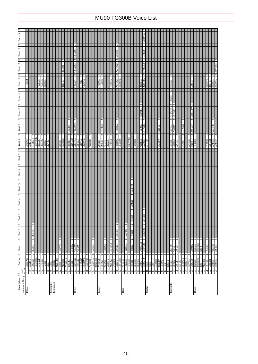| MelloSB1<br>60sDrOr3<br>Dst.5ths<br>$\overline{\mathbf{c}}$<br>$\sim$<br>N<br>SynBa2Dk<br>PowerGt <sub>2</sub><br>60sDrOr2<br>Balimba<br>$\overline{\mathbf{c}}$<br>$\mathbf{c}$<br>$\sim$<br>∾  -<br>$\sim$ $\sim$<br>$\sim$ $\sim$<br>$\sim$ $\sim$<br>$\sim$<br>$\mathcal{L}$<br>2<br>PowerGt1<br>AcoHarmo<br>Rubber <sub>Ba</sub><br>HornOrch<br>SloRotar<br>ChurOrg3<br>NylonGt3<br>Mandolin<br>ResoBass<br>60sDrOr1<br>FunkGtr2<br>VXELPI<br>VXELP2<br>MelloGrF<br>Harpsi.K<br>S.Strags<br>LoFi Hit<br><b>BrssFall</b><br>Balafon<br>$\mathbf{c}$<br>ChoirStr<br>$\frac{2}{2}$<br>2<br>2<br>TremOrch<br>DoublHit <sup>88</sup><br>TechnoBa<br>S.SlwSt<br>$\frac{2}{2}$<br>$\overline{c}$<br>N<br>$\mathbf{\hat{c}}$<br>$\overline{\mathcal{C}}$<br>$\overline{c}$<br>$\overline{\mathcal{C}}$<br>N<br>X WireBa<br>FeedbGt2<br>70sDrOr2<br>FastResB<br>Quack Br<br>MelChoin<br>yln&Stl<br>Orchstr2<br>WarmStr<br><b>BrssStab</b><br>Carillon<br>Susp.Str<br>ন<br>$\overline{2}$<br>22<br>$\frac{2}{2}$<br>$\sim$<br>$\sim$ $\sim$ $\sim$<br>$\sim$<br>$\sim$<br> a a a a<br>N<br>2<br>Ν<br><b>HnkyTnkK</b><br>MutePKBa<br>MarimbaK<br>DeiDrwOr<br><b>ElGrPnoK</b><br>FeedbkGt<br>GtFeedbk<br>GrndPnoK<br>BritPnoK<br>Cimbalom<br>ChrchBel<br>RotaryOr<br>ChurOrg2<br>AcidBass<br>Chor.EPI<br>Chor.EP2<br>DefPrcOr<br>Slow VIn<br>SyVoice2<br>FrHrSolo<br>ChorusGt<br>FunkGtrl<br>ResoSlap<br>DX Bass<br><b>SlwTrStr</b><br>AccordIt<br>Orchestr<br>TugiHrr<br>Harpsi.3<br>Vibes K<br>Ukulele<br>LegatoSt<br>Syn Str3<br>12StGtr<br>PdISteel<br>Clavi K<br>S.Choir<br>Impact<br>$\sim$<br><b>SmthFrtl</b><br>$\sim$<br>SynFret<br>$\sim$<br>U<br>Seq Bass<br>Fretles4<br>$\overline{\mathbf{c}}$<br>$\sim$<br>$\mathbf{c}$<br>$\mathbf{\hat{c}}$<br>ModulrBa<br>EIGrPno3<br>Jazzy Ba<br>DistGtr3<br>Fretles3<br>2<br>$\mathbf{c}$<br>$\mathbf{c}$<br>2<br>∾  ∾  ∾<br>U<br>$\sim$<br>N<br>N<br>2<br>N<br>SynBal Dk<br>ClkSynBa<br>Trmbone <sub>2</sub><br>MelloGtr<br>Mu.DstGt<br>FingBass2<br>Trumpet2<br>HardVibe<br>Dulcinn <sup>2</sup><br>70sDrOr1<br>OrchHit2<br>70sPcOr1<br>El GrPno<br>Harmo.2<br>DistGtr2<br>Slow Str<br>FrHorn2<br>Fretles <sub>2</sub><br>Syn Str4<br>Tuba <sub>2</sub><br>$70s$ Sti<br>U<br>$\sim$ | An Vel Br2<br>$\sim$ $\sim$<br>AnaBrss1<br>AnaBrss2<br>2<br>2<br>2<br>BrssSec2<br>SynBrss3<br>SynBrss4<br>$\sim$<br>PolyBrss<br>Soft Brs<br>HnkyTonk<br>E.Piano1<br>E.Piano2<br>$\frac{16}{17}$ Dukimer<br>10 Glocken<br>11 MusicBox<br>$\begin{tabular}{ c c } \hline 58 & Trombone \\ \hline 59 & Tuba \\ \hline 60 & Mue Trp \\ \hline \end{tabular}$<br>18 PercOrgn<br>19 RockOrgn<br>20 ChrehOrg<br>$\begin{tabular}{c c} 22 Acondition \\ 23 AIammica \\ 24 TangoAcd \\ 25 ANylonGur \\ \end{tabular}$<br>13 Marimba<br>14 Xylophon<br>15 TubulBel<br>21 ReedOrgn<br>$\begin{tabular}{c c} 31 \text{ Dist.Gur} \\ \hline 32 \text{ Gurlarmo} \\ \hline 33 \text{ Aco.Bass} \\ 34 \text{ FngrBass} \end{tabular}$<br>40 SynBass2<br>41 Violin<br>42 Viola<br>43 Cello<br>53 ChoirAah<br>54 VoiceDoo<br>55 SynVoice<br>56 Orch.Hit<br>GrandPno<br>$\begin{tabular}{c c} 36 & Freless \\ 37 & SlapBas1 \\ 38 & SlapBas2 \\ \end{tabular}$<br>39 SynBass1<br>BritePno<br>3 El.Grand<br>$\begin{tabular}{c c} 27 & Java Gtr \\ \hline 28 & CleanGtr \\ 29 & Muse Gtr \\ \end{tabular}$<br>30 Ovrdrive<br>35 PickBass<br>62 BrssSect<br>SynBrss1<br>SynBrss2<br>$\begin{tabular}{c c} 44 & Comrabs \\ 45 & Trem. Str \\ 46 & Piza.Str \\ \hline 47 & Harp \\ \hline \end{tabular}$<br>$\begin{array}{r l}\n 48 & \hline \text{Trimpani} \\  \hline\n 49 & \text{Strings1} \\  \hline\n 50 & \text{Strings2} \\  \hline\n 51 & \text{Sym SET1} \\  \hline\n 52 & \text{Sym SET2}\n \end{array}$<br>61 Fr. Horn<br>26 SteelGtr<br>Trumpet<br>7 Harpsi.<br>Celesta<br>12 Vibes<br>Clavi | Bank 2<br>회<br>Bank 1<br>Bank 0   E<br>Instrument Group   pgm# | E<br>Bank 5<br>E<br>Bank 4<br>E<br>Bank 3<br>회 | $ \mathbf{H} $ 01 $\mathbf{N}$<br>$ \mathbf{H} $ 6 $\mathbf{N}$<br>$ \mathbf{H} $ 8 xurg<br>$\vert$ 3<br>Bank 7<br>E   9 Yung | Bank 19<br> ∃  81 γu¤a<br><u> a  ∠r×unag  a  9r×unag  a  rr×unag</u> |  |
|-----------------------------------------------------------------------------------------------------------------------------------------------------------------------------------------------------------------------------------------------------------------------------------------------------------------------------------------------------------------------------------------------------------------------------------------------------------------------------------------------------------------------------------------------------------------------------------------------------------------------------------------------------------------------------------------------------------------------------------------------------------------------------------------------------------------------------------------------------------------------------------------------------------------------------------------------------------------------------------------------------------------------------------------------------------------------------------------------------------------------------------------------------------------------------------------------------------------------------------------------------------------------------------------------------------------------------------------------------------------------------------------------------------------------------------------------------------------------------------------------------------------------------------------------------------------------------------------------------------------------------------------------------------------------------------------------------------------------------------------------------------------------------------------------------------------------------------------------------------------------------------------------------------------------------------------------------------------------------------------------------------------------------------------------------------------------------------------------------------------------------------------------------------------------------------------------------------------------------------|--------------------------------------------------------------------------------------------------------------------------------------------------------------------------------------------------------------------------------------------------------------------------------------------------------------------------------------------------------------------------------------------------------------------------------------------------------------------------------------------------------------------------------------------------------------------------------------------------------------------------------------------------------------------------------------------------------------------------------------------------------------------------------------------------------------------------------------------------------------------------------------------------------------------------------------------------------------------------------------------------------------------------------------------------------------------------------------------------------------------------------------------------------------------------------------------------------------------------------------------------------------------------------------------------------------------------------------------------------------------------------------------------------------------------------------------------------------------------------------------------------------------------------------------------------------------------------------|----------------------------------------------------------------|------------------------------------------------|-------------------------------------------------------------------------------------------------------------------------------|----------------------------------------------------------------------|--|
|                                                                                                                                                                                                                                                                                                                                                                                                                                                                                                                                                                                                                                                                                                                                                                                                                                                                                                                                                                                                                                                                                                                                                                                                                                                                                                                                                                                                                                                                                                                                                                                                                                                                                                                                                                                                                                                                                                                                                                                                                                                                                                                                                                                                                                   |                                                                                                                                                                                                                                                                                                                                                                                                                                                                                                                                                                                                                                                                                                                                                                                                                                                                                                                                                                                                                                                                                                                                                                                                                                                                                                                                                                                                                                                                                                                                                                                      |                                                                |                                                |                                                                                                                               |                                                                      |  |
|                                                                                                                                                                                                                                                                                                                                                                                                                                                                                                                                                                                                                                                                                                                                                                                                                                                                                                                                                                                                                                                                                                                                                                                                                                                                                                                                                                                                                                                                                                                                                                                                                                                                                                                                                                                                                                                                                                                                                                                                                                                                                                                                                                                                                                   |                                                                                                                                                                                                                                                                                                                                                                                                                                                                                                                                                                                                                                                                                                                                                                                                                                                                                                                                                                                                                                                                                                                                                                                                                                                                                                                                                                                                                                                                                                                                                                                      |                                                                |                                                |                                                                                                                               |                                                                      |  |
|                                                                                                                                                                                                                                                                                                                                                                                                                                                                                                                                                                                                                                                                                                                                                                                                                                                                                                                                                                                                                                                                                                                                                                                                                                                                                                                                                                                                                                                                                                                                                                                                                                                                                                                                                                                                                                                                                                                                                                                                                                                                                                                                                                                                                                   |                                                                                                                                                                                                                                                                                                                                                                                                                                                                                                                                                                                                                                                                                                                                                                                                                                                                                                                                                                                                                                                                                                                                                                                                                                                                                                                                                                                                                                                                                                                                                                                      |                                                                |                                                |                                                                                                                               |                                                                      |  |
|                                                                                                                                                                                                                                                                                                                                                                                                                                                                                                                                                                                                                                                                                                                                                                                                                                                                                                                                                                                                                                                                                                                                                                                                                                                                                                                                                                                                                                                                                                                                                                                                                                                                                                                                                                                                                                                                                                                                                                                                                                                                                                                                                                                                                                   |                                                                                                                                                                                                                                                                                                                                                                                                                                                                                                                                                                                                                                                                                                                                                                                                                                                                                                                                                                                                                                                                                                                                                                                                                                                                                                                                                                                                                                                                                                                                                                                      |                                                                |                                                |                                                                                                                               |                                                                      |  |
|                                                                                                                                                                                                                                                                                                                                                                                                                                                                                                                                                                                                                                                                                                                                                                                                                                                                                                                                                                                                                                                                                                                                                                                                                                                                                                                                                                                                                                                                                                                                                                                                                                                                                                                                                                                                                                                                                                                                                                                                                                                                                                                                                                                                                                   |                                                                                                                                                                                                                                                                                                                                                                                                                                                                                                                                                                                                                                                                                                                                                                                                                                                                                                                                                                                                                                                                                                                                                                                                                                                                                                                                                                                                                                                                                                                                                                                      |                                                                |                                                |                                                                                                                               |                                                                      |  |
|                                                                                                                                                                                                                                                                                                                                                                                                                                                                                                                                                                                                                                                                                                                                                                                                                                                                                                                                                                                                                                                                                                                                                                                                                                                                                                                                                                                                                                                                                                                                                                                                                                                                                                                                                                                                                                                                                                                                                                                                                                                                                                                                                                                                                                   |                                                                                                                                                                                                                                                                                                                                                                                                                                                                                                                                                                                                                                                                                                                                                                                                                                                                                                                                                                                                                                                                                                                                                                                                                                                                                                                                                                                                                                                                                                                                                                                      |                                                                |                                                |                                                                                                                               |                                                                      |  |
|                                                                                                                                                                                                                                                                                                                                                                                                                                                                                                                                                                                                                                                                                                                                                                                                                                                                                                                                                                                                                                                                                                                                                                                                                                                                                                                                                                                                                                                                                                                                                                                                                                                                                                                                                                                                                                                                                                                                                                                                                                                                                                                                                                                                                                   |                                                                                                                                                                                                                                                                                                                                                                                                                                                                                                                                                                                                                                                                                                                                                                                                                                                                                                                                                                                                                                                                                                                                                                                                                                                                                                                                                                                                                                                                                                                                                                                      |                                                                |                                                |                                                                                                                               |                                                                      |  |
|                                                                                                                                                                                                                                                                                                                                                                                                                                                                                                                                                                                                                                                                                                                                                                                                                                                                                                                                                                                                                                                                                                                                                                                                                                                                                                                                                                                                                                                                                                                                                                                                                                                                                                                                                                                                                                                                                                                                                                                                                                                                                                                                                                                                                                   |                                                                                                                                                                                                                                                                                                                                                                                                                                                                                                                                                                                                                                                                                                                                                                                                                                                                                                                                                                                                                                                                                                                                                                                                                                                                                                                                                                                                                                                                                                                                                                                      |                                                                |                                                |                                                                                                                               |                                                                      |  |
|                                                                                                                                                                                                                                                                                                                                                                                                                                                                                                                                                                                                                                                                                                                                                                                                                                                                                                                                                                                                                                                                                                                                                                                                                                                                                                                                                                                                                                                                                                                                                                                                                                                                                                                                                                                                                                                                                                                                                                                                                                                                                                                                                                                                                                   |                                                                                                                                                                                                                                                                                                                                                                                                                                                                                                                                                                                                                                                                                                                                                                                                                                                                                                                                                                                                                                                                                                                                                                                                                                                                                                                                                                                                                                                                                                                                                                                      |                                                                |                                                |                                                                                                                               |                                                                      |  |
|                                                                                                                                                                                                                                                                                                                                                                                                                                                                                                                                                                                                                                                                                                                                                                                                                                                                                                                                                                                                                                                                                                                                                                                                                                                                                                                                                                                                                                                                                                                                                                                                                                                                                                                                                                                                                                                                                                                                                                                                                                                                                                                                                                                                                                   |                                                                                                                                                                                                                                                                                                                                                                                                                                                                                                                                                                                                                                                                                                                                                                                                                                                                                                                                                                                                                                                                                                                                                                                                                                                                                                                                                                                                                                                                                                                                                                                      |                                                                |                                                |                                                                                                                               |                                                                      |  |
|                                                                                                                                                                                                                                                                                                                                                                                                                                                                                                                                                                                                                                                                                                                                                                                                                                                                                                                                                                                                                                                                                                                                                                                                                                                                                                                                                                                                                                                                                                                                                                                                                                                                                                                                                                                                                                                                                                                                                                                                                                                                                                                                                                                                                                   |                                                                                                                                                                                                                                                                                                                                                                                                                                                                                                                                                                                                                                                                                                                                                                                                                                                                                                                                                                                                                                                                                                                                                                                                                                                                                                                                                                                                                                                                                                                                                                                      |                                                                |                                                |                                                                                                                               |                                                                      |  |
|                                                                                                                                                                                                                                                                                                                                                                                                                                                                                                                                                                                                                                                                                                                                                                                                                                                                                                                                                                                                                                                                                                                                                                                                                                                                                                                                                                                                                                                                                                                                                                                                                                                                                                                                                                                                                                                                                                                                                                                                                                                                                                                                                                                                                                   |                                                                                                                                                                                                                                                                                                                                                                                                                                                                                                                                                                                                                                                                                                                                                                                                                                                                                                                                                                                                                                                                                                                                                                                                                                                                                                                                                                                                                                                                                                                                                                                      |                                                                |                                                |                                                                                                                               |                                                                      |  |
|                                                                                                                                                                                                                                                                                                                                                                                                                                                                                                                                                                                                                                                                                                                                                                                                                                                                                                                                                                                                                                                                                                                                                                                                                                                                                                                                                                                                                                                                                                                                                                                                                                                                                                                                                                                                                                                                                                                                                                                                                                                                                                                                                                                                                                   |                                                                                                                                                                                                                                                                                                                                                                                                                                                                                                                                                                                                                                                                                                                                                                                                                                                                                                                                                                                                                                                                                                                                                                                                                                                                                                                                                                                                                                                                                                                                                                                      |                                                                |                                                |                                                                                                                               |                                                                      |  |
|                                                                                                                                                                                                                                                                                                                                                                                                                                                                                                                                                                                                                                                                                                                                                                                                                                                                                                                                                                                                                                                                                                                                                                                                                                                                                                                                                                                                                                                                                                                                                                                                                                                                                                                                                                                                                                                                                                                                                                                                                                                                                                                                                                                                                                   |                                                                                                                                                                                                                                                                                                                                                                                                                                                                                                                                                                                                                                                                                                                                                                                                                                                                                                                                                                                                                                                                                                                                                                                                                                                                                                                                                                                                                                                                                                                                                                                      |                                                                |                                                |                                                                                                                               |                                                                      |  |
|                                                                                                                                                                                                                                                                                                                                                                                                                                                                                                                                                                                                                                                                                                                                                                                                                                                                                                                                                                                                                                                                                                                                                                                                                                                                                                                                                                                                                                                                                                                                                                                                                                                                                                                                                                                                                                                                                                                                                                                                                                                                                                                                                                                                                                   |                                                                                                                                                                                                                                                                                                                                                                                                                                                                                                                                                                                                                                                                                                                                                                                                                                                                                                                                                                                                                                                                                                                                                                                                                                                                                                                                                                                                                                                                                                                                                                                      |                                                                |                                                |                                                                                                                               |                                                                      |  |
|                                                                                                                                                                                                                                                                                                                                                                                                                                                                                                                                                                                                                                                                                                                                                                                                                                                                                                                                                                                                                                                                                                                                                                                                                                                                                                                                                                                                                                                                                                                                                                                                                                                                                                                                                                                                                                                                                                                                                                                                                                                                                                                                                                                                                                   |                                                                                                                                                                                                                                                                                                                                                                                                                                                                                                                                                                                                                                                                                                                                                                                                                                                                                                                                                                                                                                                                                                                                                                                                                                                                                                                                                                                                                                                                                                                                                                                      |                                                                |                                                |                                                                                                                               |                                                                      |  |
|                                                                                                                                                                                                                                                                                                                                                                                                                                                                                                                                                                                                                                                                                                                                                                                                                                                                                                                                                                                                                                                                                                                                                                                                                                                                                                                                                                                                                                                                                                                                                                                                                                                                                                                                                                                                                                                                                                                                                                                                                                                                                                                                                                                                                                   |                                                                                                                                                                                                                                                                                                                                                                                                                                                                                                                                                                                                                                                                                                                                                                                                                                                                                                                                                                                                                                                                                                                                                                                                                                                                                                                                                                                                                                                                                                                                                                                      |                                                                |                                                |                                                                                                                               |                                                                      |  |
|                                                                                                                                                                                                                                                                                                                                                                                                                                                                                                                                                                                                                                                                                                                                                                                                                                                                                                                                                                                                                                                                                                                                                                                                                                                                                                                                                                                                                                                                                                                                                                                                                                                                                                                                                                                                                                                                                                                                                                                                                                                                                                                                                                                                                                   |                                                                                                                                                                                                                                                                                                                                                                                                                                                                                                                                                                                                                                                                                                                                                                                                                                                                                                                                                                                                                                                                                                                                                                                                                                                                                                                                                                                                                                                                                                                                                                                      |                                                                |                                                |                                                                                                                               |                                                                      |  |
|                                                                                                                                                                                                                                                                                                                                                                                                                                                                                                                                                                                                                                                                                                                                                                                                                                                                                                                                                                                                                                                                                                                                                                                                                                                                                                                                                                                                                                                                                                                                                                                                                                                                                                                                                                                                                                                                                                                                                                                                                                                                                                                                                                                                                                   |                                                                                                                                                                                                                                                                                                                                                                                                                                                                                                                                                                                                                                                                                                                                                                                                                                                                                                                                                                                                                                                                                                                                                                                                                                                                                                                                                                                                                                                                                                                                                                                      |                                                                |                                                |                                                                                                                               |                                                                      |  |
|                                                                                                                                                                                                                                                                                                                                                                                                                                                                                                                                                                                                                                                                                                                                                                                                                                                                                                                                                                                                                                                                                                                                                                                                                                                                                                                                                                                                                                                                                                                                                                                                                                                                                                                                                                                                                                                                                                                                                                                                                                                                                                                                                                                                                                   |                                                                                                                                                                                                                                                                                                                                                                                                                                                                                                                                                                                                                                                                                                                                                                                                                                                                                                                                                                                                                                                                                                                                                                                                                                                                                                                                                                                                                                                                                                                                                                                      |                                                                |                                                |                                                                                                                               |                                                                      |  |
|                                                                                                                                                                                                                                                                                                                                                                                                                                                                                                                                                                                                                                                                                                                                                                                                                                                                                                                                                                                                                                                                                                                                                                                                                                                                                                                                                                                                                                                                                                                                                                                                                                                                                                                                                                                                                                                                                                                                                                                                                                                                                                                                                                                                                                   |                                                                                                                                                                                                                                                                                                                                                                                                                                                                                                                                                                                                                                                                                                                                                                                                                                                                                                                                                                                                                                                                                                                                                                                                                                                                                                                                                                                                                                                                                                                                                                                      |                                                                |                                                |                                                                                                                               |                                                                      |  |
|                                                                                                                                                                                                                                                                                                                                                                                                                                                                                                                                                                                                                                                                                                                                                                                                                                                                                                                                                                                                                                                                                                                                                                                                                                                                                                                                                                                                                                                                                                                                                                                                                                                                                                                                                                                                                                                                                                                                                                                                                                                                                                                                                                                                                                   |                                                                                                                                                                                                                                                                                                                                                                                                                                                                                                                                                                                                                                                                                                                                                                                                                                                                                                                                                                                                                                                                                                                                                                                                                                                                                                                                                                                                                                                                                                                                                                                      |                                                                |                                                |                                                                                                                               |                                                                      |  |
|                                                                                                                                                                                                                                                                                                                                                                                                                                                                                                                                                                                                                                                                                                                                                                                                                                                                                                                                                                                                                                                                                                                                                                                                                                                                                                                                                                                                                                                                                                                                                                                                                                                                                                                                                                                                                                                                                                                                                                                                                                                                                                                                                                                                                                   |                                                                                                                                                                                                                                                                                                                                                                                                                                                                                                                                                                                                                                                                                                                                                                                                                                                                                                                                                                                                                                                                                                                                                                                                                                                                                                                                                                                                                                                                                                                                                                                      |                                                                |                                                |                                                                                                                               |                                                                      |  |
|                                                                                                                                                                                                                                                                                                                                                                                                                                                                                                                                                                                                                                                                                                                                                                                                                                                                                                                                                                                                                                                                                                                                                                                                                                                                                                                                                                                                                                                                                                                                                                                                                                                                                                                                                                                                                                                                                                                                                                                                                                                                                                                                                                                                                                   |                                                                                                                                                                                                                                                                                                                                                                                                                                                                                                                                                                                                                                                                                                                                                                                                                                                                                                                                                                                                                                                                                                                                                                                                                                                                                                                                                                                                                                                                                                                                                                                      |                                                                |                                                |                                                                                                                               |                                                                      |  |
|                                                                                                                                                                                                                                                                                                                                                                                                                                                                                                                                                                                                                                                                                                                                                                                                                                                                                                                                                                                                                                                                                                                                                                                                                                                                                                                                                                                                                                                                                                                                                                                                                                                                                                                                                                                                                                                                                                                                                                                                                                                                                                                                                                                                                                   |                                                                                                                                                                                                                                                                                                                                                                                                                                                                                                                                                                                                                                                                                                                                                                                                                                                                                                                                                                                                                                                                                                                                                                                                                                                                                                                                                                                                                                                                                                                                                                                      |                                                                |                                                |                                                                                                                               | $\mathbf{\hat{c}}$                                                   |  |
|                                                                                                                                                                                                                                                                                                                                                                                                                                                                                                                                                                                                                                                                                                                                                                                                                                                                                                                                                                                                                                                                                                                                                                                                                                                                                                                                                                                                                                                                                                                                                                                                                                                                                                                                                                                                                                                                                                                                                                                                                                                                                                                                                                                                                                   |                                                                                                                                                                                                                                                                                                                                                                                                                                                                                                                                                                                                                                                                                                                                                                                                                                                                                                                                                                                                                                                                                                                                                                                                                                                                                                                                                                                                                                                                                                                                                                                      |                                                                |                                                |                                                                                                                               |                                                                      |  |
|                                                                                                                                                                                                                                                                                                                                                                                                                                                                                                                                                                                                                                                                                                                                                                                                                                                                                                                                                                                                                                                                                                                                                                                                                                                                                                                                                                                                                                                                                                                                                                                                                                                                                                                                                                                                                                                                                                                                                                                                                                                                                                                                                                                                                                   |                                                                                                                                                                                                                                                                                                                                                                                                                                                                                                                                                                                                                                                                                                                                                                                                                                                                                                                                                                                                                                                                                                                                                                                                                                                                                                                                                                                                                                                                                                                                                                                      |                                                                |                                                |                                                                                                                               |                                                                      |  |
|                                                                                                                                                                                                                                                                                                                                                                                                                                                                                                                                                                                                                                                                                                                                                                                                                                                                                                                                                                                                                                                                                                                                                                                                                                                                                                                                                                                                                                                                                                                                                                                                                                                                                                                                                                                                                                                                                                                                                                                                                                                                                                                                                                                                                                   |                                                                                                                                                                                                                                                                                                                                                                                                                                                                                                                                                                                                                                                                                                                                                                                                                                                                                                                                                                                                                                                                                                                                                                                                                                                                                                                                                                                                                                                                                                                                                                                      |                                                                |                                                |                                                                                                                               |                                                                      |  |
|                                                                                                                                                                                                                                                                                                                                                                                                                                                                                                                                                                                                                                                                                                                                                                                                                                                                                                                                                                                                                                                                                                                                                                                                                                                                                                                                                                                                                                                                                                                                                                                                                                                                                                                                                                                                                                                                                                                                                                                                                                                                                                                                                                                                                                   |                                                                                                                                                                                                                                                                                                                                                                                                                                                                                                                                                                                                                                                                                                                                                                                                                                                                                                                                                                                                                                                                                                                                                                                                                                                                                                                                                                                                                                                                                                                                                                                      |                                                                |                                                |                                                                                                                               |                                                                      |  |
|                                                                                                                                                                                                                                                                                                                                                                                                                                                                                                                                                                                                                                                                                                                                                                                                                                                                                                                                                                                                                                                                                                                                                                                                                                                                                                                                                                                                                                                                                                                                                                                                                                                                                                                                                                                                                                                                                                                                                                                                                                                                                                                                                                                                                                   |                                                                                                                                                                                                                                                                                                                                                                                                                                                                                                                                                                                                                                                                                                                                                                                                                                                                                                                                                                                                                                                                                                                                                                                                                                                                                                                                                                                                                                                                                                                                                                                      |                                                                |                                                |                                                                                                                               |                                                                      |  |
|                                                                                                                                                                                                                                                                                                                                                                                                                                                                                                                                                                                                                                                                                                                                                                                                                                                                                                                                                                                                                                                                                                                                                                                                                                                                                                                                                                                                                                                                                                                                                                                                                                                                                                                                                                                                                                                                                                                                                                                                                                                                                                                                                                                                                                   |                                                                                                                                                                                                                                                                                                                                                                                                                                                                                                                                                                                                                                                                                                                                                                                                                                                                                                                                                                                                                                                                                                                                                                                                                                                                                                                                                                                                                                                                                                                                                                                      |                                                                |                                                |                                                                                                                               |                                                                      |  |
|                                                                                                                                                                                                                                                                                                                                                                                                                                                                                                                                                                                                                                                                                                                                                                                                                                                                                                                                                                                                                                                                                                                                                                                                                                                                                                                                                                                                                                                                                                                                                                                                                                                                                                                                                                                                                                                                                                                                                                                                                                                                                                                                                                                                                                   |                                                                                                                                                                                                                                                                                                                                                                                                                                                                                                                                                                                                                                                                                                                                                                                                                                                                                                                                                                                                                                                                                                                                                                                                                                                                                                                                                                                                                                                                                                                                                                                      |                                                                |                                                |                                                                                                                               | SmthSynB<br>۳                                                        |  |
|                                                                                                                                                                                                                                                                                                                                                                                                                                                                                                                                                                                                                                                                                                                                                                                                                                                                                                                                                                                                                                                                                                                                                                                                                                                                                                                                                                                                                                                                                                                                                                                                                                                                                                                                                                                                                                                                                                                                                                                                                                                                                                                                                                                                                                   |                                                                                                                                                                                                                                                                                                                                                                                                                                                                                                                                                                                                                                                                                                                                                                                                                                                                                                                                                                                                                                                                                                                                                                                                                                                                                                                                                                                                                                                                                                                                                                                      |                                                                |                                                |                                                                                                                               |                                                                      |  |
|                                                                                                                                                                                                                                                                                                                                                                                                                                                                                                                                                                                                                                                                                                                                                                                                                                                                                                                                                                                                                                                                                                                                                                                                                                                                                                                                                                                                                                                                                                                                                                                                                                                                                                                                                                                                                                                                                                                                                                                                                                                                                                                                                                                                                                   |                                                                                                                                                                                                                                                                                                                                                                                                                                                                                                                                                                                                                                                                                                                                                                                                                                                                                                                                                                                                                                                                                                                                                                                                                                                                                                                                                                                                                                                                                                                                                                                      |                                                                |                                                |                                                                                                                               |                                                                      |  |
|                                                                                                                                                                                                                                                                                                                                                                                                                                                                                                                                                                                                                                                                                                                                                                                                                                                                                                                                                                                                                                                                                                                                                                                                                                                                                                                                                                                                                                                                                                                                                                                                                                                                                                                                                                                                                                                                                                                                                                                                                                                                                                                                                                                                                                   |                                                                                                                                                                                                                                                                                                                                                                                                                                                                                                                                                                                                                                                                                                                                                                                                                                                                                                                                                                                                                                                                                                                                                                                                                                                                                                                                                                                                                                                                                                                                                                                      |                                                                |                                                |                                                                                                                               |                                                                      |  |
|                                                                                                                                                                                                                                                                                                                                                                                                                                                                                                                                                                                                                                                                                                                                                                                                                                                                                                                                                                                                                                                                                                                                                                                                                                                                                                                                                                                                                                                                                                                                                                                                                                                                                                                                                                                                                                                                                                                                                                                                                                                                                                                                                                                                                                   |                                                                                                                                                                                                                                                                                                                                                                                                                                                                                                                                                                                                                                                                                                                                                                                                                                                                                                                                                                                                                                                                                                                                                                                                                                                                                                                                                                                                                                                                                                                                                                                      |                                                                |                                                |                                                                                                                               |                                                                      |  |
|                                                                                                                                                                                                                                                                                                                                                                                                                                                                                                                                                                                                                                                                                                                                                                                                                                                                                                                                                                                                                                                                                                                                                                                                                                                                                                                                                                                                                                                                                                                                                                                                                                                                                                                                                                                                                                                                                                                                                                                                                                                                                                                                                                                                                                   |                                                                                                                                                                                                                                                                                                                                                                                                                                                                                                                                                                                                                                                                                                                                                                                                                                                                                                                                                                                                                                                                                                                                                                                                                                                                                                                                                                                                                                                                                                                                                                                      |                                                                |                                                |                                                                                                                               |                                                                      |  |
|                                                                                                                                                                                                                                                                                                                                                                                                                                                                                                                                                                                                                                                                                                                                                                                                                                                                                                                                                                                                                                                                                                                                                                                                                                                                                                                                                                                                                                                                                                                                                                                                                                                                                                                                                                                                                                                                                                                                                                                                                                                                                                                                                                                                                                   |                                                                                                                                                                                                                                                                                                                                                                                                                                                                                                                                                                                                                                                                                                                                                                                                                                                                                                                                                                                                                                                                                                                                                                                                                                                                                                                                                                                                                                                                                                                                                                                      |                                                                |                                                |                                                                                                                               |                                                                      |  |
|                                                                                                                                                                                                                                                                                                                                                                                                                                                                                                                                                                                                                                                                                                                                                                                                                                                                                                                                                                                                                                                                                                                                                                                                                                                                                                                                                                                                                                                                                                                                                                                                                                                                                                                                                                                                                                                                                                                                                                                                                                                                                                                                                                                                                                   |                                                                                                                                                                                                                                                                                                                                                                                                                                                                                                                                                                                                                                                                                                                                                                                                                                                                                                                                                                                                                                                                                                                                                                                                                                                                                                                                                                                                                                                                                                                                                                                      |                                                                |                                                |                                                                                                                               |                                                                      |  |
|                                                                                                                                                                                                                                                                                                                                                                                                                                                                                                                                                                                                                                                                                                                                                                                                                                                                                                                                                                                                                                                                                                                                                                                                                                                                                                                                                                                                                                                                                                                                                                                                                                                                                                                                                                                                                                                                                                                                                                                                                                                                                                                                                                                                                                   |                                                                                                                                                                                                                                                                                                                                                                                                                                                                                                                                                                                                                                                                                                                                                                                                                                                                                                                                                                                                                                                                                                                                                                                                                                                                                                                                                                                                                                                                                                                                                                                      |                                                                |                                                |                                                                                                                               |                                                                      |  |
|                                                                                                                                                                                                                                                                                                                                                                                                                                                                                                                                                                                                                                                                                                                                                                                                                                                                                                                                                                                                                                                                                                                                                                                                                                                                                                                                                                                                                                                                                                                                                                                                                                                                                                                                                                                                                                                                                                                                                                                                                                                                                                                                                                                                                                   |                                                                                                                                                                                                                                                                                                                                                                                                                                                                                                                                                                                                                                                                                                                                                                                                                                                                                                                                                                                                                                                                                                                                                                                                                                                                                                                                                                                                                                                                                                                                                                                      |                                                                |                                                |                                                                                                                               |                                                                      |  |
|                                                                                                                                                                                                                                                                                                                                                                                                                                                                                                                                                                                                                                                                                                                                                                                                                                                                                                                                                                                                                                                                                                                                                                                                                                                                                                                                                                                                                                                                                                                                                                                                                                                                                                                                                                                                                                                                                                                                                                                                                                                                                                                                                                                                                                   |                                                                                                                                                                                                                                                                                                                                                                                                                                                                                                                                                                                                                                                                                                                                                                                                                                                                                                                                                                                                                                                                                                                                                                                                                                                                                                                                                                                                                                                                                                                                                                                      |                                                                |                                                |                                                                                                                               |                                                                      |  |
|                                                                                                                                                                                                                                                                                                                                                                                                                                                                                                                                                                                                                                                                                                                                                                                                                                                                                                                                                                                                                                                                                                                                                                                                                                                                                                                                                                                                                                                                                                                                                                                                                                                                                                                                                                                                                                                                                                                                                                                                                                                                                                                                                                                                                                   |                                                                                                                                                                                                                                                                                                                                                                                                                                                                                                                                                                                                                                                                                                                                                                                                                                                                                                                                                                                                                                                                                                                                                                                                                                                                                                                                                                                                                                                                                                                                                                                      |                                                                |                                                |                                                                                                                               |                                                                      |  |
|                                                                                                                                                                                                                                                                                                                                                                                                                                                                                                                                                                                                                                                                                                                                                                                                                                                                                                                                                                                                                                                                                                                                                                                                                                                                                                                                                                                                                                                                                                                                                                                                                                                                                                                                                                                                                                                                                                                                                                                                                                                                                                                                                                                                                                   |                                                                                                                                                                                                                                                                                                                                                                                                                                                                                                                                                                                                                                                                                                                                                                                                                                                                                                                                                                                                                                                                                                                                                                                                                                                                                                                                                                                                                                                                                                                                                                                      |                                                                |                                                |                                                                                                                               |                                                                      |  |
|                                                                                                                                                                                                                                                                                                                                                                                                                                                                                                                                                                                                                                                                                                                                                                                                                                                                                                                                                                                                                                                                                                                                                                                                                                                                                                                                                                                                                                                                                                                                                                                                                                                                                                                                                                                                                                                                                                                                                                                                                                                                                                                                                                                                                                   |                                                                                                                                                                                                                                                                                                                                                                                                                                                                                                                                                                                                                                                                                                                                                                                                                                                                                                                                                                                                                                                                                                                                                                                                                                                                                                                                                                                                                                                                                                                                                                                      |                                                                |                                                |                                                                                                                               |                                                                      |  |
|                                                                                                                                                                                                                                                                                                                                                                                                                                                                                                                                                                                                                                                                                                                                                                                                                                                                                                                                                                                                                                                                                                                                                                                                                                                                                                                                                                                                                                                                                                                                                                                                                                                                                                                                                                                                                                                                                                                                                                                                                                                                                                                                                                                                                                   |                                                                                                                                                                                                                                                                                                                                                                                                                                                                                                                                                                                                                                                                                                                                                                                                                                                                                                                                                                                                                                                                                                                                                                                                                                                                                                                                                                                                                                                                                                                                                                                      |                                                                |                                                |                                                                                                                               |                                                                      |  |
|                                                                                                                                                                                                                                                                                                                                                                                                                                                                                                                                                                                                                                                                                                                                                                                                                                                                                                                                                                                                                                                                                                                                                                                                                                                                                                                                                                                                                                                                                                                                                                                                                                                                                                                                                                                                                                                                                                                                                                                                                                                                                                                                                                                                                                   |                                                                                                                                                                                                                                                                                                                                                                                                                                                                                                                                                                                                                                                                                                                                                                                                                                                                                                                                                                                                                                                                                                                                                                                                                                                                                                                                                                                                                                                                                                                                                                                      |                                                                |                                                |                                                                                                                               |                                                                      |  |
|                                                                                                                                                                                                                                                                                                                                                                                                                                                                                                                                                                                                                                                                                                                                                                                                                                                                                                                                                                                                                                                                                                                                                                                                                                                                                                                                                                                                                                                                                                                                                                                                                                                                                                                                                                                                                                                                                                                                                                                                                                                                                                                                                                                                                                   |                                                                                                                                                                                                                                                                                                                                                                                                                                                                                                                                                                                                                                                                                                                                                                                                                                                                                                                                                                                                                                                                                                                                                                                                                                                                                                                                                                                                                                                                                                                                                                                      |                                                                |                                                |                                                                                                                               |                                                                      |  |
|                                                                                                                                                                                                                                                                                                                                                                                                                                                                                                                                                                                                                                                                                                                                                                                                                                                                                                                                                                                                                                                                                                                                                                                                                                                                                                                                                                                                                                                                                                                                                                                                                                                                                                                                                                                                                                                                                                                                                                                                                                                                                                                                                                                                                                   |                                                                                                                                                                                                                                                                                                                                                                                                                                                                                                                                                                                                                                                                                                                                                                                                                                                                                                                                                                                                                                                                                                                                                                                                                                                                                                                                                                                                                                                                                                                                                                                      |                                                                |                                                |                                                                                                                               |                                                                      |  |
|                                                                                                                                                                                                                                                                                                                                                                                                                                                                                                                                                                                                                                                                                                                                                                                                                                                                                                                                                                                                                                                                                                                                                                                                                                                                                                                                                                                                                                                                                                                                                                                                                                                                                                                                                                                                                                                                                                                                                                                                                                                                                                                                                                                                                                   |                                                                                                                                                                                                                                                                                                                                                                                                                                                                                                                                                                                                                                                                                                                                                                                                                                                                                                                                                                                                                                                                                                                                                                                                                                                                                                                                                                                                                                                                                                                                                                                      |                                                                |                                                |                                                                                                                               |                                                                      |  |
|                                                                                                                                                                                                                                                                                                                                                                                                                                                                                                                                                                                                                                                                                                                                                                                                                                                                                                                                                                                                                                                                                                                                                                                                                                                                                                                                                                                                                                                                                                                                                                                                                                                                                                                                                                                                                                                                                                                                                                                                                                                                                                                                                                                                                                   |                                                                                                                                                                                                                                                                                                                                                                                                                                                                                                                                                                                                                                                                                                                                                                                                                                                                                                                                                                                                                                                                                                                                                                                                                                                                                                                                                                                                                                                                                                                                                                                      |                                                                |                                                |                                                                                                                               |                                                                      |  |
|                                                                                                                                                                                                                                                                                                                                                                                                                                                                                                                                                                                                                                                                                                                                                                                                                                                                                                                                                                                                                                                                                                                                                                                                                                                                                                                                                                                                                                                                                                                                                                                                                                                                                                                                                                                                                                                                                                                                                                                                                                                                                                                                                                                                                                   |                                                                                                                                                                                                                                                                                                                                                                                                                                                                                                                                                                                                                                                                                                                                                                                                                                                                                                                                                                                                                                                                                                                                                                                                                                                                                                                                                                                                                                                                                                                                                                                      |                                                                |                                                |                                                                                                                               |                                                                      |  |

# MU90 TG300B Voice List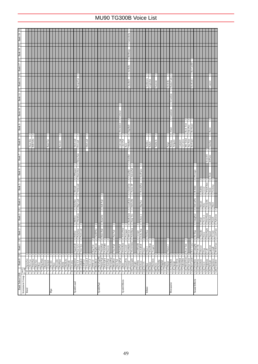|               | N<br>$\sim$<br>HyprAlto<br><b>BrthTnSx</b> |                                        |             | <b>BassClar</b>                                                                                                                        | Kawala                      |                                                     |                          | SineLead | WaspySyn           |                                                                                                                                                                              |                                                                                       |                |                                                                        |                                                                                             |                                                                                                                           |          |                                                     | Celstial<br>$\sim$                                |              | Gamelmba<br>$\sim$<br>BellHarp<br>$\sim$<br>AirBells<br>$\sim$<br>ChorBell<br>$\sim$                                                                              |                                                                            |                                                                             |                                                                                                      | $\sim$ $\sim$<br>Tanboura<br>Gopichnt | $\mathbf{\hat{c}}$<br>Kanoon   |                                                                                                                                                                                                                                                                                                        | Rama Cym<br>Hichriki<br>$\mathbf{c}$<br>S.Gamlan<br>$\sim$<br>Gamelan<br>$\mathbf{c}$ |                                                                                              |          | $\sim$ $\sim$                             | RevConBD<br>RevKick                               |                                         |                                                                       |                                                                                                                                                                                                                                                                                  |
|---------------|--------------------------------------------|----------------------------------------|-------------|----------------------------------------------------------------------------------------------------------------------------------------|-----------------------------|-----------------------------------------------------|--------------------------|----------|--------------------|------------------------------------------------------------------------------------------------------------------------------------------------------------------------------|---------------------------------------------------------------------------------------|----------------|------------------------------------------------------------------------|---------------------------------------------------------------------------------------------|---------------------------------------------------------------------------------------------------------------------------|----------|-----------------------------------------------------|---------------------------------------------------|--------------|-------------------------------------------------------------------------------------------------------------------------------------------------------------------|----------------------------------------------------------------------------|-----------------------------------------------------------------------------|------------------------------------------------------------------------------------------------------|---------------------------------------|--------------------------------|--------------------------------------------------------------------------------------------------------------------------------------------------------------------------------------------------------------------------------------------------------------------------------------------------------|---------------------------------------------------------------------------------------|----------------------------------------------------------------------------------------------|----------|-------------------------------------------|---------------------------------------------------|-----------------------------------------|-----------------------------------------------------------------------|----------------------------------------------------------------------------------------------------------------------------------------------------------------------------------------------------------------------------------------------------------------------------------|
|               |                                            |                                        |             |                                                                                                                                        |                             |                                                     |                          |          |                    |                                                                                                                                                                              |                                                                                       |                |                                                                        |                                                                                             |                                                                                                                           |          |                                                     |                                                   |              |                                                                                                                                                                   |                                                                            |                                                                             |                                                                                                      |                                       |                                |                                                                                                                                                                                                                                                                                                        |                                                                                       |                                                                                              |          |                                           |                                                   |                                         |                                                                       |                                                                                                                                                                                                                                                                                  |
|               |                                            |                                        |             |                                                                                                                                        |                             |                                                     |                          |          |                    |                                                                                                                                                                              |                                                                                       |                |                                                                        |                                                                                             |                                                                                                                           |          |                                                     |                                                   |              |                                                                                                                                                                   |                                                                            |                                                                             |                                                                                                      |                                       |                                |                                                                                                                                                                                                                                                                                                        |                                                                                       |                                                                                              |          |                                           |                                                   |                                         |                                                                       |                                                                                                                                                                                                                                                                                  |
|               |                                            |                                        |             |                                                                                                                                        |                             |                                                     |                          |          |                    |                                                                                                                                                                              |                                                                                       |                |                                                                        |                                                                                             |                                                                                                                           |          |                                                     |                                                   |              |                                                                                                                                                                   |                                                                            |                                                                             |                                                                                                      |                                       |                                |                                                                                                                                                                                                                                                                                                        |                                                                                       |                                                                                              |          |                                           |                                                   |                                         |                                                                       |                                                                                                                                                                                                                                                                                  |
|               |                                            |                                        |             |                                                                                                                                        |                             |                                                     |                          |          |                    |                                                                                                                                                                              |                                                                                       |                |                                                                        |                                                                                             |                                                                                                                           |          |                                                     |                                                   |              |                                                                                                                                                                   |                                                                            |                                                                             |                                                                                                      |                                       |                                |                                                                                                                                                                                                                                                                                                        |                                                                                       |                                                                                              |          |                                           |                                                   |                                         |                                                                       |                                                                                                                                                                                                                                                                                  |
|               |                                            |                                        |             |                                                                                                                                        |                             |                                                     |                          |          |                    |                                                                                                                                                                              |                                                                                       |                |                                                                        |                                                                                             |                                                                                                                           |          |                                                     |                                                   |              |                                                                                                                                                                   |                                                                            |                                                                             |                                                                                                      |                                       |                                |                                                                                                                                                                                                                                                                                                        |                                                                                       |                                                                                              |          |                                           |                                                   |                                         |                                                                       |                                                                                                                                                                                                                                                                                  |
|               |                                            |                                        |             |                                                                                                                                        |                             |                                                     |                          |          |                    |                                                                                                                                                                              |                                                                                       |                |                                                                        |                                                                                             |                                                                                                                           |          |                                                     |                                                   |              |                                                                                                                                                                   |                                                                            |                                                                             |                                                                                                      |                                       |                                |                                                                                                                                                                                                                                                                                                        |                                                                                       |                                                                                              |          |                                           |                                                   |                                         |                                                                       |                                                                                                                                                                                                                                                                                  |
|               |                                            |                                        |             |                                                                                                                                        |                             |                                                     |                          |          |                    |                                                                                                                                                                              |                                                                                       |                |                                                                        |                                                                                             |                                                                                                                           |          |                                                     |                                                   |              |                                                                                                                                                                   |                                                                            |                                                                             |                                                                                                      |                                       |                                |                                                                                                                                                                                                                                                                                                        |                                                                                       |                                                                                              |          |                                           |                                                   |                                         |                                                                       |                                                                                                                                                                                                                                                                                  |
|               |                                            |                                        |             |                                                                                                                                        |                             |                                                     |                          |          |                    |                                                                                                                                                                              |                                                                                       |                |                                                                        |                                                                                             |                                                                                                                           |          |                                                     | Shwimmer                                          |              | DigiBell                                                                                                                                                          |                                                                            |                                                                             |                                                                                                      |                                       |                                |                                                                                                                                                                                                                                                                                                        | Altair                                                                                |                                                                                              |          | Rock Tom                                  | RevSnar2<br>ElecPerc                              |                                         |                                                                       |                                                                                                                                                                                                                                                                                  |
|               |                                            |                                        |             |                                                                                                                                        |                             |                                                     |                          |          |                    |                                                                                                                                                                              | DistLead                                                                              |                |                                                                        |                                                                                             |                                                                                                                           |          |                                                     | $\sim$<br>Converge<br>ClaviPad                    |              | $\overline{\mathbb{R}}$<br>VibeBell                                                                                                                               |                                                                            |                                                                             |                                                                                                      |                                       | $\mathbf{\hat{c}}$<br>Taisho-k |                                                                                                                                                                                                                                                                                                        | ю                                                                                     | Atrigane                                                                                     | Castanet | Mel Tom2<br>Gr.Cassa                      | Ana Tom<br>RevSnar1                               |                                         |                                                                       |                                                                                                                                                                                                                                                                                  |
|               |                                            |                                        |             |                                                                                                                                        |                             |                                                     |                          |          | <b>Dr.Lead</b>     |                                                                                                                                                                              |                                                                                       |                |                                                                        |                                                                                             |                                                                                                                           |          |                                                     |                                                   | Rave         | $\sim$                                                                                                                                                            |                                                                            |                                                                             |                                                                                                      | Tambra<br>Rabab                       |                                |                                                                                                                                                                                                                                                                                                        | Pungi<br>Bonang                                                                       |                                                                                              |          |                                           |                                                   |                                         |                                                                       |                                                                                                                                                                                                                                                                                  |
|               |                                            |                                        |             |                                                                                                                                        |                             |                                                     |                          |          | Dyna Saw<br>$\sim$ |                                                                                                                                                                              |                                                                                       |                |                                                                        |                                                                                             |                                                                                                                           |          |                                                     |                                                   |              | ChrstBel<br>$\sim$                                                                                                                                                |                                                                            |                                                                             |                                                                                                      |                                       |                                |                                                                                                                                                                                                                                                                                                        |                                                                                       |                                                                                              |          |                                           |                                                   |                                         |                                                                       |                                                                                                                                                                                                                                                                                  |
|               |                                            |                                        |             |                                                                                                                                        |                             |                                                     |                          | LMSquare | HeavySyn           |                                                                                                                                                                              |                                                                                       |                |                                                                        |                                                                                             |                                                                                                                           |          |                                                     |                                                   |              | <b>AtmosPad</b><br>ClearBel                                                                                                                                       |                                                                            | SynPiano                                                                    |                                                                                                      |                                       |                                |                                                                                                                                                                                                                                                                                                        |                                                                                       |                                                                                              |          |                                           |                                                   | <b>P.Scrape</b>                         |                                                                       |                                                                                                                                                                                                                                                                                  |
|               |                                            |                                        |             |                                                                                                                                        |                             |                                                     |                          |          | ∾  ∾               |                                                                                                                                                                              |                                                                                       |                |                                                                        |                                                                                             |                                                                                                                           |          |                                                     |                                                   |              | $\sim$                                                                                                                                                            |                                                                            | $\mathbf{c}$                                                                |                                                                                                      |                                       |                                |                                                                                                                                                                                                                                                                                                        |                                                                                       |                                                                                              |          |                                           |                                                   | $\mathcal{L}$                           |                                                                       |                                                                                                                                                                                                                                                                                  |
|               |                                            |                                        |             |                                                                                                                                        |                             |                                                     |                          |          |                    |                                                                                                                                                                              |                                                                                       |                |                                                                        |                                                                                             |                                                                                                                           |          |                                                     |                                                   |              |                                                                                                                                                                   |                                                                            | $\mathbf{c}$                                                                |                                                                                                      |                                       |                                |                                                                                                                                                                                                                                                                                                        |                                                                                       |                                                                                              |          |                                           |                                                   | $\mathbf{c}$                            |                                                                       | WindChim<br>Growl                                                                                                                                                                                                                                                                |
|               |                                            |                                        |             |                                                                                                                                        |                             |                                                     |                          | SoloSine | <b>Big Lead</b>    |                                                                                                                                                                              |                                                                                       |                |                                                                        | Soft Pad                                                                                    |                                                                                                                           |          |                                                     |                                                   |              |                                                                                                                                                                   |                                                                            | Big Pan                                                                     |                                                                                                      |                                       |                                |                                                                                                                                                                                                                                                                                                        |                                                                                       |                                                                                              |          |                                           |                                                   | DstCutNz                                |                                                                       | Stream<br>Kitty                                                                                                                                                                                                                                                                  |
|               |                                            |                                        |             |                                                                                                                                        |                             |                                                     |                          |          |                    |                                                                                                                                                                              |                                                                                       |                |                                                                        |                                                                                             |                                                                                                                           |          |                                                     |                                                   |              |                                                                                                                                                                   |                                                                            |                                                                             |                                                                                                      |                                       |                                |                                                                                                                                                                                                                                                                                                        |                                                                                       |                                                                                              |          |                                           |                                                   |                                         |                                                                       | DoorSlam<br>Wind<br>Tweet 2                                                                                                                                                                                                                                                      |
|               |                                            |                                        |             |                                                                                                                                        |                             |                                                     |                          |          |                    |                                                                                                                                                                              |                                                                                       |                |                                                                        | $\sim$                                                                                      |                                                                                                                           |          |                                                     |                                                   |              |                                                                                                                                                                   |                                                                            | $\sim$                                                                      |                                                                                                      |                                       |                                |                                                                                                                                                                                                                                                                                                        |                                                                                       |                                                                                              |          |                                           |                                                   |                                         |                                                                       |                                                                                                                                                                                                                                                                                  |
|               |                                            |                                        |             |                                                                                                                                        |                             |                                                     |                          | Hollow   |                    |                                                                                                                                                                              |                                                                                       |                |                                                                        | $\sim$                                                                                      |                                                                                                                           |          |                                                     |                                                   |              |                                                                                                                                                                   |                                                                            |                                                                             | DetSitar                                                                                             |                                       |                                |                                                                                                                                                                                                                                                                                                        |                                                                                       |                                                                                              |          |                                           |                                                   |                                         | Thunder                                                               | Horse                                                                                                                                                                                                                                                                            |
|               |                                            |                                        |             |                                                                                                                                        |                             |                                                     |                          |          |                    |                                                                                                                                                                              |                                                                                       |                |                                                                        |                                                                                             |                                                                                                                           |          |                                                     |                                                   |              |                                                                                                                                                                   |                                                                            |                                                                             |                                                                                                      |                                       |                                |                                                                                                                                                                                                                                                                                                        |                                                                                       |                                                                                              |          |                                           |                                                   |                                         |                                                                       | Dog                                                                                                                                                                                                                                                                              |
|               |                                            |                                        |             |                                                                                                                                        |                             |                                                     |                          |          |                    |                                                                                                                                                                              |                                                                                       |                |                                                                        |                                                                                             |                                                                                                                           |          |                                                     |                                                   | $\mathbf{c}$ |                                                                                                                                                                   |                                                                            |                                                                             |                                                                                                      |                                       |                                |                                                                                                                                                                                                                                                                                                        |                                                                                       |                                                                                              |          |                                           |                                                   |                                         |                                                                       |                                                                                                                                                                                                                                                                                  |
| $rac{65}{66}$ |                                            |                                        |             |                                                                                                                                        |                             |                                                     |                          |          |                    |                                                                                                                                                                              |                                                                                       |                |                                                                        |                                                                                             |                                                                                                                           |          |                                                     |                                                   |              |                                                                                                                                                                   |                                                                            |                                                                             |                                                                                                      |                                       |                                |                                                                                                                                                                                                                                                                                                        |                                                                                       |                                                                                              |          |                                           |                                                   |                                         |                                                                       | Telphone                                                                                                                                                                                                                                                                         |
|               |                                            | TenorSax<br>SprnoSax<br>Alto Sax<br>67 | 68 Bari.Sax | $\begin{tabular}{ c c } \hline 69 & \text{Obce} \\ \hline 70 & \text{Eng. Horn} \\ \hline 71 & \text{Bassoon} \\ \hline \end{tabular}$ | Clarinet<br>$\overline{72}$ | $\frac{74}{75}$ Recorder<br>$\frac{73}{74}$ Piccolo | 76 PanFlute<br>77 Bottle |          |                    | VeloLead<br>Shroud<br>ا ا∾<br>∾∣∾<br>ThickSaw<br>Mellow<br>PulseSaw<br>SquarLd <sub>2</sub><br>Saw Ld <sub>2</sub><br>78 Shakhchi<br>79 Whistle<br>80 Ocarina<br>81 SquareLd | PureLead<br>Vent Syn<br>Saw Ld<br>CaliopLd<br>Chiff Ld<br>$\frac{1}{8}$ $\frac{1}{8}$ | CharanLd<br>58 | <b>Big Five</b><br>86 Voice Ld<br>Fifth Ld<br>$\overline{\mathcal{E}}$ | $\mathbf{c}$<br>Fat&Prky<br>$\sim$ $\sim$<br><b>Big&amp;Low</b><br>$\overline{\phantom{1}}$ | $\sim$<br>RotarStr<br>Horn Pad<br>ThickPad<br>Fantasy<br>Bass&Ld<br>New AgePd<br>90 Warm Pad<br>$\overline{\phantom{0}8}$ | PolyPd80 | Heaven<br>91 PolySyPd<br>92 ChoirPad<br>93 BowedPad | Pan Pad<br>Tine Pad<br>94 MetalPad<br>95 Halo Pad | PolarPad     | AfrenWnd<br>Prologue<br>HrmoRain<br>Ancestrl<br>SoundTrk<br>$\begin{array}{c c}\n96 & \text{SweepPad} \\ \hline\n97 & \text{Rain}\n\end{array}$<br>$\frac{8}{18}$ | GlockChi<br>2<br>LoudGlok<br>2<br>RndGlock<br>$\sim$<br>SynMalet<br>$\sim$ | Nylon EP<br><b>HollwRls</b><br>Harp Vox<br>SftCryst<br>NylnHarp<br>WarmAtms | Reso&Pan<br>$\mathbf{c}$<br>Echoes <sub>2</sub><br>V.<br>Echo Pan<br>Creeper<br>GobSynth<br>EchoBell | ∾∣∾∣್<br>Starz<br>$\sim$ $\sim$       | MuteBnjo<br>Sitar <sub>2</sub> | Tsugaru<br>$\begin{tabular}{ c c c } \hline & $99$ & Crysual \\ \hline \hline 100 & String \\ \hline 101 & Big \\ \hline 102 & Golins \\ \hline 103 & Schres \\ \hline 104 & Solens \\ \hline 105 & Star \\ \hline 106 & Bango \\ \hline 106 & Bango \\ \hline 107 & Sumaisen \\ \hline \end{tabular}$ |                                                                                       | Shanai<br>108 Koto<br>109 Kalimba<br>110 Bagpipe<br>111 Fiddle<br>112 Shanai<br>113 TnkIBell |          | 114 Agogo<br>115 SteelDrm<br>116 Woodblok | Synth Effects<br>Synth Lead<br>Percussive<br>Pipe | Real Tom<br>Synth Pad<br>Ethnic<br>Reed | <b>B.Slide</b><br>$\mathbf{c}$<br>CttngNz2<br>dwg as<br>Sound Effects | <b>Bubble</b><br>Rev Cym2<br>CutingNz<br>FI.KClik<br>Shower<br>$\begin{tabular}{ c c c } \hline 117 Tikobm\\ \hline 118 Mekoffom\\ \hline 119 Sym Dum\\ \hline 120 Tekovom\\ \hline 122 Teknboiz\\ \hline 123 Sashov\\ \hline 124 Twed\\ \hline 124 Twed\\ \hline \end{tabular}$ |

# MU90 TG300B Voice List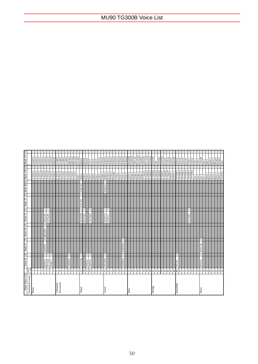| <b>Bank Select LSB</b> |                      | Bank 24   E          |                         | <b>Bank 25 E</b> |                | Bank 26 E |              | Bank 32 E                          |                         | Bank 33   E   Bank 40   E   Bank 126   E   Bank 127   E |        |          |                                     |                                    |                                 |                      |
|------------------------|----------------------|----------------------|-------------------------|------------------|----------------|-----------|--------------|------------------------------------|-------------------------|---------------------------------------------------------|--------|----------|-------------------------------------|------------------------------------|---------------------------------|----------------------|
| Instrument Group       | pgm#<br>4-1280       |                      |                         |                  |                |           |              |                                    |                         |                                                         |        |          |                                     |                                    |                                 |                      |
| Piano                  |                      |                      |                         |                  |                |           |              |                                    |                         |                                                         |        |          | A-Piano1<br>A-Piano2                | $\frac{2}{2}$                      | a.piano1<br>a.piano2            |                      |
|                        | c.                   |                      |                         |                  |                |           |              |                                    |                         |                                                         |        |          | A-Piano3                            | $\sim$                             | a.piano3                        |                      |
|                        | 4                    |                      |                         |                  |                |           |              |                                    |                         |                                                         |        |          | A-Piano4                            | $\sim$                             | e.piano1                        |                      |
|                        | 'n                   | DX Hard<br>60sELP1   |                         | HardEl.P         | $\overline{a}$ | MelloEP1  | $\mathbf{c}$ | El Pno IK<br>El.Pno <sub>2</sub> K |                         |                                                         |        |          | A-Piano6<br>A-Piano5                |                                    | e.piano2                        |                      |
|                        | 6                    | Harpsi.2             | $\sim$                  |                  |                |           |              |                                    |                         |                                                         |        |          | A-Piano7                            |                                    | e.piano3<br>e.piano4            |                      |
|                        | ×                    |                      |                         |                  |                |           |              |                                    |                         |                                                         |        |          | E-Piano1                            | $\sim$                             | hnkytnk                         |                      |
| Chromatic              | õ                    |                      |                         |                  |                |           |              |                                    |                         |                                                         |        |          | E-Piano2                            | $\sim$                             | e.organ1                        |                      |
| Percussion             | $\mathsf{D}$         |                      |                         |                  |                |           |              |                                    |                         |                                                         |        |          | E-Piano3                            | $\sim$                             | e.organ2                        | $\sim$ $\sim$ $\sim$ |
|                        |                      |                      |                         |                  |                |           |              |                                    |                         |                                                         |        |          | $A$ -Guitr $2$<br>A-Guitr1          |                                    | e.organ3                        |                      |
|                        | $\overline{13}$<br>2 | LogDrum              | 2                       |                  |                |           |              |                                    |                         |                                                         |        |          | A-Guitr3                            | $\overline{\mathcal{C}}$<br>$\sim$ | e.organ4<br>pipeorg1            | $\overline{c}$       |
|                        | $\overline{4}$       |                      |                         |                  |                |           |              |                                    |                         |                                                         |        |          | E-Guitr1                            | $\sim$                             | pipeorg2                        |                      |
|                        | S                    |                      |                         |                  |                |           |              |                                    |                         |                                                         |        |          | $E-Guit2$                           |                                    | pipeorg3                        | $\sim$ $\sim$        |
|                        | $\frac{6}{1}$        |                      |                         |                  |                |           |              |                                    |                         |                                                         |        |          | $\overline{\text{Slap-1}}$          | 2                                  | acordion                        | $\sim$               |
| Organ                  | Ξ                    | Chee zOrg            | 2                       |                  |                |           |              | DrawOrg2                           | $\overline{\mathbf{c}}$ | Even Bar                                                | $\sim$ | Organ Ba | $Slap-2$                            | M                                  | harpsi1                         |                      |
|                        | $\approx$<br>۱       | FstRotar             |                         |                  |                |           |              | PereOrg2                           |                         |                                                         |        |          | Slap-3                              |                                    | harpsi <sub>2</sub>             | 2                    |
|                        | $\mathbb{R}$         | OrgFlute             | ی ای                    |                  |                |           |              | TrmOrgH                            | N                       |                                                         |        |          | Slap-4<br>Slap-5                    | <b>a</b> a a a                     | harpsi3<br>clavi1               |                      |
|                        | $\overline{z}$       |                      |                         |                  |                |           |              |                                    |                         |                                                         |        |          | $Slap-6$                            |                                    | clavi2                          |                      |
|                        | 22                   |                      |                         |                  |                |           |              |                                    |                         |                                                         |        |          | $Slap-7$                            | $\sim$ $\sim$                      | clavi3                          |                      |
|                        | 23                   |                      |                         |                  |                |           |              |                                    |                         |                                                         |        |          | Slap-8                              |                                    | celestal                        |                      |
|                        |                      |                      |                         |                  |                |           |              |                                    |                         |                                                         |        |          | Finger-                             |                                    | celesta <sub>2</sub>            |                      |
| Guitar                 | 52<br>26             | VelGtHrm             | M                       |                  |                |           |              | NylonGC<br><b>SteelGt2</b>         |                         |                                                         |        | Requinto | Finger-2<br>Picked-                 | ю                                  | synbras2<br>synbras1            |                      |
|                        | 21                   |                      |                         |                  |                |           |              |                                    |                         |                                                         |        |          | Picked-2                            | N                                  | synbras3                        |                      |
|                        | $\frac{8}{20}$       |                      |                         |                  |                |           |              |                                    |                         |                                                         |        |          | FretisBs                            |                                    | synbras4                        |                      |
|                        | $\sqrt{2}$           |                      |                         |                  |                |           |              |                                    |                         |                                                         |        |          | $A$ -Bass                           | $\sim$                             | synbass I                       |                      |
|                        | $\overline{30}$      |                      |                         |                  |                |           |              |                                    |                         |                                                         |        |          | Choir-1                             |                                    | synbass2                        |                      |
|                        | $\frac{1}{2}$        | RekRthm <sub>1</sub> | $\overline{\mathbf{c}}$ | RckRthm2         | $\mathbf{c}$   |           |              |                                    |                         |                                                         |        |          | Choir-2                             |                                    | synbass3                        |                      |
|                        | $\approx$            |                      |                         |                  |                |           |              |                                    |                         |                                                         |        |          | Choir-3<br>Choir-4                  | $\sim$ $\sim$                      | synbass4                        |                      |
| Bass                   | 34                   |                      |                         |                  |                |           |              |                                    |                         |                                                         |        |          | Strngs-1                            | ы                                  | synharmo<br>newgepd             |                      |
|                        | 35                   |                      |                         |                  |                |           |              |                                    |                         |                                                         |        |          | Strngs-2                            | $\sim$                             | choir pd                        |                      |
|                        | 9ś                   |                      |                         |                  |                |           |              |                                    |                         |                                                         |        |          | Strngs-                             |                                    | bowed pd                        |                      |
|                        | 22                   |                      |                         |                  |                |           |              |                                    |                         |                                                         |        |          | $S_{\rm{Lungs-4}}$                  | 2                                  | soundtrk                        | 2                    |
|                        | $\frac{8}{36}$       |                      |                         |                  |                |           |              |                                    |                         |                                                         |        |          | E-Organ1                            | $\sim$                             | atmosphr                        | N                    |
|                        | $\frac{39}{2}$       |                      |                         |                  |                |           |              |                                    |                         |                                                         |        |          | E-Organ2                            | $\sim$                             | syn warm                        | $\sim$               |
|                        | $\frac{1}{2}$        |                      |                         |                  |                |           |              |                                    |                         |                                                         |        |          | E-Organ3<br>E-Organ4<br>E-Organ5    |                                    | <b>rouguas</b><br>Auruptas      |                      |
| Strings                | $\frac{1}{4}$        |                      |                         |                  |                |           |              |                                    |                         |                                                         |        |          |                                     | l∾                                 |                                 | $\sim$               |
|                        | $\overline{a}$       |                      |                         |                  |                |           |              |                                    |                         |                                                         |        |          |                                     | $\mathcal{L}$                      | rain                            |                      |
|                        | $\frac{4}{3}$        |                      |                         |                  |                |           |              |                                    |                         |                                                         |        |          | E-Organ6<br>E-Organ7                | $\sim$<br>$\sim$                   | synecho <sub>2</sub><br>synoboe | $N$ $N$ $N$          |
|                        | $\frac{4}{4}$        |                      |                         |                  |                |           |              |                                    |                         |                                                         |        |          | E-Organ8                            |                                    | synsolo                         |                      |
|                        | $\frac{4}{6}$        |                      |                         |                  |                |           |              |                                    |                         |                                                         |        |          | E-Organ9                            | $\sim$                             | syndorg                         |                      |
|                        | 47                   |                      |                         |                  |                |           |              |                                    |                         |                                                         |        |          | SoftTP-1                            |                                    | synbell                         |                      |
|                        | $\frac{8}{4}$        |                      |                         |                  |                |           |              |                                    |                         |                                                         |        |          | SoftTP-2                            |                                    | plannbs                         |                      |
| Ensemble               | ≆∣ର                  | Velo.Str             | N                       |                  |                |           |              |                                    |                         |                                                         |        |          | TP/TRB-2<br>TP/TRB-                 |                                    | $23$ osns<br>strsect1           | $\sim$ $\sim$        |
|                        | 51                   |                      |                         |                  |                |           |              |                                    |                         |                                                         |        |          | TP/TRB-3                            |                                    | strsect3                        | N                    |
|                        | 52                   |                      |                         |                  |                |           |              |                                    |                         |                                                         |        |          | TP/TRB-4                            | ÷                                  | pizz.str                        |                      |
|                        | 53                   |                      |                         |                  |                |           |              | Ch.Aahs2                           |                         |                                                         |        |          | TP/TRB-                             | $\sim$                             | violin 1                        |                      |
|                        | 54                   |                      |                         |                  |                |           |              |                                    |                         |                                                         |        |          | TP/TRB-6                            |                                    | violin?                         |                      |
|                        | 55                   |                      |                         |                  |                |           |              |                                    |                         |                                                         |        |          | $Sax-1$                             |                                    | cello 1                         |                      |
|                        | 56                   |                      |                         |                  |                |           |              |                                    |                         |                                                         |        |          | $\frac{\text{Sax-2}}{\text{Sax-3}}$ |                                    | cello 2                         |                      |
| <b>Brass</b>           | 58                   | BriteTrp             | ю                       | Warm Trp         | $\mathbf{c}$   |           |              |                                    |                         |                                                         |        |          |                                     | $\sim$                             | contrabs                        |                      |
|                        | 59                   |                      |                         |                  |                |           |              |                                    |                         |                                                         |        |          |                                     |                                    | harp 1                          |                      |
|                        | $\circ$              |                      |                         |                  |                |           |              |                                    |                         |                                                         |        |          | Brass-2<br>Brass-1                  |                                    | guitar 1<br>harp <sub>2</sub>   |                      |
|                        | 5                    |                      |                         |                  |                |           |              |                                    |                         |                                                         |        |          | Brass-3                             |                                    | guitar 2                        |                      |
|                        | $\frac{2}{3}$        |                      |                         |                  |                |           |              |                                    |                         |                                                         |        |          | Brass-4                             | $\frac{2}{2}$                      | elecgtrl                        |                      |
|                        |                      |                      |                         |                  |                |           |              |                                    |                         |                                                         |        |          | Brass-5                             |                                    | elecgtr2                        | 2                    |
|                        | 2                    |                      |                         |                  |                |           |              |                                    |                         |                                                         |        |          | Orch-Hit                            |                                    | sitar                           |                      |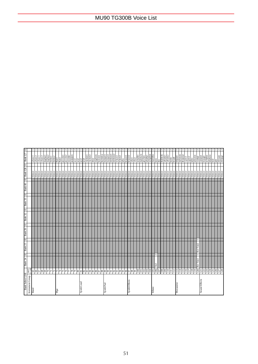| $\Xi$                                 |                  |         |                    |          |                      |          |                      |    |                          |   |                               |                      |          |                                          |      |                                 |            |                                          |           |      |                    |               |                    |                      | N             |          |                                          |          |                 |                    |               |                             |          |                                          |          |                     |            |                    | 2        | N                                        |        |        |            |         |                                                         |         |         |       |                               |               |          |                                          |         |                  |
|---------------------------------------|------------------|---------|--------------------|----------|----------------------|----------|----------------------|----|--------------------------|---|-------------------------------|----------------------|----------|------------------------------------------|------|---------------------------------|------------|------------------------------------------|-----------|------|--------------------|---------------|--------------------|----------------------|---------------|----------|------------------------------------------|----------|-----------------|--------------------|---------------|-----------------------------|----------|------------------------------------------|----------|---------------------|------------|--------------------|----------|------------------------------------------|--------|--------|------------|---------|---------------------------------------------------------|---------|---------|-------|-------------------------------|---------------|----------|------------------------------------------|---------|------------------|
|                                       |                  | a.bass  | a.bass             | e.bass 1 | slapbas1<br>e.bass 2 | slapbas2 | fretles <sub>1</sub> |    | fretles2<br>flute1       |   | flute2<br>piccolo1            | piccolo <sub>2</sub> | recorder | panpipes                                 | sax1 | $\frac{\text{sn2}}{\text{sn3}}$ | sax4       | clarinet1                                | clarinet2 | oboe | $_{\rm eng.}$ horn | bassoon       | harmnica           | trumpet.<br>trumpet2 | trmbone1      | trnbone2 | fr.born1                                 | fr.horn2 | tuba            | $b$ rssect $1$     |               | vibe I<br>vibe <sub>2</sub> | symallet | maletwin<br>glocken                      | tubulbel | xylophen<br>marimba | koto       | $_{\rm sho}$       | shakhchi | whistle 1<br>whistle 2                   | bottle | breath | timpani    | melotom | deepsnar                                                | e.perc1 | e.perc2 | taiko | taikorim<br>cymbal            | castanet      | triangle | orchehit                                 |         | telphone<br>bird |
|                                       |                  |         |                    |          |                      |          |                      |    |                          |   |                               |                      |          |                                          |      |                                 |            |                                          |           |      |                    |               |                    |                      |               |          |                                          |          |                 |                    |               |                             |          |                                          |          |                     |            |                    |          |                                          |        |        |            |         |                                                         |         |         |       |                               |               |          |                                          |         |                  |
|                                       |                  | Silence | Silence<br>Silence |          | Silence<br>Silence   | Silence  | Silence              |    | Silence<br>Silence       |   | Silence<br>Silence<br>Silence |                      | Silence  | Silence<br>Silence<br>Silence<br>Silence |      |                                 |            | Silence<br>Silence<br>Silence<br>Silence |           |      | Silence            | Silence       | Silence<br>Silence | Silence              |               |          | Silence<br>Silence<br>Silence<br>Silence |          | Silence         | Silence<br>Silence | Silence       | Silence                     |          | Silence<br>Silence<br>Silence<br>Silence |          | Silence<br>Silence  |            | Silence<br>Silence | Silence  | Silence<br>Silence<br>Silence<br>Silence |        |        |            | Silence | Silence                                                 | Silence | Silence |       | Silence<br>Silence<br>Silence |               | Silence  | Silence                                  | Silence | Silence          |
|                                       |                  |         |                    |          |                      |          |                      |    |                          |   |                               |                      |          |                                          |      |                                 |            |                                          |           |      |                    |               |                    |                      |               |          |                                          |          |                 |                    |               |                             |          |                                          |          |                     |            |                    |          |                                          |        |        |            |         |                                                         |         |         |       |                               |               |          |                                          |         |                  |
| Bank 40   E   Bank 126   E   Bank 127 |                  |         |                    |          |                      |          |                      |    |                          |   |                               |                      |          |                                          |      |                                 |            |                                          |           |      |                    |               |                    |                      |               |          |                                          |          |                 |                    |               |                             |          |                                          |          |                     |            |                    |          |                                          |        |        |            |         |                                                         |         |         |       |                               |               |          |                                          |         |                  |
|                                       |                  |         |                    |          |                      |          |                      |    |                          |   |                               |                      |          |                                          |      |                                 |            |                                          |           |      |                    |               |                    |                      |               |          |                                          |          |                 |                    |               |                             |          |                                          |          |                     |            |                    |          |                                          |        |        |            |         |                                                         |         |         |       |                               |               |          |                                          |         |                  |
| Bank 33 E                             |                  |         |                    |          |                      |          |                      |    |                          |   |                               |                      |          |                                          |      |                                 |            |                                          |           |      |                    |               |                    |                      |               |          |                                          |          |                 |                    |               |                             |          |                                          |          |                     |            |                    |          |                                          |        |        |            |         |                                                         |         |         |       |                               |               |          |                                          |         |                  |
| $\equiv$                              |                  |         |                    |          |                      |          |                      |    |                          |   |                               |                      |          |                                          |      |                                 |            |                                          |           |      |                    |               |                    |                      |               |          |                                          |          |                 |                    |               |                             |          |                                          |          |                     |            |                    |          |                                          |        |        |            |         |                                                         |         |         |       |                               |               |          |                                          |         |                  |
| Bank 32                               |                  |         |                    |          |                      |          |                      |    |                          |   |                               |                      |          |                                          |      |                                 |            |                                          |           |      |                    |               |                    |                      |               |          |                                          |          |                 |                    |               |                             |          |                                          |          |                     |            |                    |          |                                          |        |        |            |         |                                                         |         |         |       |                               |               |          |                                          |         |                  |
|                                       |                  |         |                    |          |                      |          |                      |    |                          |   |                               |                      |          |                                          |      |                                 |            |                                          |           |      |                    |               |                    |                      |               |          |                                          |          |                 |                    |               |                             |          |                                          |          |                     |            |                    |          |                                          |        |        |            |         |                                                         |         |         |       |                               |               |          |                                          |         |                  |
| Bank 26   E                           |                  |         |                    |          |                      |          |                      |    |                          |   |                               |                      |          |                                          |      |                                 |            |                                          |           |      |                    |               |                    |                      |               |          |                                          |          |                 |                    |               |                             |          |                                          |          |                     |            |                    |          |                                          |        |        |            |         |                                                         |         |         |       |                               |               |          |                                          |         |                  |
| $\mathbf{m}$                          |                  |         |                    |          |                      |          |                      |    |                          |   |                               |                      |          |                                          |      |                                 |            |                                          |           |      |                    |               |                    |                      |               |          |                                          |          |                 |                    |               |                             |          |                                          |          |                     |            |                    |          |                                          |        |        |            |         |                                                         |         |         |       |                               |               |          |                                          |         |                  |
| Bank 25                               |                  |         |                    |          |                      |          |                      |    |                          |   |                               |                      |          |                                          |      |                                 |            |                                          |           |      |                    |               |                    |                      |               |          |                                          |          |                 |                    |               |                             |          |                                          |          |                     |            |                    |          |                                          |        |        |            |         |                                                         |         |         |       | Rev Tom <sub>2</sub>          |               |          |                                          |         |                  |
|                                       |                  |         |                    |          |                      |          |                      |    |                          |   |                               |                      |          |                                          |      |                                 |            |                                          |           |      |                    |               |                    |                      |               |          |                                          |          |                 |                    |               |                             |          |                                          |          |                     | $\sim$     |                    |          |                                          |        |        |            |         |                                                         |         |         |       |                               |               |          |                                          |         |                  |
| Bank 24   E                           |                  |         |                    |          |                      |          |                      |    |                          |   |                               |                      |          |                                          |      |                                 |            |                                          |           |      |                    |               |                    |                      |               |          |                                          |          |                 |                    |               |                             |          |                                          |          |                     | <b>Oud</b> |                    |          |                                          |        |        |            |         |                                                         |         |         |       | Rev Toml                      |               |          |                                          |         |                  |
|                                       | pgm#<br>(1-128)  | 65      | $\frac{2}{8}$      |          | 88R                  |          | $\overline{z}$       | 51 | F                        | 치 | 51                            | $\frac{9}{7}$        | 77       | $\frac{87}{2}$                           |      | $\frac{0.8}{2}$                 | 능          | 3 2 2                                    |           |      |                    | $\frac{2}{3}$ |                    | $\overline{6}$       | $\frac{1}{2}$ |          | $\approx 25$                             |          | $\frac{96}{56}$ |                    | 5             | 86<br>$\overline{99}$       |          | 8588                                     |          | ≛ ≊                 |            | $rac{10}{20}$      | 108      | $\frac{8}{2}$                            |        |        |            |         | $\frac{1}{2}$ $\frac{1}{2}$ $\frac{1}{2}$ $\frac{1}{2}$ |         |         |       | 티라티아                          |               |          | 학 <mark>료  학</mark> 년  현 <mark>료 </mark> |         |                  |
| <b>Bank Select LSB</b>                | Instrument Group | Reed    |                    |          |                      |          |                      |    | $\overline{\text{Pipe}}$ |   |                               |                      |          |                                          |      |                                 | Synth Lead |                                          |           |      |                    |               |                    | Synth Pad            |               |          |                                          |          |                 |                    | Synth Effects |                             |          |                                          |          | Ethnic              |            |                    |          |                                          |        |        | Percussive |         |                                                         |         |         |       |                               | Sound Effects |          |                                          |         |                  |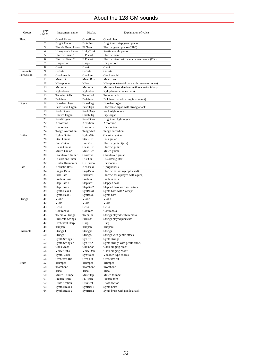# About the 128 GM sounds

| Group        | Pgm#<br>$(1-128)$   | Instrument name                               | Display              | Explanation of voice                         |
|--------------|---------------------|-----------------------------------------------|----------------------|----------------------------------------------|
| Piano        | 1                   | <b>Grand Piano</b>                            | GrandPno             | Grand piano                                  |
|              | $\overline{c}$      | <b>Bright Piano</b>                           | <b>BritePno</b>      | Bright and crisp grand piano                 |
|              | 3                   | Electric Grand Piano                          | El.Grand             | Electric grand piano (CP80)                  |
|              | 4                   | Honky-tonk Piano                              | HnkyTonk             | Ragtime-style piano                          |
|              | 5                   | Electric Piano 1                              | E.Piano1<br>E.Piano2 | Electric piano                               |
|              | 6<br>$\overline{7}$ | Electric Piano 2<br>Harpsichord               |                      | Electric piano with metallic resonance (DX)  |
|              | 8                   | Clavi                                         | Harpsi.<br>Clavi     | Harpsichord<br>Clavi                         |
| Chromatic    | 9                   | Celesta                                       | Celesta              | Celesta                                      |
| Percussion   | 10                  | Glockenspiel                                  | Glocken              | Glockenspiel                                 |
|              | 11                  | Music Box                                     | MusicBox             | Music box                                    |
|              | 12                  | Vibraphone                                    | Vibes                | Vibraphone (metal bars with resonator tubes) |
|              | 13                  | Marimba                                       | Marimba              | Marimba (wooden bars with resonator tubes)   |
|              | 14                  | Xylophone                                     | Xylophon             | Xylophone (wooden bars)                      |
|              | 15                  | <b>Tubular Bells</b>                          | TubulBel             | Tubular bells                                |
|              | 16                  | Dulcimer                                      | Dulcimer             | Dulcimer (struck string instrument)          |
| Organ        | 17                  | Drawbar Organ                                 | DrawOrgn             | Drawbar organ                                |
|              | 18                  | Percussive Organ                              | PercOrgn             | Electronic organ with strong attack          |
|              | 19                  | Rock Organ                                    | RockOrgn             | Rock-style organ                             |
|              | 20                  | Church Organ                                  | ChrchOrg             | Pipe organ                                   |
|              | 21                  | Reed Organ                                    | ReedOrgn             | Bright and light organ                       |
|              | 22                  | Accordion                                     | Acordion             | Accordion                                    |
|              | 23                  | Hamonica                                      | Harmnica             | Harmonica                                    |
|              | 24                  | Tango Accordion                               | TangoAcd             | Tango accordion                              |
| Guitar       | 25                  | Nylon Guitar                                  | NylonGtr             | Classical guitar                             |
|              | 26                  | <b>Steel Guitar</b>                           | SteelGtr             | Folk guitar                                  |
|              | 27                  | Jazz Guitar                                   | Jazz Gtr             | Electric guitar (jazz)                       |
|              | 28                  | Clean Guitar                                  | CleanGtr             | Electric guitar                              |
|              | 29                  | Muted Guitar                                  | Mute Gtr             | Muted guitar                                 |
|              | 30<br>31            | Overdriven Guitar<br><b>Distortion Guitar</b> | Ovrdrive<br>Dist.Gtr | Overdriven guitar<br>Distorted guitar        |
|              | 32                  | <b>Guitar Harmonics</b>                       | GtrHarmo             | Harmonics                                    |
| <b>Bass</b>  | 33                  | <b>Acoustic Bass</b>                          | Aco.Bass             | Upright bass                                 |
|              | 34                  | <b>Finger Bass</b>                            | FngrBass             | Electric bass (finger plucked)               |
|              | 35                  | Pick Bass                                     | PickBass             | Electric bass (played with a pick)           |
|              | 36                  | <b>Fretless Bass</b>                          | Fretless             | Fretless bass                                |
|              | 37                  | Slap Bass 1                                   | SlapBas1             | Slapped bass                                 |
|              | 38                  | Slap Bass 2                                   | SlapBas2             | Slapped bass with soft attack                |
|              | 39                  | Synth Bass 1                                  | SynBass1             | Synth bass with "sweep"                      |
|              | 40                  | Synth Bass 2                                  | SynBass2             | Synth bass                                   |
| Strings      | 41                  | Violin                                        | Violin               | Violin                                       |
|              | 42                  | Viola                                         | Viola                | Viola                                        |
|              | 43                  | Cello                                         | Cello                | Cello                                        |
|              | 44                  | Contrabass                                    | Contrabs             | Contrabass                                   |
|              | 45                  | <b>Tremolo Strings</b>                        | Trem.Str             | Strings played with tremolo                  |
|              | 46                  | Pizzicato Strings                             | Pizz.Str             | Strings played pizzicato                     |
|              | 47                  | Orchestral Harp                               | Harp                 | Harp                                         |
|              | 48                  | Timpani                                       | Timpani              | Timpani                                      |
| Ensemble     | 49                  | Strings 1                                     | Strings1             | Strings                                      |
|              | 50                  | Strings 2                                     | Strings2             | Strings with gentle attack                   |
|              | 51                  | Synth Strings 1                               | Syn Str1             | Synth strings                                |
|              | 52                  | Synth Strings 2                               | Syn Str2             | Synth strings with gentle attack             |
|              | 53                  | Choir Aahs                                    | ChoirAah             | Choir singing "aah"                          |
|              | 54                  | Voice Oohs                                    | VoiceOoh             | Choir singing "ooh"<br>Vocoder-type chorus   |
|              | 55<br>56            | Synth Voice<br>Orchestra Hit                  | SynVoice<br>Orch.Hit | Orchestra hit                                |
| <b>Brass</b> | 57                  | Trumpet                                       | Trumpet              | Trumpet                                      |
|              | 58                  | Trombone                                      | Trombone             | Trombone                                     |
|              | 59                  | Tuba                                          | Tuba                 | Tuba                                         |
|              | 60                  | Muted Trumpet                                 | Mute Trp             | Muted trumpet                                |
|              | 61                  | French Horn                                   | Fr. Horn             | French horn                                  |
|              | 62                  | <b>Brass Section</b>                          | <b>BrssSect</b>      | <b>Brass</b> section                         |
|              | 63                  | Synth Brass 1                                 | SynBrss1             | Synth brass                                  |
|              | 64                  | Synth Brass 2                                 | SynBrss2             | Synth brass with gentle attack               |
|              |                     |                                               |                      |                                              |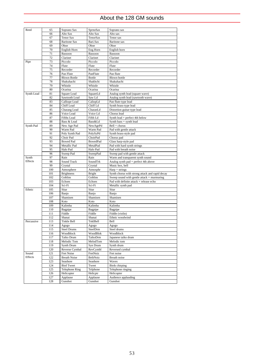# About the 128 GM sounds

| Reed             | 65  | Soprano Sax            | SprnoSax             | Soprano sax                                     |
|------------------|-----|------------------------|----------------------|-------------------------------------------------|
|                  | 66  | Alto Sax               | Alto Sax             | Alto sax                                        |
|                  | 67  | <b>Tenor Sax</b>       | TenorSax             | Tenor sax                                       |
|                  | 68  | <b>Baritone Sax</b>    | Bari.Sax             | <b>Baritone</b> sax                             |
|                  | 69  | Oboe                   | Oboe                 | Oboe                                            |
|                  | 70  | English Horn           | Eng.Horn             | English horn                                    |
|                  | 71  | Bassoon                | Bassoon              | Bassoon                                         |
|                  | 72  | Clarinet               | Clarinet             | Clarinet                                        |
| Pipe             | 73  | Piccolo                | Piccolo              | Piccolo                                         |
|                  | 74  | Flute                  |                      | Flute                                           |
|                  |     |                        | Flute                |                                                 |
|                  | 75  | Recorder               | Recorder             | Recorder                                        |
|                  | 76  | Pan Flute              | PanFlute             | Pan flute                                       |
|                  | 77  | <b>Blown Bottle</b>    | <b>Bottle</b>        | <b>Blown</b> bottle                             |
|                  | 78  | Shakuhachi             | Shakhchi             | Shakuhachi                                      |
|                  | 79  | Whistle                | Whistle              | Whistle                                         |
|                  | 80  | Ocarina                | Ocarina              | Ocarina                                         |
| Synth Lead       | 81  | Square Lead            | SquareLd             | Analog synth lead (square wave)                 |
|                  | 82  | Sawtooth Lead          | Saw Ld               | Analog synth lead (sawtooth wave)               |
|                  | 83  | Calliope Lead          | CaliopLd             | Pan flute-type lead                             |
|                  | 84  | Chiff Lead             | Chiff Ld             | Synth brass-type lead                           |
|                  | 85  | Charang Lead           | CharanLd             | Distortion guitar-type lead                     |
|                  | 86  | Voice Lead             | Voice Ld             | Chorus lead                                     |
|                  | 87  | <b>Fifths Lead</b>     | Fifth Ld             | Synth lead + perfect 4th below                  |
|                  | 88  | Bass & Lead            | Bass&Ld              | Synth bass + synth lead                         |
| Synth Pad        | 89  | New Age Pad            | NewAgePd             | $Bell + chorus$                                 |
|                  | 90  | Warm Pad               | Warm Pad             | Pad with gentle attack                          |
|                  | 91  | Poly Synth Pad         | PolySyPd             | Synth brass-style pad                           |
|                  | 92  | Choir Pad              | ChoirPad             | Chorus pad                                      |
|                  | 93  | <b>Bowed Pad</b>       | <b>BowedPad</b>      | Glass harp-style pad                            |
|                  | 94  | Metallic Pad           | MetalPad             | Pad with hard synth strings                     |
|                  | 95  | Halo Pad               | Halo Pad             | Pad with breath noise                           |
|                  | 96  | Sweep Pad              | SweepPad             | Sweep pad with gentle attack                    |
|                  |     |                        |                      |                                                 |
|                  |     |                        |                      |                                                 |
| Synth<br>Effects | 97  | Rain                   | Rain                 | Warm and transparent synth sound                |
|                  | 98  | Sound Track            | SoundTrk             | Analog synth pad + perfect 4th above            |
|                  | 99  | Crystal                | Crystal              | Music box, bell                                 |
|                  | 100 | Atmosphere             | Atmosphr             | $Harp + strings$                                |
|                  | 101 | <b>Brightness</b>      | Bright               | Synth chorus with strong attack and rapid decay |
|                  | 102 | Goblins                | Goblins              | Sweep sound with gentle attack + murmuring      |
|                  | 103 | Echoes                 | Echoes               | Pad with definite attack + release echo         |
|                  | 104 | Sci-Fi                 | Sci-Fi               | Metallic synth pad                              |
| Ethnic           | 105 | Sitar                  | Sitar                | Sitar                                           |
|                  | 106 | Banjo                  | Banjo                | Banjo                                           |
|                  | 107 | Shamisen               | Shamisen             | Shamisen                                        |
|                  | 108 | Koto                   | Koto                 | Koto                                            |
|                  | 109 | Kalimba                | Kalimba              | Kalimba                                         |
|                  | 110 | Bagpipe                | Bagpipe              | Bagpipe                                         |
|                  | 111 | Fiddle                 | Fiddle               | Fiddle (violin)                                 |
|                  | 112 | Shanai                 | Shanai               | Ethnic woodwind                                 |
| Percussive       | 113 | Tinkle Bell            | TnklBell             | Bell                                            |
|                  | 114 | Agogo                  | Agogo                | Agogo                                           |
|                  | 115 | <b>Steel Drums</b>     | SteelDrm             | Steel drums                                     |
|                  | 116 | Woodblock              | WoodBlok             | Woodblock                                       |
|                  | 117 | Taiko Drum             | TaikoDrm             | Japanese taiko drum                             |
|                  | 118 | Melodic Tom            | MelodTom             | Melodic tom                                     |
|                  | 119 | Synth Drum             | Syn Drum             | Synth drum                                      |
|                  | 120 | Reverse Cymbal         | RevCymbl             | Reversed cymbal                                 |
| Sound            | 121 | Fret Noise             | FretNoiz             | Fret noise                                      |
| Effects          | 122 | <b>Breath Noise</b>    | <b>BrthNoiz</b>      | Breath noise                                    |
|                  | 123 | Seashore               | Seashore             | Waves                                           |
|                  | 124 | <b>Bird Tweet</b>      | Tweet                | <b>Birds</b> chirping                           |
|                  | 125 | <b>Telephone Ring</b>  | Telphone             | Telephone ringing                               |
|                  | 126 |                        |                      |                                                 |
|                  | 127 | Helicopter<br>Applause | Helicptr<br>Applause | Helicopter<br>Audience applauding               |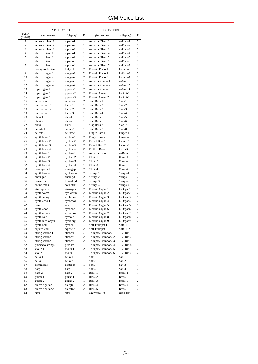# C/M Voice List

|                   | TYPE1 Part1~9              |                  |                                  | TYPE2 Part11~16                      |                      |                                  |
|-------------------|----------------------------|------------------|----------------------------------|--------------------------------------|----------------------|----------------------------------|
| pgm#<br>$(1-128)$ | (full name)                | (display)        | E                                | (full name)                          | (display)            | E                                |
| $\mathbf{1}$      | acoustic piano 1           | a.piano1         | $\mathbf{1}$                     | Acoustic Piano 1                     | A-Piano1             | $\overline{c}$                   |
| $\overline{c}$    | acoustic piano 2           | a.piano2         | $\mathbf{1}$                     | Acoustic Piano 2                     | A-Piano2             | $\overline{c}$                   |
| 3                 | acoustic piano 3           | a.piano3         | $\mathbf{1}$                     | Acoustic Piano 3                     | A-Piano3             | $\overline{c}$                   |
| $\overline{4}$    | electric piano 1           | e.piano1         | $\mathbf{1}$                     | Acoustic Piano 4                     | A-Piano4             | $\overline{c}$                   |
| 5                 | electric piano 2           | e.piano2         | $\mathbf{1}$                     | Acoustic Piano 5                     | A-Piano5             | $\mathbf{1}$                     |
| 6                 | electric piano 3           | e.piano3         | $\mathbf{1}$                     | Acoustic Piano 6                     | A-Piano6             | $\mathbf{1}$                     |
| $\overline{7}$    | electric piano 4           | e.piano4         | $\mathbf{1}$                     | Acoustic Piano 7                     | A-Piano7             | $\,1$                            |
| 8                 | honky-tonk piano           | hnkytnk          | $\overline{c}$                   | Electric Piano 1                     | E-Piano1             | $\overline{c}$                   |
| 9                 | electric organ 1           | e.organ1         | $\overline{c}$                   | Electric Piano 2                     | E-Piano2             | $\overline{c}$                   |
| 10                | electric organ 2           | e.organ2         | $\overline{c}$                   | Electric Piano 3                     | E-Piano3             | $\overline{c}$                   |
| 11                | electric organ 3           | e.organ3         | $\mathbf{1}$                     | Acoustic Guitar 1                    | A-Guitr1             | $\mathbf{1}$                     |
| 12                | electric organ 4           | e.organ4         | $\mathbf{1}$                     | Acoustic Guitar 2                    | A-Guitr2             | $\overline{c}$                   |
| 13                | pipe organ 1               | pipeorg1         | $\overline{c}$                   | Acoustic Guitar 3                    | A-Guitr3             | $\overline{c}$                   |
| 14                | pipe organ 2               | pipeorg2         | $\overline{c}$                   | Electric Guitar 1                    | E-Guitr1             | $\overline{2}$                   |
| 15                | pipe organ 3               | pipeorg3         | $\overline{c}$                   | Electric Guitar 2                    | E-Guitr2             | $\mathbf{1}$                     |
| 16                | accordion                  | acordion         | $\overline{c}$                   | Slap Bass 1                          | Slap-1               | $\overline{c}$                   |
| 17                | harpsichord 1              | harpsi1          | $\mathbf{1}$                     | Slap Bass 2                          | Slap-2               | $\overline{c}$                   |
| 18                | harpsichord 2              | harpsi2          | 2                                | Slap Bass 3                          | Slap-3               | $\overline{c}$                   |
| 19                | harpsichord 3              | harpsi3          | $\mathbf{1}$                     | Slap Bass 4                          | Slap-4               | $\overline{c}$                   |
| 20                | clavi 1                    | clavi1           | $\mathbf{1}$                     | Slap Bass 5                          | Slap-5               | $\overline{c}$                   |
| 21                | clavi 2                    | clavi2           | $\mathbf{1}$                     | Slap Bass 6                          | Slap-6               | $\overline{c}$                   |
| 22                | clavi 3                    | clavi3           | $\mathbf{1}$                     | Slap Bass 7                          | Slap-7               | $\overline{c}$                   |
| 23                | celesta 1                  | celesta1         | $\mathbf{1}$                     | Slap Bass 8                          | Slap-8               | $\overline{c}$                   |
| 24                | celesta 2                  | celesta2         | $\mathbf{1}$                     | Finger Bass 1                        | Finger-1             | $\mathbf{1}$                     |
| 25                | synth brass 1              | synbras1         | $\overline{c}$                   | Finger Bass 2                        | Finger-2             | $\overline{c}$                   |
| 26                | synth brass 2              | synbras2         | $\overline{c}$                   | Picked Bass 1                        | Picked-1             | $\mathbf{1}$                     |
| 27                | synth brass 3              | synbras3         | $\overline{c}$                   | Picked Bass 2                        | Picked-2             | $\overline{c}$                   |
| 28                | synth brass 4              | synbras4         | $\overline{c}$                   | <b>Fretless Bass</b>                 | FretlsBs             | $\mathbf{1}$                     |
| 29                | synth bass 1               | synbass1         | $\mathbf{1}$                     | <b>Acoustic Bass</b>                 | A-Bass               | $\overline{2}$                   |
| 30                | synth bass 2               | synbass2         | $\mathbf{1}$                     | Choir 1                              | $Choir-1$            | $\mathbf{1}$                     |
| 31                | synth bass 3               | synbass3         | $\overline{c}$                   | Choir 2                              | Choir-2              | $\,1$                            |
| 32                | synth bass 4               | synbass4         | $\mathbf{1}$                     | Choir <sub>3</sub>                   | Choir-3              | $\overline{c}$                   |
| 33                | new age pad                | newagepd         | 2                                | Choir 4                              | Choir-4              | $\overline{c}$                   |
| 34                | synth harmo                | synharmo         | $\overline{c}$                   | Strings 1                            | Strngs-1             | $\overline{c}$                   |
| 35                | choir pad                  | choir pd         | $\overline{c}$                   | Strings <sub>2</sub>                 | Strngs-2             | $\overline{c}$                   |
| 36                | bowed pad                  | bowed pd         | $\mathbf{2}$                     | Strings 3                            | Strngs-3             | $\overline{c}$                   |
| 37<br>38          | sound track                | soundtrk         | $\overline{c}$<br>$\overline{c}$ | Strings 4                            | Strngs-4             | $\overline{c}$<br>$\overline{c}$ |
| 39                | atmosphere<br>synth warm   | atmosphr         | 2                                | Electric Organ 1<br>Electric Organ 2 | E-Organ1<br>E-Organ2 | $\overline{c}$                   |
| 40                |                            | syn warm         | $\mathbf{1}$                     |                                      | E-Organ3             | $\overline{c}$                   |
| 41                | synth funny                | synfunny         | $\overline{c}$                   | Electric Organ 3                     | E-Organ4             | $\overline{c}$                   |
| 42                | synth echo 1<br>rain       | synechol<br>rain | $\overline{c}$                   | Electric Organ 4<br>Electric Organ 5 | E-Organ5             | $\overline{2}$                   |
| 43                | synth oboe                 | synoboe          | $\overline{c}$                   | Electric Organ 6                     | E-Organ6             | $\overline{c}$                   |
| 44                |                            | synecho2         | $\mathbf{2}$                     | Electric Organ 7                     | E-Organ7             | $\overline{c}$                   |
| 45                | synth echo 2<br>synth solo | synsolo          | $\mathbf{2}$                     | Electric Organ 8                     | E-Organ8             | $\overline{c}$                   |
| 46                | synth reed organ           | synrdorg         | $\overline{c}$                   | Electric Organ 9                     | E-Organ9             | $\overline{c}$                   |
| 47                | synth bell                 | synbell          | $\mathbf{1}$                     | Soft Trumpet 1                       | SoftTP-1             | $\mathbf{1}$                     |
| 48                | square lead                | squareld         | $\overline{c}$                   | Soft Trumpet 2                       | SoftTP-2             | 1                                |
| 49                | string section 1           | strsect1         | $\overline{\mathbf{c}}$          | Trumpet/Trombone 1                   | TP/TRB-1             | $\,1$                            |
| 50                | string section 2           | strsect2         | $\overline{c}$                   | Trumpet/Trombone 2                   | TP/TRB-2             | $\mathbf{1}$                     |
| 51                | string section 3           | strsect3         | $\overline{c}$                   | Trumpet/Trombone 3                   | TP/TRB-3             | $\mathbf{1}$                     |
| 52                | pizzicato strings          | pizz.str         | $\mathbf{1}$                     | Trumpet/Trombone 4                   | TP/TRB-4             | $\,1$                            |
| 53                | violin 1                   | violin 1         | $\overline{c}$                   | Trumpet/Trombone 5                   | TP/TRB-5             | $\overline{c}$                   |
| 54                | violin 2                   | violin 2         | 1                                | Trumpet/Trombone 6                   | TP/TRB-6             | 2                                |
| 55                | cello 1                    | cello 1          | 1                                | Sax 1                                | $Sax-1$              | $\mathbf{1}$                     |
| 56                | cello 2                    | cello 2          | 1                                | Sax 2                                | $Sax-2$              | $\mathbf{1}$                     |
| 57                | contrabass                 | contrabs         | 1                                | Sax 3                                | $Sax-3$              | $\mathbf{1}$                     |
| 58                | harp 1                     | harp 1           | 1                                | Sax 4                                | $Sax-4$              | $\overline{c}$                   |
| 59                | harp 2                     | harp 2           | 1                                | Brass 1                              | Brass-1              | 1                                |
| 60                | guitar 1                   | guitar 1         | 1                                | Brass 2                              | Brass-2              | $\mathbf{1}$                     |
| 61                | guitar 2                   | guitar 2         | $\mathbf{1}$                     | Brass 3                              | Brass-3              | $\overline{c}$                   |
| 62                | electric guitar 1          | elecgtr1         | $\overline{c}$                   | Brass 4                              | Brass-4              | $\overline{c}$                   |
| 63                | electric guitar 2          | elecgtr2         | $\overline{\mathbf{c}}$          | Brass 5                              | Brass-5              | 2                                |
| 64                | sitar                      | sitar            | $\mathbf{1}$                     | Orchestra Hit                        | Orch-Hit             | $\mathbf{1}$                     |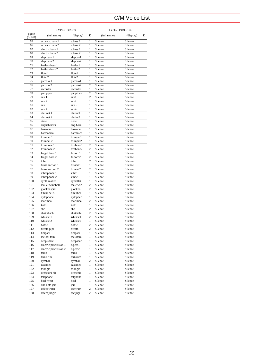# C/M Voice List

|                   | TYPE1 Part1~9                |                    |                                | TYPE2 Part11~16    |                    |   |
|-------------------|------------------------------|--------------------|--------------------------------|--------------------|--------------------|---|
| pgm#<br>$(1-128)$ | (full name)                  | (display)          | E                              | (full name)        | (display)          | E |
| 65                | acoustic bass 1              | a.bass 1           | $\mathbf{1}$                   | Silence            | Silence            |   |
| 66                | acoustic bass 2              | a.bass 2           | $\mathbf{1}$                   | Silence            | Silence            |   |
| 67                | electric bass 1              | e.bass 1           | $\mathbf{1}$                   | Silence            | Silence            |   |
| 68                | electric bass 2              | e.bass 2           | $\mathbf{1}$                   | Silence            | Silence            |   |
| 69                | slap bass 1                  | slapbas1           | $\mathbf{1}$                   | Silence            | Silence            |   |
| 70                | slap bass 2                  | slapbas2           | $\mathbf{1}$                   | Silence            | Silence            |   |
| 71                | fretless bass 1              | fretles1           | $\mathbf{1}$                   | Silence            | Silence            |   |
| 72                | fretless bass 2              | fretles2           | $\mathbf{1}$                   | Silence            | Silence            |   |
| 73<br>74          | flute 1                      | flute1             | $\mathbf{1}$                   | Silence<br>Silence | Silence<br>Silence |   |
| 75                | flute 2<br>piccolo 1         | flute2<br>piccolo1 | $\mathbf{1}$<br>$\mathbf{1}$   | Silence            | Silence            |   |
| 76                | piccolo 2                    | piccolo2           | $\overline{c}$                 | Silence            | Silence            |   |
| 77                | recorder                     | recorder           | $\mathbf{1}$                   | Silence            | Silence            |   |
| 78                | pan pipes                    | panpipes           | $\overline{c}$                 | Silence            | Silence            |   |
| 79                | sax 1                        | sax1               | $\overline{c}$                 | Silence            | Silence            |   |
| 80                | sax 2                        | sax2               | $\mathbf{1}$                   | Silence            | Silence            |   |
| 81                | sax 3                        | sax3               | $\mathbf{1}$                   | Silence            | Silence            |   |
| 82                | sax 4                        | sax4               | $\mathbf{1}$                   | Silence            | Silence            |   |
| 83                | clarinet 1                   | clarint1           | $\mathbf{1}$                   | Silence            | Silence            |   |
| 84                | clarinet 2                   | clarint2           | $\mathbf{1}$                   | Silence            | Silence            |   |
| 85                | oboe                         | oboe               | $\mathbf{1}$                   | Silence            | Silence            |   |
| 86                | english horn                 | eng.horn           | $\mathbf{1}$                   | Silence            | Silence            |   |
| 87                | bassoon                      | bassoon            | $\mathbf{1}$                   | Silence            | Silence            |   |
| 88                | harmonica                    | harmnica           | $\mathbf{1}$                   | Silence            | Silence            |   |
| 89                | trumpet 1                    | trumpet1           | $\mathbf{1}$                   | Silence            | Silence            |   |
| 90                | trumpet 2                    | trumpet2           | $\mathbf{1}$                   | Silence            | Silence            |   |
| 91                | trombone 1                   | trmbone1           | $\overline{c}$                 | Silence            | Silence            |   |
| 92                | trombone 2                   | trmbone2           | $\overline{c}$                 | Silence            | Silence            |   |
| 93                | frugel horn 1                | fr.horn1           | $\mathbf{1}$                   | Silence            | Silence            |   |
| 94                | frugel horn 2                | fr.horn2           | $\overline{c}$                 | Silence            | Silence            |   |
| 95                | tuba                         | tuba               | $\overline{c}$                 | Silence            | Silence            |   |
| 96                | brass section 1              | brssect1           | $\mathbf{1}$                   | Silence            | Silence            |   |
| 97<br>98          | brass section 2              | brssect2           | $\overline{c}$                 | Silence<br>Silence | Silence<br>Silence |   |
| 99                | vibraphone 1<br>vibraphone 2 | vibel<br>vibe2     | $\mathbf{1}$<br>$\mathbf{1}$   | Silence            | Silence            |   |
| 100               | synth mallet                 | symallet           | $\mathbf{1}$                   | Silence            | Silence            |   |
| 101               | mallet windbell              | maletwin           | $\overline{c}$                 | Silence            | Silence            |   |
| 102               | glockenspiel                 | glocken            | $\overline{c}$                 | Silence            | Silence            |   |
| 103               | tublar bells                 | tubulbel           | $\mathbf{1}$                   | Silence            | Silence            |   |
| 104               | xylophone                    | xylophen           | $\mathbf{1}$                   | Silence            | Silence            |   |
| 105               | marimba                      | marimba            | $\overline{c}$                 | Silence            | Silence            |   |
| 106               | koto                         | koto               | $\mathbf{1}$                   | Silence            | Silence            |   |
| 107               | sho                          | sho                | $\overline{c}$                 | Silence            | Silence            |   |
| 108               | shakuhachi                   | shakhchi           | $\overline{c}$                 | Silence            | Silence            |   |
| 109               | whistle 1                    | whistle1           | $\overline{c}$                 | Silence            | Silence            |   |
| 110               | whistle 2                    | whistle2           | $\mathbf{1}$                   | Silence            | Silence            |   |
| 111               | bottle                       | bottle             | $\overline{c}$                 | Silence            | Silence            |   |
| 112               | breath pipe                  | breath             | $\overline{c}$                 | Silence            | Silence            |   |
| 113               | timpani                      | timpani            | $\mathbf{1}$                   | Silence            | Silence            |   |
| 114               | melodi tom                   | melotom            | $\mathbf{1}$                   | Silence            | Silence            |   |
| 115               | deep snare                   | deepsnar           | $\mathbf{1}$                   | Silence            | Silence            |   |
| 116               | electric percussion 1        | e.perc1            | $\mathbf{1}$                   | Silence            | Silence            |   |
| 117               | electric percussion 2        | e.perc2            | $\mathbf{1}$                   | Silence            | Silence            |   |
| 118               | taiko                        | taiko              | 1                              | Silence            | Silence            |   |
| 119<br>120        | taiko rim<br>cymbal          | taikorim<br>cymbal | $\mathbf{1}$<br>$\overline{c}$ | Silence<br>Silence | Silence<br>Silence |   |
| 121               | castanet                     | castanet           | $\mathbf{1}$                   | Silence            | Silence            |   |
| 122               | triangle                     | triangle           | $\mathbf{1}$                   | Silence            | Silence            |   |
| 123               | orchestra hit                | orchehit           | $\mathbf{1}$                   | Silence            | Silence            |   |
| 124               | telephone                    | telphone           | $\mathbf{1}$                   | Silence            | Silence            |   |
| 125               | bird tweet                   | bird               | $\mathbf{1}$                   | Silence            | Silence            |   |
| 126               | one note jam                 | jam                | $\,1$                          | Silence            | Silence            |   |
| 127               | effect water                 | efctwatr           | $\overline{c}$                 | Silence            | Silence            |   |
| 128               | effect jungle                | efctjngl           | $\overline{\mathbf{c}}$        | Silence            | Silence            |   |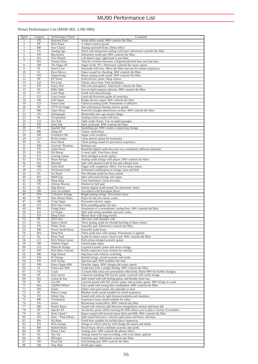### Preset Performance List (MSB=001, LSB=000)

| Pgm#           | Category               | Performance Name                    | Comment                                                                                                  |
|----------------|------------------------|-------------------------------------|----------------------------------------------------------------------------------------------------------|
| 1              | <b>FX</b>              | Heavens Door                        | Warm effect sound. MW controls the filter.                                                               |
| $\overline{c}$ | PF                     | Rich Piano                          | A robust concert grand.                                                                                  |
| 3              | BR                     | Saw Classic                         | Analog sawtooth brass. Delay effect.                                                                     |
| $\overline{4}$ | <b>FX</b>              | Analog Age                          | Warm and transparent analog synth pad. Aftertouch controls the filter.                                   |
| 5              | PD                     | <b>Big Atmos</b>                    | Distinctive synth pad. MW controls the filter.                                                           |
| 6              | <b>KS</b>              | Two Flutish                         | Left hand is pad, right hand is pan flute.                                                               |
| 7              | <b>BA</b>              | <b>Session Bass</b>                 | Velocity switches between a fingered-plucked bass and slap bass.                                         |
| 8              | <b>OR</b>              | 70s Organ AT                        | Organ of the 70's. Aftertouch controls the rotary speed.                                                 |
| 9              | <b>SL</b>              | <b>Touch Line</b>                   | Sawtooth with fuzz. Move the filter and use for techno sequences.                                        |
| 10             | SC                     | Rave Mecca                          | Dance sound for chording. MW controls the filter.                                                        |
| 11             | EN                     | Superstrings                        | Warm analog synth sound. MW controls the filter.                                                         |
| 12             | PF                     | <b>EP</b> Street                    | Solid electric piano. Deep chorus.                                                                       |
| 13             | LD                     | Fat Lead                            | Classic saucy bass. Four oscillators.                                                                    |
| 14             | PD                     | Fancy Pad                           | Pad with atmosphere. Aftertouch controls the filter.                                                     |
| 15             | SC                     | Dikk Tekk                           | Use on hard sequence phrases. MW controls the filter.                                                    |
| 16             | ST                     | Laser Harp                          | Synth with deep phasing.                                                                                 |
| 17             | GT                     | <b>Gary Guitar</b>                  | Good old distortion guitar of yesterday.                                                                 |
| 18             | OR                     | Full Organ                          | Bright electric organ. MW controls the filter.                                                           |
| 19             | LD                     | Dyno Lead                           | Classical analog synth. Portamento is effective.                                                         |
| 20             | PF                     | CP70 On Stage                       | The well-known Yamaha electric grand.                                                                    |
| 21<br>22       | BR<br><b>FX</b>        | <b>Super Brass</b>                  | Powerful straight-ahead brass section. MW controls the filter.                                           |
| 23             | <b>SL</b>              | Ethnograph                          | Memorable new-age sound collage.                                                                         |
| 24             | $\overline{c}$         | Tecspiration                        | Analog techno sound with fuzz.<br>Tight synth chorus. Use on rapid passages.                             |
| 25             | PD                     | Vox Pop<br>Dark Pad                 | Dark synth pad. MW controls the filter.                                                                  |
| 26             | <b>FX</b>              | Sparkle Pad                         | Sparkling pad. MW creates a surprising change.                                                           |
| 27             | BR                     | Jump-off                            | Classic synth brass.                                                                                     |
| 28             | $\overline{\text{OR}}$ | Overdrive OR                        | Organ with overdrive.                                                                                    |
| 29             | GT                     | <b>Ricky Guitar</b>                 | Clean electric guitar for lead parts.                                                                    |
| 30             | SC                     | Euro Hook                           | Thick analog sound for percussive sequences.                                                             |
| 31             | $\overline{RD}$        | Groovin' Baritone                   | Baritone sax.                                                                                            |
| 32             | <b>FX</b>              | <b>Alien Peace</b>                  | Beautiful digital synth that uses two completely different elements.                                     |
| 33             | <b>KS</b>              | Hit House                           | A novel split. Four brass shots.                                                                         |
| 34             | GT                     | 6-string Guitar                     | Steel-stringed acoustic guitar.                                                                          |
| 35             | EN                     | <b>Phase Strings</b>                | Analog synth strings with phaser. MW controls the filter.                                                |
| 36             | <b>KS</b>              | Minstrel                            | Split with phased synth hi-hat and calliope lead.                                                        |
| 37             | $\overline{\text{OR}}$ | Early Bird                          | Organ with symphonic effect. Use for dance music.                                                        |
| 38             | $\overline{CO}$        | <b>Orchestral Suite</b>             | Orchestral combination of strings, horn and bell.                                                        |
| 39             | SC                     | Fat Hook                            | The ultimate synth for Euro-sound.                                                                       |
| 40             | <b>KS</b>              | R&B Gig                             | Split with piano/strings and organ.                                                                      |
| 41             | <b>OR</b>              | Deep Harp                           | Clear harmonica. Great for solos.                                                                        |
| 42             | <b>FX</b>              | Almost Heaven                       | Distinctive bell pad.                                                                                    |
| 43             | <b>SL</b>              | Digi Bizzar                         | Intense digital synth sound. For electronic music.                                                       |
| 44<br>45       | <b>OR</b><br>EN        | Euro Accordion<br>2 Octaves Strings | Accordion with European flavor.<br>Bright analog strings. Two-octave layer.                              |
| 46             | PF                     | New House Piano                     | Piano for the new music scene.                                                                           |
| 47             | <b>OR</b>              | Crisp Organ                         | Percussive electric organ.                                                                               |
| 48             | GT                     | Rich Jazz Guitar                    | Rich-sounding guitar for jazz.                                                                           |
| 49             | <b>BA</b>              | Flangi Baze                         | Simulation of a monophonic analog bass. MW controls the filter.                                          |
| 50             | <b>KS</b>              | 1st Violin                          | Split with string ensemble and solo violin.                                                              |
| 51             | EN                     | Deep Choir                          | Mixed choir with long reverb.                                                                            |
| 52             | PF                     | Old Clavi                           | Old clavi with dynamic wah.                                                                              |
| 53             | SC                     | Dance Chord                         | Thick analog synth for chordal backing of dance music.                                                   |
| 54             | <b>FX</b>              | White Train                         | Soporific pad. Aftertouch controls the filter.                                                           |
| 55             | BR                     | Power Synth Brass                   | Powerful synth brass.                                                                                    |
| 56             | <b>BA</b>              | Deep Port                           | Thick synth bass with sustain. Portamento is applied.                                                    |
| 57             | SC                     | <b>Floor Tack</b>                   | Synth for dance music chord work. MW controls the filter.                                                |
| 58             | GT                     | Rich Nylon Guitar                   | Rich nylon-stringed acoustic guitar.                                                                     |
| 59             | $\overline{\text{OR}}$ | Solemn Organ                        | Solemn pipe organ.                                                                                       |
| 60             | CO                     | Piano & Strings                     | Layered acoustic piano and stereo strings.                                                               |
| 61             | RD                     | Rich Bass Clarinet                  | Richly expressive bass clarinet for soloists.                                                            |
| 62             | <b>BR</b>              | Slap Switch                         | Slap bass with velocity switching.                                                                       |
| 63             | EN                     | Hi Strings                          | Hybrid strings, mixed acoustic and synth.                                                                |
| 64             | PD                     | Soft Sweep                          | Spacious pad. MW modifies the tone.                                                                      |
| 65             | OR<br><b>SL</b>        | Draw Organ MW<br>Porta Line MW      | Drawbar organ. MW changes the rotary speed.<br>Synth lead with a simple feeling. MW controls the filter. |
| 66<br>67       | <b>FX</b>              | Crypt                               | A sound effect that uses portamento effectively. Raise MW for further changes.                           |
| 68             | PF                     | <b>Easy Seven</b>                   | Classical-sounding FM electric piano. Layered with synth strings.                                        |
| 69             | KS                     | Guitar & Sax                        | Split sound with soft-feeling guitar and breathy tenor sax.                                              |
| 70             | PF                     | Gut EP                              | Layered sound with DX electric piano and acoustic guitar. MW brings in a pad.                            |
| 71             | BA                     | SQ2003 Wheel                        | Fuzz synth with strong filter modulation. MW controls the filter.                                        |
| 72             | PD                     | Easter                              | Ethnic-style pad sound, also playable as lead.                                                           |
| 73             | SC                     | Dance Comp                          | Rhythm synth sound suitable for chord sequences.                                                         |
| 74             | ET                     | Ethnic Seq                          | Sound with velocity split between kalimba and shamisen.                                                  |
| 75             | BR                     | Trombonist                          | Expressive brass sound suitable for solos.                                                               |
| 76             | FX                     | Orion                               | Mysterious sound effect. MW controls the filter.                                                         |
| 77             | BR                     | <b>Remix Brass</b>                  | Sound with velocity split between strings/brass section and brass fall.                                  |
| 78             | PF                     | Specter EP                          | An electric piano where moving the MW allows you to play a variety of tonalities.                        |
| 79             | SC                     | Tech Chord 1                        | Dance sound with layered minor third and fifth. MW controls the filter.                                  |
| 80             | <b>KS</b>              | $Bass + Piano/Brass$                | Split sound between a velocity-split piano and brass, and bass.                                          |
| 81             | BA                     | SO-Bass                             | Synth bass suitable for techno/dance sequences.                                                          |
| 82             | EN                     | <b>Rich Strings</b>                 | Strings in which velocity will change the attack and depth.                                              |
| 83             | BR                     | <b>Hybrid Brass</b>                 | Punch brass which combines acoustic and synth.                                                           |
| 84             | PF                     | Phaze Clavi                         | Analog clavi. MW controls the phaser effect.                                                             |
| 85             | SC                     | Toy SQ                              | Analog sound for step-recording, with cross delay applied.                                               |
| 86             | <b>SE</b>              | MUtopia                             | Futuristic pad. Aftertouch controls the filter.                                                          |
| 87             | PD                     | Float Pad                           | Soft-feeling pad. MW controls the filter.                                                                |
| 88             | <b>OR</b>              | Tiny Pipe                           | Small pipe organ.                                                                                        |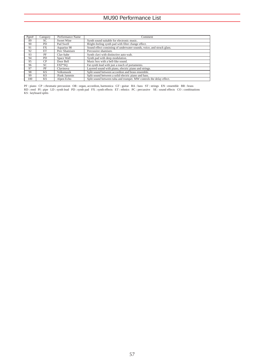| Pem# | Category       | Performance Name | Comment                                                                |
|------|----------------|------------------|------------------------------------------------------------------------|
| 89   | SС             | Sweet Wine       | Synth sound suitable for electronic music.                             |
| 90   | PD.            | Pad Swell        | Bright-feeling synth pad with filter change effect.                    |
| 91   | FX             | Aquarius 90      | Sound effect consisting of underwater sounds, voice, and struck glass. |
| 92   | ET             | Perc Shamisen    | Percussive shamisen.                                                   |
| 93   | PF             | Clav-babe        | Synth clavi with distinctive auto-wah.                                 |
| 94   | PD.            | Space Wall       | Synth pad with deep modulation.                                        |
| 95   | C <sub>P</sub> | Door Bell        | Music box with a bell-like sound.                                      |
| 96   | SC             | FAT*SO           | Fat synth lead with just a touch of portamento.                        |
| 97   | PF             | Clavinova        | Layered sound with piano, electric piano and strings.                  |
| 98   | <b>KS</b>      | Volksmusik       | Split sound between accordion and brass ensemble.                      |
| 99   | KS.            | Jfunk Jammin     | Split sound between a solid electric piano and bass.                   |
| 100  | <b>KS</b>      | Alpen Echo       | Split sound between tuba and trumpet. MW controls the delay effect.    |

PF : piano CP : chromatic percussion OR : organ, accordion, harmonica GT : guitar BA : bass ST : strings EN : ensemble BR : brass<br>RD : reed PI : pipe LD : synth lead PD : synth pad FX : synth effects ET : ethnics PC : perc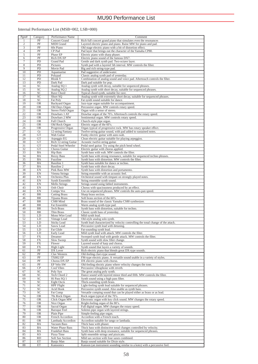### MU90 Performance List

### Internal Performance List (MSB=002, LSB=000)

| Pgm#            | Category        | Performance Name      | Comment                                                                          |
|-----------------|-----------------|-----------------------|----------------------------------------------------------------------------------|
| 1               | PF              | <b>Concert Grand</b>  | Rich full concert grand piano that simulates even the resonances                 |
|                 | PF              |                       |                                                                                  |
| $\overline{c}$  |                 | <b>MIDI</b> Grand     | Layered electric piano and piano. Raise MW for piano and pad.                    |
| 3               | PF              | 60s Piano             | Old stage electric piano with a bit of distortion effect.                        |
| $\overline{4}$  | PF              | CP Pad                | Pad layer that brings out the character of the Yamaha CP80.                      |
| 5               | PF              | Phase EP              | Electric piano with sharp phaser.                                                |
| 6               | PF              | Rich DX EP            | Electric piano sound of the famous DX7.                                          |
| $\tau$          | PD              | <b>Grand Pad</b>      | Gentle and dark synth pad. Two-octave layer.                                     |
| 8               | PD              | Pictures              | Synth pad with a layered 5th interval. MW controls the filter.                   |
| 9               | PD              | Movie Pad             | Big and rich string-type pad.                                                    |
| 10              | PD              | Aquamarine            | Pad suggestive of underwater.                                                    |
| 11              | PD              | Polypad               | Classic analog synth pad of yesterday.                                           |
|                 |                 |                       |                                                                                  |
| 12              | PD              | <b>Blonk Y</b>        | Combination of analog sound and voice pad. Aftertouch controls the filter.       |
| 13              | PD              | Dark Pad              | Dark pad suitable for pop.                                                       |
| 14              | SC              | Analog SQ 1           | Analog synth with decay, suitable for sequenced phrases.                         |
| 15              | SC              | Analog SQ 2           | Analog synth with short decay, suitable for sequenced phrases.                   |
| 16              | SC              | Rave Chord            | Typical chord synth, suitable for rave.                                          |
| 17              | SC              | Short SQ              | Analog synth with extremely short decay, suitable for sequenced phrases.         |
| 18              | SC              | <b>Fat Poly</b>       | Fat synth sound suitable for dance.                                              |
| 19              | <b>OR</b>       | Backyard Organ        | Jazz-type organ suitable for accompaniment.                                      |
| 20              | <b>OR</b>       | Old Days Organ        | Percussive organ. MW controls rotary speed.                                      |
| 21              | <b>OR</b>       | Stereo Field Organ    | Organ with a sense of stereo.                                                    |
| $\overline{22}$ | <b>OR</b>       | Drawbars 1 AT         | Drawbar organ of the 70's. Aftertouch controls the rotary speed.                 |
| 23              | <b>OR</b>       | Drawbars 2 MW         | Sentimental organ. MW controls rotary speed.                                     |
| 24              | <b>OR</b>       |                       |                                                                                  |
|                 |                 | Full Church           | Church-style pipe organ.                                                         |
| $\overline{25}$ | <b>OR</b>       | Old Rock Organ        | Electric organ of the 60's.                                                      |
| 26              | <b>OR</b>       | Progressive Organ     | Organ typical of progressive rock. MW has rotary speaker effect.                 |
| 27              | Gt              | 12-string Fantasy     | Twelve-string guitar sound, with pad added to sustained notes.                   |
| 28              | GT              | Wah Guitar            | Funky electric guitar with auto-wah.                                             |
| 29              | GT              | Arpeggio EG           | Clean electric guitar suitable for playing arpeggios.                            |
| 30              | GT              | Rich 12-string Guitar | Acoustic twelve-string guitar.                                                   |
| $\overline{31}$ | GT              | Pedal Steel Wheeler   | Pedal steel guitar. Try using the pitch bend wheel.                              |
| 32              | GT              | Chorus Guitar         | Electric guitar with chorus applied.                                             |
| 33              | <b>BA</b>       | Hip Bais              | Synth bass with wah. MW controls the filter.                                     |
| 34              | <b>BA</b>       | <b>Rezzy Bass</b>     | Synth bass with strong resonance, suitable for sequenced techno phrases.         |
| 35              | BA              | Fuzzline              | Synth bass with distortion. MW controls the filter.                              |
|                 |                 |                       |                                                                                  |
| 36              | <b>BA</b>       | Bassline 1            | Synth bass suitable for dance or techno.                                         |
| 37              | <b>BA</b>       | <b>Bassline 2</b>     | Synth bass with short decay.                                                     |
| 38              | EN              | Pink Bass MW          | Synth bass with distortion and portamento.                                       |
| 39              | EN              | Vienna Strings        | String ensemble with an acoustic feel.                                           |
| 40              | EN              | <b>Orchestra Plus</b> | Orchestral sound with timpani on strongly played notes.                          |
| 41              | EN              | Synth Ensemble        | String ensemble synth sound.                                                     |
| 42              | EN              | Mello Strings         | Strings sound using fabled instruments.                                          |
| 43              | EN              | Ooh Choir             | Chorus with spaciousness produced by an effect.                                  |
| 44              | EN              | Compu Vox             | Use on sequenced phrases. MW controls the auto-pan speed.                        |
| 45              | <b>BR</b>       | <b>Cutting Brass</b>  | Sharp brass section.                                                             |
| 46              | BR              | Tijuana Brass         | Soft brass section of the 60's.                                                  |
| 47              | <b>BR</b>       |                       |                                                                                  |
|                 |                 | CS80 Mind             | Brass sound of the classic Yamaha CS80 synthesizer.                              |
| 48              | <b>BR</b>       | <b>Fat Ensemble</b>   | Warm analog synth-type pad.                                                      |
| 49              | BR              | <b>Tech Brass</b>     | Synth bass with distortion, suitable for techno.                                 |
| 50              | <b>BR</b>       | Thin Brass            | Classic synth bass of yesterday.                                                 |
| 51              | LD              | Mono Wire Lead        | Mild synth lead.                                                                 |
| $\overline{52}$ | LD              | Vintage Lead          | Old-style analog solo synth.                                                     |
| 53              | LD              | <b>Sticky Lead</b>    | Synth lead characterized by velocity controlling the tonal change of the attack. |
| 54              | LD              | Saww Lead             | Percussive synth lead with detuning.                                             |
| 55              | LD              | Fat Glide             | Fat-sounding synth lead.                                                         |
| 56              | LD              | Early Lead            | Mild synth lead with attack. MW controls the filter.                             |
| 57              | ${\rm FX}$      | Dreamer               | Sweeped synth lead with gentle attack. MW controls the filter.                   |
| 58              | <b>FX</b>       | <b>Slow Sweep</b>     | Synth sound with slow filter change.                                             |
| 59              | <b>FX</b>       | Flower                | Layered sound of harp and chorus.                                                |
|                 |                 |                       |                                                                                  |
| 60              | FX              | <b>High Light</b>     | Synth sound that layers a variety of sounds.                                     |
| 61              | $\overline{PF}$ | DX Lover              | Rich electric piano that blends great DX-type sounds.                            |
| 62              | PF              | Clav Western          | Old-feeling clavi-type sound.                                                    |
| 63              | PF              | <b>TX802 EP</b>       | FM-type electric piano. A versatile sound usable in a variety of styles.         |
| 64              | PF              | Chorus DX EP          | DX electric piano with chorus.                                                   |
| 65              | PF              | EP Velo SW            | Old-feeling electric piano where velocity changes the tone.                      |
| 66              | CP              | Cool Vibes            | Percussive vibraphone with reverb.                                               |
| 67              | $\overline{SC}$ | Poly Syn              | The great analog poly synth.                                                     |
| 68              | SC              | Tech Chord 2          | Dance sound with layered minor third and fifth. MW controls the filter.          |
| 69              | SC              | Hi Pass SQ 1          | Synth sound using a high pass filter.                                            |
| 70              | $\overline{SC}$ | Eight Oscis           | Thick-sounding synth brass.                                                      |
| 71              | SC              | <b>HPF</b> Flight     | Light-feeling synth lead suitable for sequenced phrases.                         |
| 72              | SC              | <b>Acid Hook</b>      | Percussive synth sound. Also usable as synth bass.                               |
| 73              | SC              | Fat Comp              | Versatile comping sound that can be played either as brass or as lead.           |
| 74              | <b>OR</b>       | 70s Rock Organ        | Rock organ typical of the 70's.                                                  |
|                 |                 | Click Organ MW        | Electronic organ with key click sound. MW changes the rotary speed.              |
| 75              | <b>OR</b>       |                       |                                                                                  |
| 76              | <b>OR</b>       | Nice Organ            | Bright-feeling organ of the 80's.                                                |
| 77              | <b>OR</b>       | Sacral Organ          | Full digital organ. MW changes the rotary speed.                                 |
| 78              | <b>OR</b>       | <b>Baroque Feel</b>   | Solemn pipe organ with layered strings.                                          |
| 79              | <b>OR</b>       | Plain Pipe            | Simple-feeling pipe organ.                                                       |
| 80              | <b>OR</b>       | French Accordion      | Accordion with a French touch.                                                   |
| 81              | <b>OR</b>       | Lambada Accordion     | Accordion suitable for tango or lambada.                                         |
| 82              | <b>BA</b>       | Vacuum Bass           | Thick bass with phaser.                                                          |
| 83              | BA              | Water Phase Bass      | Thick bass with distinctive tonal changes controlled by velocity.                |
| 84              | BA              | Frankfurt Bass        | Synth bass with deep resonance, suitable for sequenced phrases.                  |
| 85              | <b>KS</b>       | Pizza Time            | Split ensemble strings and pizzicato.                                            |
| 86              | RD              | Soft Sax Section      | Mild sax section with four saxes combined.                                       |
| 87              | ET              | Banjo Man             | Banjo sound suitable for Dixie style.                                            |
|                 | ET              |                       |                                                                                  |
| 88              |                 | Kanoonics             | Kanoon (an instrument sounding similar to a koto) with a percussive feel.        |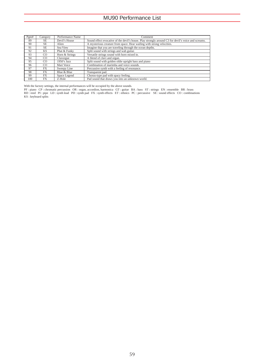| Pgm# | Category | Performance Name | Comment                                                                                             |
|------|----------|------------------|-----------------------------------------------------------------------------------------------------|
| 89   | SE       | Devil's House    | Sound effect evocative of the devil's house. Play strongly around C3 for devil's voice and screams. |
| 90   | SE.      | Alien            | A mysterious creature from space. Hear wailing with strong velocities.                              |
| 91   | SE.      | Sea View         | Imagine that you are traveling through the ocean depths.                                            |
| 92   | KS.      | Phat & Funky     | Split sound with strings and wah guitar.                                                            |
| 93   | CO       | Horn & Strings   | Versatile strings sound with horn mixed in.                                                         |
| 94   | CO.      | Clavorgue        | A blend of clavi and organ.                                                                         |
| 95   | CO       | 1950's Jazz      | Split sound with golden oldie upright bass and piano                                                |
| 96   | CO       | Mari Voice       | Combination of marimba and voice sounds.                                                            |
| 97   | FX       | Sweepy Line      | Percussive synth with a feeling of resonance.                                                       |
| 98   | FX       | Blue & Blue      | Transparent pad.                                                                                    |
| 99   | FX.      | Space Legend     | Chorus-type pad with spacy feeling.                                                                 |
| 100  | FX       | Z-Hole           | Pad sound that draws you into an unknown world.                                                     |

With the factory settings, the internal performances will be occupied by the above sounds.<br>PF : piano CP : chromatic percussion OR : organ, accordion, harmonica GT : guitar BA : bass ST : strings EN : ensemble BR : brass<br>R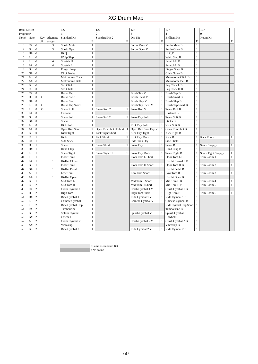| Bank MSB#  |                                |              |                | 127                    |              | 127                   |              | 127                     |              | 127                    |                | 127                       |              |
|------------|--------------------------------|--------------|----------------|------------------------|--------------|-----------------------|--------------|-------------------------|--------------|------------------------|----------------|---------------------------|--------------|
| Program#   |                                |              |                |                        |              | $\overline{c}$        |              | $\overline{\mathbf{3}}$ |              | $\overline{4}$         |                | $\overline{Q}$            |              |
| Note# Note |                                | Key          | Alternate      | <b>Standard Kit</b>    |              | Standard Kit 2        |              | Dry Kit                 |              | <b>Brilliant Kit</b>   |                | Room Kit                  |              |
|            |                                | off          | assign         |                        | E            |                       | E            |                         | E            |                        | E              |                           | Е            |
| 13         | C#<br>$-1$                     |              | 3              | Surdo Mute             | $\mathbf{1}$ |                       |              | Surdo Mute V            | $\mathbf{1}$ | Surdo Mute B           | $\mathbf{1}$   |                           |              |
| 14         | D<br>$-1$                      |              | 3              | Surdo Open             | $\mathbf{1}$ |                       |              | Surdo Open V            | $\mathbf{1}$ | Surdo Open B           | $\mathbf{1}$   |                           |              |
| 15         | D#<br>$-1$                     |              |                | Hi O                   | $\,1$        |                       |              |                         |              | Hi Q B                 | $\mathbf{1}$   |                           |              |
| 16         | $-1$<br>E                      |              |                | Whip Slap              | $\,1$        |                       |              |                         |              | Whip Slap B            | $\mathbf{1}$   |                           |              |
| 17         | F<br>$-1$                      |              | $\overline{4}$ | Scratch H              | $\mathbf{1}$ |                       |              |                         |              | Scratch H <sub>B</sub> | $\mathbf{1}$   |                           |              |
| 18         | $^{\circ}1$<br>F#              |              | $\overline{4}$ | Scratch L              | $\,1$        |                       |              |                         |              | Scratch L B            | $\mathbf{1}$   |                           |              |
| 19         | G<br>$-1$                      |              |                | Finger Snap            | $\mathbf{1}$ |                       |              |                         |              | Finger Snap B          | $\mathbf{1}$   |                           |              |
| 20         | $-1$<br>G#                     |              |                | <b>Click Noise</b>     | $\mathbf{1}$ |                       |              |                         |              | Click Noise B          | $\mathbf{1}$   |                           |              |
| 21         | $-1$<br>A                      |              |                | Metronome Click        | $\mathbf{1}$ |                       |              |                         |              | Metronome Click B      | $\mathbf{1}$   |                           |              |
| 22         | $-1$<br>A#                     |              |                | Metronome Bell         | $\mathbf{1}$ |                       |              |                         |              | Metronome Bell B       | $\mathbf{1}$   |                           |              |
| 23         | B<br>$-1$                      |              |                | Seq Click L            | $\mathbf{1}$ |                       |              |                         |              | Seq Click L B          | $\mathbf{1}$   |                           |              |
| 24         | C<br>$\boldsymbol{0}$          |              |                | Seq Click H            | $\,1$        |                       |              |                         |              | Seq Click H B          | $\mathbf{1}$   |                           |              |
| 25         | C#<br>$\boldsymbol{0}$         |              |                | Brush Tap              | $\mathbf{1}$ |                       |              | <b>Brush Tap V</b>      |              | Brush Tap B            | $\mathbf{1}$   |                           |              |
| 26         | D<br>$\mathbf{0}$              | $\mathbf{O}$ |                | <b>Brush Swirl</b>     | $\mathbf{1}$ |                       |              | <b>Brush Swirl V</b>    | $\mathbf{1}$ | <b>Brush Swirl B</b>   | $\mathbf{1}$   |                           |              |
| 27         | D#<br>$\mathbf{0}$             |              |                | <b>Brush Slap</b>      | $\mathbf{1}$ |                       |              | <b>Brush Slap V</b>     |              | Brush Slap B           | $\mathbf{1}$   |                           |              |
| 28         | E<br>$\mathbf{0}$              | $\Omega$     |                | <b>Brush Tap Swirl</b> | $\mathbf{1}$ |                       |              | Brush Tap Swirl V       |              | Brush Tap Swirl B      | $\mathbf{1}$   |                           |              |
| 29         | F<br>$\mathbf{0}$              | $\circ$      |                | Snare Roll             | $\mathbf{1}$ | Snare Roll 2          | $\mathbf{1}$ | Snare Roll V            | $\mathbf{1}$ | Snare Roll B           | $\mathbf{1}$   |                           |              |
| 30         | F#<br>$\mathbf{0}$             |              |                | Castanet               | $\mathbf{1}$ |                       |              |                         |              | Castanet B             | $\mathbf{1}$   |                           |              |
| 31         | G<br>$\boldsymbol{0}$          |              |                | Snare Soft             | $\mathbf{1}$ | Snare Soft 2          | 1            | Snare Dry Soft          | 1            | Snare Soft B           | $\mathbf{1}$   |                           |              |
| 32         | G#<br>$\boldsymbol{0}$         |              |                | <b>Sticks</b>          | $\mathbf{1}$ |                       |              |                         |              | <b>Sticks B</b>        | $\mathbf{1}$   |                           |              |
| 33         | $\mathbf{0}$<br>A              |              |                | Kick Soft              | $\mathbf{1}$ |                       |              | Kick Dry Soft           |              | Kick Soft B            | $\mathbf{1}$   |                           |              |
| 34         | A#<br>$\mathbf{0}$             |              |                | Open Rim Shot          | 1            | Open Rim Shot H Short |              | Open Rim Shot Dry V     |              | Open Rim Shot B        | $\mathbf{1}$   |                           |              |
| 35         | $\boldsymbol{0}$<br>B          |              |                | Kick Tight             | $\mathbf{1}$ | Kick Tight Short      | 1            | Kick Dry Tight          | $\mathbf{1}$ | Kick Tight B           | $\mathbf{1}$   |                           |              |
| 36         | C<br>1                         |              |                | Kick                   | $\mathbf{1}$ | <b>Kick Short</b>     | $\mathbf{1}$ | Kick Dry Mute           | $\mathbf{1}$ | Kick B                 | $\mathbf{1}$   | <b>Kick Room</b>          | $\mathbf{1}$ |
| 37         | C#<br>$\mathbf{1}$             |              |                | Side Stick             | $\mathbf{1}$ |                       |              | Side Stick Dry          | $\mathbf{1}$ | Side Stick B           | $\mathbf{1}$   |                           |              |
| 38         | D<br>$\mathbf{1}$              |              |                | Snare                  | $\mathbf{1}$ | Snare Short           | $\mathbf{1}$ | Snare Dry               |              | Snare B                | $\overline{1}$ | Snare Snappy              | $\mathbf{1}$ |
| 39         | $\mathbf{1}$<br>D#             |              |                | Hand Clap              | $\mathbf{1}$ |                       |              |                         |              | Hand Clap B            |                |                           |              |
| 40         | E<br>$\mathbf{1}$              |              |                | Snare Tight            |              | Snare Tight H         |              | Snare Dry Mute          |              | Snare Tight B          |                | <b>Snare Tight Snappy</b> | $\mathbf{1}$ |
| 41         | F<br>$\mathbf{1}$              |              |                | Floor Tom L            | $\mathbf{1}$ |                       |              | Floor Tom L Short       |              | Floor Tom L B          | $\mathbf{1}$   | Tom Room 1                | $\mathbf{1}$ |
| 42         | F#<br>$\,1$                    |              | $\mathbf{1}$   | Hi-Hat Closed          | $\mathbf{1}$ |                       |              |                         |              | Hi-Hat Closed L B      | $\overline{1}$ |                           |              |
| 43         | G<br>$\mathbf{1}$              |              |                | Floor Tom H            | $\mathbf{1}$ |                       |              | Floor Tom H Short       |              | Floor Tom H B          | $\mathbf{1}$   | Tom Room 2                | $\mathbf{1}$ |
| 44         | G#<br>$\mathbf{1}$             |              | $\mathbf{1}$   | Hi-Hat Pedal           | $\mathbf{1}$ |                       |              |                         |              | Hi-Hat Pedal B         |                |                           |              |
| 45         | A<br>$\mathbf{1}$              |              |                | Low Tom                | $\mathbf{1}$ |                       |              | Low Tom Short           | 1            | Low Tom B              | $\overline{1}$ | Tom Room 3                | $\mathbf{1}$ |
| 46         | $\mathbf{1}$<br>A#             |              | 1              | Hi-Hat Open            | $\mathbf{1}$ |                       |              |                         |              | Hi-Hat Open B          | $\mathbf{1}$   |                           |              |
| 47         | B<br>$\mathbf{1}$              |              |                | Mid Tom L              | $\mathbf{1}$ |                       |              | Mid Tom L Short         | 1            | Mid Tom L B            |                | Tom Room 4                | $\mathbf{1}$ |
| 48         | $\mathbf{2}$<br>C              |              |                | Mid Tom H              | $\mathbf{1}$ |                       |              | Mid Tom H Short         | 1            | Mid Tom H B            | 1              | Tom Room 5                | $\mathbf{1}$ |
| 49         | $\overline{c}$<br>C#           |              |                | Crash Cymbal 1         | $\,1$        |                       |              | Crash Cymbal 1 V        | 1            | Crash Cymbal 1 B       | $\mathbf{1}$   |                           |              |
| 50         | $\overline{c}$<br>D            |              |                | <b>High Tom</b>        | $\mathbf{1}$ |                       |              | <b>HIgh Tom Short</b>   | $\mathbf{1}$ | High Tom B             | $\mathbf{1}$   | Tom Room 6                | $\mathbf{1}$ |
| 51         | $\overline{c}$<br>D#           |              |                | Ride Cymbal 1          | $\mathbf{1}$ |                       |              | Ride Cymbal 1 V         | $\mathbf{1}$ | Ride Cymbal 1 B        | $\mathbf{1}$   |                           |              |
| 52         | E<br>2                         |              |                | Chinese Cymbal         | $\mathbf{1}$ |                       |              | Chinese Cymbal V        |              | Chinese Cymbal B       | 1              |                           |              |
| 53         | F<br>$\mathbf{2}$              |              |                | Ride Cymbal Cup        | $\mathbf{1}$ |                       |              |                         |              | Ride Cymbal Cup Short  | $\mathbf{1}$   |                           |              |
| 54         | F#<br>$\overline{c}$           |              |                | Tambourine             | $\mathbf{1}$ |                       |              |                         |              | Tambourine B           | $\mathbf{1}$   |                           |              |
| 55         | G<br>$\mathbf{2}$              |              |                | Splash Cymbal          | $\,1$        |                       |              | Splash Cymbal V         | 1            | Splash Cymbal B        | $\mathbf{1}$   |                           |              |
| 56         | $\overline{c}$<br>G#           |              |                | Cowbell                | $\mathbf{1}$ |                       |              |                         |              | Cowbell L              | $\mathbf{1}$   |                           |              |
| 57         | $\overline{c}$<br>A            |              |                | Crash Cymbal 2         | $\,1$        |                       |              | Crash Cymbal 2 V        |              | Crash Cymbal 2 B       | $\mathbf{1}$   |                           |              |
| 58         | $\overline{c}$<br>A#           |              |                | Vibraslap              | $\mathbf{1}$ |                       |              |                         |              | Vibraslap B            | $\mathbf{1}$   |                           |              |
| 59         | $\, {\bf B}$<br>$\overline{c}$ |              |                | Ride Cymbal 2          | $\mathbf{1}$ |                       |              | Ride Cymbal 2 V         | $\mathbf{1}$ | Ride Cymbal 2 B        | $\mathbf{1}$   |                           |              |

: Same as standard Kit : No sound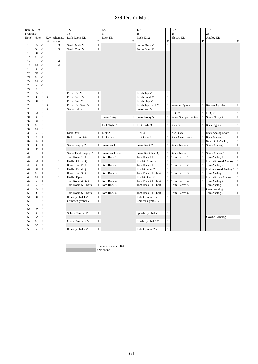| Bank MSB#  |              |                  |                |                         | 127                  |              | 127                   |              | 127                  |              | 127                         |              | 127                      |              |
|------------|--------------|------------------|----------------|-------------------------|----------------------|--------------|-----------------------|--------------|----------------------|--------------|-----------------------------|--------------|--------------------------|--------------|
| Program#   |              |                  |                |                         | 10                   |              | 17                    |              | 18                   |              | 25                          |              | 26                       |              |
| Note# Note |              |                  | Key            | Alternate               | Dark Room Kit        |              | Rock Kit              |              | Rock Kit 2           |              | Electro Kit                 |              | Analog Kit               |              |
|            |              |                  | off            | assign                  |                      | E            |                       | E            |                      | E            |                             | E            |                          | Е            |
| 13         | C#           | $-1$             |                | 3                       | Surdo Mute V         | $\,1$        |                       |              | Surdo Mute V         | $\mathbf{1}$ |                             |              |                          |              |
| 14         | $\mathbf D$  | $-1$             |                | 3                       | Surdo Open V         | $\mathbf{1}$ |                       |              | Surdo Open V         | $\mathbf{1}$ |                             |              |                          |              |
| 15         | D#           | $-1$             |                |                         |                      |              |                       |              |                      |              |                             |              |                          |              |
| 16         | E            | $-1$             |                |                         |                      |              |                       |              |                      |              |                             |              |                          |              |
| 17         | F            | $-1$             |                | $\overline{\mathbf{4}}$ |                      |              |                       |              |                      |              |                             |              |                          |              |
| 18         | F#           | $-1$             |                | $\overline{4}$          |                      |              |                       |              |                      |              |                             |              |                          |              |
| 19         | G            | $-1$             |                |                         |                      |              |                       |              |                      |              |                             |              |                          |              |
| 20         | G#           | $-1$             |                |                         |                      |              |                       |              |                      |              |                             |              |                          |              |
| 21         | A            | $-1$             |                |                         |                      |              |                       |              |                      |              |                             |              |                          |              |
| 22         | A#           | $-1$             |                |                         |                      |              |                       |              |                      |              |                             |              |                          |              |
| 23         | $\, {\bf B}$ | $-1$             |                |                         |                      |              |                       |              |                      |              |                             |              |                          |              |
| 24         | C            | $\boldsymbol{0}$ |                |                         |                      |              |                       |              |                      |              |                             |              |                          |              |
| 25         | C#           | $\boldsymbol{0}$ |                |                         | <b>Brush Tap V</b>   | $\mathbf{1}$ |                       |              | <b>Brush Tap V</b>   | $\mathbf{1}$ |                             |              |                          |              |
| 26         | D            | $\boldsymbol{0}$ | $\circ$        |                         | <b>Brush Swirl V</b> | $\mathbf{1}$ |                       |              | <b>Brush Swirl V</b> | $\mathbf{1}$ |                             |              |                          |              |
| 27         | D#           | $\boldsymbol{0}$ |                |                         | <b>Brush Slap V</b>  | $\mathbf{1}$ |                       |              | <b>Brush Slap V</b>  | $\mathbf{1}$ |                             |              |                          |              |
| 28         | E            | $\boldsymbol{0}$ | $\circ$        |                         | Brush Tap Swirl V    | $\,1$        |                       |              | Brush Tap Swirl V    | 1            | Reverse Cymbal              |              | Riverse Cymbal           | $\mathbf{1}$ |
| 29         | $\mathbf F$  | $\boldsymbol{0}$ | $\overline{O}$ |                         | Snare Roll V         | $\mathbf{1}$ |                       |              | Snare Roll V         | $\mathbf{1}$ |                             |              |                          |              |
| 30         | $\rm F\#$    | $\mathbf{0}$     |                |                         |                      |              |                       |              |                      |              | Hi Q 2                      | 1            | Hi Q 2                   | $\mathbf{1}$ |
| 31         | G            | $\boldsymbol{0}$ |                |                         |                      |              | <b>Snare Noisy</b>    |              | Snare Noisy 5        |              | <b>Snare Snappy Electro</b> |              | Snare Noisy 4            | $\,1$        |
| 32         | G#           | $\boldsymbol{0}$ |                |                         |                      |              |                       |              |                      |              |                             |              |                          |              |
| 33         | A            | $\boldsymbol{0}$ |                |                         |                      |              | Kick Tight 2          |              | Kick Tight 3         | 1            | Kick 3                      | 1            | Kick Tight 2             | $\,1$        |
| 34         | A#           | $\boldsymbol{0}$ |                |                         |                      |              |                       |              |                      |              |                             |              |                          |              |
| 35         | B            | $\boldsymbol{0}$ |                |                         | <b>Kick Dark</b>     | 1            | Kick 2                | 1            | Kick 4               | 1            | <b>Kick Gate</b>            | 1            | <b>Kick Analog Short</b> | $\,1$        |
| 36         | $\mathbf C$  | $\mathbf{1}$     |                |                         | Kick Room Gate       |              | <b>Kick Gate</b>      | $\mathbf{1}$ | Kick Gate 2          |              | Kick Gate Heavy             |              | Kick Analog              | $\mathbf{1}$ |
| 37         | C#           | $\mathbf{1}$     |                |                         |                      |              |                       |              |                      |              |                             |              | Side Stick Analog        | $\,1\,$      |
| 38         | D            | $\mathbf{1}$     |                |                         | Snare Snappy 2       | $\mathbf{1}$ | <b>Snare Rock</b>     | $\mathbf{1}$ | Snare Rock 2         | 1            | Snare Noisy 2               | 1            | <b>Snare Analog</b>      | $\mathbf{1}$ |
| 39         | D#           | $\mathbf{1}$     |                |                         |                      |              |                       |              |                      |              |                             |              |                          |              |
| 40         | E            | $1\,$            |                |                         | Snare Tight Snappy 2 |              | <b>Snare Rock Rim</b> |              | Snare Rock Rim Q     |              | Snare Noisy 3               |              | Snare Analog 2           | $\mathbf{1}$ |
| 41         | F            | $\mathbf{1}$     |                |                         | Tom Room 1 Q         | $\mathbf{1}$ | Tom Rock 1            | $\mathbf{1}$ | Tom Rock 1 H         | $\mathbf{1}$ | Tom Electro 1               | $\mathbf{1}$ | Tom Analog 1             | $\,1$        |
| 42         | F#           | $\mathbf{1}$     |                | 1                       | Hi-Hat Closed Q      | $\mathbf{1}$ |                       |              | Hi-Hat Closed 2      | $\mathbf{1}$ |                             |              | Hi-Hat Closed Analog     | $\mathbf{1}$ |
| 43         | G            | $\mathbf{1}$     |                |                         | Room Tom 2 Q         | $\mathbf{1}$ | Tom Rock 2            | $\mathbf{1}$ | Tom Rock 2 H         | $\mathbf{1}$ | Tom Electro 2               |              | Tom Analog 2             | $\mathbf{1}$ |
| 44         | G#           | $\mathbf{1}$     |                | $\mathbf{1}$            | Hi-Hat Pedal Q       |              |                       |              | Hi-Hat Pedal 2       | $\mathbf{1}$ |                             |              | Hi-Hat closed Analog 2   | $\mathbf{1}$ |
| 45         | A            | $\mathbf{1}$     |                |                         | Room Tom 3 Q         | 1            | Tom Rock 3            | $\mathbf{1}$ | Tom Rock 3 L Short   | $\mathbf{1}$ | Tom Electro 3               |              | Tom Analog 3             | $\mathbf{1}$ |
| 46         | A#           | $\mathbf{1}$     |                | 1                       | Hi-Hat Open L        |              |                       |              | Hi-Hat Open 2        |              |                             |              | Hi-Hat Open Analog       | $\,1\,$      |
| 47         | $\, {\bf B}$ | $1\,$            |                |                         | Tom Room 4 Dark      |              | Tom Rock 4            | $\mathbf{1}$ | Tom Rock 4 L Short   | $\mathbf{1}$ | Tom Electro 4               | $\mathbf{1}$ | Tom Analog 4             | $\mathbf{1}$ |
| 48         | $\mathbf C$  | $\sqrt{2}$       |                |                         | Tom Room 5 L Dark    |              | Tom Rock 5            |              | Tom Rock 5 L Short   | 1            | Tom Electro 5               |              | Tom Analog 5             | $\mathbf{1}$ |
| 49         | C#           | $\sqrt{2}$       |                |                         |                      |              |                       |              |                      |              |                             |              | <b>Crash Analog</b>      |              |
| 50         | D            | $\sqrt{2}$       |                |                         | Tom Room 6 L Dark    | 1            | Tom Rock 6            | 1            | Tom Rock 6 L Short   | $\mathbf{1}$ | Tom Electro 6               |              | Tom Analog 6             | $\mathbf{1}$ |
| 51         | D#           | $\sqrt{2}$       |                |                         | Ride Cymbal 1 V      | $\mathbf{1}$ |                       |              | Ride Cymbal 1 V      | $\mathbf{1}$ |                             |              |                          |              |
| 52         | E            | $\sqrt{2}$       |                |                         | Chinese Cymbal V     | $\mathbf{1}$ |                       |              | Chinese Cymbal V     | 1            |                             |              |                          |              |
| 53         | F            | $\sqrt{2}$       |                |                         |                      |              |                       |              |                      |              |                             |              |                          |              |
| 54         | F#           | $\sqrt{2}$       |                |                         |                      |              |                       |              |                      |              |                             |              |                          |              |
| 55         | G            | $\sqrt{2}$       |                |                         | Splash Cymbal V      | $\mathbf{1}$ |                       |              | Splash Cymbal V      | $\mathbf{1}$ |                             |              |                          |              |
| 56         | G#           | $\sqrt{2}$       |                |                         |                      |              |                       |              |                      |              |                             |              | Cowbell Analog           | $\mathbf{1}$ |
| 57         | A            | $\boldsymbol{2}$ |                |                         | Crash Cymbal 2 V     | $\mathbf{1}$ |                       |              | Crash Cymbal 2 V     | $\mathbf{1}$ |                             |              |                          |              |
| 58         | A#           | $\overline{c}$   |                |                         |                      |              |                       |              |                      |              |                             |              |                          |              |
| 59         | $\, {\bf B}$ | $\overline{c}$   |                |                         | Ride Cymbal 2 V      | $\mathbf{1}$ |                       |              | Ride Cymbal 2 V      | $\mathbf{1}$ |                             |              |                          |              |
|            |              |                  |                |                         |                      |              |                       |              |                      |              |                             |              |                          |              |

: Same as standard Kit

: No sound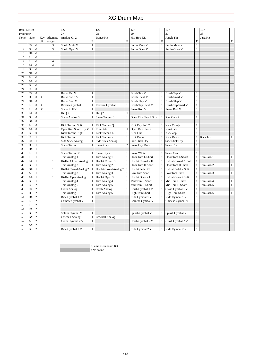| Bank MSB#  |                           |                  |             |                | 127                      |              | 127                    |                | 127                   |              | 127                   |              | 127        |              |
|------------|---------------------------|------------------|-------------|----------------|--------------------------|--------------|------------------------|----------------|-----------------------|--------------|-----------------------|--------------|------------|--------------|
| Program#   |                           |                  |             |                | 27                       |              | 28                     |                | 29                    |              | 30                    |              | 33         |              |
| Note# Note |                           |                  | Key         | Alternate      | Analog Kit 2             |              | Dance Kit              |                | Hip Hop Kit           |              | Jungle Kit            |              | Jazz Kit   |              |
|            |                           |                  | off         | assign         |                          | E            |                        | E              |                       | E            |                       | E            |            | $\mathbf E$  |
| 13         | C#                        | $-1$             |             | $\mathfrak{Z}$ | Surdo Mute V             | $\mathbf{1}$ |                        |                | Surdo Mute V          |              | Surdo Mute V          | $\mathbf{1}$ |            |              |
| 14         | D                         | $-1$             |             | 3              | Surdo Open V             | $\mathbf{1}$ |                        |                | Surdo Open V          |              | Surdo Open V          | $\mathbf{1}$ |            |              |
| 15         | D#                        | $-1$             |             |                |                          |              |                        |                |                       |              |                       |              |            |              |
| 16         | E                         | $-1$             |             |                |                          |              |                        |                |                       |              |                       |              |            |              |
| 17         | F                         | $-1$             |             | $\overline{4}$ |                          |              |                        |                |                       |              |                       |              |            |              |
| 18         | F#                        | $-1$             |             | $\overline{4}$ |                          |              |                        |                |                       |              |                       |              |            |              |
| 19         | G                         | $-1$             |             |                |                          |              |                        |                |                       |              |                       |              |            |              |
| 20         | G#                        | $-1$             |             |                |                          |              |                        |                |                       |              |                       |              |            |              |
| 21         | A                         | $-1$             |             |                |                          |              |                        |                |                       |              |                       |              |            |              |
| 22         | A#                        | $-1$             |             |                |                          |              |                        |                |                       |              |                       |              |            |              |
| 23         | B                         | $-1$             |             |                |                          |              |                        |                |                       |              |                       |              |            |              |
| 24         | $\mathcal{C}$             | $\boldsymbol{0}$ |             |                |                          |              |                        |                |                       |              |                       |              |            |              |
| 25         | C#                        | $\mathbf 0$      |             |                | <b>Brush Tap V</b>       | 1            |                        |                | <b>Brush Tap V</b>    |              | Brush Tap V           | 1            |            |              |
| 26         | D                         | $\mathbf{0}$     | $\mathbf O$ |                | <b>Brush Swirl V</b>     | $\mathbf{1}$ |                        |                | <b>Brush Swirl V</b>  |              | <b>Brush Swirl V</b>  | $\mathbf{1}$ |            |              |
| 27         | D#                        | $\mathbf{0}$     |             |                | <b>Brush Slap V</b>      | $\mathbf{1}$ |                        |                | <b>Brush Slap V</b>   |              | <b>Brush Slap V</b>   | $\mathbf{1}$ |            |              |
| 28         | E                         | $\mathbf{0}$     | $\circ$     |                | Reverse Cymbal           |              | Reverse Cymbal         |                | Brush Tap Swirl V     |              | Brush Tap Swirl V     | $\mathbf{1}$ |            |              |
| 29         | $\boldsymbol{\mathrm{F}}$ | $\mathbf 0$      | $\circ$     |                | Snare Roll V             |              |                        |                | Snare Roll V          |              | Snare Roll V          | $\mathbf{1}$ |            |              |
| 30         | F#                        | $\boldsymbol{0}$ |             |                | Hi Q 2                   |              | Hi Q 2                 |                |                       |              |                       |              |            |              |
| 31         | G                         | $\mathbf 0$      |             |                | Snare Analog 3           |              | Snare Techno 3         |                | Open Rim Shot 2 Soft  |              | Rim Gate 2            | $\mathbf{1}$ |            |              |
| 32         | G#                        | $\boldsymbol{0}$ |             |                |                          |              |                        |                |                       |              |                       |              |            |              |
| 33         | A                         | $\mathbf 0$      |             |                | Kick Techno Soft         |              | Kick Techno Q          |                | Kick Dry Soft 2       |              | Kick Cough            | $\mathbf{1}$ |            |              |
| 34         | A#                        | $\mathbf 0$      |             |                | Open Rim Short Dry V     | 1            | Rim Gate               |                | Open Rim Shot 2       | $\mathbf{1}$ | Rim Gate 3            | $\mathbf{1}$ |            |              |
| 35         | B                         | $\boldsymbol{0}$ |             |                | Kick Techno Tight        | $\mathbf{1}$ | Kick Techno L          | $\mathbf{1}$   | Kick Dim              | $\mathbf{1}$ | Kick Zap              | $\mathbf{1}$ |            |              |
| 36         | $\mathsf{C}$              | 1                |             |                | Kick Techno              |              | Kick Techno 2          | $\mathbf{1}$   | <b>Kick Boon</b>      |              | <b>Kick Dawn</b>      | $\mathbf{1}$ | Kick Jazz  | 1            |
| 37         | C#                        | $\mathbf{1}$     |             |                | <b>Side Stick Analog</b> |              | Side Stick Analog      |                | <b>Side Stick Dry</b> |              | <b>Side Stick Dry</b> | $\mathbf{1}$ |            |              |
| 38         | D                         | $\mathbf{1}$     |             |                | Snare Techno             |              | Snare Clap             | $\overline{c}$ | Snare Dry Mute        |              | Snare Tin             | $\mathbf{1}$ |            |              |
| 39         | D#                        | $\mathbf{1}$     |             |                |                          |              |                        |                |                       |              |                       |              |            |              |
| 40         | E                         | $\mathbf{1}$     |             |                | Snare Techno 2           |              | Snare Dry 2            | $\mathbf{1}$   | Snare White           | 1            | Snare Can             | $\mathbf{1}$ |            |              |
| 41         | F                         | $\mathbf{1}$     |             |                | Tom Analog 1             |              | Tom Analog 1           |                | Floor Tom L Short     |              | Floor Tom L Short     | $\mathbf{1}$ | Tom Jazz 1 | $\mathbf{1}$ |
| 42         | F#                        | $\mathbf{1}$     |             | 1              | Hi-Hat Closed Analog     |              | Hi-Hat Closed 3        |                | Hi-Hat Closed 2 H     |              | Hi-Hat Closed 2 Sloft | $\mathbf{1}$ |            |              |
| 43         | G                         | $\mathbf{1}$     |             |                | Tom Analog 2             |              | Tom Analog 2           |                | Floor Tom H Short     |              | Floor Tom H Short     | $\mathbf{1}$ | Tom Jazz 2 | $\mathbf{1}$ |
| 44         | G#                        | $\mathbf{1}$     |             | 1              | Hi-Hat Closed Analog 2   |              | Hi-Hat Closed Analog 2 |                | Hi-Hat Pedal 2 H      | $\mathbf{1}$ | Hi-Hat Pedal 2 Soft   |              |            |              |
| 45         | A                         | 1                |             |                | Tom Analog 3             |              | Tom Analog 3           |                | Low Tom Short         |              | Low Tom Short         |              | Tom Jazz 3 | $\mathbf{1}$ |
| 46         | A#                        | 1                |             | 1              | Hi-Hat Open Analog       |              | Hi-Hat Open 3          |                | Hi-Hat Open 2 L       | 1            | Hi-Hat Open 2 Soft    | $\mathbf{1}$ |            |              |
| 47         | B                         | $\mathbf{1}$     |             |                | Tom Analog 4             |              | Tom Analog 4           |                | Mid Tom L Short       |              | Mid Tom L Short       |              | Tom Jazz 4 | $\mathbf{1}$ |
| 48         | $\mathsf{C}$              | $\sqrt{2}$       |             |                | Tom Analog 5             | $\mathbf{1}$ | Tom Analog 5           | $\mathbf{1}$   | Mid Tom H Short       | $\mathbf{1}$ | Mid Tom H Short       | $\mathbf{1}$ | Tom Jazz 5 | $\mathbf{1}$ |
| 49         | C#                        | $\mathbf{2}$     |             |                | Crash Analog             | $\mathbf{1}$ | <b>Crash Analog</b>    | $\mathbf{1}$   | Crash Cymbal 1 V      | 1            | Crash Cymbal 1 V      | $\mathbf{1}$ |            |              |
| 50         |                           | $\overline{c}$   |             |                |                          |              |                        |                |                       | $\mathbf{1}$ | <b>High Tom Short</b> | $\mathbf{1}$ |            | $\mathbf{1}$ |
|            | D                         |                  |             |                | Tom Analog 6             |              | Tom Analog 6           |                | <b>High Tom Short</b> |              |                       |              | Tom Jazz 6 |              |
| 51         | D#                        | $\sqrt{2}$       |             |                | Ride Cymbal 1 V          |              |                        |                | Ride Cymbal 1 V       |              | Ride Cymbal 1 V       |              |            |              |
| 52         | E                         | $\overline{c}$   |             |                | Chinese Cymbal V         | 1            |                        |                | Chinese Cymbal V      |              | Chinese Cymbal V      | $\mathbf{1}$ |            |              |
| 53         | F                         | $\overline{c}$   |             |                |                          |              |                        |                |                       |              |                       |              |            |              |
| 54         | F#                        | $\overline{c}$   |             |                |                          |              |                        |                |                       |              |                       |              |            |              |
| 55         | G                         | $\overline{c}$   |             |                | Splash Cymbal V          | 1            |                        |                | Splash Cymbal V       |              | Splash Cymbal V       | 1            |            |              |
| 56         | G#                        | 2                |             |                | Cowbell Analog           |              | Cowbell Analog         |                |                       |              |                       |              |            |              |
| 57         | A                         | $\mathbf{2}$     |             |                | Crash Cymbal 2 V         |              |                        |                | Crash Cymbal 2 V      |              | Crash Cymbal 2 V      | $\mathbf{1}$ |            |              |
| 58         | A#                        | $\overline{c}$   |             |                |                          |              |                        |                |                       |              |                       |              |            |              |
| 59         | $\overline{B}$            | $\overline{c}$   |             |                | Ride Cymbal 2 V          | 1            |                        |                | Ride Cymbal 2 V       | $\mathbf{1}$ | Ride Cymbal 2 V       | $\mathbf{1}$ |            |              |

: Same as standard Kit : No sound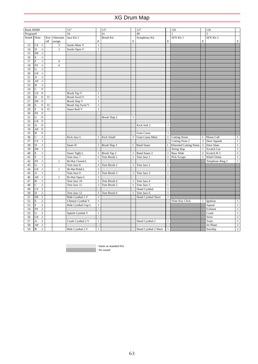| Bank MSB#<br>127<br>127<br>127<br>126<br>126<br>34<br>41<br>49<br>$\sqrt{2}$<br>Program#<br>$\mathbf{1}$<br>Note# Note<br>Jazz Kit 2<br>Key<br>Alternate<br><b>Brush Kit</b><br>Symphony Kit<br>SFX Kit 1<br>SFX Kit 2<br>E<br>$\mathbf E$<br>off<br>assign<br>E<br>E<br>C#<br>$-1$<br>Surdo Mute V<br>$\,1$<br>13<br>3<br>14<br>3<br>$\mathbf{1}$<br>D<br>$-1$<br>Surdo Open V<br>15<br>$-1$<br>D#<br>16<br>E<br>$-1$<br>17<br>F<br>$^{\rm -1}$<br>$\overline{4}$<br>18<br>$\rm{F}\#$<br>$^{\rm -1}$<br>$\sqrt{4}$<br>19<br>$^{\rm -1}$<br>G<br>$^{\rm -1}$<br>20<br>G#<br>21<br>$^{\rm -1}$<br>А |                |
|----------------------------------------------------------------------------------------------------------------------------------------------------------------------------------------------------------------------------------------------------------------------------------------------------------------------------------------------------------------------------------------------------------------------------------------------------------------------------------------------------------------------------------------------------------------------------------------------------|----------------|
|                                                                                                                                                                                                                                                                                                                                                                                                                                                                                                                                                                                                    |                |
|                                                                                                                                                                                                                                                                                                                                                                                                                                                                                                                                                                                                    |                |
|                                                                                                                                                                                                                                                                                                                                                                                                                                                                                                                                                                                                    | E              |
|                                                                                                                                                                                                                                                                                                                                                                                                                                                                                                                                                                                                    |                |
|                                                                                                                                                                                                                                                                                                                                                                                                                                                                                                                                                                                                    |                |
|                                                                                                                                                                                                                                                                                                                                                                                                                                                                                                                                                                                                    |                |
|                                                                                                                                                                                                                                                                                                                                                                                                                                                                                                                                                                                                    |                |
|                                                                                                                                                                                                                                                                                                                                                                                                                                                                                                                                                                                                    |                |
|                                                                                                                                                                                                                                                                                                                                                                                                                                                                                                                                                                                                    |                |
|                                                                                                                                                                                                                                                                                                                                                                                                                                                                                                                                                                                                    |                |
|                                                                                                                                                                                                                                                                                                                                                                                                                                                                                                                                                                                                    |                |
|                                                                                                                                                                                                                                                                                                                                                                                                                                                                                                                                                                                                    |                |
| 22<br>$-1$<br>A#                                                                                                                                                                                                                                                                                                                                                                                                                                                                                                                                                                                   |                |
| 23<br>B<br>$-1$                                                                                                                                                                                                                                                                                                                                                                                                                                                                                                                                                                                    |                |
| $\boldsymbol{0}$<br>24<br>C                                                                                                                                                                                                                                                                                                                                                                                                                                                                                                                                                                        |                |
| 25<br>C#<br>$\boldsymbol{0}$<br><b>Brush Tap V</b><br>$\mathbf{1}$                                                                                                                                                                                                                                                                                                                                                                                                                                                                                                                                 |                |
| <b>Brush Swirl V</b><br>26<br>$\mathbf{0}$<br>$\mathbf O$<br>$\mathbf{1}$<br>D                                                                                                                                                                                                                                                                                                                                                                                                                                                                                                                     |                |
| 27<br>D#<br>$\boldsymbol{0}$<br>Brush Slap V<br>$\mathbf{1}$                                                                                                                                                                                                                                                                                                                                                                                                                                                                                                                                       |                |
| 28<br>E<br>$\boldsymbol{0}$<br>$\mathbf O$<br><b>Brush Tap Swirl V</b><br>$\mathbf{1}$                                                                                                                                                                                                                                                                                                                                                                                                                                                                                                             |                |
| F<br>$\mathbf O$<br>$\mathbf{1}$<br>$\boldsymbol{0}$<br>Snare Roll V<br>29                                                                                                                                                                                                                                                                                                                                                                                                                                                                                                                         |                |
| F#<br>$\boldsymbol{0}$<br>30                                                                                                                                                                                                                                                                                                                                                                                                                                                                                                                                                                       |                |
| 31<br>G<br>$\boldsymbol{0}$<br>Brush Slap 2<br>1                                                                                                                                                                                                                                                                                                                                                                                                                                                                                                                                                   |                |
| 32<br>G#<br>$\mathbf{0}$                                                                                                                                                                                                                                                                                                                                                                                                                                                                                                                                                                           |                |
| 33<br>$\mathbf{0}$<br>Kick Soft 2<br>A<br>1                                                                                                                                                                                                                                                                                                                                                                                                                                                                                                                                                        |                |
| 34<br>$\mathbf{0}$<br>A#                                                                                                                                                                                                                                                                                                                                                                                                                                                                                                                                                                           |                |
| 35<br>$\mathbf{0}$<br>B<br>Gran Cassa<br>$\mathbf{1}$                                                                                                                                                                                                                                                                                                                                                                                                                                                                                                                                              |                |
| 36<br>C<br>$\mathbf{1}$<br>Kick Small<br>Gran Cassa Mute<br><b>Cutting Noise</b><br>Phone Call<br>Kick Jazz L<br>1                                                                                                                                                                                                                                                                                                                                                                                                                                                                                 | $\mathbf{1}$   |
| Door Squeak<br>37<br>C#<br>$\mathbf{1}$<br>Cutting Nose 2<br>$\sqrt{2}$                                                                                                                                                                                                                                                                                                                                                                                                                                                                                                                            | $\,1$          |
| 38<br>$\mathbf{1}$<br><b>Distorted Cutting Noise</b><br>$\overline{c}$<br>Door Slam<br>D<br>Brush Slap 3<br><b>Band Snare</b><br>Snare H<br>1<br>$\mathbf{1}$<br>$\mathbf{1}$                                                                                                                                                                                                                                                                                                                                                                                                                      | $\mathbf{1}$   |
| 39<br>$\mathbf{1}$<br>Scratch Cut<br>D#<br>String Slap<br>$\mathbf{1}$                                                                                                                                                                                                                                                                                                                                                                                                                                                                                                                             | $\,1\,$        |
| $\overline{c}$<br>40<br>E<br>$1\,$<br><b>Bass Slide</b><br>Scratch H <sub>3</sub><br>Snare Tight L<br>Brush Tap 2<br><b>Band Snare 2</b><br>$\mathbf{1}$<br>1                                                                                                                                                                                                                                                                                                                                                                                                                                      | $\overline{2}$ |
| F<br>$\mathbf{1}$<br>41<br>Tom Jazz 7<br>$\mathbf{1}$<br>Tom Brush 1<br>1<br>Tom Jazz 1<br>$\mathbf{1}$<br>$\mathbf{1}$<br>Wind Chime<br>Pick Scrape                                                                                                                                                                                                                                                                                                                                                                                                                                               | $\,1$          |
| 42<br>F#<br>$\mathbf{1}$<br>1<br>Hi-Hat Closed L<br>1<br>Telephone Ring 2                                                                                                                                                                                                                                                                                                                                                                                                                                                                                                                          | $\mathbf{1}$   |
| 43<br>G<br>$\mathbf{1}$<br>Tom Jazz 8<br>Tom Brush 2<br>Tom Jazz 2<br>$\mathbf{1}$<br>$\mathbf{1}$                                                                                                                                                                                                                                                                                                                                                                                                                                                                                                 |                |
| 44<br>$\mathbf{1}$<br>Hi-Hat Pedal L<br>G#<br>$\mathbf{1}$<br>$\mathbf{1}$                                                                                                                                                                                                                                                                                                                                                                                                                                                                                                                         |                |
| 45<br>Tom Jazz 9<br>A<br>$\mathbf{1}$<br>Tom Brush 3<br>Tom Jazz 3<br>$\mathbf{1}$<br>$\mathbf{1}$                                                                                                                                                                                                                                                                                                                                                                                                                                                                                                 |                |
| 46<br>$\,1\,$<br>A#<br>Hi-Hat Open L<br>1                                                                                                                                                                                                                                                                                                                                                                                                                                                                                                                                                          |                |
| 47<br>B<br>$\mathbf{1}$<br>Tom Jazz 10<br>Tom Brush 4<br>Tom Jazz 4<br>$\mathbf{1}$<br>1<br>1                                                                                                                                                                                                                                                                                                                                                                                                                                                                                                      |                |
| 48<br>C<br>$\sqrt{2}$<br>Tom Brush 5<br>Tom Jazz 11<br>Tom Jazz 5<br>$1\,$                                                                                                                                                                                                                                                                                                                                                                                                                                                                                                                         |                |
| 49<br>C#<br>$\sqrt{2}$<br>Hand Cymbal<br>$\,1\,$                                                                                                                                                                                                                                                                                                                                                                                                                                                                                                                                                   |                |
| 50<br>$\mathbf D$<br>$\overline{c}$<br>Tom Jazz 12<br>Tom Brush 6<br>Tom Jazz 6<br>$\mathbf{1}$<br>1<br>1                                                                                                                                                                                                                                                                                                                                                                                                                                                                                          |                |
| 51<br>$\sqrt{2}$<br>$\mathbf{1}$<br>D#<br>Ride Cymbal 1 V<br>$\mathbf{1}$<br>Hand Cymbal Short                                                                                                                                                                                                                                                                                                                                                                                                                                                                                                     |                |
| 52<br>$\sqrt{2}$<br>E<br>Chinese Cymbal V<br>$\mathbf{1}$<br>Flute Key Click<br>Ignition<br>$\mathbf{1}$                                                                                                                                                                                                                                                                                                                                                                                                                                                                                           | $\mathbf{1}$   |
| 53<br>F<br>$\sqrt{2}$<br>$\mathbf{1}$<br>Ride Cymbal Cup L<br>Squeal                                                                                                                                                                                                                                                                                                                                                                                                                                                                                                                               | $\overline{1}$ |
| $\rm{F}\#$<br>$\sqrt{2}$<br>54<br>Exhaust                                                                                                                                                                                                                                                                                                                                                                                                                                                                                                                                                          | $\overline{1}$ |
| 55<br>$\sqrt{2}$<br>G<br>Splash Cymbal V<br>Crash<br>$\mathbf{1}$                                                                                                                                                                                                                                                                                                                                                                                                                                                                                                                                  | $1\,$          |
| $\sqrt{2}$<br>56<br>G#<br>Siren                                                                                                                                                                                                                                                                                                                                                                                                                                                                                                                                                                    | $\overline{2}$ |
| 57<br>$\sqrt{2}$<br>Crash Cymbal 2 V<br>Hand Cymbal 2<br>Train<br>A<br>$\mathbf{1}$<br>$\mathbf{1}$                                                                                                                                                                                                                                                                                                                                                                                                                                                                                                | $\overline{1}$ |
| 58<br>$\overline{2}$<br>A#<br>Jet Plane                                                                                                                                                                                                                                                                                                                                                                                                                                                                                                                                                            | $\overline{2}$ |
| 59<br>$\, {\bf B}$<br>$\overline{c}$<br>Ride Cymbal 2 V<br>Hand Cymbal 2 Short<br>$\mathbf{1}$<br>$\mathbf{1}$<br>Starship                                                                                                                                                                                                                                                                                                                                                                                                                                                                         | $\overline{2}$ |

: Same as standard Kit

: No sound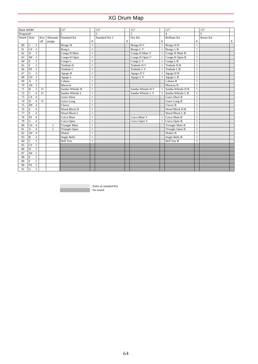| <b>Bank MSB#</b> |                           |                |              |                | 127                  |              | 127            |    | 127               |              | 127                   |              | 127          |             |
|------------------|---------------------------|----------------|--------------|----------------|----------------------|--------------|----------------|----|-------------------|--------------|-----------------------|--------------|--------------|-------------|
| Program#         |                           |                |              |                | $\mathbf{1}$         |              | $\overline{c}$ |    | 3                 |              | $\overline{4}$        |              | $\mathbf{Q}$ |             |
| Note# $Note$     |                           |                | Key          | Alternate      | <b>Standard Kit</b>  |              | Standard Kit 2 |    | Dry Kit           |              | <b>Brilliant Kit</b>  |              | Room Kit     |             |
|                  |                           |                | off          | assign         |                      | E            |                | E. |                   | E            |                       | E            |              | $\mathbf E$ |
| 60               | $\mathbf{C}$              | $\overline{3}$ |              |                | Bongo H              | $\mathbf{1}$ |                |    | Bongo H V         | $\mathbf{1}$ | Bongo H <sub>B</sub>  | $\mathbf{1}$ |              |             |
| 61               | C#                        | $\overline{3}$ |              |                | Bong L               | $\mathbf{1}$ |                |    | Bongo L V         |              | Bongo L B             | $\mathbf{1}$ |              |             |
| 62               | $\mathbf{D}$              | $\overline{3}$ |              |                | Conga H Mute         | $\mathbf{1}$ |                |    | Conga H Mute V    | $\mathbf{1}$ | Conga H Mute B        | $\mathbf{1}$ |              |             |
| 63               | D#                        | $\overline{3}$ |              |                | Conga H Open         | $\mathbf{1}$ |                |    | Conga H Open V    |              | Conga H Open B        | $\mathbf{1}$ |              |             |
| 64               | E                         | $\overline{3}$ |              |                | Conga L              | $\mathbf{1}$ |                |    | Conga L V         |              | Conga $\overline{LB}$ | 1            |              |             |
| 65               | $\mathbf F$               | $\overline{3}$ |              |                | Timbale H            | $\mathbf{1}$ |                |    | Timbale H V       |              | Timbale H B           | 1            |              |             |
| 66               | F#                        | $\overline{3}$ |              |                | Timbale L            | 1            |                |    | Timbale L V       |              | Timbale L B           | 1            |              |             |
| 67               | G                         | 3              |              |                | Agogo H              | 1            |                |    | Agogo H V         |              | Agogo H B             | 1            |              |             |
| 68               | G#                        | $\overline{3}$ |              |                | Agogo L              | $\mathbf{1}$ |                |    | Agogo LV          | $\mathbf{1}$ | Agogo L B             | $\mathbf{1}$ |              |             |
| 69               | A                         | 3              |              |                | Cabasa               | $\mathbf{1}$ |                |    |                   |              | Cabasa B              | $\mathbf{1}$ |              |             |
| 70               | A#                        | 3              |              |                | Maracas              | $\mathbf{1}$ |                |    |                   |              | Maracas B             | 1            |              |             |
| 71               | $\, {\bf B}$              | 3              | $\mathbf{O}$ |                | Samba Whistle H      | $\mathbf{1}$ |                |    | Samba Whistle H V |              | Samba Whistle H B     | $\mathbf{1}$ |              |             |
| 72               | $\mathbf C$               | $\overline{4}$ | $\Omega$     |                | Samba Whistle L      | $\mathbf{1}$ |                |    | Samba Whistle L V |              | Samba Whistle L B     | $\mathbf{1}$ |              |             |
| 73               | C#                        | $\overline{4}$ |              |                | Guiro Short          | $\mathbf{1}$ |                |    |                   |              | Guiro Short B         | $\mathbf{1}$ |              |             |
| 74               | $\mathbf{D}$              | $\overline{4}$ | $\mathbf{O}$ |                | Guiro Long           | $\mathbf{1}$ |                |    |                   |              | Guiro Long B          | $\mathbf{1}$ |              |             |
| 75               | D#                        | $\overline{4}$ |              |                | Claves               | $\mathbf{1}$ |                |    |                   |              | Claves B              | 1            |              |             |
| 76               | E                         | $\overline{4}$ |              |                | Wood Block H         | $\mathbf{1}$ |                |    |                   |              | Wood Block H B        | $\mathbf{1}$ |              |             |
| 77               | $\overline{F}$            | $\overline{4}$ |              |                | Wood Block L         | $\mathbf{1}$ |                |    |                   |              | Wood Block L B        | 1            |              |             |
| 78               | F#                        | $\overline{4}$ |              |                | Cuica Mute           | $\mathbf{1}$ |                |    | Cuica Mute V      |              | Cuica Mute B          | $\mathbf{1}$ |              |             |
| 79               | $\overline{G}$            | $\overline{4}$ |              |                | Cuica Open           | $\mathbf{1}$ |                |    | Cuica Open V      |              | Cuica Open B          | $\mathbf{1}$ |              |             |
| 80               | G#                        | $\overline{4}$ |              | $\overline{c}$ | <b>Triangle Mute</b> | $\mathbf{1}$ |                |    |                   |              | Triangle Mute B       | $\mathbf{1}$ |              |             |
| 81               | $\boldsymbol{\mathsf{A}}$ | $\overline{4}$ |              | $\overline{2}$ | Triangle Open        | $\mathbf{1}$ |                |    |                   |              | Triangle Open B       | 1            |              |             |
| 82               | A#                        | $\overline{4}$ |              |                | Shaker               | $\mathbf{1}$ |                |    |                   |              | Shaker B              | 1            |              |             |
| 83               | $\, {\bf B}$              | $\overline{4}$ |              |                | Jingle Bells         | $\mathbf{1}$ |                |    |                   |              | Jingle Bells B        | $\mathbf{1}$ |              |             |
| 84               | $\mathsf C$               | 5              |              |                | <b>Bell Tree</b>     | $\mathbf{1}$ |                |    |                   |              | <b>Bell Tree B</b>    | $\mathbf{1}$ |              |             |
| 85               | C#                        | 5              |              |                |                      |              |                |    |                   |              |                       |              |              |             |
| 86               | D                         | 5              |              |                |                      |              |                |    |                   |              |                       |              |              |             |
| 87               | D#                        | 5              |              |                |                      |              |                |    |                   |              |                       |              |              |             |
| 88               | E                         | 5              |              |                |                      |              |                |    |                   |              |                       |              |              |             |
| 89               | $\mathbf F$               | 5              |              |                |                      |              |                |    |                   |              |                       |              |              |             |
| 90               | F#                        | 5              |              |                |                      |              |                |    |                   |              |                       |              |              |             |
| 91               | G                         | 5              |              |                |                      |              |                |    |                   |              |                       |              |              |             |

: Same as standard Kit : No sound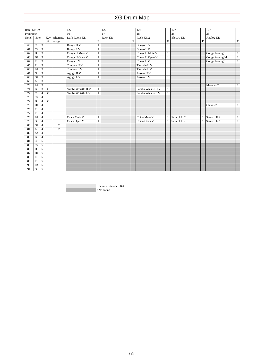| Bank MSB#  |                           |                         |              |                | 127               |              | 127      |   | 127               |              | 127                    |   | 127                    |              |
|------------|---------------------------|-------------------------|--------------|----------------|-------------------|--------------|----------|---|-------------------|--------------|------------------------|---|------------------------|--------------|
| Program#   |                           |                         |              |                | 10                |              | 17       |   | 18                |              | $\overline{25}$        |   | $\overline{26}$        |              |
| Note# Note |                           |                         |              | Key Alternate  | Dark Room Kit     |              | Rock Kit |   | Rock Kit 2        |              | Electro Kit            |   | Analog Kit             |              |
|            |                           |                         | off          | assign         |                   | E            |          | E |                   | E            |                        | E |                        | $\mathbf E$  |
| 60         | $\mathcal{C}$             | $\overline{3}$          |              |                | Bongo H V         | $\mathbf{1}$ |          |   | Bongo H V         | $\mathbf{1}$ |                        |   |                        |              |
| 61         | C#                        | $\overline{3}$          |              |                | Bongo LV          | $\mathbf{1}$ |          |   | Bongo L V         | $\mathbf{1}$ |                        |   |                        |              |
| 62         | D                         | $\overline{3}$          |              |                | Conga H Mute V    | $\mathbf{1}$ |          |   | Conga H Mute V    | $\mathbf{1}$ |                        |   | Conga Analog H         | 1            |
| 63         | D#                        | $\overline{\mathbf{3}}$ |              |                | Conga H Open V    | $\mathbf{1}$ |          |   | Conga H Open V    | $\mathbf{1}$ |                        |   | Conga Analog M         | $\mathbf{1}$ |
| 64         | E                         | $\overline{\mathbf{3}}$ |              |                | Conga L V         | 1            |          |   | Conga L V         | 1            |                        |   | Conga Analog L         | $\mathbf{1}$ |
| 65         | $\rm F$                   | $\overline{\mathbf{3}}$ |              |                | Timbale H V       | 1            |          |   | Timbale H V       | 1            |                        |   |                        |              |
| 66         | F#                        | $\overline{\mathbf{3}}$ |              |                | Timbale L V       | 1            |          |   | Timbale L V       | 1            |                        |   |                        |              |
| 67         | $\mathbf G$               | $\overline{3}$          |              |                | Agogo HV          | 1            |          |   | Agogo H V         | 1            |                        |   |                        |              |
| 68         | G#                        | $\overline{3}$          |              |                | Agogo L V         | $\mathbf{1}$ |          |   | Agogo LV          | $\mathbf{1}$ |                        |   |                        |              |
| 69         | $\boldsymbol{\mathsf{A}}$ | $\mathfrak{Z}$          |              |                |                   |              |          |   |                   |              |                        |   |                        |              |
| 70         | A#                        | 3                       |              |                |                   |              |          |   |                   |              |                        |   | Maracas 2              | $\mathbf{1}$ |
| 71         | B                         | $\overline{3}$          | $\circ$      |                | Samba Whistle H V | $\mathbf{1}$ |          |   | Samba Whistle H V | $\mathbf{1}$ |                        |   |                        |              |
| 72         | $\mathbf{C}$              | $\overline{4}$          | $\circ$      |                | Samba Whistle L V | $\mathbf{1}$ |          |   | Samba Whistle L V | $\mathbf{1}$ |                        |   |                        |              |
| 73         | C#                        | $\overline{4}$          |              |                |                   |              |          |   |                   |              |                        |   |                        |              |
| 74         | $\mathbf{D}$              | $\overline{4}$          | $\mathbf{O}$ |                |                   |              |          |   |                   |              |                        |   |                        |              |
| 75         | D#                        | $\overline{4}$          |              |                |                   |              |          |   |                   |              |                        |   | Claves <sub>2</sub>    | $\mathbf{1}$ |
| 76         | $\mathbf E$               | $\overline{4}$          |              |                |                   |              |          |   |                   |              |                        |   |                        |              |
| 77         | $\overline{F}$            | $\overline{4}$          |              |                |                   |              |          |   |                   |              |                        |   |                        |              |
| 78         | F#                        | $\overline{4}$          |              |                | Cuica Mute V      | $\mathbf{1}$ |          |   | Cuica Mute V      |              | Scratch H <sub>2</sub> |   | Scratch H <sub>2</sub> | $\mathbf{1}$ |
| 79         | $\overline{G}$            | $\overline{4}$          |              |                | Cuica Open V      | 1            |          |   | Cuica Open V      |              | Scratch L <sub>2</sub> |   | Scratch L <sub>3</sub> | $\mathbf{1}$ |
| 80         | G#                        | $\overline{4}$          |              | $\overline{c}$ |                   |              |          |   |                   |              |                        |   |                        |              |
| 81         | $\boldsymbol{\mathsf{A}}$ | $\overline{4}$          |              | $\overline{c}$ |                   |              |          |   |                   |              |                        |   |                        |              |
| 82         | A#                        | $\overline{4}$          |              |                |                   |              |          |   |                   |              |                        |   |                        |              |
| 83         | $\overline{B}$            | $\overline{4}$          |              |                |                   |              |          |   |                   |              |                        |   |                        |              |
| 84         | $\overline{C}$            | 5                       |              |                |                   |              |          |   |                   |              |                        |   |                        |              |
| 85         | C#                        | 5                       |              |                |                   |              |          |   |                   |              |                        |   |                        |              |
| 86         | $\mathbf{D}$              | $\overline{5}$          |              |                |                   |              |          |   |                   |              |                        |   |                        |              |
| 87         | D#                        | $\overline{5}$          |              |                |                   |              |          |   |                   |              |                        |   |                        |              |
| 88         | $\mathbf E$               | 5                       |              |                |                   |              |          |   |                   |              |                        |   |                        |              |
| 89         | $\mathbf F$               | 5                       |              |                |                   |              |          |   |                   |              |                        |   |                        |              |
| 90         | F#                        | 5                       |              |                |                   |              |          |   |                   |              |                        |   |                        |              |
| 91         | G                         | $\overline{5}$          |              |                |                   |              |          |   |                   |              |                        |   |                        |              |

: Same as standard Kit

: No sound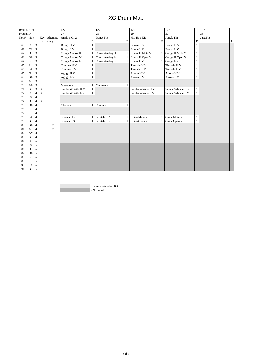| Bank MSB#  |                |                         |              |                | 127                    |              | 127                    |   | 127               |              | 127               |              | 127             |   |
|------------|----------------|-------------------------|--------------|----------------|------------------------|--------------|------------------------|---|-------------------|--------------|-------------------|--------------|-----------------|---|
| Program#   |                |                         |              |                | $\overline{27}$        |              | 28                     |   | 29                |              | 30                |              | $\overline{33}$ |   |
| Note# Note |                |                         | Key          | Alternate      | Analog Kit 2           |              | Dance Kit              |   | Hip Hop Kit       |              | Jungle Kit        |              | Jazz Kit        |   |
|            |                |                         | off          | assign         |                        | E            |                        | E |                   | E            |                   | E            |                 | E |
| 60         | C              | $\overline{\mathbf{3}}$ |              |                | Bongo H V              | $\mathbf{1}$ |                        |   | Bongo H V         | $\mathbf{1}$ | Bongo H V         | $\mathbf{1}$ |                 |   |
| 61         | C#             | $\overline{\mathbf{3}}$ |              |                | Bongo LV               | 1            |                        |   | Bongo L V         |              | Bongo L V         | 1            |                 |   |
| 62         | $\mathbf{D}$   | $\overline{3}$          |              |                | Conga Analog H         |              | Conga Analog H         |   | Conga H Mute V    |              | Conga H Mute V    | $\mathbf{1}$ |                 |   |
| 63         | D#             | $\overline{3}$          |              |                | Conga Analog M         |              | Conga Analog M         |   | Conga H Open V    |              | Conga H Open V    | $\mathbf{1}$ |                 |   |
| 64         | E              | 3                       |              |                | Conga Analog L         |              | Conga Analog L         |   | Conga L V         |              | Conga L V         | 1            |                 |   |
| 65         | $\mathbf F$    | 3                       |              |                | Timbale H V            | 1            |                        |   | Timbale H V       |              | Timbale H V       | 1            |                 |   |
| 66         | F#             | $\overline{\mathbf{3}}$ |              |                | Timbale L V            | 1            |                        |   | Timbale L V       |              | Timbale L V       | 1            |                 |   |
| 67         | G              | 3                       |              |                | Agogo H V              | 1            |                        |   | Agogo H V         | $\mathbf{1}$ | Agogo HV          | 1            |                 |   |
| 68         | G#             | $\overline{\mathbf{3}}$ |              |                | Agogo L V              | $\mathbf{1}$ |                        |   | Agogo L V         | 1            | Agogo L V         | $\mathbf{1}$ |                 |   |
| 69         | A              | $\overline{3}$          |              |                |                        |              |                        |   |                   |              |                   |              |                 |   |
| 70         | A#             | 3                       |              |                | Maracas 2              |              | Maracas 2              |   |                   |              |                   |              |                 |   |
| 71         | $\, {\bf B}$   | 3                       | $\circ$      |                | Samba Whistle H V      | $\mathbf{1}$ |                        |   | Samba Whistle H V | 1            | Samba Whistle H V | $\mathbf{1}$ |                 |   |
| 72         | $\mathbf C$    | $\overline{4}$          | $\mathbf{O}$ |                | Samba Whistle L V      | $\mathbf{1}$ |                        |   | Samba Whistle L V | $\mathbf{1}$ | Samba Whistle L V | $\mathbf{1}$ |                 |   |
| 73         | C#             | $\overline{4}$          |              |                |                        |              |                        |   |                   |              |                   |              |                 |   |
| 74         | D              | $\overline{4}$          | $\circ$      |                |                        |              |                        |   |                   |              |                   |              |                 |   |
| 75         | D#             | $\overline{4}$          |              |                | Claves <sub>2</sub>    | 1            | Claves <sub>2</sub>    | 1 |                   |              |                   |              |                 |   |
| 76         | E              | $\overline{4}$          |              |                |                        |              |                        |   |                   |              |                   |              |                 |   |
| 77         | $\overline{F}$ | $\overline{4}$          |              |                |                        |              |                        |   |                   |              |                   |              |                 |   |
| 78         | F#             | $\overline{4}$          |              |                | Scratch H <sub>2</sub> |              | Scratch H <sub>2</sub> |   | Cuica Mute V      |              | Cuica Mute V      | 1            |                 |   |
| 79         | $\overline{G}$ | 4                       |              |                | Scratch L <sub>3</sub> |              | Scratch L <sub>3</sub> |   | Cuica Open V      |              | Cuica Open V      | 1            |                 |   |
| 80         | G#             | $\overline{4}$          |              | $\overline{c}$ |                        |              |                        |   |                   |              |                   |              |                 |   |
| 81         | A              | $\overline{4}$          |              | $\overline{c}$ |                        |              |                        |   |                   |              |                   |              |                 |   |
| 82         | A#             | $\overline{4}$          |              |                |                        |              |                        |   |                   |              |                   |              |                 |   |
| 83         | $\, {\bf B}$   | $\overline{4}$          |              |                |                        |              |                        |   |                   |              |                   |              |                 |   |
| 84         | $\mathbf C$    | 5                       |              |                |                        |              |                        |   |                   |              |                   |              |                 |   |
| 85         | C#             | 5                       |              |                |                        |              |                        |   |                   |              |                   |              |                 |   |
| 86         | $\mathbf D$    | 5                       |              |                |                        |              |                        |   |                   |              |                   |              |                 |   |
| 87         | D#             | 5                       |              |                |                        |              |                        |   |                   |              |                   |              |                 |   |
| 88         | E              | 5                       |              |                |                        |              |                        |   |                   |              |                   |              |                 |   |
| 89         | $\mathbf F$    | 5                       |              |                |                        |              |                        |   |                   |              |                   |              |                 |   |
| 90         | F#             | 5                       |              |                |                        |              |                        |   |                   |              |                   |              |                 |   |
| 91         | G              | 5                       |              |                |                        |              |                        |   |                   |              |                   |              |                 |   |

: Same as standard Kit : No sound

66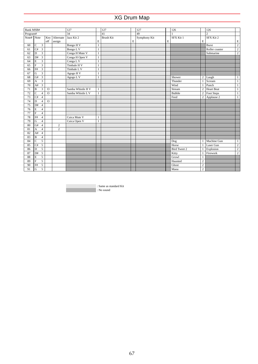| $\overline{34}$<br>$\overline{2}$<br>$\overline{41}$<br>49<br>Program#<br>$\mathbf{1}$<br>Note# $\vert$ Note<br>Key Alternate<br>Jazz Kit 2<br>Symphony Kit<br><b>Brush Kit</b><br>SFX Kit 1<br>SFX Kit 2<br>E |                |
|----------------------------------------------------------------------------------------------------------------------------------------------------------------------------------------------------------------|----------------|
|                                                                                                                                                                                                                |                |
|                                                                                                                                                                                                                |                |
| E<br>E<br>E<br>off<br>assign                                                                                                                                                                                   | $\mathbf E$    |
| $\overline{C}$<br>$\overline{\mathbf{3}}$<br>Bongo H V<br>Burst<br>60<br>$\mathbf{1}$                                                                                                                          | $\overline{2}$ |
| 3<br>C#<br>Bongo LV<br>Roller coaster<br>61<br>1                                                                                                                                                               | $\overline{c}$ |
| $\overline{\mathbf{3}}$<br>Conga H Mute V<br>$\overline{D}$<br>62<br>$\mathbf{1}$<br>Submarine                                                                                                                 | $\overline{2}$ |
| 3<br>D#<br>Conga H Open V<br>63<br>$\mathbf{1}$                                                                                                                                                                |                |
| $\mathbf E$<br>$\overline{3}$<br>Conga L V<br>64<br>$\mathbf{1}$                                                                                                                                               |                |
| $\overline{F}$<br>$\overline{\mathbf{3}}$<br>65<br>Timbale H V<br>$\mathbf{1}$                                                                                                                                 |                |
| $\overline{\mathbf{3}}$<br>F#<br>66<br>Timbale L V<br>1                                                                                                                                                        |                |
| 3<br>${\rm G}$<br>67<br>Agogo H V<br>1                                                                                                                                                                         |                |
| $\overline{3}$<br>G#<br>68<br>Agogo L V<br>Shower<br>$\overline{c}$<br>Laugh<br>$\mathbf{1}$                                                                                                                   | $\mathbf{1}$   |
| $\overline{3}$<br>69<br>A<br>Thunder<br>Scream<br>1                                                                                                                                                            | $\mathbf{1}$   |
| $\overline{\mathbf{3}}$<br>Punch<br>70<br>A#<br>Wind                                                                                                                                                           | $\mathbf{1}$   |
| $\overline{\mathbf{3}}$<br>71<br>$\mathbf O$<br>Samba Whistle H V<br>Stream<br><b>Heart Beat</b><br>$\, {\bf B}$<br>$\overline{c}$<br>$\mathbf{1}$                                                             | $\mathbf{1}$   |
| 72<br>$\overline{C}$<br>$\overline{0}$<br><b>Bubble</b><br>$\overline{4}$<br>Samba Whistle L V<br>Foot Steps<br>$\overline{c}$<br>$\mathbf{1}$                                                                 | $\mathbf{1}$   |
| 73<br>C#<br>$\overline{4}$<br>Feed<br>$\overline{c}$<br>Applause 2                                                                                                                                             | $\mathbf{1}$   |
| 74<br>$\overline{0}$<br>$\mathbf{D}$<br>$\overline{4}$                                                                                                                                                         |                |
| 75<br>D#<br>$\overline{4}$                                                                                                                                                                                     |                |
| $\mathbf E$<br>76<br>$\overline{4}$                                                                                                                                                                            |                |
| $\overline{F}$<br>77<br>$\overline{4}$                                                                                                                                                                         |                |
| 78<br>$\rm{F}\#$<br>$\overline{4}$<br>Cuica Mute V<br>1                                                                                                                                                        |                |
| $\overline{G}$<br>79<br>$\overline{4}$<br>Cuica Open V<br>$\mathbf{1}$                                                                                                                                         |                |
| G#<br>80<br>$\overline{4}$<br>$\overline{2}$                                                                                                                                                                   |                |
| $\overline{2}$<br>81<br>$\boldsymbol{\rm{A}}$<br>$\overline{4}$                                                                                                                                                |                |
| A#<br>82<br>$\overline{4}$                                                                                                                                                                                     |                |
| $\overline{B}$<br>83<br>$\overline{4}$                                                                                                                                                                         |                |
| $\overline{c}$<br>5<br>84<br>Machine Gun<br>Dog                                                                                                                                                                | $\mathbf{1}$   |
| C#<br>85<br>5<br>Horse<br>Laser Gun                                                                                                                                                                            | $\overline{c}$ |
| 5<br>86<br>$\mathbf D$<br><b>Bird Tweet 2</b><br>Explosion                                                                                                                                                     | $\overline{2}$ |
| 5<br>87<br>D#<br>Firework<br>Kitty                                                                                                                                                                             | $\overline{2}$ |
| $\mathbf E$<br>5<br>88<br>Growl<br>$\mathbf{1}$                                                                                                                                                                |                |
| $\overline{F}$<br>$\overline{5}$<br>89<br>$\overline{c}$<br>Haunted                                                                                                                                            |                |
| $\overline{c}$<br>F#<br>5<br>Ghost<br>90                                                                                                                                                                       |                |
| $\overline{G}$<br>$\overline{5}$<br>Maou<br>$\overline{c}$<br>91                                                                                                                                               |                |

: Same as standard Kit

: No sound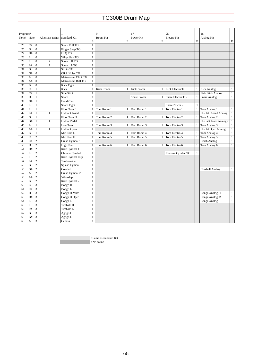| Program# |                               |                  |                       |              | 9                |              | 17                 |                | 25                |              | 26                       |              |
|----------|-------------------------------|------------------|-----------------------|--------------|------------------|--------------|--------------------|----------------|-------------------|--------------|--------------------------|--------------|
| Note#    | Note                          | Alternate assign | <b>Standard Kit</b>   |              | Room Kit         |              | Power Kit          |                | Electro Kit       |              | Analog Kit               |              |
|          |                               |                  |                       | E            |                  | E            |                    | E              |                   | E            |                          | E            |
| 25       | C#<br>$\mathbf{0}$            |                  | Snare Roll TG         | $\mathbf{1}$ |                  |              |                    |                |                   |              |                          |              |
| 26       | D<br>$\boldsymbol{0}$         |                  | Finger Snap TG        | $\mathbf{1}$ |                  |              |                    |                |                   |              |                          |              |
| 27       | $\mathbf{0}$<br>D#            |                  | Hi O TG               | $\mathbf{1}$ |                  |              |                    |                |                   |              |                          |              |
| 28       | E<br>$\boldsymbol{0}$         |                  | Whip Slap TG          | $\mathbf{1}$ |                  |              |                    |                |                   |              |                          |              |
| 29       | F<br>$\mathbf{0}$             | $\overline{7}$   | Scratch HTG           | $\mathbf{1}$ |                  |              |                    |                |                   |              |                          |              |
| 30       | F#<br>$\mathbf{0}$            | $\overline{7}$   | Scratch LTG           | $\mathbf{1}$ |                  |              |                    |                |                   |              |                          |              |
| 31       | G<br>$\mathbf{0}$             |                  | <b>Sticks TG</b>      | $\mathbf{1}$ |                  |              |                    |                |                   |              |                          |              |
| 32       | $\mathbf{0}$<br>G#            |                  | <b>Click Noise TG</b> | $\mathbf{1}$ |                  |              |                    |                |                   |              |                          |              |
| 33       | A<br>$\mathbf{0}$             |                  | Metronome Click TG    | $\mathbf{1}$ |                  |              |                    |                |                   |              |                          |              |
| 34       | A#<br>$\mathbf{0}$            |                  | Metronome Bell TG     | $\mathbf{1}$ |                  |              |                    |                |                   |              |                          |              |
| 35       | B<br>$\mathbf{0}$             |                  | Kick Tight            | $\mathbf{1}$ |                  |              |                    |                |                   |              |                          |              |
| 36       | C<br>$\mathbf{1}$             |                  | Kick                  | $\mathbf{1}$ | <b>Kick Room</b> | $\mathbf{1}$ | <b>Kick Power</b>  | $\mathbf{1}$   | Kick Electro TG   | $\mathbf{1}$ | <b>Kick Analog</b>       | $\mathbf{1}$ |
| 37       | C#<br>$\mathbf{1}$            |                  | Side Stick            | 1            |                  |              |                    |                |                   |              | <b>Side Stick Analog</b> | $\,1\,$      |
| 38       | D<br>1                        |                  | Snare                 | $\mathbf{1}$ |                  |              | <b>Snare Power</b> | 1              | Snare Electro TG  | 1            | <b>Snare Analog</b>      | $\mathbf{1}$ |
| 39       | D#<br>1                       |                  | Hand Clap             | $\mathbf{1}$ |                  |              |                    |                |                   |              |                          |              |
| 40       | E<br>$\mathbf{1}$             |                  | Snare Tight           | 1            |                  |              |                    |                | Snare Power 2     | $\mathbf{1}$ |                          |              |
| 41       | F<br>$\mathbf{1}$             |                  | Floor Tom L           | $\mathbf{1}$ | Tom Room 1       | $\mathbf{1}$ | Tom Room 1         | $\mathbf{1}$   | Tom Electro 1     | $\mathbf{1}$ | Tom Analog 1             | $\mathbf{1}$ |
| 42       | F#<br>$\mathbf{1}$            | $\mathbf{1}$     | Hi-Hat Closed         | 1            |                  |              |                    |                |                   |              | Hi-Hat Closed Analog     | $\mathbf{1}$ |
| 43       | G<br>$\mathbf{1}$             |                  | Floor Tom H           | $\mathbf{1}$ | Tom Room 2       | $\mathbf{1}$ | Tom Room 2         | $\mathbf{1}$   | Tom Electro 2     | 1            | Tom Analog 2             | $\mathbf{1}$ |
| 44       | G#<br>$\mathbf{1}$            | $\mathbf{1}$     | Hi-Hat Pedal          | $\mathbf{1}$ |                  |              |                    |                |                   |              | Hi-Hat Closed Analog 2   | $\mathbf{1}$ |
| 45       | $1\,$<br>A                    |                  | Low Tom               | $\mathbf{1}$ | Tom Room 3       | $\mathbf{1}$ | Tom Room 3         | $\mathbf{1}$   | Tom Electro 3     | 1            | Tom Analog 3             | $\,1$        |
| 46       | A#<br>$\mathbf{1}$            | $\mathbf{1}$     | Hi-Hat Open           | $\mathbf{1}$ |                  |              |                    |                |                   |              | Hi-Hat Open Analog       | $\,1\,$      |
| 47       | B<br>$\mathbf{1}$             |                  | Mid Tom L             | $\mathbf{1}$ | Tom Room 4       | $\mathbf{1}$ | Tom Room 4         | $\overline{1}$ | Tom Electro 4     | $\mathbf{1}$ | Tom Analog 4             | $\,1$        |
| 48       | Ċ<br>$\overline{c}$           |                  | Mid Tom H             | $\mathbf{1}$ | Tom Room 5       | $\mathbf{1}$ | Tom Room 5         | $\mathbf{1}$   | Tom Electro 5     | $\mathbf{1}$ | Tom Analog 5             | $\,1$        |
| 49       | $\overline{c}$<br>C#          |                  | Crash Cymbal 1        | $\mathbf{1}$ |                  |              |                    |                |                   |              | Crash Analog             | $\,1$        |
| 50       | $\overline{c}$<br>D           |                  | High Tom              | $\mathbf{1}$ | Tom Room 6       | $\mathbf{1}$ | Tom Room 6         | $\mathbf{1}$   | Tom Electro 6     | $\mathbf{1}$ | Tom Analog 6             | $\,1$        |
| 51       | D#<br>$\mathbf{2}$            |                  | Ride Cymbal 1         | $\mathbf{1}$ |                  |              |                    |                |                   |              |                          |              |
| 52       | E<br>$\overline{c}$           |                  | Chinese Cymbal        | $\mathbf{1}$ |                  |              |                    |                | Reverse Cymbal TG | $\mathbf{1}$ |                          |              |
| 53       | F<br>$\overline{c}$           |                  | Ride Cymbal Cup       | $\mathbf{1}$ |                  |              |                    |                |                   |              |                          |              |
| 54       | F#<br>$\overline{c}$          |                  | Tambourine            | $\mathbf{1}$ |                  |              |                    |                |                   |              |                          |              |
| 55       | Ġ<br>$\overline{c}$           |                  | Splash Cymbal         | $\mathbf{1}$ |                  |              |                    |                |                   |              |                          |              |
| 56       | $\overline{c}$<br>G#          |                  | Cowbell               | $\mathbf{1}$ |                  |              |                    |                |                   |              | Cowbell Analog           | $\mathbf{1}$ |
| 57       | $\overline{c}$<br>A           |                  | Crash Cymbal 2        | $\mathbf{1}$ |                  |              |                    |                |                   |              |                          |              |
| 58       | $\overline{c}$<br>A#          |                  | Vibraslap             | $\mathbf{1}$ |                  |              |                    |                |                   |              |                          |              |
| 59       | B<br>$\overline{c}$           |                  | Ride Cymbal 2         | $\mathbf{1}$ |                  |              |                    |                |                   |              |                          |              |
| 60       | C<br>$\overline{3}$           |                  | Bongo H               | $\mathbf{1}$ |                  |              |                    |                |                   |              |                          |              |
| 61       | C#<br>$\overline{\mathbf{3}}$ |                  | Bongo L               | $\mathbf{1}$ |                  |              |                    |                |                   |              |                          |              |
| 62       | D<br>3                        |                  | Conga H Mute          | $\mathbf{1}$ |                  |              |                    |                |                   |              | Conga Analog H           | $\mathbf{1}$ |
| 63       | $\overline{\mathbf{3}}$<br>D# |                  | Conga H Open          | $\mathbf{1}$ |                  |              |                    |                |                   |              | Conga Analog M           | $\mathbf{1}$ |
| 64       | E<br>3                        |                  | Conga L               | $\mathbf{1}$ |                  |              |                    |                |                   |              | Conga Analog L           | $\mathbf{1}$ |
| 65       | F<br>$\overline{\mathbf{3}}$  |                  | Timbale H             | $\mathbf{1}$ |                  |              |                    |                |                   |              |                          |              |
| 66       | F#<br>3                       |                  | Timbale L             | $\mathbf{1}$ |                  |              |                    |                |                   |              |                          |              |
| 67       | G<br>3                        |                  | Agogo H               | $\mathbf{1}$ |                  |              |                    |                |                   |              |                          |              |
| 68       | G#<br>3                       |                  | Agogo L               | $\mathbf{1}$ |                  |              |                    |                |                   |              |                          |              |
| 69       | 3<br>A                        |                  | Cabasa                | $\,1$        |                  |              |                    |                |                   |              |                          |              |

: Same as standard Kit

 $\mathbf{\cdot}$  No sound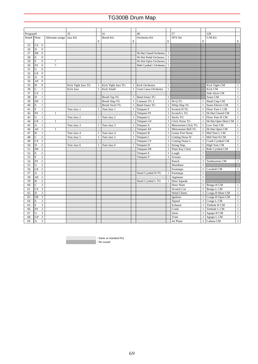| Program#   |    |                         |                             | 33                 |              | 41                    |   | 49                      |              | 57                       |                | 128                  |              |
|------------|----|-------------------------|-----------------------------|--------------------|--------------|-----------------------|---|-------------------------|--------------|--------------------------|----------------|----------------------|--------------|
| Note# Note |    |                         | Alternate assign   Jazz Kit |                    |              | <b>Brush Kit</b>      |   | Orchestra Kit           |              | SFX Set                  |                | C/M Kit              |              |
|            |    |                         |                             |                    | E            |                       | E |                         | E            |                          | E              |                      | E            |
| 25         | C# | $\mathbf{0}$            |                             |                    |              |                       |   |                         |              |                          |                |                      |              |
| 26         | D  | $\mathbf{0}$            |                             |                    |              |                       |   |                         |              |                          |                |                      |              |
| 27         | D# | $\Omega$                |                             |                    |              |                       |   | Hi-Hat Closed Orchestra | $\mathbf{1}$ |                          |                |                      |              |
| 28         | E  | $\mathbf{0}$            |                             |                    |              |                       |   | Hi-Hat Pedal Orchestra  | $\mathbf{1}$ |                          |                |                      |              |
| 29         | F  | $\mathbf{0}$            | $\tau$                      |                    |              |                       |   | Hi-Hat Open Orchestra   | $\mathbf{1}$ |                          |                |                      |              |
| 30         | F# | $\boldsymbol{0}$        | $\overline{7}$              |                    |              |                       |   | Ride Cymbal 1 Orchestra | $\mathbf{1}$ |                          |                |                      |              |
| 31         | G  | $\mathbf{0}$            |                             |                    |              |                       |   |                         |              |                          |                |                      |              |
| 32         | G# | $\mathbf{0}$            |                             |                    |              |                       |   |                         |              |                          |                |                      |              |
| 33         | A  | $\mathbf{0}$            |                             |                    |              |                       |   |                         |              |                          |                |                      |              |
| 34         | A# | $\mathbf{0}$            |                             |                    |              |                       |   |                         |              |                          |                |                      |              |
| 35         | B  | $\mathbf{0}$            |                             | Kick Tight Jazz TG |              | Kick Tight Jazz TG    | 1 | Kick Orchestra          | $\mathbf{1}$ |                          |                | Kick Tight CM        | $\mathbf{1}$ |
| 36         | C  | $\mathbf{1}$            |                             | <b>Kick Jazz</b>   | $\mathbf{1}$ | <b>Kick Small</b>     |   | Gran Cassa Orchestra    | $\mathbf{1}$ |                          |                | Kick CM              | $\mathbf{1}$ |
| 37         | C# | $\mathbf{1}$            |                             |                    |              |                       |   |                         |              |                          |                | Side Stick CM        | $\mathbf{1}$ |
| 38         | D  | $\mathbf{1}$            |                             |                    |              | <b>Brush Tap TG</b>   |   | <b>Band Snare TG</b>    | $\mathbf{1}$ |                          |                | Snare CM             | $\mathbf{1}$ |
| 39         | D# | $\mathbf{1}$            |                             |                    |              | <b>Brush Slap TG</b>  |   | Castanet TG 2           | $\mathbf{1}$ | Hi Q TG                  |                | Hand Clap CM         | $\,1\,$      |
| 40         | E  | $\mathbf{1}$            |                             |                    |              | <b>Brush Swirl TG</b> |   | <b>Band Snare TG</b>    | $\mathbf{1}$ | Whip Slap TG             |                | Snare Electro CM     | $\,1\,$      |
| 41         | F  | $\mathbf{1}$            |                             | Tom Jazz 1         |              | Tom Jazz 1            |   | Timpani F               | $\mathbf{1}$ | Scratch H TG             | $\mathbf{1}$   | Floor Tom L CM       | $\,1\,$      |
| 42         | F# | $\mathbf{1}$            | $\mathbf{1}$                |                    |              |                       |   | Timpani F#              | $\mathbf{1}$ | Scratch L TG             | $\mathbf{1}$   | Hi-Hat Closed CM     | $\mathbf{1}$ |
| 43         | G  | 1                       |                             | Tom Jazz 2         |              | Tom Jazz 2            |   | Timpani G               | $\mathbf{1}$ | <b>Sticks TG</b>         | $\mathbf{1}$   | Floor Tom H CM       | $\mathbf{1}$ |
| 44         | G# | $\mathbf{1}$            | $\mathbf{1}$                |                    |              |                       |   | Timpani G#              | $\mathbf{1}$ | <b>Click Noise TG</b>    | $\mathbf{1}$   | Hi-Hat Open Short CM | $\mathbf{1}$ |
| 45         | A  | $\mathbf{1}$            |                             | Tom Jazz 3         |              | Tom Jazz 3            |   | Timpani A               | $\mathbf{1}$ | Metronome Click TG       | 1              | Low Tom CM           | $\,1$        |
| 46         | A# | $\mathbf{1}$            | 1                           |                    |              |                       |   | Timpani A#              |              | Metronome Bell TG        | $\mathbf{1}$   | Hi-Hat Open CM       | $1\,$        |
| 47         | B  | $\mathbf{1}$            |                             | Tom Jazz 4         |              | Tom Jazz 4            |   | Timpani B               | $\mathbf{1}$ | <b>Guitar Fret Noise</b> | $\overline{c}$ | Mid Tom L CM         | $\,1\,$      |
| 48         | C  | $\overline{c}$          |                             | Tom Jazz 5         |              | Tom Jazz 5            |   | Timpani C               | $\mathbf{1}$ | <b>Cutting Noise H</b>   | $\mathbf{1}$   | Mid Tom H CM         | $\,1\,$      |
| 49         | C# | $\overline{c}$          |                             |                    |              |                       |   | Timpani C#              | $\mathbf{1}$ | Cutting Noise L          | $\mathbf{1}$   | Crash Cymbal CM      | $1\,$        |
| 50         | D  | $\overline{c}$          |                             | Tom Jazz 6         |              | Tom Jazz 6            |   | Timpani D               | $\mathbf{1}$ | <b>String Slap</b>       | $\mathbf{1}$   | High Tom CM          | $\mathbf{1}$ |
| 51         | D# | $\overline{c}$          |                             |                    |              |                       |   | Timpani D#              | $\mathbf{1}$ | <b>Flute Key Click</b>   | $\mathbf{1}$   | Ride Cymbal CM       | $\mathbf{1}$ |
| 52         | E  | $\overline{c}$          |                             |                    |              |                       |   | Timpani E               | $\mathbf{1}$ | Laugh                    | $\mathbf{1}$   |                      |              |
| 53         | F  | $\overline{c}$          |                             |                    |              |                       |   | Timpani F'              | $\mathbf{1}$ | Scream                   | $\mathbf{1}$   |                      |              |
| 54         | F# | $\overline{2}$          |                             |                    |              |                       |   |                         |              | Punch                    | $\mathbf{1}$   | Tambourine CM        | $\mathbf{1}$ |
| 55         | G  | $\overline{c}$          |                             |                    |              |                       |   |                         |              | Heartbeat                | $\mathbf{1}$   |                      |              |
| 56         | G# | $\overline{c}$          |                             |                    |              |                       |   |                         |              | Footsteps                | $\mathbf{1}$   | Cowbell CM           | $\mathbf{1}$ |
| 57         | A  | $\sqrt{2}$              |                             |                    |              |                       |   | Hand Cymbal H TG        |              | Footsteps                | $\mathbf{1}$   |                      |              |
| 58         | A# | $\overline{c}$          |                             |                    |              |                       |   |                         |              | Applause                 | $\mathbf{1}$   |                      |              |
| 59         | B  | $\overline{c}$          |                             |                    |              |                       |   | Hand Cymbal L TG        |              | Door Squeak              | $\mathbf{1}$   |                      |              |
| 60         | C  | $\overline{\mathbf{3}}$ |                             |                    |              |                       |   |                         |              | Door Slam                | $\mathbf{1}$   | Bongo H CM           | $\mathbf{1}$ |
| 61         | C# | $\overline{3}$          |                             |                    |              |                       |   |                         |              | <b>Scratch Cut</b>       | $\mathbf{1}$   | Bongo L CM           | $\,1$        |
| 62         | D  | $\overline{3}$          |                             |                    |              |                       |   |                         |              | Wind Chime               | $\mathbf{1}$   | Conga H Mute CM      | $1\,$        |
| 63         | D# | 3                       |                             |                    |              |                       |   |                         |              | Ignition                 | $\mathbf{1}$   | Conga H Open CM      | $\mathbf{1}$ |
| 64         | Е  | 3                       |                             |                    |              |                       |   |                         |              | Squeal                   | $\mathbf{1}$   | Conga L CM           | $\mathbf{1}$ |
| 65         | F  | 3                       |                             |                    |              |                       |   |                         |              | Exhaust                  | $\mathbf{1}$   | Timbale H CM         | $\mathbf{1}$ |
| 66         | F# | 3                       |                             |                    |              |                       |   |                         |              | Crash                    | $\mathbf{1}$   | Timbale L CM         | $\mathbf{1}$ |
| 67         | G  | 3                       |                             |                    |              |                       |   |                         |              | Siren                    | $\mathbf{1}$   | Agogo H CM           | $\,1$        |
| 68         | G# | $\overline{3}$          |                             |                    |              |                       |   |                         |              | Train                    | $\mathbf{1}$   | Agogo L CM           | $\mathbf{1}$ |
| 69         | A  | $\overline{3}$          |                             |                    |              |                       |   |                         |              | Jet Plane                | $\overline{2}$ | Cabasa CM            | $\mathbf{1}$ |

: Same as standard Kit

 $\cdot$  No sound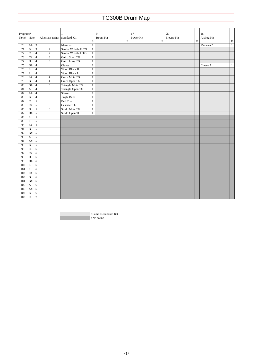| Program#        |                           |                         |                  | $\mathbf{1}$            |              | $\mathbf{Q}$ |   | 17        |             | 25          |   | 26                   |              |
|-----------------|---------------------------|-------------------------|------------------|-------------------------|--------------|--------------|---|-----------|-------------|-------------|---|----------------------|--------------|
| Note# Note      |                           |                         | Alternate assign | Standard Kit            |              | Room Kit     |   | Power Kit |             | Electro Kit |   | Analog Kit           |              |
|                 |                           |                         |                  |                         | E            |              | E |           | $\mathbf E$ |             | E |                      | $\mathbf E$  |
| 70              | A#                        | $\overline{\mathbf{3}}$ |                  | Maracas                 | $\mathbf{1}$ |              |   |           |             |             |   | Maracas <sub>2</sub> | $\mathbf{1}$ |
| 71              | $\overline{\mathbf{B}}$   | $\overline{\mathbf{3}}$ | $\overline{2}$   | Samba Whistle H TG      | $\mathbf{1}$ |              |   |           |             |             |   |                      |              |
| 72              | $\overline{C}$            | $\overline{4}$          | $\boldsymbol{2}$ | Samba Whistle LTG       | $\mathbf{1}$ |              |   |           |             |             |   |                      |              |
| 73              | C#                        | $\overline{4}$          | $\mathfrak{Z}$   | Guiro Short TG          | $1\,$        |              |   |           |             |             |   |                      |              |
| 74              | $\overline{D}$            | $\overline{4}$          |                  | Guiro Long TG           | $1\,$        |              |   |           |             |             |   |                      |              |
| 75              | D#                        | $\overline{4}$          |                  | Claves                  | $1\,$        |              |   |           |             |             |   | Claves <sub>2</sub>  | $\mathbf{1}$ |
| $\overline{76}$ | $\mathbf E$               | $\overline{4}$          |                  | Wood Block H            | $1\,$        |              |   |           |             |             |   |                      |              |
| 77              | $\overline{\mathrm{F}}$   | $\overline{4}$          |                  | Wood Block L            | $1\,$        |              |   |           |             |             |   |                      |              |
| 78              | $\overline{F#}$           | $\overline{4}$          | $\overline{4}$   | Cuica Mute TG           | $1\,$        |              |   |           |             |             |   |                      |              |
| 79              | ${\bf G}$                 | $\overline{4}$          | $\overline{4}$   | Cuica Open TG           | $\mathbf{1}$ |              |   |           |             |             |   |                      |              |
| 80              | G#                        | $\overline{4}$          | $\overline{5}$   | <b>Triangle Mute TG</b> | $1\,$        |              |   |           |             |             |   |                      |              |
| 81              | $\boldsymbol{\mathsf{A}}$ | $\overline{4}$          | $\overline{5}$   | Triangle Open TG        | $1\,$        |              |   |           |             |             |   |                      |              |
| 82              | A#                        | $\overline{4}$          |                  | Shaker                  | $\,1$        |              |   |           |             |             |   |                      |              |
| 83              | $\overline{\mathbf{B}}$   | $\overline{4}$          |                  | <b>Jingle Bells</b>     | $\mathbf{1}$ |              |   |           |             |             |   |                      |              |
| 84              | $\overline{C}$            | $\overline{5}$          |                  | <b>Bell Tree</b>        | $1\,$        |              |   |           |             |             |   |                      |              |
| 85              | C#                        | $\overline{5}$          |                  | <b>Castanet TG</b>      | $\mathbf{1}$ |              |   |           |             |             |   |                      |              |
| 86              | $\overline{D}$            | $\overline{5}$          | 6                | Surdo Mute TG           | $\mathbf{1}$ |              |   |           |             |             |   |                      |              |
| 87              | D#                        | $\sqrt{5}$              | 6                | Surdo Open TG           | $\mathbf{1}$ |              |   |           |             |             |   |                      |              |
| 88              | $\mathbf E$               | 5                       |                  |                         |              |              |   |           |             |             |   |                      |              |
| 89              | $\overline{\mathrm{F}}$   | $\overline{5}$          |                  |                         |              |              |   |           |             |             |   |                      |              |
| 90              | F#                        | $\overline{5}$          |                  |                         |              |              |   |           |             |             |   |                      |              |
| 91              | ${\bf G}$                 | 5                       |                  |                         |              |              |   |           |             |             |   |                      |              |
| 92              | G#                        | $\overline{5}$          |                  |                         |              |              |   |           |             |             |   |                      |              |
| 93              | $\boldsymbol{\mathsf{A}}$ | 5                       |                  |                         |              |              |   |           |             |             |   |                      |              |
| 94              | A#                        | 5                       |                  |                         |              |              |   |           |             |             |   |                      |              |
| 95              | $\, {\bf B}$              | $\sqrt{5}$              |                  |                         |              |              |   |           |             |             |   |                      |              |
| 96              | $\overline{C}$            | 6                       |                  |                         |              |              |   |           |             |             |   |                      |              |
| 97              | C#                        | 6                       |                  |                         |              |              |   |           |             |             |   |                      |              |
| 98              | $\overline{D}$            | 6                       |                  |                         |              |              |   |           |             |             |   |                      |              |
| 99              | D#                        | 6                       |                  |                         |              |              |   |           |             |             |   |                      |              |
| 100             | E                         | 6                       |                  |                         |              |              |   |           |             |             |   |                      |              |
| 101             | $\overline{\mathrm{F}}$   | 6                       |                  |                         |              |              |   |           |             |             |   |                      |              |
| 102             | F#                        | 6                       |                  |                         |              |              |   |           |             |             |   |                      |              |
| 103             | ${\bf G}$                 | 6                       |                  |                         |              |              |   |           |             |             |   |                      |              |
| 104             | G#                        | 6                       |                  |                         |              |              |   |           |             |             |   |                      |              |
| 105             | $\boldsymbol{\mathsf{A}}$ | 6                       |                  |                         |              |              |   |           |             |             |   |                      |              |
| 106             | A#                        | $\sqrt{6}$              |                  |                         |              |              |   |           |             |             |   |                      |              |
| 107             | $\, {\bf B}$              | 6                       |                  |                         |              |              |   |           |             |             |   |                      |              |
| 108             | $\overline{C}$            | $\overline{7}$          |                  |                         |              |              |   |           |             |             |   |                      |              |

: Same as standard Kit : No sound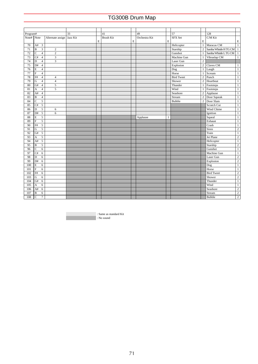| Program#           |                           |                         |                           | 33 |   | 41               |   | 49            |   | 57                |                | 128                  |                         |
|--------------------|---------------------------|-------------------------|---------------------------|----|---|------------------|---|---------------|---|-------------------|----------------|----------------------|-------------------------|
| Note# $\vert$ Note |                           |                         | Alternate assign Jazz Kit |    |   | <b>Brush Kit</b> |   | Orchestra Kit |   | SFX Set           |                | $C/M$ Kit            |                         |
|                    |                           |                         |                           |    | E |                  | E |               | E |                   | $\mathbf E$    |                      | $\mathbf E$             |
| 70                 | A#                        | $\overline{\mathbf{3}}$ |                           |    |   |                  |   |               |   | Helicopter        | $\mathbf{1}$   | Maracas CM           | $\overline{1}$          |
| 71                 | $\, {\bf B}$              | $\overline{3}$          | $\overline{c}$            |    |   |                  |   |               |   | Starship          | $\overline{2}$ | Samba Whistle HTG CM | $\overline{1}$          |
| 72                 | $\overline{C}$            | $\overline{4}$          | $\overline{c}$            |    |   |                  |   |               |   | Gunshot           | $\mathbf{1}$   | Samba Whistle LTG CM | $\overline{1}$          |
| 73                 | C#                        | $\overline{4}$          | 3                         |    |   |                  |   |               |   | Machine Gun       | $\mathbf{1}$   | Vibraslap CM         | $\mathbf{1}$            |
| 74                 | $\mathbf D$               | $\overline{4}$          | $\overline{\mathbf{3}}$   |    |   |                  |   |               |   | Laser Gun         | $\overline{c}$ |                      |                         |
| 75                 | D#                        | $\overline{4}$          |                           |    |   |                  |   |               |   | Explosion         | $\,2$          | Claves CM            | $\mathbf{1}$            |
| 76                 | $\mathbf E$               | $\overline{4}$          |                           |    |   |                  |   |               |   | Dog               | $\mathbf{1}$   | Laugh                | $\mathbf{1}$            |
| 77                 | $\overline{\mathrm{F}}$   | $\overline{4}$          |                           |    |   |                  |   |               |   | Horse             | $\mathbf{1}$   | Scream               | $\overline{1}$          |
| 78                 | $\overline{F#}$           | $\overline{4}$          | $\overline{4}$            |    |   |                  |   |               |   | <b>Bird Tweet</b> | $\overline{c}$ | Punch                | $\mathbf{1}$            |
| 79                 | $\overline{G}$            | $\overline{4}$          | $\overline{4}$            |    |   |                  |   |               |   | Shower            | $\overline{c}$ | Heartbeat            | $\,1$                   |
| 80                 | G#                        | $\overline{4}$          | 5                         |    |   |                  |   |               |   | Thunder           | $\mathbf{1}$   | Footsteps            | $\mathbf{1}$            |
| 81                 | $\boldsymbol{\mathsf{A}}$ | $\sqrt{4}$              | 5                         |    |   |                  |   |               |   | Wind              | $\mathbf{1}$   | Footsteps            | $\overline{1}$          |
| 82                 | A#                        | $\overline{4}$          |                           |    |   |                  |   |               |   | Seashore          | $\,2$          | Applause             | $\overline{1}$          |
| 83                 | $\, {\bf B}$              | $\sqrt{4}$              |                           |    |   |                  |   |               |   | Stream            | $\overline{2}$ | Door Squeak          | $\,1$                   |
| 84                 | $\overline{C}$            | $\overline{5}$          |                           |    |   |                  |   |               |   | <b>Bubble</b>     | $\overline{2}$ | Door Slam            | $\overline{1}$          |
| 85                 | C#                        | $\overline{5}$          |                           |    |   |                  |   |               |   |                   |                | Scratch Cut          | $\overline{1}$          |
| 86                 | $\overline{D}$            | $\overline{5}$          | 6                         |    |   |                  |   |               |   |                   |                | Wind Chime           | $1\,$                   |
| 87                 | D#                        | $\overline{5}$          | 6                         |    |   |                  |   |               |   |                   |                | Ignition             | $\mathbf{1}$            |
| 88                 | E                         | 5                       |                           |    |   |                  |   | Applause      | 1 |                   |                | Squeal               | $1\,$                   |
| 89                 | $\overline{F}$            | $\overline{5}$          |                           |    |   |                  |   |               |   |                   |                | Exhaust              | $1\,$                   |
| 90                 | F#                        | $\overline{5}$          |                           |    |   |                  |   |               |   |                   |                | Crash                | $\,1$                   |
| 91                 | $\overline{G}$            | 5                       |                           |    |   |                  |   |               |   |                   |                | Siren                | $\overline{2}$          |
| 92                 | G#                        | $\overline{5}$          |                           |    |   |                  |   |               |   |                   |                | Train                | $\overline{1}$          |
| 93                 | $\boldsymbol{\mathsf{A}}$ | $\overline{5}$          |                           |    |   |                  |   |               |   |                   |                | Jet Plane            | $\overline{2}$          |
| 94                 | A#                        | 5                       |                           |    |   |                  |   |               |   |                   |                | Helicopter           | $\mathbf{1}$            |
| 95                 | B                         | $\overline{5}$          |                           |    |   |                  |   |               |   |                   |                | Starship             | $\overline{2}$          |
| 96                 | $\overline{C}$            | 6                       |                           |    |   |                  |   |               |   |                   |                | Gunshot              | $\overline{1}$          |
| 97                 | C#                        | 6                       |                           |    |   |                  |   |               |   |                   |                | Machine Gun          | $\,1$                   |
| 98                 | $\overline{D}$            | 6                       |                           |    |   |                  |   |               |   |                   |                | Laser Gun            | $\overline{\mathbf{2}}$ |
| 99                 | D#                        | 6                       |                           |    |   |                  |   |               |   |                   |                | Explosion            | $\overline{2}$          |
| 100                | E                         | 6                       |                           |    |   |                  |   |               |   |                   |                | Dog                  | $\overline{1}$          |
| 101                | $\overline{\mathrm{F}}$   | $\overline{6}$          |                           |    |   |                  |   |               |   |                   |                | Horse                | $\overline{1}$          |
| 102                | F#                        | 6                       |                           |    |   |                  |   |               |   |                   |                | <b>Bird Tweet</b>    | $\overline{2}$          |
| 103                | ${\bf G}$                 | 6                       |                           |    |   |                  |   |               |   |                   |                | Shower               | $\overline{2}$          |
| 104                | G#                        | $\overline{6}$          |                           |    |   |                  |   |               |   |                   |                | Thunder              | $\overline{1}$          |
| 105                | $\boldsymbol{\mathsf{A}}$ | 6                       |                           |    |   |                  |   |               |   |                   |                | Wind                 | $1\,$                   |
| 106                | A#                        | 6                       |                           |    |   |                  |   |               |   |                   |                | Seashore             | $\overline{2}$          |
| 107                | $\mathbf B$               | 6                       |                           |    |   |                  |   |               |   |                   |                | Stream               | $\overline{\mathbf{2}}$ |
| 108                | $\overline{C}$            | $\overline{7}$          |                           |    |   |                  |   |               |   |                   |                | <b>Bubble</b>        | $\overline{2}$          |

: Same as standard Kit : No sound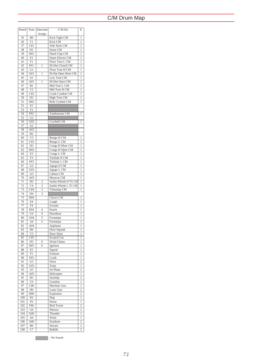| Note#           | Note                              | Alternate      | C/M Kit                  | Ε              |
|-----------------|-----------------------------------|----------------|--------------------------|----------------|
| 35              |                                   | Assign         |                          |                |
| 36              | B <sub>0</sub><br>$\overline{C1}$ |                | Kick Tight CM<br>Kick CM | 1<br>1         |
| 37              | C#1                               |                | Side Stick CM            | 1              |
| 38              | D1                                |                | Snare CM                 | 1              |
| 39              | D#1                               |                | Hand Clap CM             | 1              |
| 40              | E1                                |                | Snare Electro CM         | 1              |
| 41              | F1                                |                | Floor Tom L CM           | 1              |
| 42              | F#1                               | 1              | Hi-Hat Closed CM         | 1              |
| 43              | G1                                |                | Floor Tom H CM           | 1              |
| 44              | G#1                               | 1              | Hi-Hat Open Short CM     | 1              |
| 45              | A1                                |                | Low Tom CM               | 1              |
| 46              | A#1                               | 1              | Hi-Hat Open CM           | 1              |
| 47              | B1                                |                | Mid Tom L CM             | 1              |
| 48              | C <sub>2</sub>                    |                | Mid Tom H CM             | 1              |
| 49              | C#2                               |                | Crash Cymbal CM          | 1              |
| 50              | $\overline{D2}$                   |                | <b>High Tom CM</b>       | 1              |
| 51              | D#2                               |                | Ride Cymbal CM           | 1              |
| 52              | E <sub>2</sub>                    |                |                          |                |
|                 |                                   |                |                          |                |
| 53              | F <sub>2</sub>                    |                |                          |                |
| 54              | F#2                               |                | Tambourine CM            | 1              |
| 55              | G <sub>2</sub>                    |                |                          |                |
| 56              | G#2                               |                | Cowbell CM               | 1              |
| $\overline{57}$ | A2                                |                |                          |                |
| 58              | A#2                               |                |                          |                |
| 59              | B <sub>2</sub>                    |                |                          |                |
| 60              | $\overline{C}3$                   |                | Bongo H CM               | 1              |
| 61              | C#3                               |                | Bongo L CM               | 1              |
| 62              | $\overline{D3}$                   |                | Conga H Mute CM          | 1              |
| 63              | D#3                               |                | Conga H Open CM          | 1              |
| 64              | E3                                |                | Conga L CM               | 1              |
| 65              | F3                                |                | Timbale H CM             | 1              |
| 66              | F#3                               |                | Timbale L CM             | 1              |
| 67              | G <sub>3</sub>                    |                | Agogo H CM               | 1              |
| 68              | G#3                               |                | Agogo L CM               | 1              |
| 69              | A3                                |                | Cabasa CM                | 1              |
| 70              | A#3                               |                | Maracas CM               | 1              |
| 71              | B <sub>3</sub>                    | $\overline{c}$ | Samba Whistle H TG CM    | 1              |
| 72              | C <sub>4</sub>                    | $\overline{c}$ | Samba Whistle L TG CM    | 1              |
| 73              | C#4                               | 3              | Vibraslap CM             | 1              |
| 74              | D <sub>4</sub>                    | 3              |                          |                |
| 75              | D#4                               |                | Claves CM                | 1              |
| 76              | E4                                |                | Laugh                    | 1              |
| 77              | F4                                |                | Scream                   | 1              |
| 78              | F#4                               | 4              | Punch                    | 1              |
| 79              | G4                                | $\overline{4}$ | Heartbeat                | 1              |
| 80              | G#4                               | 5              | Footsteps                | 1              |
| 81              | A <sub>4</sub>                    | 5              | Footsteps                | 1              |
| 82              | A#4                               |                | Applause                 | 1              |
| 83              | <b>B4</b>                         |                | Door Squeak              | $\mathbf{1}$   |
| 84              | C <sub>5</sub>                    |                | Door Slam                | 1              |
| 85              | C#5                               |                | Scratch Cut              | 1              |
| 86              | D <sub>5</sub>                    | 6              | Wind Chime               | 1              |
| 87              | D#5                               | 6              | Ignition                 | 1              |
| 88              | E5                                |                | Squeal                   | 1              |
| 89              | F5                                |                | Exhaust                  | l              |
| 90              | F#5                               |                | Crash                    | 1              |
| 91              | G5                                |                | Siren                    | $\overline{c}$ |
| 92              | G#5                               |                | Train                    | 1              |
| 93              | A5                                |                | Jet Plane                | 2              |
| 94              | A#5                               |                | Helicopter               | 1              |
| 95              | B5                                |                | Starship                 | $\overline{c}$ |
| 96              | C <sub>6</sub>                    |                | Gunshot                  | 1              |
| 97              | C#6                               |                | Machine Gun              | 1              |
| 98              | D <sub>6</sub>                    |                | Laser Gun                | $\overline{c}$ |
| 99              | D#6                               |                | Explosion                | $\overline{c}$ |
| 100             | E6                                |                | Dog                      | 1              |
| 101             | F <sub>6</sub>                    |                | Horse                    | 1              |
| 102             | F#6                               |                | <b>Bird Tweet</b>        | 2              |
| 103             | G6                                |                | Shower                   | $\overline{c}$ |
| 104             | G#6                               |                | Thunder                  | 1              |
| 105             | A6                                |                | Wind                     | 1              |
| 106             | A#6                               |                | Seashore                 | $\overline{c}$ |
| 107             | B <sub>6</sub>                    |                | Stream                   | $\overline{c}$ |
| 108             | C7                                |                | <b>Bubble</b>            | $\overline{c}$ |
|                 |                                   |                |                          |                |

**No Sound** : No Sound